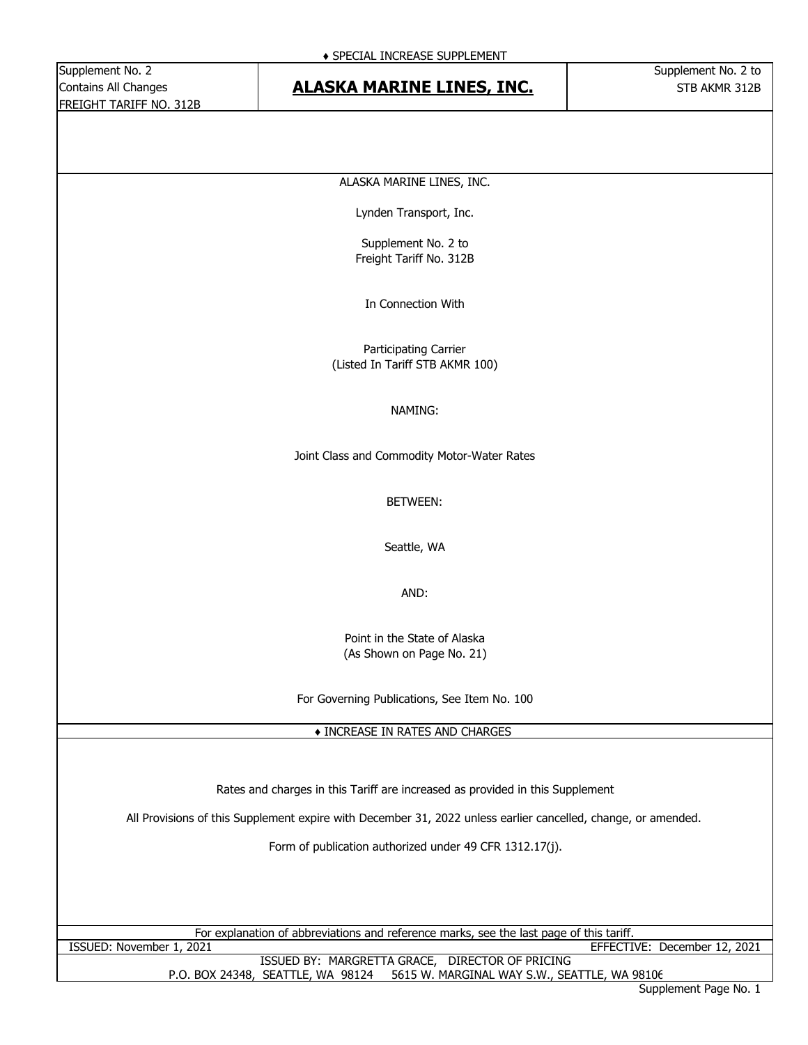#### Contains All Changes **STB ALASKA MARINE LINES, INC.** STB AKMR 312B

ALASKA MARINE LINES, INC.

Lynden Transport, Inc.

Supplement No. 2 to Freight Tariff No. 312B

In Connection With

Participating Carrier (Listed In Tariff STB AKMR 100)

#### NAMING:

Joint Class and Commodity Motor-Water Rates

BETWEEN:

Seattle, WA

AND:

Point in the State of Alaska (As Shown on Page No. 21)

For Governing Publications, See Item No. 100

♦ INCREASE IN RATES AND CHARGES

Rates and charges in this Tariff are increased as provided in this Supplement

All Provisions of this Supplement expire with December 31, 2022 unless earlier cancelled, change, or amended.

Form of publication authorized under 49 CFR 1312.17(j).

For explanation of abbreviations and reference marks, see the last page of this tariff.

ISSUED BY: MARGRETTA GRACE, DIRECTOR OF PRICING P.O. BOX 24348, SEATTLE, WA 98124 5615 W. MARGINAL WAY S.W., SEATTLE, WA 98106 ISSUED: November 1, 2021 EFFECTIVE: December 12, 2021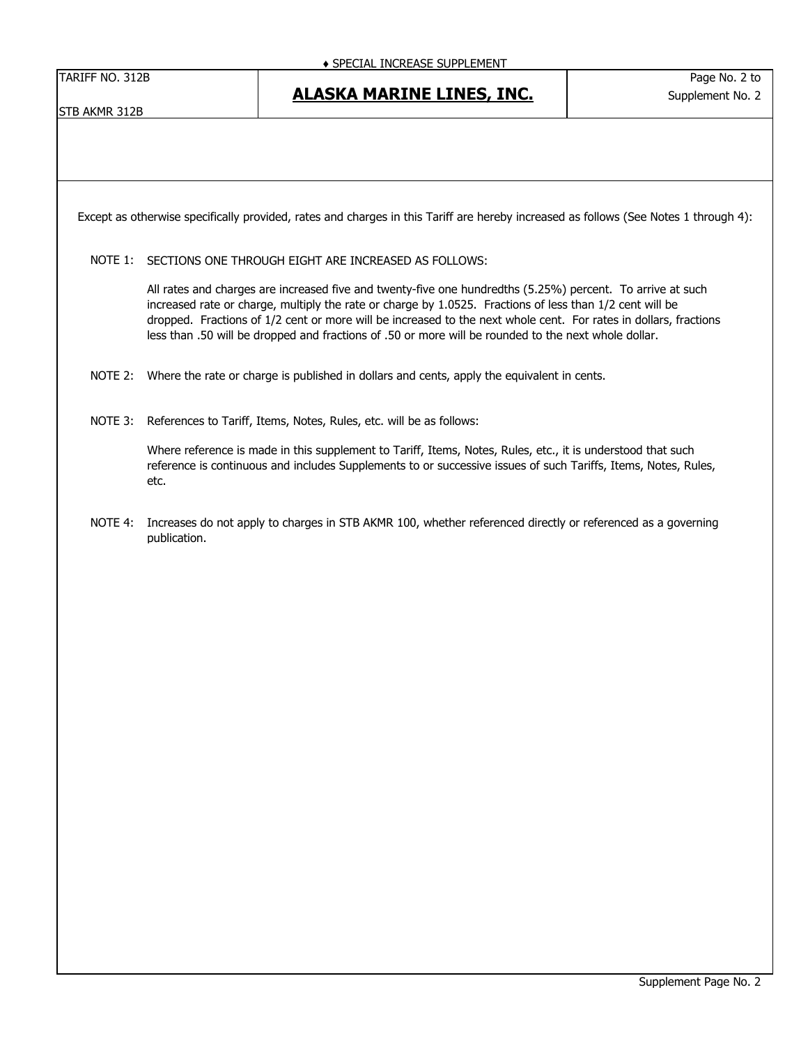TARIFF NO. 312B Page No. 2 to

Supplement No. 2

STB AKMR 312B

#### **ALASKA MARINE LINES, INC.**

Except as otherwise specifically provided, rates and charges in this Tariff are hereby increased as follows (See Notes 1 through 4):

NOTE 1: SECTIONS ONE THROUGH EIGHT ARE INCREASED AS FOLLOWS:

All rates and charges are increased five and twenty-five one hundredths (5.25%) percent. To arrive at such increased rate or charge, multiply the rate or charge by 1.0525. Fractions of less than 1/2 cent will be dropped. Fractions of 1/2 cent or more will be increased to the next whole cent. For rates in dollars, fractions less than .50 will be dropped and fractions of .50 or more will be rounded to the next whole dollar.

- NOTE 2: Where the rate or charge is published in dollars and cents, apply the equivalent in cents.
- NOTE 3: References to Tariff, Items, Notes, Rules, etc. will be as follows:

Where reference is made in this supplement to Tariff, Items, Notes, Rules, etc., it is understood that such reference is continuous and includes Supplements to or successive issues of such Tariffs, Items, Notes, Rules, etc.

NOTE 4: Increases do not apply to charges in STB AKMR 100, whether referenced directly or referenced as a governing publication.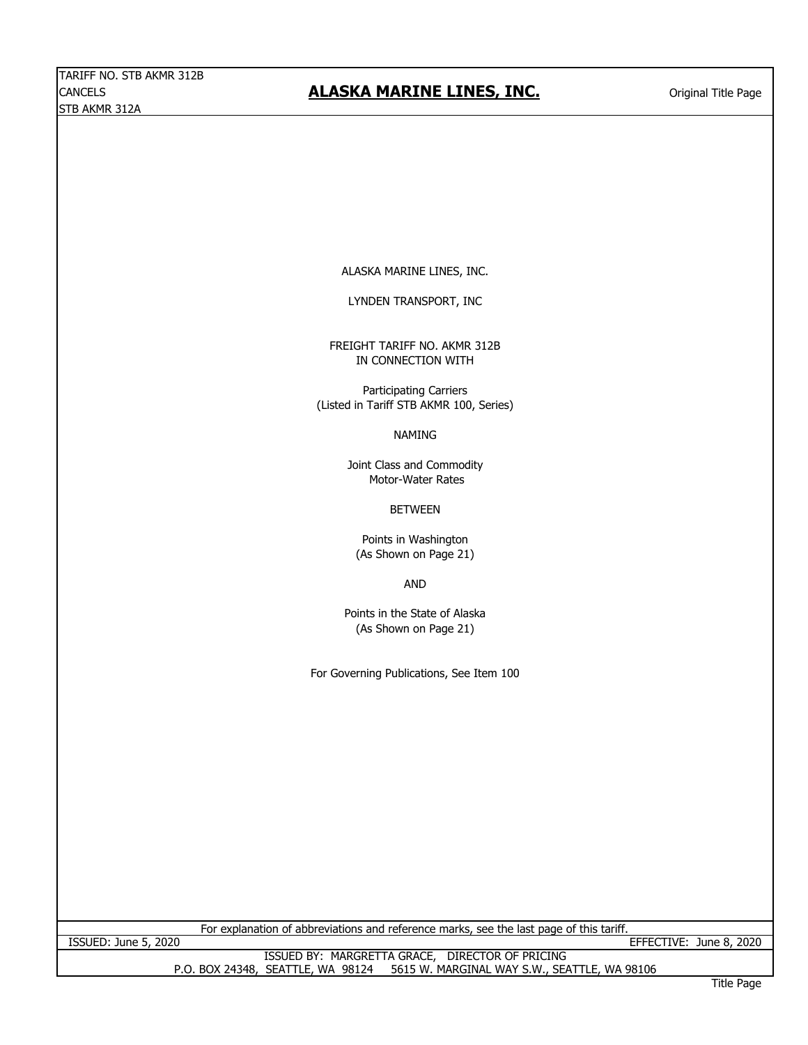#### CANCELS **CANCELS CANCEL CONSIDER THE ALASKA MARINE LINES, INC. Cancel Constant Original Title Page**

ALASKA MARINE LINES, INC.

LYNDEN TRANSPORT, INC

FREIGHT TARIFF NO. AKMR 312B IN CONNECTION WITH

Participating Carriers (Listed in Tariff STB AKMR 100, Series)

NAMING

Joint Class and Commodity Motor-Water Rates

BETWEEN

Points in Washington (As Shown on Page 21)

AND

Points in the State of Alaska (As Shown on Page 21)

For Governing Publications, See Item 100

For explanation of abbreviations and reference marks, see the last page of this tariff.

ISSUED: June 5, 2020 EFFECTIVE: June 8, 2020

ISSUED BY: MARGRETTA GRACE, DIRECTOR OF PRICING P.O. BOX 24348, SEATTLE, WA 98124 5615 W. MARGINAL WAY S.W., SEATTLE, WA 98106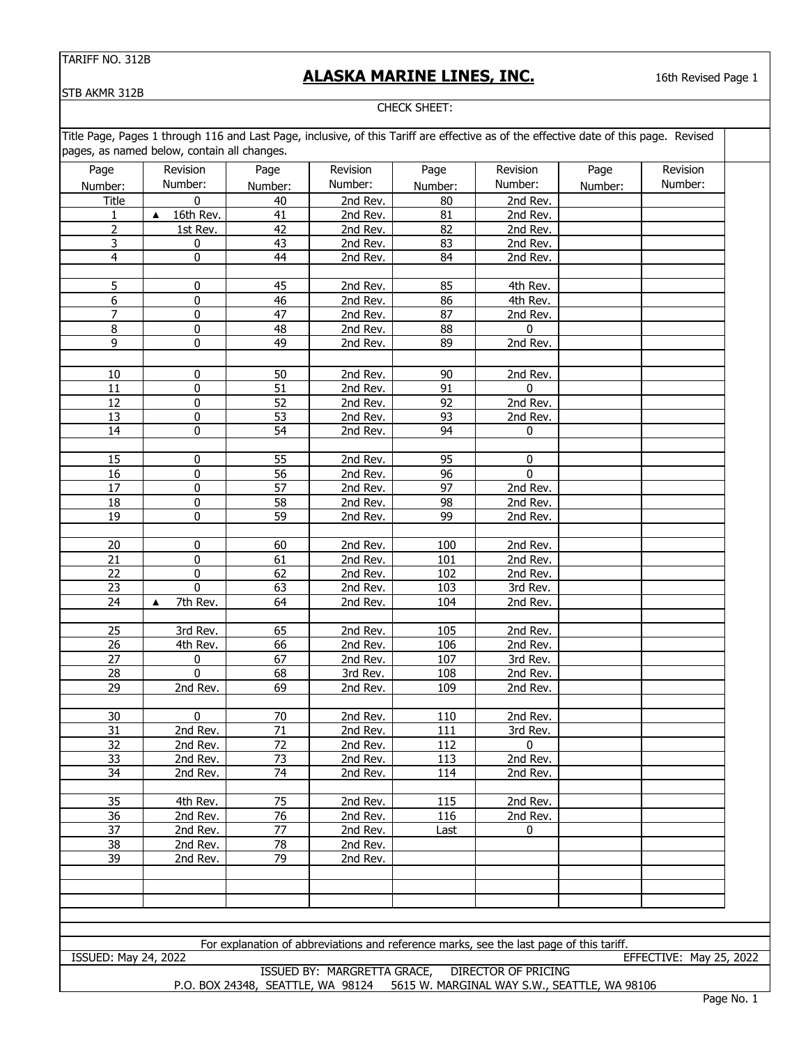#### **ALASKA MARINE LINES, INC.**

16th Revised Page 1

STB AKMR 312B

CHECK SHEET:

Title Page, Pages 1 through 116 and Last Page, inclusive, of this Tariff are effective as of the effective date of this page. Revised pages, as named below, contain all changes.

|                         | pages, as named below, contain all changes. |                 |          |                 |                |         |          |
|-------------------------|---------------------------------------------|-----------------|----------|-----------------|----------------|---------|----------|
| Page                    | Revision                                    | Page            | Revision | Page            | Revision       | Page    | Revision |
| Number:                 | Number:                                     | Number:         | Number:  | Number:         | Number:        | Number: | Number:  |
| Title                   | $\boldsymbol{0}$                            | 40              | 2nd Rev. | 80              | 2nd Rev.       |         |          |
| 1                       | 16th Rev.<br>$\blacktriangle$               | 41              | 2nd Rev. | 81              | 2nd Rev.       |         |          |
| $\overline{2}$          | 1st Rev.                                    | 42              | 2nd Rev. | 82              | 2nd Rev.       |         |          |
| $\overline{\mathbf{3}}$ | $\pmb{0}$                                   | 43              | 2nd Rev. | 83              | 2nd Rev.       |         |          |
| $\overline{4}$          | $\pmb{0}$                                   | 44              | 2nd Rev. | 84              | 2nd Rev.       |         |          |
|                         |                                             |                 |          |                 |                |         |          |
| 5                       | $\pmb{0}$                                   | 45              | 2nd Rev. | 85              | 4th Rev.       |         |          |
| 6                       | 0                                           | 46              | 2nd Rev. | 86              | 4th Rev.       |         |          |
| $\overline{7}$          | $\overline{0}$                              | $\overline{47}$ | 2nd Rev. | $\overline{87}$ | 2nd Rev.       |         |          |
| $\overline{8}$          | 0                                           | 48              | 2nd Rev. | 88              | $\mathbf 0$    |         |          |
| 9                       | $\pmb{0}$                                   | 49              | 2nd Rev. | 89              | 2nd Rev.       |         |          |
|                         |                                             |                 |          |                 |                |         |          |
| $10\,$                  | $\pmb{0}$                                   | 50              | 2nd Rev. | 90              | 2nd Rev.       |         |          |
| 11                      | $\pmb{0}$                                   | 51              | 2nd Rev. | 91              | $\mathbf 0$    |         |          |
| $\overline{12}$         | $\pmb{0}$                                   | $\overline{52}$ | 2nd Rev. | $\overline{92}$ | 2nd Rev.       |         |          |
| $\overline{13}$         | 0                                           | $\overline{53}$ | 2nd Rev. | 93              | 2nd Rev.       |         |          |
| 14                      | $\pmb{0}$                                   | 54              | 2nd Rev. | 94              | 0              |         |          |
|                         |                                             |                 |          |                 |                |         |          |
| 15                      | $\pmb{0}$                                   | 55              | 2nd Rev. | 95              | 0              |         |          |
| $\overline{16}$         | $\pmb{0}$                                   | $\overline{56}$ | 2nd Rev. | 96              | $\mathbf{0}$   |         |          |
| $\overline{17}$         | $\pmb{0}$                                   | $\overline{57}$ | 2nd Rev. | $\overline{97}$ | 2nd Rev.       |         |          |
| 18                      | $\overline{0}$                              | 58              | 2nd Rev. | 98              | 2nd Rev.       |         |          |
| $\overline{19}$         | $\pmb{0}$                                   | 59              | 2nd Rev. | 99              | 2nd Rev.       |         |          |
|                         |                                             |                 |          |                 |                |         |          |
| $\overline{20}$         | 0                                           | 60              | 2nd Rev. | 100             | 2nd Rev.       |         |          |
| $\overline{21}$         | $\pmb{0}$                                   | 61              | 2nd Rev. | 101             | 2nd Rev.       |         |          |
| 22                      | 0                                           | 62              | 2nd Rev. | 102             | 2nd Rev.       |         |          |
| 23                      | $\pmb{0}$                                   | 63              | 2nd Rev. | 103             | $3rd$ Rev.     |         |          |
| $\overline{24}$         | 7th Rev.<br>$\blacktriangle$                | 64              | 2nd Rev. | 104             | 2nd Rev.       |         |          |
|                         |                                             |                 |          |                 |                |         |          |
| $\overline{25}$         | 3rd Rev.                                    | 65              | 2nd Rev. | 105             | 2nd Rev.       |         |          |
| 26                      | 4th Rev.                                    | 66              | 2nd Rev. | 106             | 2nd Rev.       |         |          |
| 27                      | 0                                           | 67              | 2nd Rev. | 107             | $3rd$ Rev.     |         |          |
| 28                      | $\mathbf{0}$                                | 68              | 3rd Rev. | 108             | 2nd Rev.       |         |          |
| 29                      | 2nd Rev.                                    | 69              | 2nd Rev. | 109             | 2nd Rev.       |         |          |
|                         |                                             |                 |          |                 |                |         |          |
| 30                      | $\mathbf 0$                                 | 70              | 2nd Rev. | 110             | 2nd Rev.       |         |          |
| $\overline{31}$         | 2nd Rev.                                    | $\overline{71}$ | 2nd Rev. | 111             | 3rd Rev.       |         |          |
| 32                      | 2nd Rev.                                    | $\overline{72}$ | 2nd Rev. | 112             | $\overline{0}$ |         |          |
| $\overline{33}$         | 2nd Rev.                                    | $\overline{73}$ | 2nd Rev. | 113             | 2nd Rev.       |         |          |
| 34                      | 2nd Rev.                                    | 74              | 2nd Rev. | 114             | 2nd Rev.       |         |          |
|                         |                                             |                 |          |                 |                |         |          |
| 35                      | 4th Rev.                                    | 75              | 2nd Rev. | 115             | 2nd Rev.       |         |          |
| $\overline{36}$         | 2nd Rev.                                    | $\overline{76}$ | 2nd Rev. | 116             | 2nd Rev.       |         |          |
| $\overline{37}$         | $\overline{2}$ nd Rev.                      | $\overline{77}$ | 2nd Rev. | Last            | $\mathbf 0$    |         |          |
| $\overline{38}$         | 2nd Rev.                                    | $\overline{78}$ | 2nd Rev. |                 |                |         |          |
| 39                      | 2nd Rev.                                    | 79              | 2nd Rev. |                 |                |         |          |
|                         |                                             |                 |          |                 |                |         |          |
|                         |                                             |                 |          |                 |                |         |          |
|                         |                                             |                 |          |                 |                |         |          |
|                         |                                             |                 |          |                 |                |         |          |

ISSUED: May 24, 2022 EFFECTIVE: May 25, 2022

For explanation of abbreviations and reference marks, see the last page of this tariff.

P.O. BOX 24348, SEATTLE, WA 98124 5615 W. MARGINAL WAY S.W., SEATTLE, WA 98106 ISSUED BY: MARGRETTA GRACE, DIRECTOR OF PRICING

Page No. 1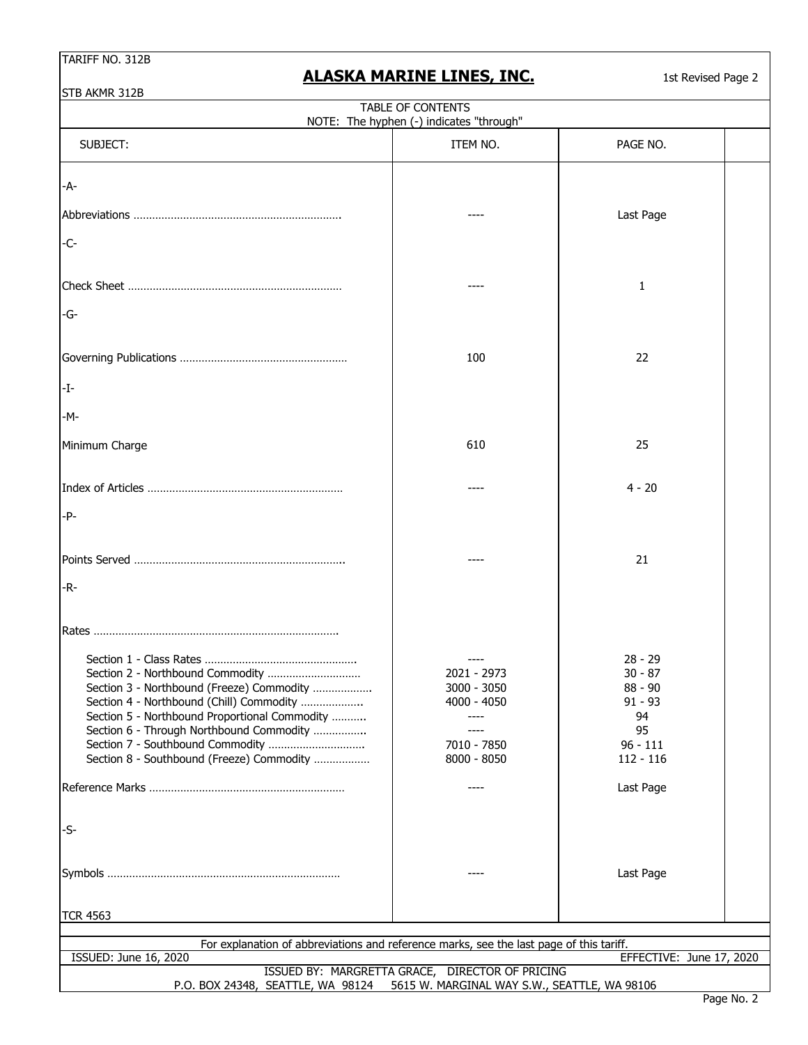# **ALASKA MARINE LINES, INC.**

1st Revised Page 2

| STB AKMR 312B                                                                                                                                                                                                                                                                                           |                                                                                         |                                                                                           |  |
|---------------------------------------------------------------------------------------------------------------------------------------------------------------------------------------------------------------------------------------------------------------------------------------------------------|-----------------------------------------------------------------------------------------|-------------------------------------------------------------------------------------------|--|
|                                                                                                                                                                                                                                                                                                         | TABLE OF CONTENTS<br>NOTE: The hyphen (-) indicates "through"                           |                                                                                           |  |
| SUBJECT:                                                                                                                                                                                                                                                                                                | ITEM NO.                                                                                | PAGE NO.                                                                                  |  |
| -A-                                                                                                                                                                                                                                                                                                     |                                                                                         |                                                                                           |  |
|                                                                                                                                                                                                                                                                                                         |                                                                                         | Last Page                                                                                 |  |
| $-C-$                                                                                                                                                                                                                                                                                                   |                                                                                         |                                                                                           |  |
|                                                                                                                                                                                                                                                                                                         |                                                                                         | 1                                                                                         |  |
| -G-                                                                                                                                                                                                                                                                                                     |                                                                                         |                                                                                           |  |
|                                                                                                                                                                                                                                                                                                         | 100                                                                                     | 22                                                                                        |  |
| -I-                                                                                                                                                                                                                                                                                                     |                                                                                         |                                                                                           |  |
| -M-                                                                                                                                                                                                                                                                                                     |                                                                                         |                                                                                           |  |
| Minimum Charge                                                                                                                                                                                                                                                                                          | 610                                                                                     | 25                                                                                        |  |
|                                                                                                                                                                                                                                                                                                         |                                                                                         | $4 - 20$                                                                                  |  |
| $-P-$                                                                                                                                                                                                                                                                                                   |                                                                                         |                                                                                           |  |
|                                                                                                                                                                                                                                                                                                         |                                                                                         | 21                                                                                        |  |
| -R-                                                                                                                                                                                                                                                                                                     |                                                                                         |                                                                                           |  |
|                                                                                                                                                                                                                                                                                                         |                                                                                         |                                                                                           |  |
| Section 2 - Northbound Commodity<br>Section 3 - Northbound (Freeze) Commodity<br>Section 4 - Northbound (Chill) Commodity<br>Section 5 - Northbound Proportional Commodity<br>Section 6 - Through Northbound Commodity<br>Section 7 - Southbound Commodity<br>Section 8 - Southbound (Freeze) Commodity | 2021 - 2973<br>3000 - 3050<br>4000 - 4050<br>----<br>----<br>7010 - 7850<br>8000 - 8050 | $28 - 29$<br>$30 - 87$<br>$88 - 90$<br>$91 - 93$<br>94<br>95<br>$96 - 111$<br>$112 - 116$ |  |
|                                                                                                                                                                                                                                                                                                         |                                                                                         | Last Page                                                                                 |  |
| $-S-$                                                                                                                                                                                                                                                                                                   |                                                                                         |                                                                                           |  |
|                                                                                                                                                                                                                                                                                                         |                                                                                         | Last Page                                                                                 |  |
| <b>TCR 4563</b>                                                                                                                                                                                                                                                                                         |                                                                                         |                                                                                           |  |
| For explanation of abbreviations and reference marks, see the last page of this tariff.                                                                                                                                                                                                                 |                                                                                         |                                                                                           |  |
| ISSUED: June 16, 2020                                                                                                                                                                                                                                                                                   |                                                                                         | EFFECTIVE: June 17, 2020                                                                  |  |
| P.O. BOX 24348, SEATTLE, WA 98124 5615 W. MARGINAL WAY S.W., SEATTLE, WA 98106                                                                                                                                                                                                                          | ISSUED BY: MARGRETTA GRACE, DIRECTOR OF PRICING                                         |                                                                                           |  |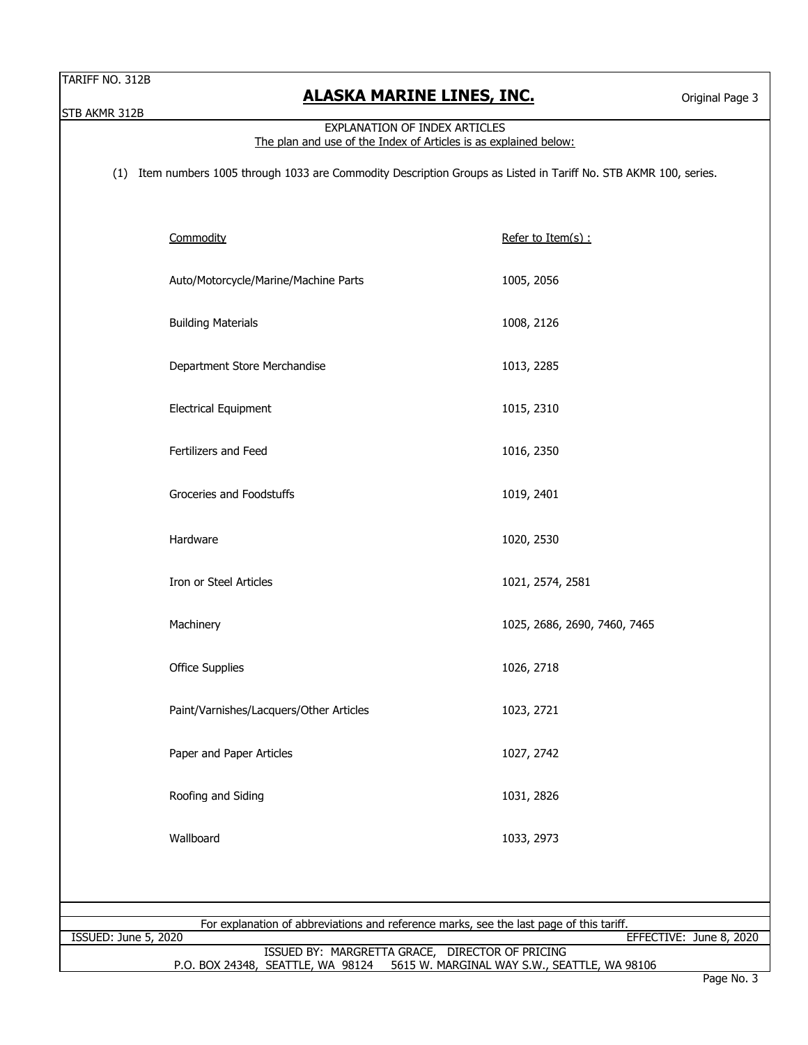STB AKMR 312B

#### EXPLANATION OF INDEX ARTICLES The plan and use of the Index of Articles is as explained below:

(1) Item numbers 1005 through 1033 are Commodity Description Groups as Listed in Tariff No. STB AKMR 100, series.

|                                                                                         | Commodity                                       | Refer to Item(s) :           |  |  |
|-----------------------------------------------------------------------------------------|-------------------------------------------------|------------------------------|--|--|
|                                                                                         | Auto/Motorcycle/Marine/Machine Parts            | 1005, 2056                   |  |  |
|                                                                                         | <b>Building Materials</b>                       | 1008, 2126                   |  |  |
|                                                                                         | Department Store Merchandise                    | 1013, 2285                   |  |  |
|                                                                                         | <b>Electrical Equipment</b>                     | 1015, 2310                   |  |  |
|                                                                                         | Fertilizers and Feed                            | 1016, 2350                   |  |  |
|                                                                                         | Groceries and Foodstuffs                        | 1019, 2401                   |  |  |
|                                                                                         | Hardware                                        | 1020, 2530                   |  |  |
|                                                                                         | Iron or Steel Articles                          | 1021, 2574, 2581             |  |  |
|                                                                                         | Machinery                                       | 1025, 2686, 2690, 7460, 7465 |  |  |
|                                                                                         | Office Supplies                                 | 1026, 2718                   |  |  |
|                                                                                         | Paint/Varnishes/Lacquers/Other Articles         | 1023, 2721                   |  |  |
|                                                                                         | Paper and Paper Articles                        | 1027, 2742                   |  |  |
|                                                                                         | Roofing and Siding                              | 1031, 2826                   |  |  |
|                                                                                         | Wallboard                                       | 1033, 2973                   |  |  |
|                                                                                         |                                                 |                              |  |  |
|                                                                                         |                                                 |                              |  |  |
| For explanation of abbreviations and reference marks, see the last page of this tariff. |                                                 |                              |  |  |
| <b>ISSUED: June 5, 2020</b>                                                             |                                                 | EFFECTIVE: June 8, 2020      |  |  |
|                                                                                         | ISSUED BY: MARGRETTA GRACE, DIRECTOR OF PRICING |                              |  |  |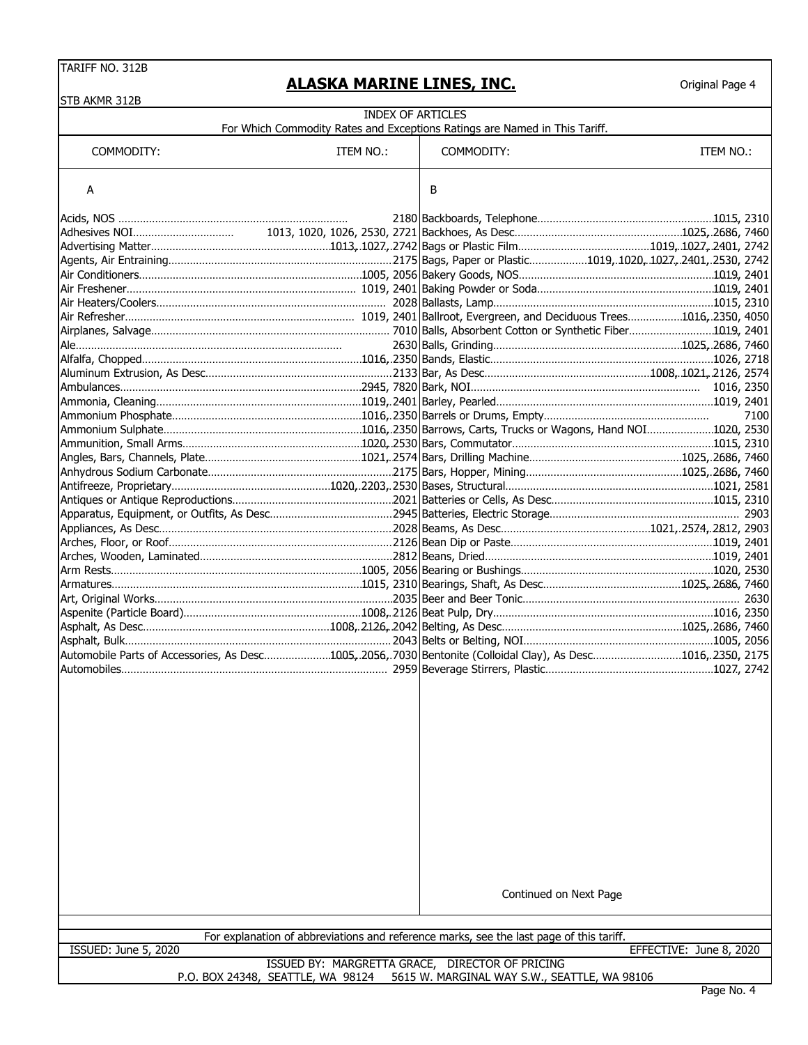#### **ALASKA MARINE LINES, INC.**

|                                                                                                              | <b>INDEX OF ARTICLES</b>          |                                                                                         |                         |  |  |  |
|--------------------------------------------------------------------------------------------------------------|-----------------------------------|-----------------------------------------------------------------------------------------|-------------------------|--|--|--|
| For Which Commodity Rates and Exceptions Ratings are Named in This Tariff.                                   |                                   |                                                                                         |                         |  |  |  |
| COMMODITY:                                                                                                   | ITEM NO.:                         | COMMODITY:                                                                              | ITEM NO.:               |  |  |  |
| Α                                                                                                            |                                   | В                                                                                       |                         |  |  |  |
|                                                                                                              |                                   |                                                                                         |                         |  |  |  |
|                                                                                                              |                                   |                                                                                         |                         |  |  |  |
|                                                                                                              |                                   |                                                                                         |                         |  |  |  |
|                                                                                                              |                                   |                                                                                         |                         |  |  |  |
|                                                                                                              |                                   |                                                                                         |                         |  |  |  |
|                                                                                                              |                                   |                                                                                         |                         |  |  |  |
|                                                                                                              |                                   |                                                                                         |                         |  |  |  |
|                                                                                                              |                                   |                                                                                         |                         |  |  |  |
|                                                                                                              |                                   |                                                                                         |                         |  |  |  |
|                                                                                                              |                                   |                                                                                         |                         |  |  |  |
|                                                                                                              |                                   |                                                                                         |                         |  |  |  |
|                                                                                                              |                                   |                                                                                         |                         |  |  |  |
|                                                                                                              |                                   |                                                                                         |                         |  |  |  |
|                                                                                                              |                                   |                                                                                         |                         |  |  |  |
|                                                                                                              |                                   |                                                                                         | 7100                    |  |  |  |
|                                                                                                              |                                   |                                                                                         |                         |  |  |  |
|                                                                                                              |                                   |                                                                                         |                         |  |  |  |
|                                                                                                              |                                   |                                                                                         |                         |  |  |  |
|                                                                                                              |                                   |                                                                                         |                         |  |  |  |
|                                                                                                              |                                   |                                                                                         |                         |  |  |  |
|                                                                                                              |                                   |                                                                                         |                         |  |  |  |
|                                                                                                              |                                   |                                                                                         |                         |  |  |  |
|                                                                                                              |                                   |                                                                                         |                         |  |  |  |
|                                                                                                              |                                   |                                                                                         |                         |  |  |  |
|                                                                                                              |                                   |                                                                                         |                         |  |  |  |
|                                                                                                              |                                   |                                                                                         |                         |  |  |  |
|                                                                                                              |                                   |                                                                                         |                         |  |  |  |
|                                                                                                              |                                   |                                                                                         |                         |  |  |  |
|                                                                                                              |                                   |                                                                                         |                         |  |  |  |
|                                                                                                              |                                   |                                                                                         |                         |  |  |  |
| Automobile Parts of Accessories, As Desc1005, 2056, 7030 Bentonite (Colloidal Clay), As Desc1016, 2350, 2175 |                                   |                                                                                         |                         |  |  |  |
|                                                                                                              |                                   |                                                                                         |                         |  |  |  |
|                                                                                                              |                                   |                                                                                         |                         |  |  |  |
|                                                                                                              |                                   | Continued on Next Page                                                                  |                         |  |  |  |
|                                                                                                              |                                   | For explanation of abbreviations and reference marks, see the last page of this tariff. |                         |  |  |  |
| <b>ISSUED: June 5, 2020</b>                                                                                  |                                   | ISSUED BY: MARGRETTA GRACE, DIRECTOR OF PRICING                                         | EFFECTIVE: June 8, 2020 |  |  |  |
|                                                                                                              | P.O. BOX 24348, SEATTLE, WA 98124 | 5615 W. MARGINAL WAY S.W., SEATTLE, WA 98106                                            |                         |  |  |  |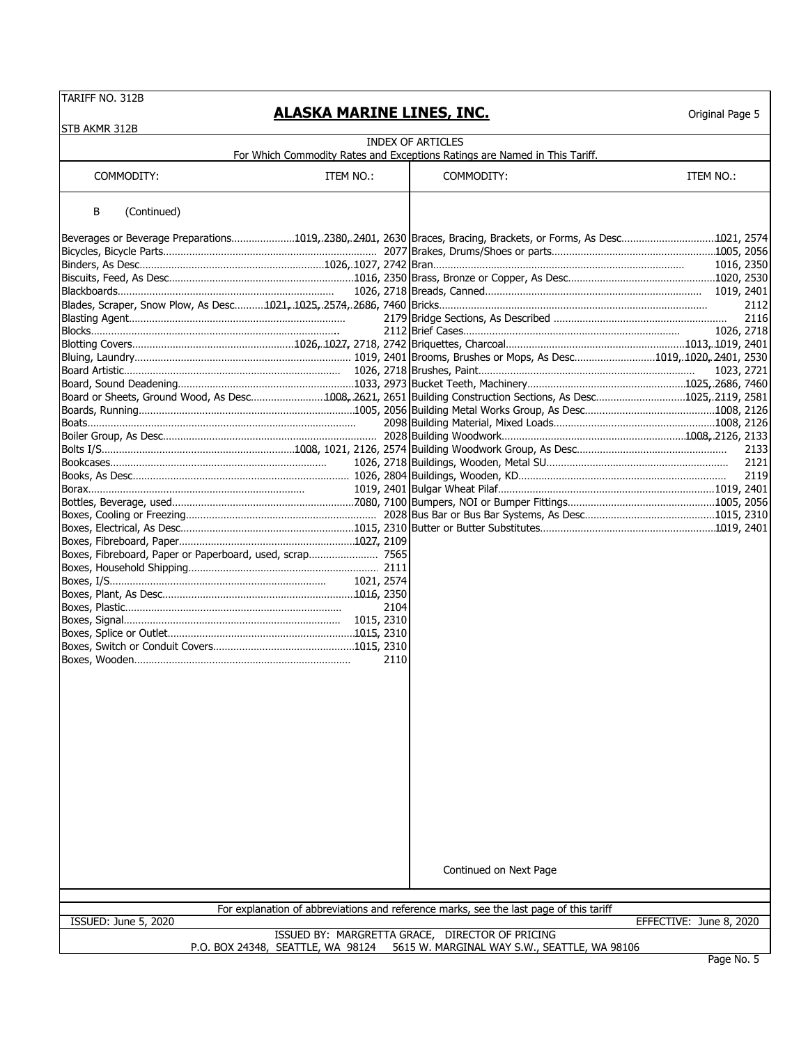#### **ALASKA MARINE LINES, INC.**

| STB AKMR 312B                                                                                                    |            |      |                                                                                        |                         |
|------------------------------------------------------------------------------------------------------------------|------------|------|----------------------------------------------------------------------------------------|-------------------------|
|                                                                                                                  |            |      | <b>INDEX OF ARTICLES</b>                                                               |                         |
|                                                                                                                  |            |      | For Which Commodity Rates and Exceptions Ratings are Named in This Tariff.             |                         |
| COMMODITY:                                                                                                       | ITEM NO.:  |      | COMMODITY:                                                                             | ITEM NO.:               |
| В<br>(Continued)                                                                                                 |            |      |                                                                                        |                         |
| Beverages or Beverage Preparations1019,.2380,.2401, 2630  Braces, Bracing, Brackets, or Forms, As Desc1021, 2574 |            |      |                                                                                        |                         |
|                                                                                                                  |            |      |                                                                                        |                         |
|                                                                                                                  |            |      |                                                                                        | 1016, 2350              |
|                                                                                                                  |            |      |                                                                                        |                         |
|                                                                                                                  |            |      |                                                                                        |                         |
|                                                                                                                  |            |      |                                                                                        | 2112<br>2116            |
|                                                                                                                  |            |      |                                                                                        | 1026, 2718              |
|                                                                                                                  |            |      |                                                                                        |                         |
|                                                                                                                  |            |      |                                                                                        |                         |
|                                                                                                                  |            |      |                                                                                        | 1023, 2721              |
| Board, Sound Deadening……………………………………………………1033, 2973 Bucket Teeth, Machinery……………………………………………1025, 2686, 7460    |            |      |                                                                                        |                         |
| Board or Sheets, Ground Wood, As Desc1008, 2621, 2651 Building Construction Sections, As Desc1025, 2119, 2581    |            |      |                                                                                        |                         |
|                                                                                                                  |            |      |                                                                                        |                         |
|                                                                                                                  |            |      |                                                                                        |                         |
|                                                                                                                  |            |      |                                                                                        | 2133                    |
|                                                                                                                  |            |      |                                                                                        | 2121                    |
|                                                                                                                  |            |      |                                                                                        | 2119                    |
|                                                                                                                  |            |      |                                                                                        |                         |
|                                                                                                                  |            |      |                                                                                        |                         |
|                                                                                                                  |            |      |                                                                                        |                         |
|                                                                                                                  |            |      |                                                                                        |                         |
|                                                                                                                  |            |      |                                                                                        |                         |
| Boxes, Fibreboard, Paper or Paperboard, used, scrap 7565                                                         |            |      |                                                                                        |                         |
|                                                                                                                  | 1021, 2574 |      |                                                                                        |                         |
|                                                                                                                  |            |      |                                                                                        |                         |
|                                                                                                                  |            | 2104 |                                                                                        |                         |
|                                                                                                                  |            |      |                                                                                        |                         |
|                                                                                                                  |            |      |                                                                                        |                         |
|                                                                                                                  |            |      |                                                                                        |                         |
|                                                                                                                  |            | 2110 |                                                                                        |                         |
|                                                                                                                  |            |      |                                                                                        |                         |
|                                                                                                                  |            |      |                                                                                        |                         |
|                                                                                                                  |            |      |                                                                                        |                         |
|                                                                                                                  |            |      |                                                                                        |                         |
|                                                                                                                  |            |      |                                                                                        |                         |
|                                                                                                                  |            |      |                                                                                        |                         |
|                                                                                                                  |            |      |                                                                                        |                         |
|                                                                                                                  |            |      |                                                                                        |                         |
|                                                                                                                  |            |      |                                                                                        |                         |
|                                                                                                                  |            |      |                                                                                        |                         |
|                                                                                                                  |            |      |                                                                                        |                         |
|                                                                                                                  |            |      |                                                                                        |                         |
|                                                                                                                  |            |      |                                                                                        |                         |
|                                                                                                                  |            |      |                                                                                        |                         |
|                                                                                                                  |            |      | Continued on Next Page                                                                 |                         |
|                                                                                                                  |            |      |                                                                                        |                         |
|                                                                                                                  |            |      | For explanation of abbreviations and reference marks, see the last page of this tariff |                         |
| ISSUED: June 5, 2020                                                                                             |            |      | ISSUED BY: MARGRETTA GRACE, DIRECTOR OF PRICING                                        | EFFECTIVE: June 8, 2020 |
|                                                                                                                  |            |      | P.O. BOX 24348, SEATTLE, WA 98124 5615 W. MARGINAL WAY S.W., SEATTLE, WA 98106         |                         |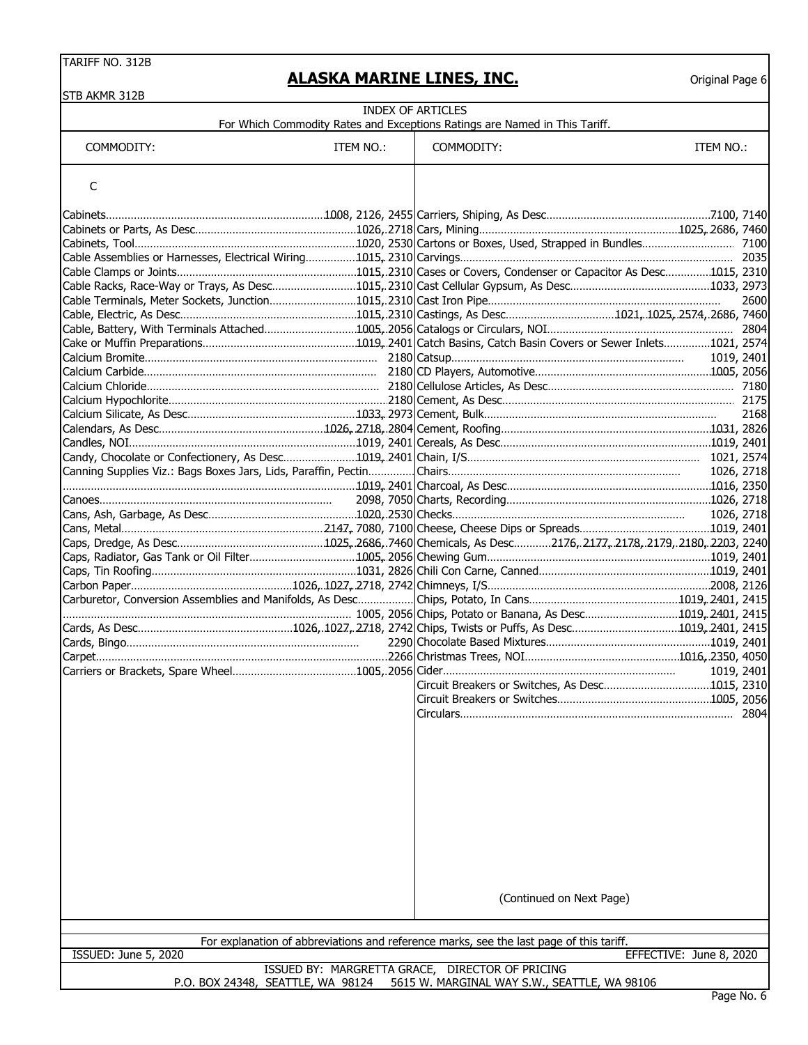| STB AKMR 312B        |           |                                                                                         |                         |      |
|----------------------|-----------|-----------------------------------------------------------------------------------------|-------------------------|------|
|                      |           | <b>INDEX OF ARTICLES</b>                                                                |                         |      |
|                      |           | For Which Commodity Rates and Exceptions Ratings are Named in This Tariff.              |                         |      |
| COMMODITY:           | ITEM NO.: | COMMODITY:                                                                              | ITEM NO.:               |      |
|                      |           |                                                                                         |                         |      |
| C                    |           |                                                                                         |                         |      |
|                      |           |                                                                                         |                         |      |
|                      |           |                                                                                         |                         |      |
|                      |           |                                                                                         |                         |      |
|                      |           |                                                                                         |                         |      |
|                      |           |                                                                                         |                         |      |
|                      |           |                                                                                         |                         |      |
|                      |           |                                                                                         |                         |      |
|                      |           |                                                                                         |                         | 2600 |
|                      |           |                                                                                         |                         |      |
|                      |           |                                                                                         |                         |      |
|                      |           |                                                                                         |                         |      |
|                      |           |                                                                                         |                         |      |
|                      |           |                                                                                         |                         |      |
|                      |           |                                                                                         |                         |      |
|                      |           |                                                                                         |                         | 2168 |
|                      |           |                                                                                         |                         |      |
|                      |           |                                                                                         |                         |      |
|                      |           |                                                                                         |                         |      |
|                      |           |                                                                                         | 1026, 2718              |      |
|                      |           |                                                                                         |                         |      |
|                      |           |                                                                                         |                         |      |
|                      |           |                                                                                         |                         |      |
|                      |           |                                                                                         |                         |      |
|                      |           |                                                                                         |                         |      |
|                      |           |                                                                                         |                         |      |
|                      |           |                                                                                         |                         |      |
|                      |           |                                                                                         |                         |      |
|                      |           |                                                                                         |                         |      |
|                      |           |                                                                                         |                         |      |
|                      |           |                                                                                         |                         |      |
|                      |           |                                                                                         |                         |      |
|                      |           |                                                                                         |                         |      |
|                      |           |                                                                                         | 1019, 2401              |      |
|                      |           | Circuit Breakers or Switches, As Desc1015, 2310                                         |                         |      |
|                      |           |                                                                                         |                         |      |
|                      |           |                                                                                         |                         | 2804 |
|                      |           |                                                                                         |                         |      |
|                      |           |                                                                                         |                         |      |
|                      |           |                                                                                         |                         |      |
|                      |           |                                                                                         |                         |      |
|                      |           |                                                                                         |                         |      |
|                      |           |                                                                                         |                         |      |
|                      |           |                                                                                         |                         |      |
|                      |           |                                                                                         |                         |      |
|                      |           |                                                                                         |                         |      |
|                      |           |                                                                                         |                         |      |
|                      |           |                                                                                         |                         |      |
|                      |           |                                                                                         |                         |      |
|                      |           | (Continued on Next Page)                                                                |                         |      |
|                      |           |                                                                                         |                         |      |
|                      |           | For explanation of abbreviations and reference marks, see the last page of this tariff. |                         |      |
| ISSUED: June 5, 2020 |           |                                                                                         | EFFECTIVE: June 8, 2020 |      |
|                      |           | ISSUED BY: MARGRETTA GRACE, DIRECTOR OF PRICING                                         |                         |      |
|                      |           | P.O. BOX 24348, SEATTLE, WA 98124 5615 W. MARGINAL WAY S.W., SEATTLE, WA 98106          |                         |      |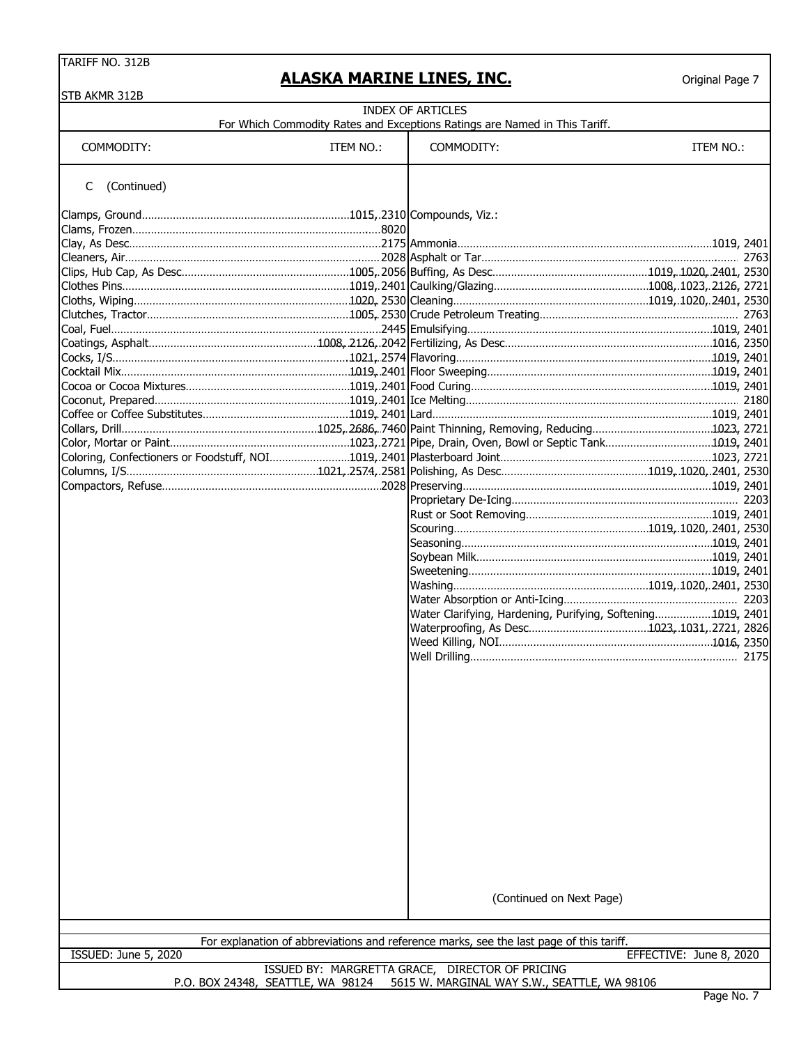| STB AKMR 312B                     |           |                                                                                         |                         |
|-----------------------------------|-----------|-----------------------------------------------------------------------------------------|-------------------------|
|                                   |           | <b>INDEX OF ARTICLES</b>                                                                |                         |
|                                   |           | For Which Commodity Rates and Exceptions Ratings are Named in This Tariff.              |                         |
| COMMODITY:                        | ITEM NO.: | COMMODITY:                                                                              | ITEM NO.:               |
|                                   |           |                                                                                         |                         |
| (Continued)<br>C                  |           |                                                                                         |                         |
|                                   |           |                                                                                         |                         |
|                                   |           |                                                                                         |                         |
|                                   |           |                                                                                         |                         |
|                                   |           |                                                                                         |                         |
|                                   |           |                                                                                         |                         |
|                                   |           |                                                                                         |                         |
|                                   |           |                                                                                         |                         |
|                                   |           |                                                                                         |                         |
|                                   |           |                                                                                         |                         |
|                                   |           |                                                                                         |                         |
|                                   |           |                                                                                         |                         |
|                                   |           |                                                                                         |                         |
|                                   |           |                                                                                         |                         |
|                                   |           |                                                                                         |                         |
|                                   |           |                                                                                         |                         |
|                                   |           |                                                                                         |                         |
|                                   |           |                                                                                         |                         |
|                                   |           |                                                                                         |                         |
|                                   |           |                                                                                         |                         |
|                                   |           |                                                                                         |                         |
|                                   |           |                                                                                         |                         |
|                                   |           |                                                                                         |                         |
|                                   |           |                                                                                         |                         |
|                                   |           |                                                                                         |                         |
|                                   |           |                                                                                         |                         |
|                                   |           |                                                                                         |                         |
|                                   |           |                                                                                         |                         |
|                                   |           | Water Clarifying, Hardening, Purifying, Softening1019, 2401                             |                         |
|                                   |           |                                                                                         |                         |
|                                   |           |                                                                                         |                         |
|                                   |           |                                                                                         |                         |
|                                   |           |                                                                                         |                         |
|                                   |           |                                                                                         |                         |
|                                   |           |                                                                                         |                         |
|                                   |           |                                                                                         |                         |
|                                   |           |                                                                                         |                         |
|                                   |           |                                                                                         |                         |
|                                   |           |                                                                                         |                         |
|                                   |           |                                                                                         |                         |
|                                   |           |                                                                                         |                         |
|                                   |           |                                                                                         |                         |
|                                   |           |                                                                                         |                         |
|                                   |           |                                                                                         |                         |
|                                   |           |                                                                                         |                         |
|                                   |           |                                                                                         |                         |
|                                   |           |                                                                                         |                         |
|                                   |           | (Continued on Next Page)                                                                |                         |
|                                   |           |                                                                                         |                         |
|                                   |           |                                                                                         |                         |
| ISSUED: June 5, 2020              |           | For explanation of abbreviations and reference marks, see the last page of this tariff. | EFFECTIVE: June 8, 2020 |
|                                   |           | ISSUED BY: MARGRETTA GRACE, DIRECTOR OF PRICING                                         |                         |
| P.O. BOX 24348, SEATTLE, WA 98124 |           | 5615 W. MARGINAL WAY S.W., SEATTLE, WA 98106                                            |                         |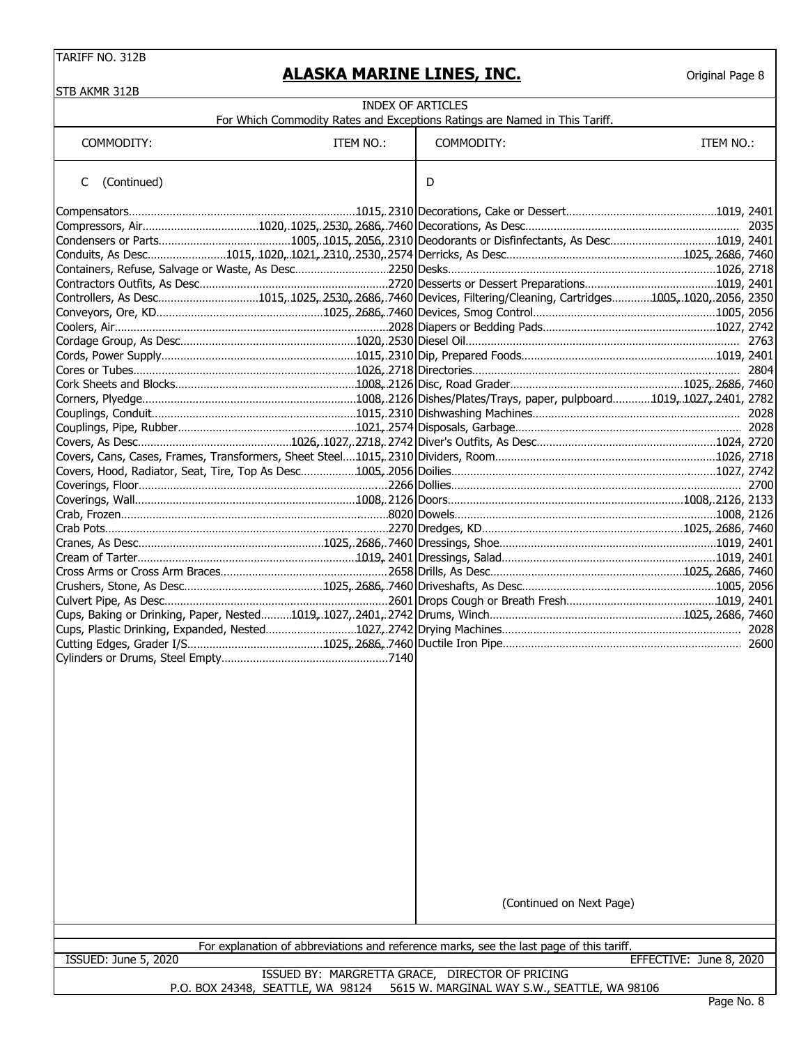|                             | <u>ALASKA MARINE LINES, INC.</u>  |                                                                                                                  | Original Page 8         |
|-----------------------------|-----------------------------------|------------------------------------------------------------------------------------------------------------------|-------------------------|
| STB AKMR 312B               |                                   | <b>INDEX OF ARTICLES</b>                                                                                         |                         |
|                             |                                   | For Which Commodity Rates and Exceptions Ratings are Named in This Tariff.                                       |                         |
| COMMODITY:                  | ITEM NO.:                         | COMMODITY:                                                                                                       | ITEM NO.:               |
| (Continued)<br>C            |                                   | D                                                                                                                |                         |
|                             |                                   |                                                                                                                  |                         |
|                             |                                   |                                                                                                                  |                         |
|                             |                                   |                                                                                                                  |                         |
|                             |                                   | Conduits, As Desc………………………1015,.1020,.1021,.2310,.2530,.2574 Derricks, As Desc………………………………………………1025,.2686, 7460 |                         |
|                             |                                   |                                                                                                                  |                         |
|                             |                                   |                                                                                                                  |                         |
|                             |                                   | Controllers, As Desc1015,.1025,.2530,.2686,.7460 Devices, Filtering/Cleaning, Cartridges1005,.1020,.2056, 2350   |                         |
|                             |                                   |                                                                                                                  |                         |
|                             |                                   |                                                                                                                  |                         |
|                             |                                   |                                                                                                                  |                         |
|                             |                                   |                                                                                                                  |                         |
|                             |                                   | Cork Sheets and Blocks…………………………………………………1008, 2126 Disc, Road Grader……………………………………………1025, 2686, 7460           |                         |
|                             |                                   |                                                                                                                  |                         |
|                             |                                   |                                                                                                                  |                         |
|                             |                                   |                                                                                                                  |                         |
|                             |                                   | Covers, As Desc…………………………………………1026,.1027,.2718,.2742 Diver's Outfits, As Desc………………………………………………1024, 2720       |                         |
|                             |                                   |                                                                                                                  |                         |
|                             |                                   | Covers, Hood, Radiator, Seat, Tire, Top As Desc………………1005, 2056 Doilies……………………………………………………………………1027, 2742      |                         |
|                             |                                   |                                                                                                                  |                         |
|                             |                                   |                                                                                                                  |                         |
|                             |                                   |                                                                                                                  |                         |
|                             |                                   | Crab Pots……………………………………………………………………………2270 Dredges, KD………………………………………………………1025, 2686, 7460                      |                         |
|                             |                                   |                                                                                                                  |                         |
|                             |                                   |                                                                                                                  |                         |
|                             |                                   |                                                                                                                  |                         |
|                             |                                   |                                                                                                                  |                         |
|                             |                                   | Culvert Pipe, As Desc………………………………………………………………………………………2601 Drops Cough or Breath Fresh…………………………………………1019, 2401 |                         |
|                             |                                   |                                                                                                                  |                         |
|                             |                                   | Cutting Edges, Grader I/S………………………………………1025, 2686, 7460 Ductile Iron Pipe…………………………………………………………………… 2600        |                         |
|                             |                                   |                                                                                                                  |                         |
|                             |                                   |                                                                                                                  |                         |
|                             |                                   | (Continued on Next Page)                                                                                         |                         |
|                             |                                   | For explanation of abbreviations and reference marks, see the last page of this tariff.                          |                         |
| <b>ISSUED: June 5, 2020</b> |                                   |                                                                                                                  | EFFECTIVE: June 8, 2020 |
|                             | P.O. BOX 24348, SEATTLE, WA 98124 | ISSUED BY: MARGRETTA GRACE, DIRECTOR OF PRICING<br>5615 W. MARGINAL WAY S.W., SEATTLE, WA 98106                  |                         |
|                             |                                   |                                                                                                                  | Page No. 8              |
|                             |                                   |                                                                                                                  |                         |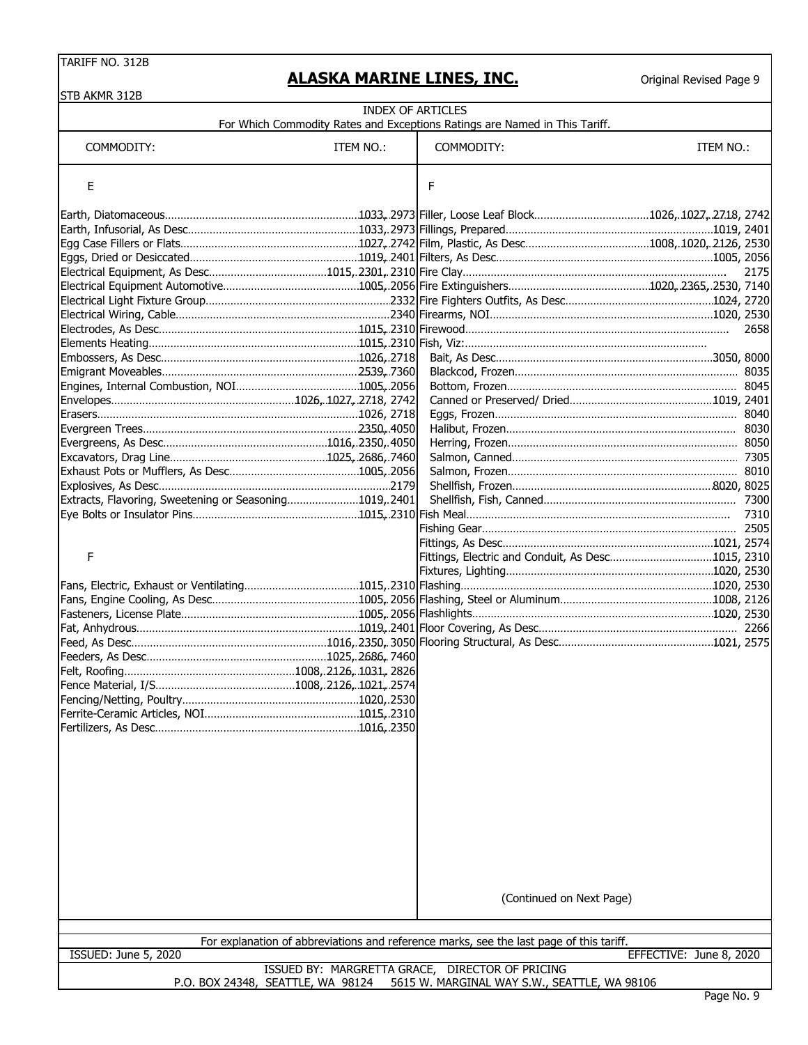Original Revised Page 9

| <b>INDEX OF ARTICLES</b><br>For Which Commodity Rates and Exceptions Ratings are Named in This Tariff.<br>ITEM NO.:<br>COMMODITY:<br>COMMODITY:<br>ITEM NO.:<br>Е<br>F<br>2658<br>Extracts, Flavoring, Sweetening or Seasoning1019, 2401<br>F<br>Fittings, Electric and Conduit, As Desc1015, 2310<br>(Continued on Next Page)<br>For explanation of abbreviations and reference marks, see the last page of this tariff.<br><b>ISSUED: June 5, 2020</b><br>EFFECTIVE: June 8, 2020<br>ISSUED BY: MARGRETTA GRACE, DIRECTOR OF PRICING | STB AKMR 312B                     |                                              |      |
|----------------------------------------------------------------------------------------------------------------------------------------------------------------------------------------------------------------------------------------------------------------------------------------------------------------------------------------------------------------------------------------------------------------------------------------------------------------------------------------------------------------------------------------|-----------------------------------|----------------------------------------------|------|
|                                                                                                                                                                                                                                                                                                                                                                                                                                                                                                                                        |                                   |                                              |      |
|                                                                                                                                                                                                                                                                                                                                                                                                                                                                                                                                        |                                   |                                              |      |
|                                                                                                                                                                                                                                                                                                                                                                                                                                                                                                                                        |                                   |                                              |      |
|                                                                                                                                                                                                                                                                                                                                                                                                                                                                                                                                        |                                   |                                              |      |
|                                                                                                                                                                                                                                                                                                                                                                                                                                                                                                                                        |                                   |                                              |      |
|                                                                                                                                                                                                                                                                                                                                                                                                                                                                                                                                        |                                   |                                              |      |
|                                                                                                                                                                                                                                                                                                                                                                                                                                                                                                                                        |                                   |                                              |      |
|                                                                                                                                                                                                                                                                                                                                                                                                                                                                                                                                        |                                   |                                              | 2175 |
|                                                                                                                                                                                                                                                                                                                                                                                                                                                                                                                                        |                                   |                                              |      |
|                                                                                                                                                                                                                                                                                                                                                                                                                                                                                                                                        |                                   |                                              |      |
|                                                                                                                                                                                                                                                                                                                                                                                                                                                                                                                                        |                                   |                                              |      |
|                                                                                                                                                                                                                                                                                                                                                                                                                                                                                                                                        |                                   |                                              |      |
|                                                                                                                                                                                                                                                                                                                                                                                                                                                                                                                                        |                                   |                                              |      |
|                                                                                                                                                                                                                                                                                                                                                                                                                                                                                                                                        |                                   |                                              |      |
|                                                                                                                                                                                                                                                                                                                                                                                                                                                                                                                                        |                                   |                                              |      |
|                                                                                                                                                                                                                                                                                                                                                                                                                                                                                                                                        |                                   |                                              |      |
|                                                                                                                                                                                                                                                                                                                                                                                                                                                                                                                                        |                                   |                                              |      |
|                                                                                                                                                                                                                                                                                                                                                                                                                                                                                                                                        |                                   |                                              |      |
|                                                                                                                                                                                                                                                                                                                                                                                                                                                                                                                                        |                                   |                                              |      |
|                                                                                                                                                                                                                                                                                                                                                                                                                                                                                                                                        |                                   |                                              |      |
|                                                                                                                                                                                                                                                                                                                                                                                                                                                                                                                                        |                                   |                                              |      |
|                                                                                                                                                                                                                                                                                                                                                                                                                                                                                                                                        |                                   |                                              |      |
|                                                                                                                                                                                                                                                                                                                                                                                                                                                                                                                                        |                                   |                                              |      |
|                                                                                                                                                                                                                                                                                                                                                                                                                                                                                                                                        |                                   |                                              |      |
|                                                                                                                                                                                                                                                                                                                                                                                                                                                                                                                                        |                                   |                                              |      |
|                                                                                                                                                                                                                                                                                                                                                                                                                                                                                                                                        |                                   |                                              |      |
|                                                                                                                                                                                                                                                                                                                                                                                                                                                                                                                                        |                                   |                                              |      |
|                                                                                                                                                                                                                                                                                                                                                                                                                                                                                                                                        |                                   |                                              |      |
|                                                                                                                                                                                                                                                                                                                                                                                                                                                                                                                                        |                                   |                                              |      |
|                                                                                                                                                                                                                                                                                                                                                                                                                                                                                                                                        |                                   |                                              |      |
|                                                                                                                                                                                                                                                                                                                                                                                                                                                                                                                                        |                                   |                                              |      |
|                                                                                                                                                                                                                                                                                                                                                                                                                                                                                                                                        |                                   |                                              |      |
|                                                                                                                                                                                                                                                                                                                                                                                                                                                                                                                                        |                                   |                                              |      |
|                                                                                                                                                                                                                                                                                                                                                                                                                                                                                                                                        |                                   |                                              |      |
|                                                                                                                                                                                                                                                                                                                                                                                                                                                                                                                                        |                                   |                                              |      |
|                                                                                                                                                                                                                                                                                                                                                                                                                                                                                                                                        |                                   |                                              |      |
|                                                                                                                                                                                                                                                                                                                                                                                                                                                                                                                                        |                                   |                                              |      |
|                                                                                                                                                                                                                                                                                                                                                                                                                                                                                                                                        |                                   |                                              |      |
|                                                                                                                                                                                                                                                                                                                                                                                                                                                                                                                                        |                                   |                                              |      |
|                                                                                                                                                                                                                                                                                                                                                                                                                                                                                                                                        |                                   |                                              |      |
|                                                                                                                                                                                                                                                                                                                                                                                                                                                                                                                                        |                                   |                                              |      |
|                                                                                                                                                                                                                                                                                                                                                                                                                                                                                                                                        |                                   |                                              |      |
|                                                                                                                                                                                                                                                                                                                                                                                                                                                                                                                                        |                                   |                                              |      |
|                                                                                                                                                                                                                                                                                                                                                                                                                                                                                                                                        |                                   |                                              |      |
|                                                                                                                                                                                                                                                                                                                                                                                                                                                                                                                                        |                                   |                                              |      |
|                                                                                                                                                                                                                                                                                                                                                                                                                                                                                                                                        |                                   |                                              |      |
|                                                                                                                                                                                                                                                                                                                                                                                                                                                                                                                                        |                                   |                                              |      |
|                                                                                                                                                                                                                                                                                                                                                                                                                                                                                                                                        |                                   |                                              |      |
|                                                                                                                                                                                                                                                                                                                                                                                                                                                                                                                                        |                                   |                                              |      |
|                                                                                                                                                                                                                                                                                                                                                                                                                                                                                                                                        |                                   |                                              |      |
|                                                                                                                                                                                                                                                                                                                                                                                                                                                                                                                                        |                                   |                                              |      |
|                                                                                                                                                                                                                                                                                                                                                                                                                                                                                                                                        |                                   |                                              |      |
|                                                                                                                                                                                                                                                                                                                                                                                                                                                                                                                                        |                                   |                                              |      |
|                                                                                                                                                                                                                                                                                                                                                                                                                                                                                                                                        | P.O. BOX 24348, SEATTLE, WA 98124 | 5615 W. MARGINAL WAY S.W., SEATTLE, WA 98106 |      |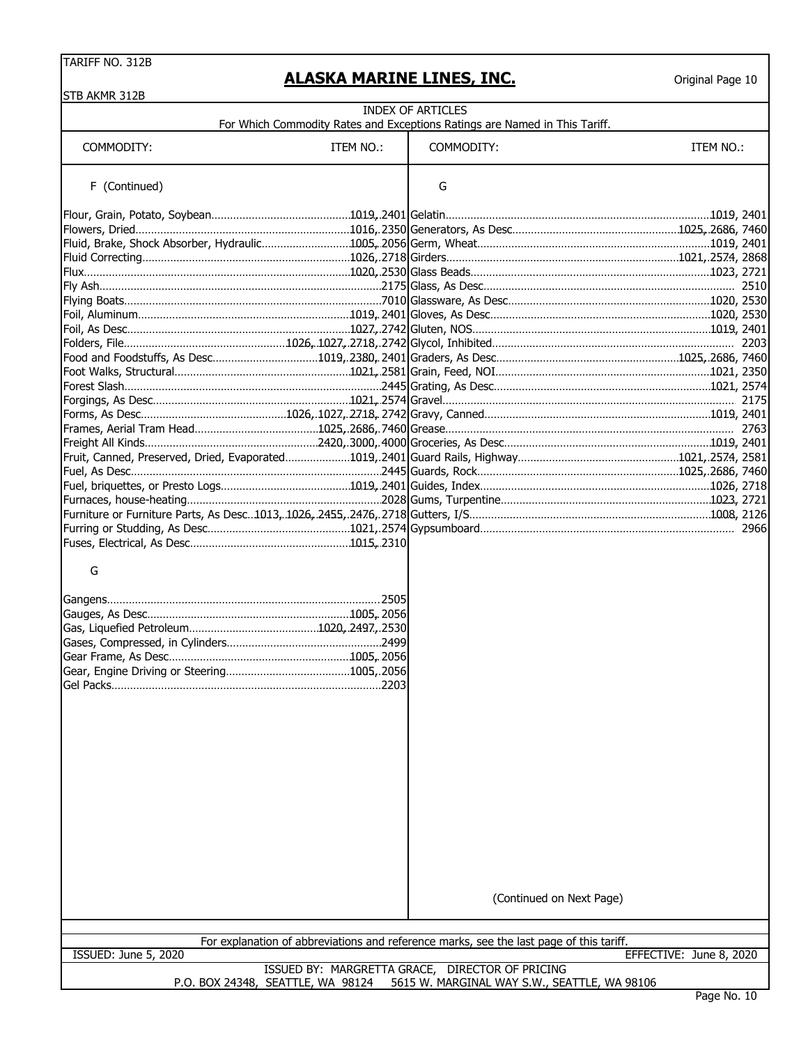$STB$ 

#### **ALASKA MARINE LINES, INC.**

| STB AKMR 312B        |                                   |                                                                                                                     |                         |
|----------------------|-----------------------------------|---------------------------------------------------------------------------------------------------------------------|-------------------------|
|                      |                                   | INDEX OF ARTICLES                                                                                                   |                         |
| COMMODITY:           | ITEM NO.:                         | For Which Commodity Rates and Exceptions Ratings are Named in This Tariff.<br>COMMODITY:                            | ITEM NO.:               |
| F (Continued)        |                                   | G                                                                                                                   |                         |
|                      |                                   |                                                                                                                     |                         |
|                      |                                   |                                                                                                                     |                         |
|                      |                                   |                                                                                                                     |                         |
|                      |                                   |                                                                                                                     |                         |
|                      |                                   |                                                                                                                     |                         |
|                      |                                   |                                                                                                                     |                         |
|                      |                                   |                                                                                                                     |                         |
|                      |                                   |                                                                                                                     |                         |
|                      |                                   |                                                                                                                     |                         |
|                      |                                   |                                                                                                                     |                         |
|                      |                                   |                                                                                                                     |                         |
|                      |                                   |                                                                                                                     |                         |
|                      |                                   |                                                                                                                     |                         |
|                      |                                   |                                                                                                                     |                         |
|                      |                                   |                                                                                                                     |                         |
|                      |                                   |                                                                                                                     |                         |
|                      |                                   |                                                                                                                     |                         |
|                      |                                   |                                                                                                                     |                         |
|                      |                                   |                                                                                                                     |                         |
|                      |                                   |                                                                                                                     |                         |
|                      |                                   |                                                                                                                     |                         |
|                      |                                   |                                                                                                                     |                         |
|                      |                                   |                                                                                                                     |                         |
|                      |                                   |                                                                                                                     |                         |
| G<br>Gel Packs.      |                                   |                                                                                                                     |                         |
|                      |                                   | (Continued on Next Page)<br>For explanation of abbreviations and reference marks, see the last page of this tariff. |                         |
| ISSUED: June 5, 2020 |                                   |                                                                                                                     | EFFECTIVE: June 8, 2020 |
|                      | P.O. BOX 24348, SEATTLE, WA 98124 | ISSUED BY: MARGRETTA GRACE, DIRECTOR OF PRICING<br>5615 W. MARGINAL WAY S.W., SEATTLE, WA 98106                     |                         |
|                      |                                   |                                                                                                                     | Page No. 10             |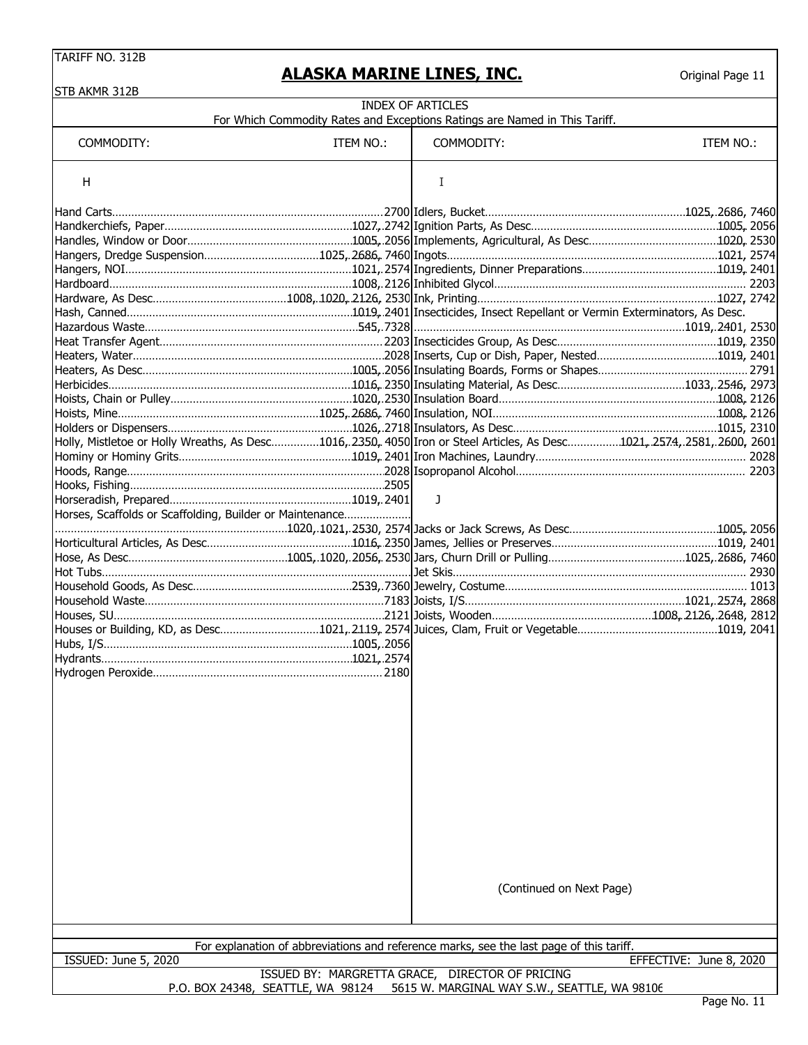| STB AKMR 312B                                                                                                          |           |                                                                                         |                         |
|------------------------------------------------------------------------------------------------------------------------|-----------|-----------------------------------------------------------------------------------------|-------------------------|
|                                                                                                                        |           | <b>INDEX OF ARTICLES</b>                                                                |                         |
|                                                                                                                        |           | For Which Commodity Rates and Exceptions Ratings are Named in This Tariff.              |                         |
| COMMODITY:                                                                                                             | ITEM NO.: | COMMODITY:                                                                              | ITEM NO.:               |
| H                                                                                                                      |           | Ι                                                                                       |                         |
|                                                                                                                        |           |                                                                                         |                         |
|                                                                                                                        |           |                                                                                         |                         |
|                                                                                                                        |           |                                                                                         |                         |
|                                                                                                                        |           |                                                                                         |                         |
|                                                                                                                        |           |                                                                                         |                         |
|                                                                                                                        |           |                                                                                         |                         |
|                                                                                                                        |           |                                                                                         |                         |
|                                                                                                                        |           |                                                                                         |                         |
|                                                                                                                        |           |                                                                                         |                         |
|                                                                                                                        |           |                                                                                         |                         |
|                                                                                                                        |           |                                                                                         |                         |
|                                                                                                                        |           |                                                                                         |                         |
|                                                                                                                        |           |                                                                                         |                         |
|                                                                                                                        |           |                                                                                         |                         |
|                                                                                                                        |           |                                                                                         |                         |
|                                                                                                                        |           |                                                                                         |                         |
| Holly, Mistletoe or Holly Wreaths, As Desc1016, 2350, 4050 Iron or Steel Articles, As Desc1021, 2574, 2581, 2600, 2601 |           |                                                                                         |                         |
|                                                                                                                        |           |                                                                                         |                         |
|                                                                                                                        |           |                                                                                         |                         |
|                                                                                                                        |           |                                                                                         |                         |
|                                                                                                                        |           | J                                                                                       |                         |
| Horses, Scaffolds or Scaffolding, Builder or Maintenance                                                               |           |                                                                                         |                         |
|                                                                                                                        |           |                                                                                         |                         |
|                                                                                                                        |           |                                                                                         |                         |
|                                                                                                                        |           |                                                                                         |                         |
|                                                                                                                        |           |                                                                                         |                         |
|                                                                                                                        |           |                                                                                         |                         |
|                                                                                                                        |           |                                                                                         |                         |
|                                                                                                                        |           |                                                                                         |                         |
|                                                                                                                        |           |                                                                                         |                         |
|                                                                                                                        |           |                                                                                         |                         |
|                                                                                                                        |           |                                                                                         |                         |
|                                                                                                                        |           |                                                                                         |                         |
|                                                                                                                        |           |                                                                                         |                         |
|                                                                                                                        |           |                                                                                         |                         |
|                                                                                                                        |           |                                                                                         |                         |
|                                                                                                                        |           |                                                                                         |                         |
|                                                                                                                        |           |                                                                                         |                         |
|                                                                                                                        |           |                                                                                         |                         |
|                                                                                                                        |           |                                                                                         |                         |
|                                                                                                                        |           |                                                                                         |                         |
|                                                                                                                        |           |                                                                                         |                         |
|                                                                                                                        |           |                                                                                         |                         |
|                                                                                                                        |           |                                                                                         |                         |
|                                                                                                                        |           |                                                                                         |                         |
|                                                                                                                        |           |                                                                                         |                         |
|                                                                                                                        |           | (Continued on Next Page)                                                                |                         |
|                                                                                                                        |           |                                                                                         |                         |
|                                                                                                                        |           |                                                                                         |                         |
|                                                                                                                        |           |                                                                                         |                         |
|                                                                                                                        |           | For explanation of abbreviations and reference marks, see the last page of this tariff. |                         |
| ISSUED: June 5, 2020                                                                                                   |           |                                                                                         | EFFECTIVE: June 8, 2020 |
|                                                                                                                        |           | ISSUED BY: MARGRETTA GRACE, DIRECTOR OF PRICING                                         |                         |
| P.O. BOX 24348, SEATTLE, WA 98124                                                                                      |           | 5615 W. MARGINAL WAY S.W., SEATTLE, WA 98106                                            |                         |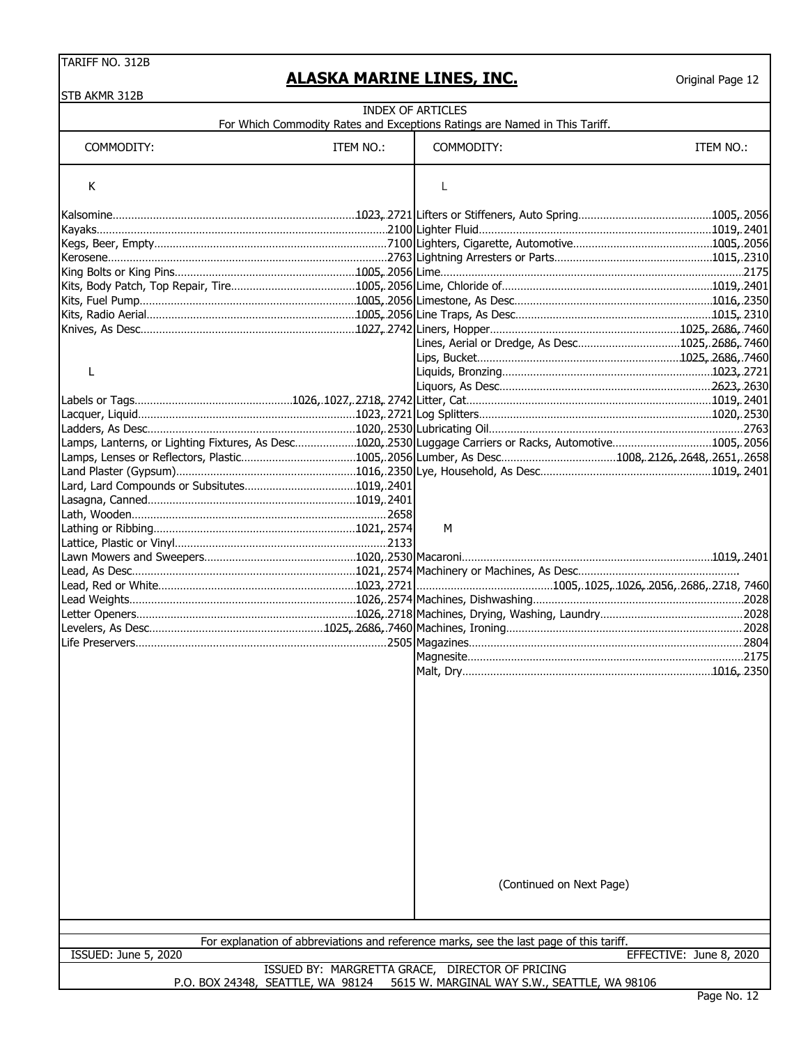| <b>STB AKMR 312B</b> |           |                                                                                                          |                         |
|----------------------|-----------|----------------------------------------------------------------------------------------------------------|-------------------------|
|                      |           | <b>INDEX OF ARTICLES</b>                                                                                 |                         |
|                      |           | For Which Commodity Rates and Exceptions Ratings are Named in This Tariff.                               |                         |
| COMMODITY:           | ITEM NO.: | COMMODITY:                                                                                               | ITEM NO.:               |
| К                    |           | L                                                                                                        |                         |
|                      |           |                                                                                                          |                         |
|                      |           |                                                                                                          |                         |
|                      |           |                                                                                                          |                         |
|                      |           |                                                                                                          |                         |
|                      |           |                                                                                                          |                         |
|                      |           |                                                                                                          |                         |
|                      |           |                                                                                                          |                         |
|                      |           | Kits, Radio Aerial……………………………………………………………1005, 2056 Line Traps, As Desc…………………………………………………1015, 2310     |                         |
|                      |           |                                                                                                          |                         |
|                      |           | Lines, Aerial or Dredge, As Desc1025, 2686, 7460                                                         |                         |
|                      |           |                                                                                                          |                         |
| L                    |           |                                                                                                          |                         |
|                      |           |                                                                                                          |                         |
|                      |           |                                                                                                          |                         |
|                      |           |                                                                                                          |                         |
|                      |           | Lamps, Lanterns, or Lighting Fixtures, As Desc1020, 2530 Luggage Carriers or Racks, Automotive1005, 2056 |                         |
|                      |           |                                                                                                          |                         |
|                      |           |                                                                                                          |                         |
|                      |           |                                                                                                          |                         |
|                      |           |                                                                                                          |                         |
|                      |           |                                                                                                          |                         |
|                      |           | м                                                                                                        |                         |
|                      |           |                                                                                                          |                         |
|                      |           |                                                                                                          |                         |
|                      |           |                                                                                                          |                         |
|                      |           |                                                                                                          |                         |
|                      |           |                                                                                                          |                         |
|                      |           |                                                                                                          |                         |
|                      |           |                                                                                                          |                         |
|                      |           |                                                                                                          |                         |
|                      |           |                                                                                                          |                         |
|                      |           |                                                                                                          |                         |
|                      |           |                                                                                                          |                         |
|                      |           |                                                                                                          |                         |
|                      |           |                                                                                                          |                         |
|                      |           |                                                                                                          |                         |
|                      |           |                                                                                                          |                         |
|                      |           |                                                                                                          |                         |
|                      |           |                                                                                                          |                         |
|                      |           | (Continued on Next Page)                                                                                 |                         |
|                      |           |                                                                                                          |                         |
|                      |           | For explanation of abbreviations and reference marks, see the last page of this tariff.                  |                         |
| ISSUED: June 5, 2020 |           | ISSUED BY: MARGRETTA GRACE, DIRECTOR OF PRICING                                                          | EFFECTIVE: June 8, 2020 |
|                      |           | P.O. BOX 24348, SEATTLE, WA 98124 5615 W. MARGINAL WAY S.W., SEATTLE, WA 98106                           |                         |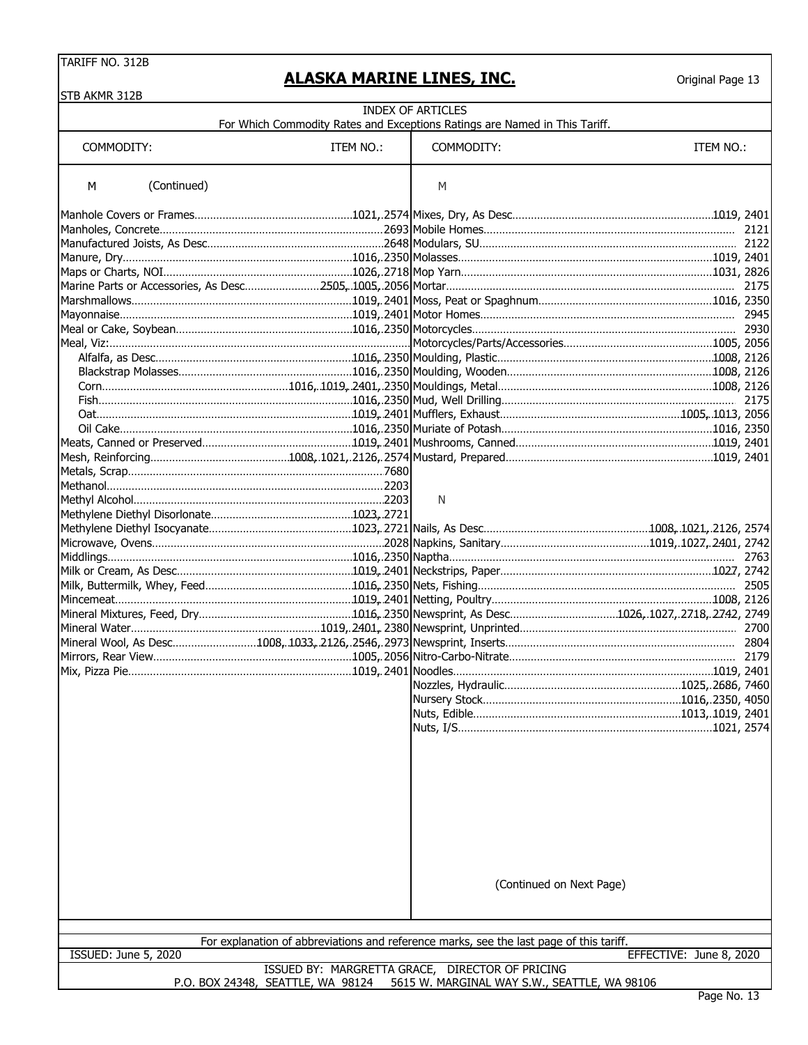#### **ALASKA MARINE LINES, INC.**

| STB AKMR 312B               |                                                                                         |                                                                                                 |                         |
|-----------------------------|-----------------------------------------------------------------------------------------|-------------------------------------------------------------------------------------------------|-------------------------|
|                             | For Which Commodity Rates and Exceptions Ratings are Named in This Tariff.              | <b>INDEX OF ARTICLES</b>                                                                        |                         |
| COMMODITY:                  | ITEM NO.:                                                                               | COMMODITY:                                                                                      | ITEM NO.:               |
| (Continued)<br>M            |                                                                                         | M                                                                                               |                         |
|                             |                                                                                         |                                                                                                 |                         |
|                             |                                                                                         |                                                                                                 |                         |
|                             |                                                                                         |                                                                                                 |                         |
|                             |                                                                                         |                                                                                                 |                         |
|                             |                                                                                         |                                                                                                 |                         |
|                             |                                                                                         |                                                                                                 |                         |
|                             |                                                                                         |                                                                                                 |                         |
|                             |                                                                                         |                                                                                                 |                         |
|                             |                                                                                         |                                                                                                 |                         |
|                             |                                                                                         |                                                                                                 |                         |
|                             |                                                                                         |                                                                                                 |                         |
|                             |                                                                                         |                                                                                                 |                         |
|                             |                                                                                         |                                                                                                 |                         |
|                             |                                                                                         |                                                                                                 |                         |
|                             |                                                                                         |                                                                                                 |                         |
|                             |                                                                                         |                                                                                                 |                         |
|                             |                                                                                         |                                                                                                 |                         |
|                             |                                                                                         |                                                                                                 |                         |
|                             |                                                                                         | N                                                                                               |                         |
|                             |                                                                                         |                                                                                                 |                         |
|                             |                                                                                         |                                                                                                 |                         |
|                             |                                                                                         |                                                                                                 |                         |
|                             |                                                                                         |                                                                                                 |                         |
|                             |                                                                                         |                                                                                                 | <b>25051</b>            |
|                             |                                                                                         |                                                                                                 |                         |
|                             |                                                                                         |                                                                                                 |                         |
|                             |                                                                                         |                                                                                                 |                         |
|                             |                                                                                         |                                                                                                 |                         |
|                             |                                                                                         |                                                                                                 |                         |
|                             |                                                                                         |                                                                                                 |                         |
|                             |                                                                                         |                                                                                                 |                         |
|                             |                                                                                         |                                                                                                 |                         |
|                             |                                                                                         |                                                                                                 |                         |
|                             |                                                                                         |                                                                                                 |                         |
|                             |                                                                                         |                                                                                                 |                         |
|                             |                                                                                         |                                                                                                 |                         |
|                             |                                                                                         |                                                                                                 |                         |
|                             |                                                                                         | (Continued on Next Page)                                                                        |                         |
|                             |                                                                                         |                                                                                                 |                         |
|                             | For explanation of abbreviations and reference marks, see the last page of this tariff. |                                                                                                 |                         |
| <b>ISSUED: June 5, 2020</b> |                                                                                         |                                                                                                 | EFFECTIVE: June 8, 2020 |
|                             | P.O. BOX 24348, SEATTLE, WA 98124                                                       | ISSUED BY: MARGRETTA GRACE, DIRECTOR OF PRICING<br>5615 W. MARGINAL WAY S.W., SEATTLE, WA 98106 |                         |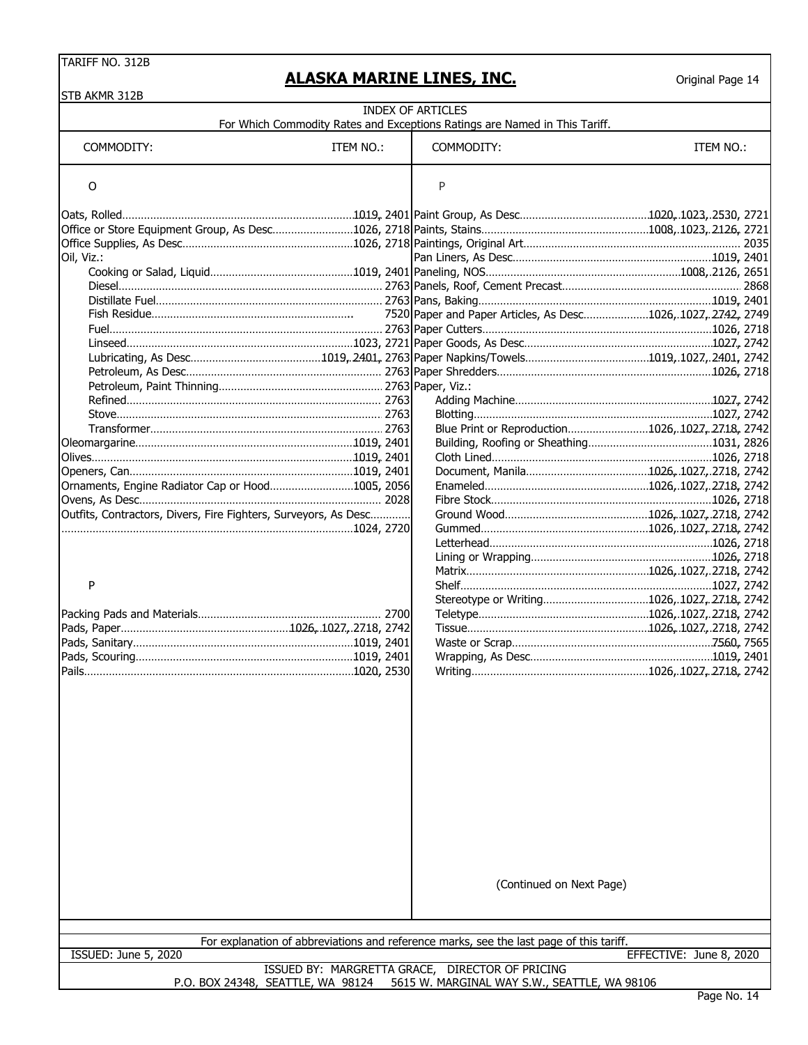| STB AKMR 312B                                                   |           |                                                                                                        |                         |
|-----------------------------------------------------------------|-----------|--------------------------------------------------------------------------------------------------------|-------------------------|
|                                                                 |           | <b>INDEX OF ARTICLES</b><br>For Which Commodity Rates and Exceptions Ratings are Named in This Tariff. |                         |
|                                                                 |           |                                                                                                        |                         |
| COMMODITY:                                                      | ITEM NO.: | COMMODITY:                                                                                             | ITEM NO.:               |
| O                                                               |           | P                                                                                                      |                         |
|                                                                 |           |                                                                                                        |                         |
|                                                                 |           |                                                                                                        |                         |
|                                                                 |           |                                                                                                        |                         |
| Oil, Viz.:                                                      |           |                                                                                                        |                         |
|                                                                 |           |                                                                                                        |                         |
|                                                                 |           |                                                                                                        |                         |
|                                                                 |           |                                                                                                        |                         |
|                                                                 |           |                                                                                                        |                         |
|                                                                 |           |                                                                                                        |                         |
|                                                                 |           |                                                                                                        |                         |
|                                                                 |           |                                                                                                        |                         |
|                                                                 |           |                                                                                                        |                         |
|                                                                 |           |                                                                                                        |                         |
|                                                                 |           |                                                                                                        |                         |
|                                                                 |           | Blue Print or Reproduction1026, 1027, 27.18, 2742                                                      |                         |
|                                                                 |           |                                                                                                        |                         |
|                                                                 |           |                                                                                                        |                         |
|                                                                 |           |                                                                                                        |                         |
| Ornaments, Engine Radiator Cap or Hood1005, 2056                |           |                                                                                                        |                         |
|                                                                 |           |                                                                                                        |                         |
| Outfits, Contractors, Divers, Fire Fighters, Surveyors, As Desc |           |                                                                                                        |                         |
|                                                                 |           |                                                                                                        |                         |
|                                                                 |           |                                                                                                        |                         |
|                                                                 |           |                                                                                                        |                         |
|                                                                 |           |                                                                                                        |                         |
| P                                                               |           |                                                                                                        |                         |
|                                                                 |           | Stereotype or Writing1026,.1027,.27.18, 2742                                                           |                         |
|                                                                 |           |                                                                                                        |                         |
|                                                                 |           |                                                                                                        |                         |
|                                                                 |           |                                                                                                        |                         |
|                                                                 |           |                                                                                                        |                         |
|                                                                 |           |                                                                                                        |                         |
|                                                                 |           |                                                                                                        |                         |
|                                                                 |           |                                                                                                        |                         |
|                                                                 |           |                                                                                                        |                         |
|                                                                 |           |                                                                                                        |                         |
|                                                                 |           |                                                                                                        |                         |
|                                                                 |           | (Continued on Next Page)                                                                               |                         |
|                                                                 |           | For explanation of abbreviations and reference marks, see the last page of this tariff.                |                         |
| <b>ISSUED: June 5, 2020</b>                                     |           |                                                                                                        | EFFECTIVE: June 8, 2020 |
|                                                                 |           | ISSUED BY: MARGRETTA GRACE, DIRECTOR OF PRICING                                                        |                         |
| P.O. BOX 24348, SEATTLE, WA 98124                               |           | 5615 W. MARGINAL WAY S.W., SEATTLE, WA 98106                                                           |                         |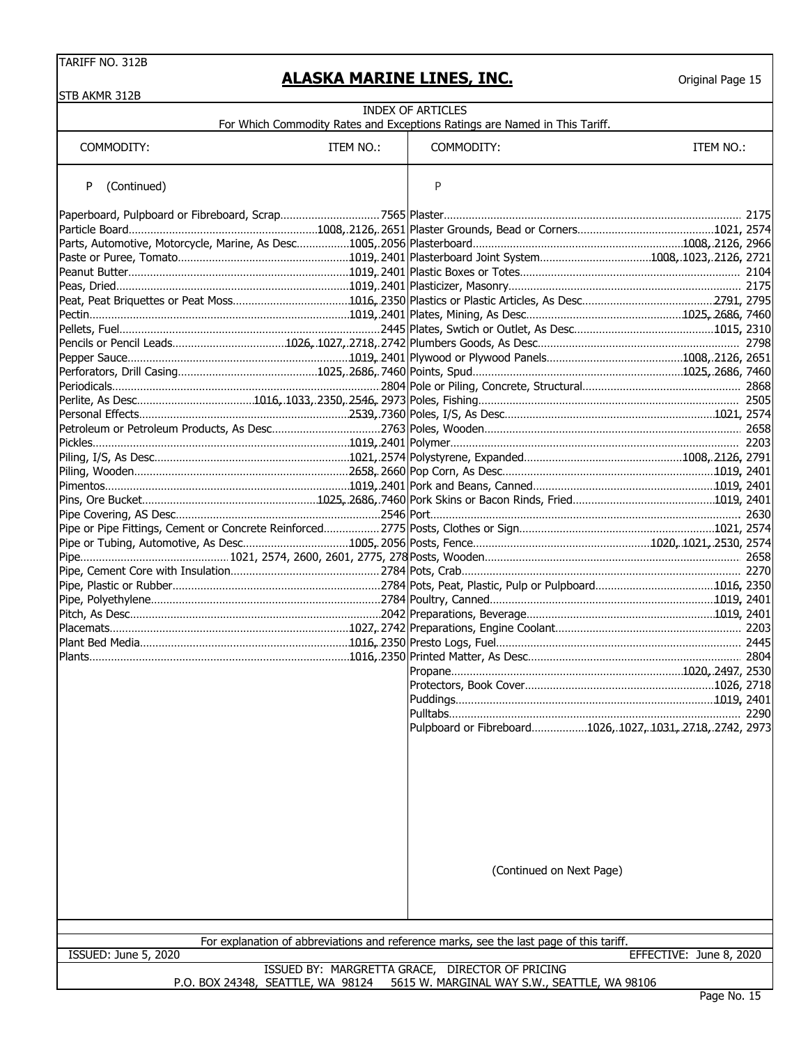| STB AKMR 312B                     |           |                                                                                                 |                         |
|-----------------------------------|-----------|-------------------------------------------------------------------------------------------------|-------------------------|
|                                   |           | INDEX OF ARTICLES<br>For Which Commodity Rates and Exceptions Ratings are Named in This Tariff. |                         |
| COMMODITY:                        | ITEM NO.: | COMMODITY:                                                                                      | ITEM NO.:               |
| (Continued)<br>P                  |           | P                                                                                               |                         |
|                                   |           |                                                                                                 |                         |
|                                   |           |                                                                                                 |                         |
|                                   |           |                                                                                                 |                         |
|                                   |           |                                                                                                 |                         |
|                                   |           |                                                                                                 |                         |
|                                   |           |                                                                                                 |                         |
|                                   |           |                                                                                                 |                         |
|                                   |           |                                                                                                 |                         |
|                                   |           |                                                                                                 |                         |
|                                   |           |                                                                                                 |                         |
|                                   |           |                                                                                                 |                         |
|                                   |           |                                                                                                 |                         |
|                                   |           |                                                                                                 |                         |
|                                   |           |                                                                                                 |                         |
|                                   |           |                                                                                                 |                         |
|                                   |           |                                                                                                 |                         |
|                                   |           |                                                                                                 |                         |
|                                   |           |                                                                                                 |                         |
|                                   |           |                                                                                                 |                         |
|                                   |           |                                                                                                 |                         |
|                                   |           |                                                                                                 |                         |
|                                   |           |                                                                                                 |                         |
|                                   |           |                                                                                                 |                         |
|                                   |           |                                                                                                 |                         |
|                                   |           |                                                                                                 |                         |
|                                   |           |                                                                                                 |                         |
|                                   |           |                                                                                                 |                         |
|                                   |           |                                                                                                 |                         |
|                                   |           |                                                                                                 |                         |
|                                   |           |                                                                                                 |                         |
|                                   |           |                                                                                                 |                         |
|                                   |           |                                                                                                 |                         |
|                                   |           |                                                                                                 |                         |
|                                   |           | Pulpboard or Fibreboard1026,.1027,.1031,.27.18,.27.42, 2973                                     |                         |
|                                   |           |                                                                                                 |                         |
|                                   |           | (Continued on Next Page)                                                                        |                         |
|                                   |           | For explanation of abbreviations and reference marks, see the last page of this tariff.         |                         |
| ISSUED: June 5, 2020              |           |                                                                                                 | EFFECTIVE: June 8, 2020 |
| P.O. BOX 24348, SEATTLE, WA 98124 |           | ISSUED BY: MARGRETTA GRACE, DIRECTOR OF PRICING<br>5615 W. MARGINAL WAY S.W., SEATTLE, WA 98106 |                         |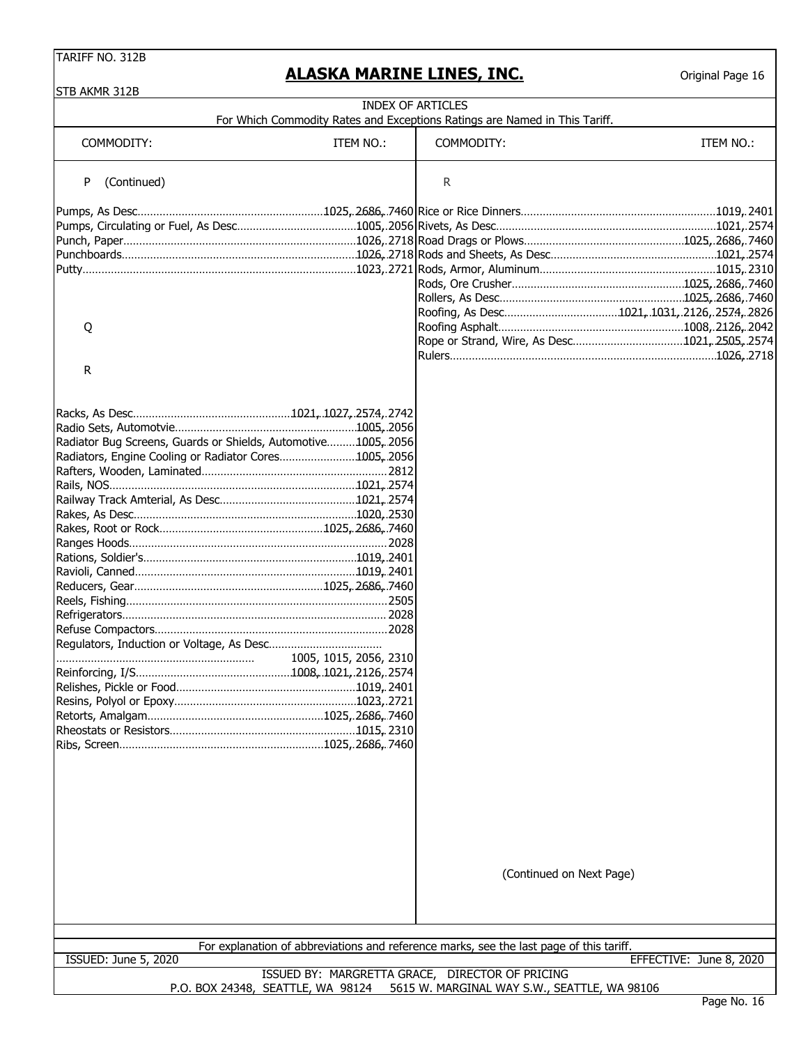| STB AKMR 312B                                                 |                        | <b>INDEX OF ARTICLES</b>                                                                |                         |
|---------------------------------------------------------------|------------------------|-----------------------------------------------------------------------------------------|-------------------------|
|                                                               |                        | For Which Commodity Rates and Exceptions Ratings are Named in This Tariff.              |                         |
| COMMODITY:                                                    | ITEM NO.:              | COMMODITY:                                                                              | ITEM NO.:               |
| (Continued)<br>P                                              |                        | R                                                                                       |                         |
|                                                               |                        |                                                                                         |                         |
|                                                               |                        |                                                                                         |                         |
|                                                               |                        |                                                                                         |                         |
|                                                               |                        |                                                                                         |                         |
|                                                               |                        |                                                                                         |                         |
|                                                               |                        |                                                                                         |                         |
|                                                               |                        |                                                                                         |                         |
|                                                               |                        |                                                                                         |                         |
| Q                                                             |                        |                                                                                         |                         |
|                                                               |                        |                                                                                         |                         |
|                                                               |                        |                                                                                         |                         |
|                                                               |                        |                                                                                         |                         |
| R                                                             |                        |                                                                                         |                         |
|                                                               |                        |                                                                                         |                         |
|                                                               |                        |                                                                                         |                         |
| Radiator Bug Screens, Guards or Shields, Automotive1005, 2056 |                        |                                                                                         |                         |
| Radiators, Engine Cooling or Radiator Cores1005, 2056         |                        |                                                                                         |                         |
|                                                               |                        |                                                                                         |                         |
|                                                               |                        |                                                                                         |                         |
|                                                               |                        |                                                                                         |                         |
|                                                               |                        |                                                                                         |                         |
|                                                               |                        |                                                                                         |                         |
|                                                               |                        |                                                                                         |                         |
|                                                               |                        |                                                                                         |                         |
|                                                               |                        |                                                                                         |                         |
|                                                               |                        |                                                                                         |                         |
|                                                               |                        |                                                                                         |                         |
|                                                               |                        |                                                                                         |                         |
|                                                               |                        |                                                                                         |                         |
|                                                               |                        |                                                                                         |                         |
|                                                               |                        |                                                                                         |                         |
|                                                               | 1005, 1015, 2056, 2310 |                                                                                         |                         |
|                                                               |                        |                                                                                         |                         |
|                                                               |                        |                                                                                         |                         |
|                                                               |                        |                                                                                         |                         |
|                                                               |                        |                                                                                         |                         |
|                                                               |                        |                                                                                         |                         |
|                                                               |                        |                                                                                         |                         |
|                                                               |                        |                                                                                         |                         |
|                                                               |                        |                                                                                         |                         |
|                                                               |                        |                                                                                         |                         |
|                                                               |                        |                                                                                         |                         |
|                                                               |                        |                                                                                         |                         |
|                                                               |                        |                                                                                         |                         |
|                                                               |                        |                                                                                         |                         |
|                                                               |                        |                                                                                         |                         |
|                                                               |                        |                                                                                         |                         |
|                                                               |                        | (Continued on Next Page)                                                                |                         |
|                                                               |                        |                                                                                         |                         |
|                                                               |                        |                                                                                         |                         |
|                                                               |                        | For explanation of abbreviations and reference marks, see the last page of this tariff. |                         |
| ISSUED: June 5, 2020                                          |                        |                                                                                         | EFFECTIVE: June 8, 2020 |
|                                                               |                        | ISSUED BY: MARGRETTA GRACE, DIRECTOR OF PRICING                                         |                         |
|                                                               |                        | P.O. BOX 24348, SEATTLE, WA 98124 5615 W. MARGINAL WAY S.W., SEATTLE, WA 98106          |                         |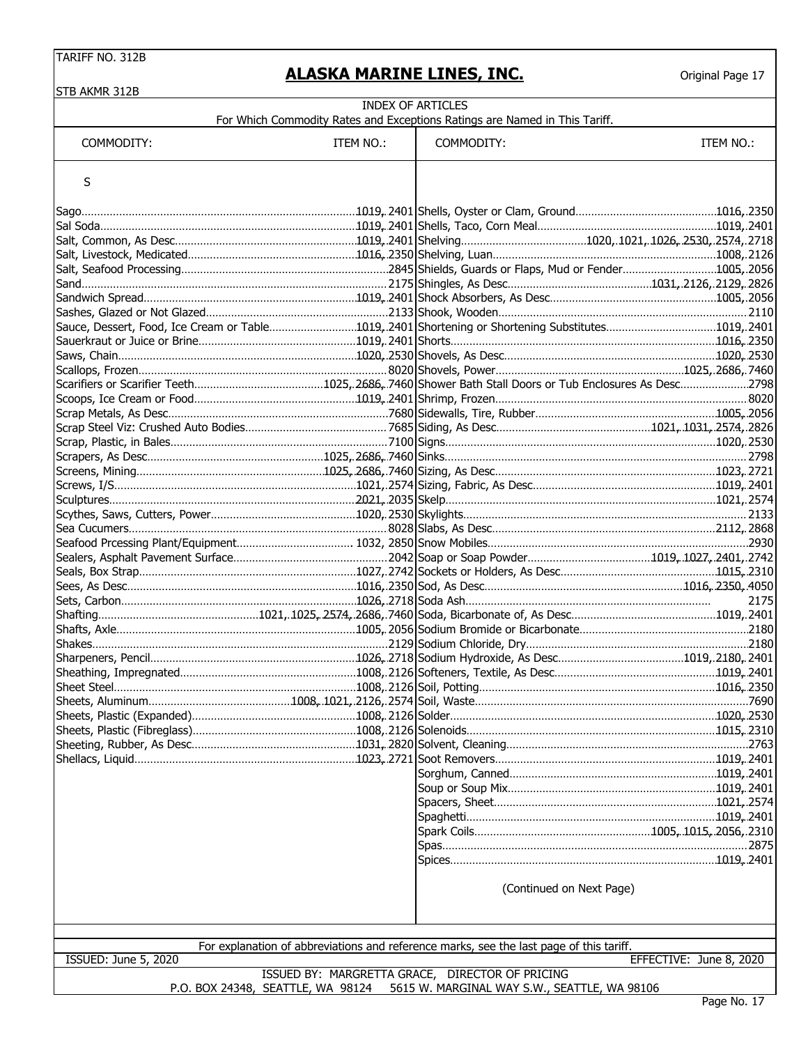Original Page 17

| <b>INDEX OF ARTICLES</b><br>For Which Commodity Rates and Exceptions Ratings are Named in This Tariff. |           |                                                                                                                                   |                         |
|--------------------------------------------------------------------------------------------------------|-----------|-----------------------------------------------------------------------------------------------------------------------------------|-------------------------|
| COMMODITY:                                                                                             | ITEM NO.: | COMMODITY:                                                                                                                        | ITEM NO.:               |
| S                                                                                                      |           |                                                                                                                                   |                         |
|                                                                                                        |           |                                                                                                                                   |                         |
|                                                                                                        |           |                                                                                                                                   |                         |
|                                                                                                        |           |                                                                                                                                   |                         |
|                                                                                                        |           |                                                                                                                                   |                         |
|                                                                                                        |           |                                                                                                                                   |                         |
|                                                                                                        |           |                                                                                                                                   |                         |
|                                                                                                        |           |                                                                                                                                   |                         |
|                                                                                                        |           |                                                                                                                                   |                         |
|                                                                                                        |           |                                                                                                                                   |                         |
|                                                                                                        |           |                                                                                                                                   |                         |
|                                                                                                        |           |                                                                                                                                   |                         |
|                                                                                                        |           |                                                                                                                                   |                         |
|                                                                                                        |           |                                                                                                                                   |                         |
|                                                                                                        |           |                                                                                                                                   |                         |
|                                                                                                        |           |                                                                                                                                   |                         |
|                                                                                                        |           |                                                                                                                                   |                         |
|                                                                                                        |           |                                                                                                                                   |                         |
|                                                                                                        |           |                                                                                                                                   |                         |
|                                                                                                        |           |                                                                                                                                   |                         |
|                                                                                                        |           |                                                                                                                                   |                         |
|                                                                                                        |           |                                                                                                                                   |                         |
|                                                                                                        |           |                                                                                                                                   |                         |
|                                                                                                        |           |                                                                                                                                   |                         |
|                                                                                                        |           |                                                                                                                                   |                         |
|                                                                                                        |           |                                                                                                                                   |                         |
|                                                                                                        |           |                                                                                                                                   |                         |
|                                                                                                        |           |                                                                                                                                   |                         |
|                                                                                                        |           |                                                                                                                                   | 2175                    |
|                                                                                                        |           |                                                                                                                                   |                         |
|                                                                                                        |           |                                                                                                                                   |                         |
|                                                                                                        |           |                                                                                                                                   |                         |
|                                                                                                        |           |                                                                                                                                   |                         |
| Sheet Steel                                                                                            |           |                                                                                                                                   |                         |
|                                                                                                        |           |                                                                                                                                   |                         |
|                                                                                                        |           |                                                                                                                                   |                         |
|                                                                                                        |           |                                                                                                                                   |                         |
|                                                                                                        |           |                                                                                                                                   |                         |
|                                                                                                        |           |                                                                                                                                   |                         |
|                                                                                                        |           |                                                                                                                                   |                         |
|                                                                                                        |           |                                                                                                                                   |                         |
|                                                                                                        |           |                                                                                                                                   |                         |
|                                                                                                        |           |                                                                                                                                   |                         |
|                                                                                                        |           |                                                                                                                                   |                         |
|                                                                                                        |           |                                                                                                                                   |                         |
|                                                                                                        |           |                                                                                                                                   |                         |
|                                                                                                        |           | (Continued on Next Page)                                                                                                          |                         |
|                                                                                                        |           |                                                                                                                                   |                         |
|                                                                                                        |           | For explanation of abbreviations and reference marks, see the last page of this tariff.                                           |                         |
| ISSUED: June 5, 2020                                                                                   |           |                                                                                                                                   | EFFECTIVE: June 8, 2020 |
|                                                                                                        |           | ISSUED BY: MARGRETTA GRACE, DIRECTOR OF PRICING<br>P.O. BOX 24348, SEATTLE, WA 98124 5615 W. MARGINAL WAY S.W., SEATTLE, WA 98106 |                         |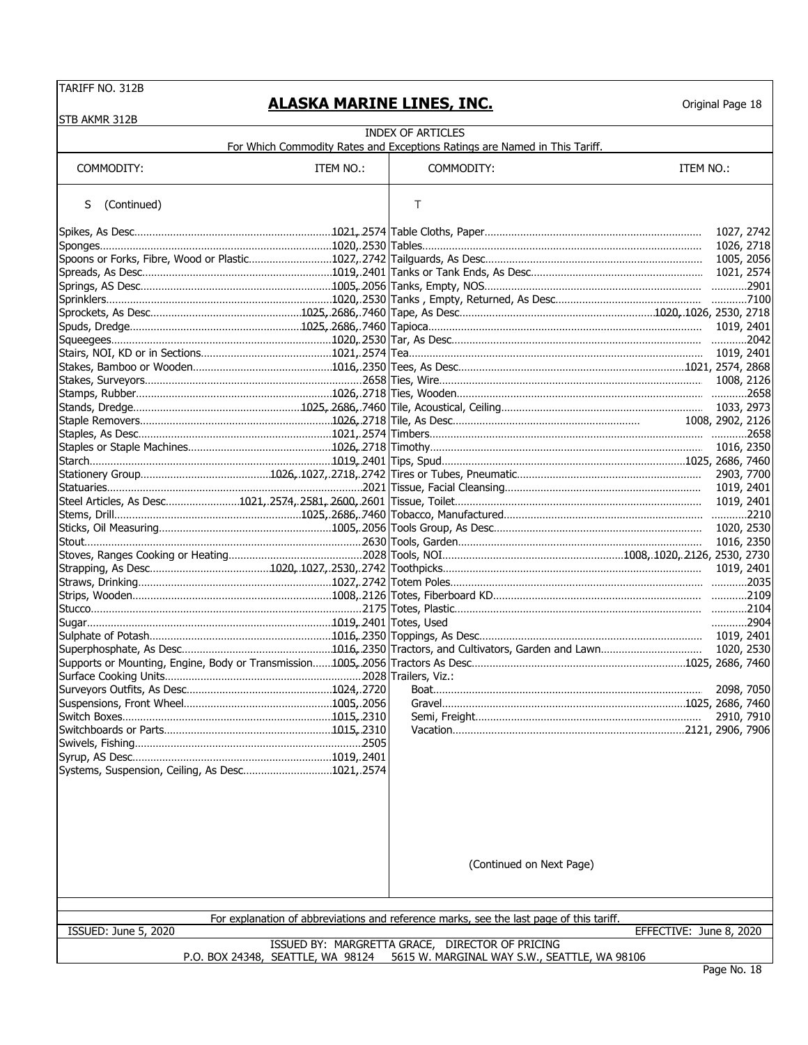#### **ALASKA MARINE LINES, INC.**

| STB AKMR 312B                                   |           |                                                                                                                           |                         |            |  |
|-------------------------------------------------|-----------|---------------------------------------------------------------------------------------------------------------------------|-------------------------|------------|--|
|                                                 |           | <b>INDEX OF ARTICLES</b>                                                                                                  |                         |            |  |
|                                                 |           | For Which Commodity Rates and Exceptions Ratings are Named in This Tariff.                                                |                         |            |  |
| COMMODITY:                                      | ITEM NO.: | COMMODITY:                                                                                                                | ITEM NO.:               |            |  |
|                                                 |           |                                                                                                                           |                         |            |  |
| (Continued)<br>S                                |           | Т                                                                                                                         |                         |            |  |
|                                                 |           |                                                                                                                           |                         |            |  |
|                                                 |           |                                                                                                                           |                         | 1027, 2742 |  |
|                                                 |           |                                                                                                                           |                         |            |  |
|                                                 |           |                                                                                                                           |                         |            |  |
|                                                 |           |                                                                                                                           |                         |            |  |
|                                                 |           |                                                                                                                           |                         |            |  |
|                                                 |           |                                                                                                                           |                         |            |  |
|                                                 |           |                                                                                                                           |                         |            |  |
|                                                 |           | Squeegees………………………………………………………………1020, 2530  Tar, As Desc………………………………………………………………………………2042                               |                         |            |  |
|                                                 |           |                                                                                                                           |                         |            |  |
|                                                 |           |                                                                                                                           |                         |            |  |
|                                                 |           |                                                                                                                           |                         |            |  |
|                                                 |           |                                                                                                                           |                         |            |  |
|                                                 |           |                                                                                                                           |                         |            |  |
|                                                 |           |                                                                                                                           |                         |            |  |
|                                                 |           | Staples, As Desc………………………………………………………1021, 2574   Timbers……………………………………………………………………………………2658                             |                         |            |  |
|                                                 |           |                                                                                                                           |                         |            |  |
|                                                 |           | Starch………………………………………………………………………1019, 2401  Tips, Spud……………………………………………………………………1025, 2686, 7460                         |                         |            |  |
|                                                 |           |                                                                                                                           |                         |            |  |
|                                                 |           | Steel Articles, As Desc……………………1021,.2574,.2581,.2600,.2601   Tissue, Toilet………………………………………………………………………………………… 1019, 2401 |                         |            |  |
|                                                 |           |                                                                                                                           |                         |            |  |
|                                                 |           |                                                                                                                           |                         |            |  |
|                                                 |           |                                                                                                                           |                         | 1016, 2350 |  |
|                                                 |           |                                                                                                                           |                         |            |  |
|                                                 |           |                                                                                                                           |                         |            |  |
|                                                 |           |                                                                                                                           |                         |            |  |
|                                                 |           |                                                                                                                           |                         |            |  |
|                                                 |           |                                                                                                                           |                         |            |  |
|                                                 |           |                                                                                                                           |                         | 2904       |  |
|                                                 |           |                                                                                                                           |                         |            |  |
|                                                 |           |                                                                                                                           |                         |            |  |
|                                                 |           |                                                                                                                           |                         |            |  |
|                                                 |           |                                                                                                                           |                         |            |  |
|                                                 |           |                                                                                                                           |                         |            |  |
|                                                 |           |                                                                                                                           |                         |            |  |
|                                                 |           |                                                                                                                           |                         |            |  |
|                                                 |           |                                                                                                                           |                         |            |  |
|                                                 |           |                                                                                                                           |                         |            |  |
| Systems, Suspension, Ceiling, As Desc1021,.2574 |           |                                                                                                                           |                         |            |  |
|                                                 |           |                                                                                                                           |                         |            |  |
|                                                 |           |                                                                                                                           |                         |            |  |
|                                                 |           |                                                                                                                           |                         |            |  |
|                                                 |           |                                                                                                                           |                         |            |  |
|                                                 |           |                                                                                                                           |                         |            |  |
|                                                 |           |                                                                                                                           |                         |            |  |
|                                                 |           | (Continued on Next Page)                                                                                                  |                         |            |  |
|                                                 |           |                                                                                                                           |                         |            |  |
|                                                 |           |                                                                                                                           |                         |            |  |
|                                                 |           | For explanation of abbreviations and reference marks, see the last page of this tariff.                                   |                         |            |  |
| ISSUED: June 5, 2020                            |           |                                                                                                                           | EFFECTIVE: June 8, 2020 |            |  |
|                                                 |           | ISSUED BY: MARGRETTA GRACE, DIRECTOR OF PRICING                                                                           |                         |            |  |
|                                                 |           | P.O. BOX 24348, SEATTLE, WA 98124 5615 W. MARGINAL WAY S.W., SEATTLE, WA 98106                                            |                         |            |  |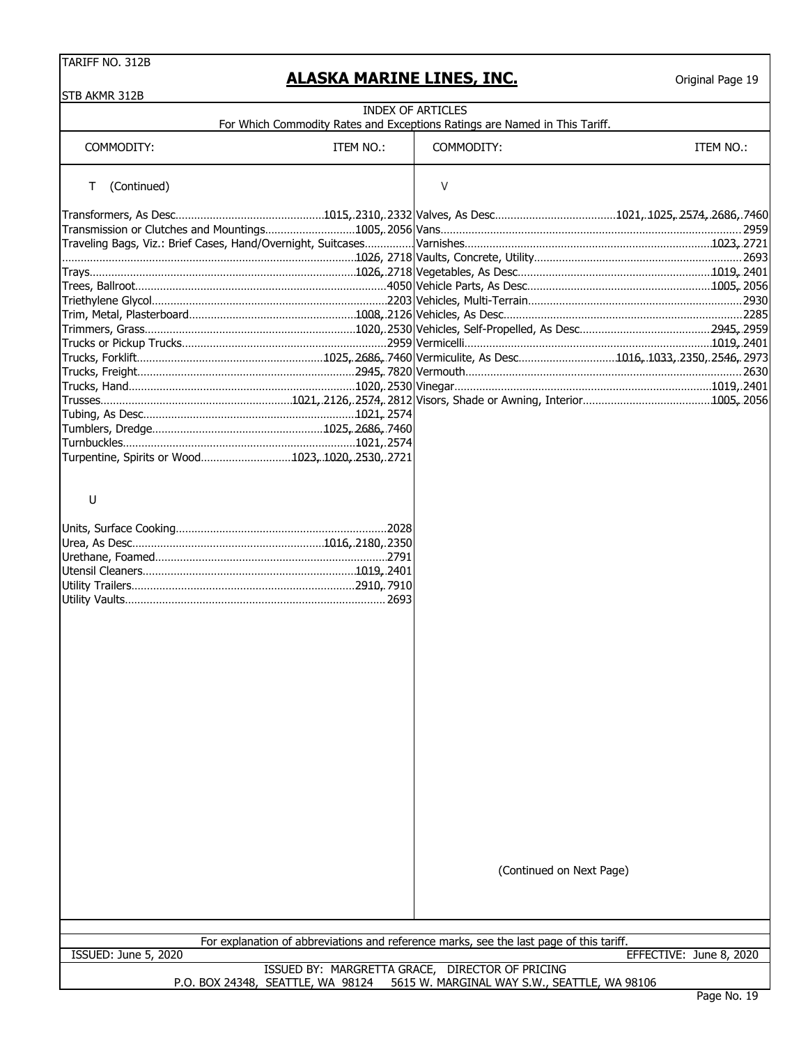#### **ALASKA MARINE LINES, INC.**

| STB AKMR 312B                                                                             |           |                                                                                         |                         |
|-------------------------------------------------------------------------------------------|-----------|-----------------------------------------------------------------------------------------|-------------------------|
|                                                                                           |           | <b>INDEX OF ARTICLES</b>                                                                |                         |
|                                                                                           |           | For Which Commodity Rates and Exceptions Ratings are Named in This Tariff.              |                         |
| COMMODITY:                                                                                | ITEM NO.: | COMMODITY:                                                                              | ITEM NO.:               |
|                                                                                           |           |                                                                                         |                         |
| (Continued)<br>Τ                                                                          |           | $\vee$                                                                                  |                         |
|                                                                                           |           |                                                                                         |                         |
|                                                                                           |           |                                                                                         |                         |
|                                                                                           |           |                                                                                         |                         |
|                                                                                           |           |                                                                                         |                         |
|                                                                                           |           |                                                                                         |                         |
|                                                                                           |           |                                                                                         |                         |
|                                                                                           |           |                                                                                         |                         |
|                                                                                           |           |                                                                                         |                         |
|                                                                                           |           |                                                                                         |                         |
|                                                                                           |           |                                                                                         |                         |
|                                                                                           |           |                                                                                         |                         |
|                                                                                           |           |                                                                                         |                         |
| Trucks, Freight……………………………………………………………2945,.7820 Vermouth…………………………………………………………………………2630 |           |                                                                                         |                         |
|                                                                                           |           |                                                                                         |                         |
|                                                                                           |           |                                                                                         |                         |
|                                                                                           |           |                                                                                         |                         |
|                                                                                           |           |                                                                                         |                         |
|                                                                                           |           |                                                                                         |                         |
| Turpentine, Spirits or Wood1023, 1020, 2530, 2721                                         |           |                                                                                         |                         |
|                                                                                           |           |                                                                                         |                         |
|                                                                                           |           |                                                                                         |                         |
| U                                                                                         |           |                                                                                         |                         |
|                                                                                           |           |                                                                                         |                         |
|                                                                                           |           |                                                                                         |                         |
|                                                                                           |           |                                                                                         |                         |
|                                                                                           |           |                                                                                         |                         |
|                                                                                           |           |                                                                                         |                         |
|                                                                                           |           |                                                                                         |                         |
|                                                                                           |           |                                                                                         |                         |
|                                                                                           |           |                                                                                         |                         |
|                                                                                           |           |                                                                                         |                         |
|                                                                                           |           |                                                                                         |                         |
|                                                                                           |           |                                                                                         |                         |
|                                                                                           |           |                                                                                         |                         |
|                                                                                           |           |                                                                                         |                         |
|                                                                                           |           |                                                                                         |                         |
|                                                                                           |           |                                                                                         |                         |
|                                                                                           |           |                                                                                         |                         |
|                                                                                           |           |                                                                                         |                         |
|                                                                                           |           |                                                                                         |                         |
|                                                                                           |           |                                                                                         |                         |
|                                                                                           |           |                                                                                         |                         |
|                                                                                           |           |                                                                                         |                         |
|                                                                                           |           |                                                                                         |                         |
|                                                                                           |           |                                                                                         |                         |
|                                                                                           |           |                                                                                         |                         |
|                                                                                           |           | (Continued on Next Page)                                                                |                         |
|                                                                                           |           |                                                                                         |                         |
|                                                                                           |           |                                                                                         |                         |
|                                                                                           |           |                                                                                         |                         |
|                                                                                           |           |                                                                                         |                         |
|                                                                                           |           | For explanation of abbreviations and reference marks, see the last page of this tariff. |                         |
| ISSUED: June 5, 2020                                                                      |           |                                                                                         | EFFECTIVE: June 8, 2020 |
|                                                                                           |           | ISSUED BY: MARGRETTA GRACE, DIRECTOR OF PRICING                                         |                         |
| P.O. BOX 24348, SEATTLE, WA 98124                                                         |           | 5615 W. MARGINAL WAY S.W., SEATTLE, WA 98106                                            | Dogo No                 |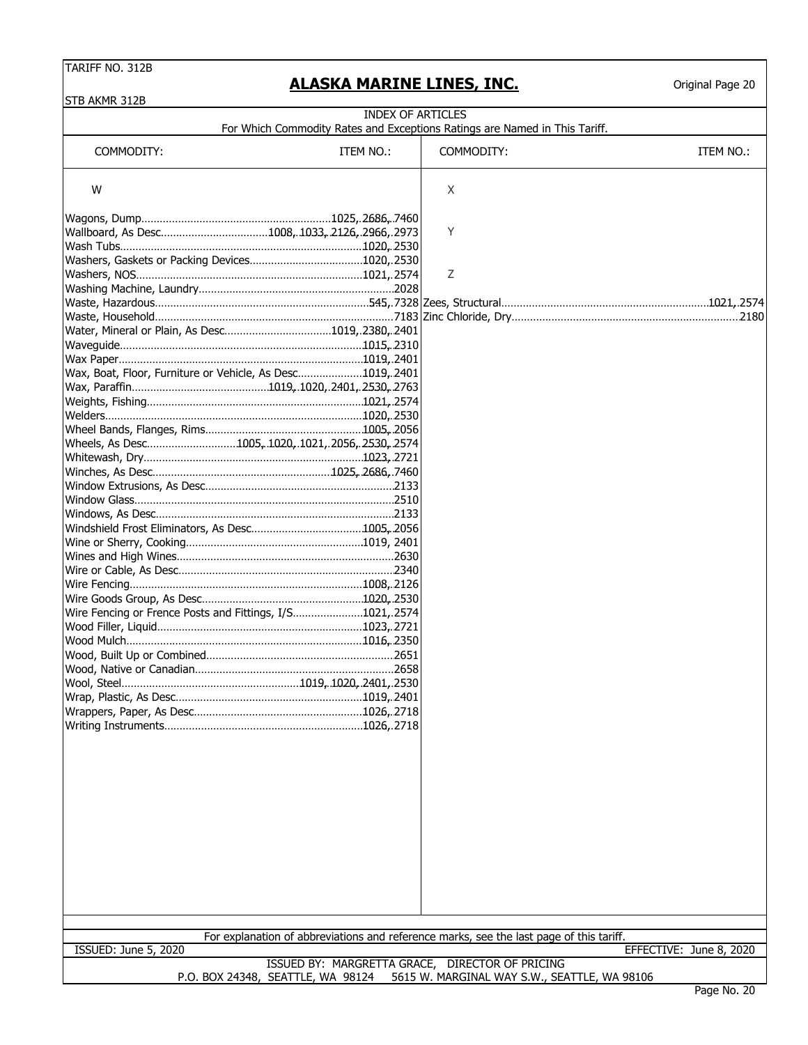#### STR AKMR 312B

# **ALASKA MARINE LINES, INC.**

| חזדר שוושא חוכ                                                                                                                                                                                                                 | <b>INDEX OF ARTICLES</b> | For Which Commodity Rates and Exceptions Ratings are Named in This Tariff.                                                        |                         |
|--------------------------------------------------------------------------------------------------------------------------------------------------------------------------------------------------------------------------------|--------------------------|-----------------------------------------------------------------------------------------------------------------------------------|-------------------------|
| COMMODITY:                                                                                                                                                                                                                     | ITEM NO.:                | COMMODITY:                                                                                                                        | ITEM NO.:               |
| W                                                                                                                                                                                                                              |                          | X                                                                                                                                 |                         |
| Wallboard, As Desc1008, 1033, 2126, 2966, 2973                                                                                                                                                                                 |                          | Y                                                                                                                                 |                         |
|                                                                                                                                                                                                                                |                          | Ζ                                                                                                                                 |                         |
|                                                                                                                                                                                                                                |                          |                                                                                                                                   |                         |
| Water, Mineral or Plain, As Desc1019,.2380,.2401<br>Wax, Boat, Floor, Furniture or Vehicle, As Desc1019, 2401<br>Wheels, As Desc1005, 1020, 1021, 2056, 2530, 2574<br>Wire Fencing or Frence Posts and Fittings, I/S1021,.2574 |                          |                                                                                                                                   |                         |
|                                                                                                                                                                                                                                |                          |                                                                                                                                   |                         |
| <b>ISSUED: June 5, 2020</b>                                                                                                                                                                                                    |                          | For explanation of abbreviations and reference marks, see the last page of this tariff.                                           | EFFECTIVE: June 8, 2020 |
|                                                                                                                                                                                                                                |                          | ISSUED BY: MARGRETTA GRACE, DIRECTOR OF PRICING<br>P.O. BOX 24348, SEATTLE, WA 98124 5615 W. MARGINAL WAY S.W., SEATTLE, WA 98106 |                         |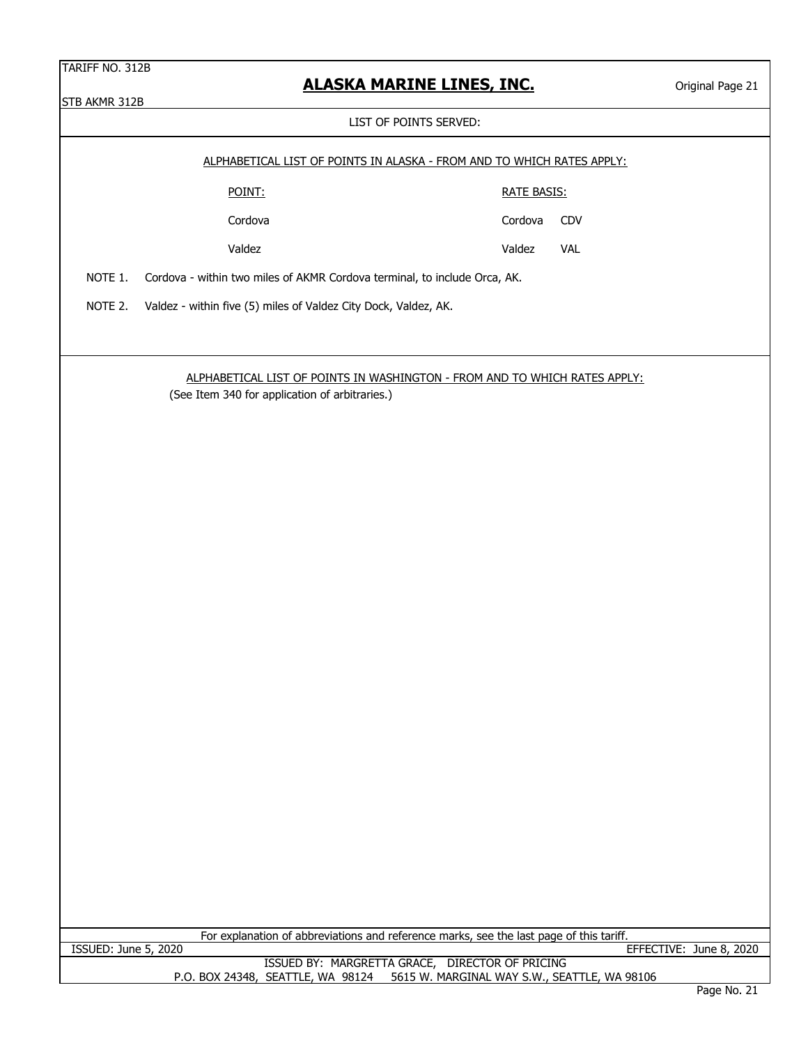STB AKMR 312B

LIST OF POINTS SERVED:

|        | ALPHABETICAL LIST OF POINTS IN ALASKA - FROM AND TO WHICH RATES APPLY: |
|--------|------------------------------------------------------------------------|
| POINT: | RATE BASIS:                                                            |

Cordova CDV

Cordova

Valdez Valdez VAL

NOTE 1. Cordova - within two miles of AKMR Cordova terminal, to include Orca, AK.

NOTE 2. Valdez - within five (5) miles of Valdez City Dock, Valdez, AK.

# ALPHABETICAL LIST OF POINTS IN WASHINGTON - FROM AND TO WHICH RATES APPLY:

(See Item 340 for application of arbitraries.)

For explanation of abbreviations and reference marks, see the last page of this tariff. ISSUED: June 5, 2020 EFFECTIVE: June 8, 2020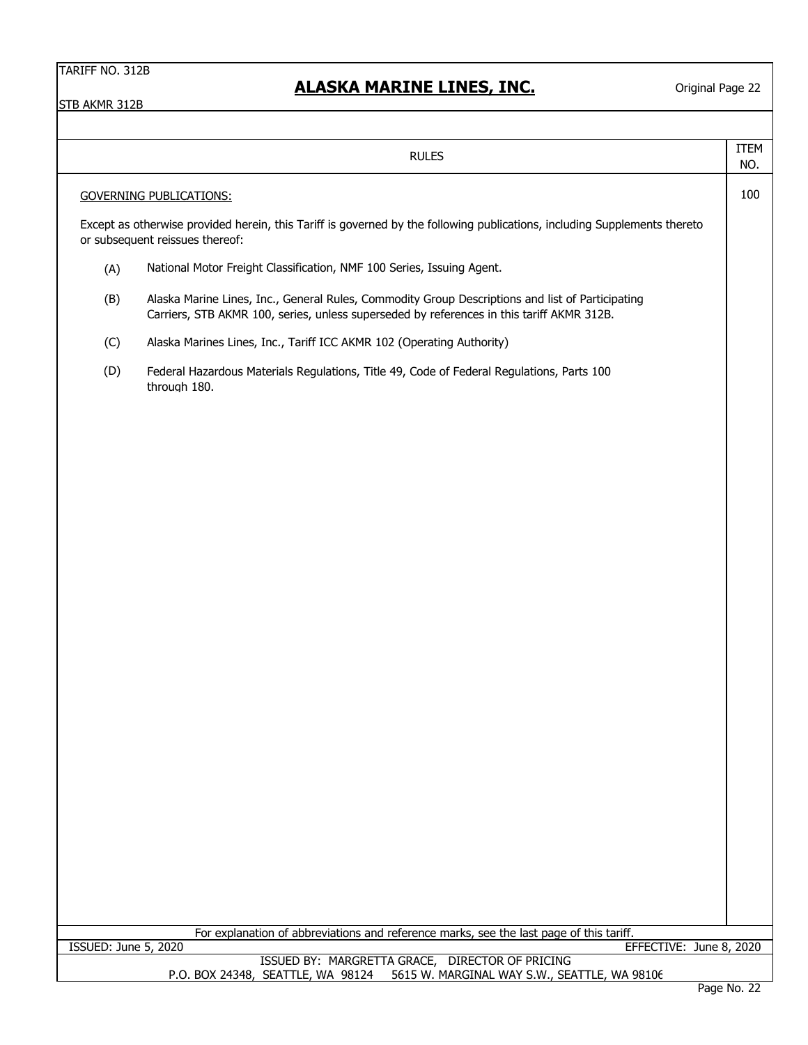|     | <b>RULES</b>                                                                                                                                                                                  | ITEM<br>NO. |
|-----|-----------------------------------------------------------------------------------------------------------------------------------------------------------------------------------------------|-------------|
|     | <b>GOVERNING PUBLICATIONS:</b>                                                                                                                                                                | 100         |
|     | Except as otherwise provided herein, this Tariff is governed by the following publications, including Supplements thereto<br>or subsequent reissues thereof:                                  |             |
| (A) | National Motor Freight Classification, NMF 100 Series, Issuing Agent.                                                                                                                         |             |
| (B) | Alaska Marine Lines, Inc., General Rules, Commodity Group Descriptions and list of Participating<br>Carriers, STB AKMR 100, series, unless superseded by references in this tariff AKMR 312B. |             |
| (C) | Alaska Marines Lines, Inc., Tariff ICC AKMR 102 (Operating Authority)                                                                                                                         |             |
| (D) | Federal Hazardous Materials Regulations, Title 49, Code of Federal Regulations, Parts 100<br>through 180.                                                                                     |             |
|     |                                                                                                                                                                                               |             |
|     |                                                                                                                                                                                               |             |
|     |                                                                                                                                                                                               |             |
|     |                                                                                                                                                                                               |             |
|     |                                                                                                                                                                                               |             |
|     |                                                                                                                                                                                               |             |
|     |                                                                                                                                                                                               |             |
|     |                                                                                                                                                                                               |             |
|     |                                                                                                                                                                                               |             |
|     | For explanation of abbreviations and reference marks, see the last page of this tariff.                                                                                                       |             |
|     | ISSUED: June 5, 2020<br>EFFECTIVE: June 8, 2020<br>ISSUED BY: MARGRETTA GRACE, DIRECTOR OF PRICING                                                                                            |             |
|     | 5615 W. MARGINAL WAY S.W., SEATTLE, WA 98106<br>P.O. BOX 24348, SEATTLE, WA 98124                                                                                                             |             |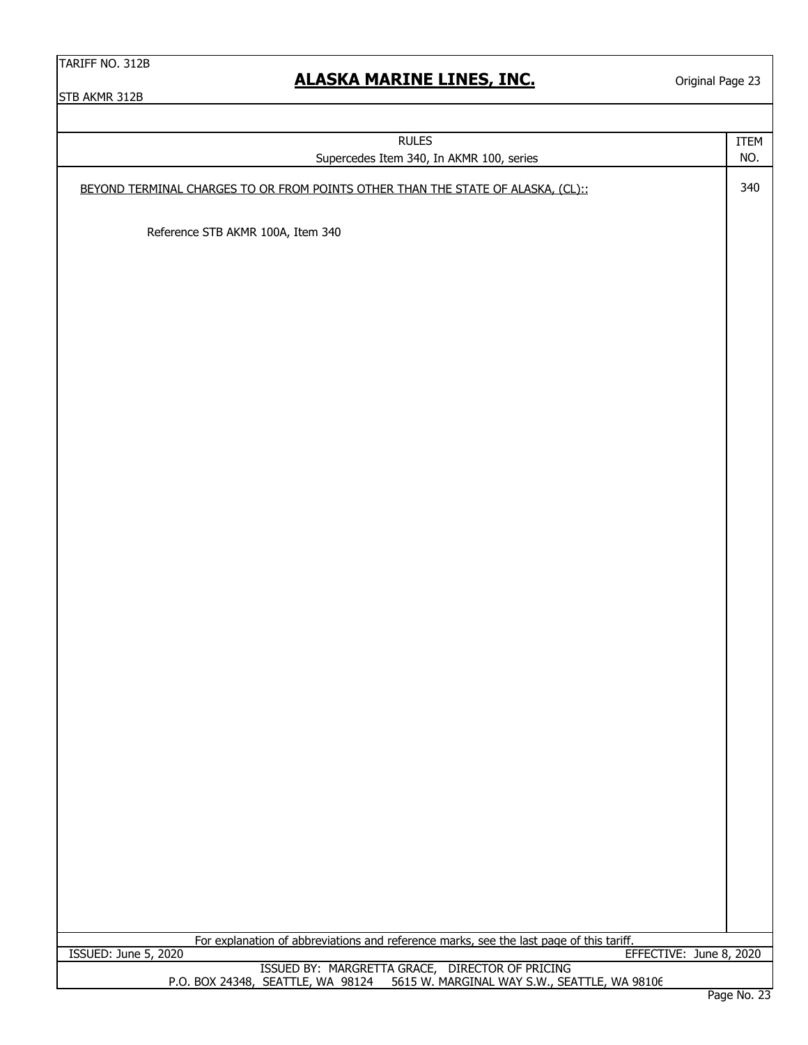Original Page 23

| <b>RULES</b>                                                                                                    | ITEM                    |
|-----------------------------------------------------------------------------------------------------------------|-------------------------|
| Supercedes Item 340, In AKMR 100, series                                                                        | NO.                     |
| BEYOND TERMINAL CHARGES TO OR FROM POINTS OTHER THAN THE STATE OF ALASKA, (CL)::                                | 340                     |
| Reference STB AKMR 100A, Item 340                                                                               |                         |
|                                                                                                                 |                         |
|                                                                                                                 |                         |
|                                                                                                                 |                         |
|                                                                                                                 |                         |
|                                                                                                                 |                         |
|                                                                                                                 |                         |
|                                                                                                                 |                         |
|                                                                                                                 |                         |
|                                                                                                                 |                         |
|                                                                                                                 |                         |
|                                                                                                                 |                         |
|                                                                                                                 |                         |
|                                                                                                                 |                         |
|                                                                                                                 |                         |
|                                                                                                                 |                         |
|                                                                                                                 |                         |
| For explanation of abbreviations and reference marks, see the last page of this tariff.<br>ISSUED: June 5, 2020 | EFFECTIVE: June 8, 2020 |
| ISSUED BY: MARGRETTA GRACE, DIRECTOR OF PRICING                                                                 |                         |
| P.O. BOX 24348, SEATTLE, WA 98124 5615 W. MARGINAL WAY S.W., SEATTLE, WA 98106                                  |                         |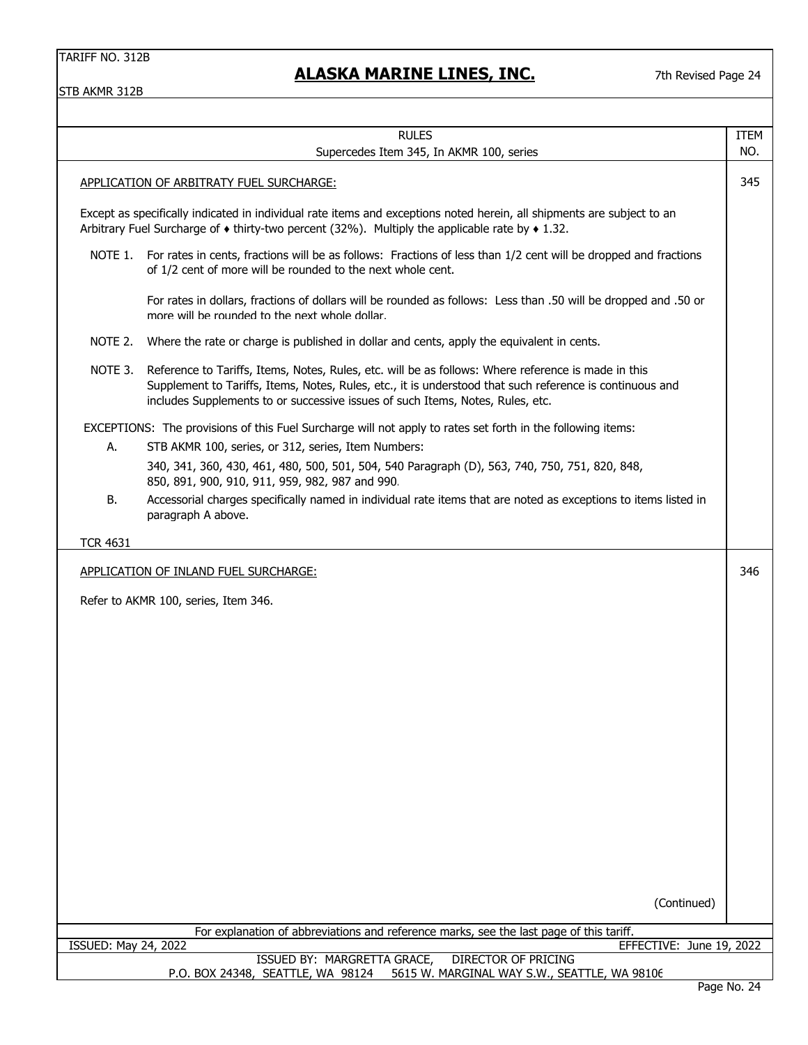# **ALASKA MARINE LINES, INC.**

7th Revised Page 24

|                      | <b>RULES</b>                                                                                                                                                                                                                                                                                      | <b>ITEM</b><br>NO. |
|----------------------|---------------------------------------------------------------------------------------------------------------------------------------------------------------------------------------------------------------------------------------------------------------------------------------------------|--------------------|
|                      | Supercedes Item 345, In AKMR 100, series                                                                                                                                                                                                                                                          |                    |
|                      | APPLICATION OF ARBITRATY FUEL SURCHARGE:                                                                                                                                                                                                                                                          | 345                |
|                      | Except as specifically indicated in individual rate items and exceptions noted herein, all shipments are subject to an<br>Arbitrary Fuel Surcharge of $\bullet$ thirty-two percent (32%). Multiply the applicable rate by $\bullet$ 1.32.                                                         |                    |
| NOTE 1.              | For rates in cents, fractions will be as follows: Fractions of less than 1/2 cent will be dropped and fractions<br>of 1/2 cent of more will be rounded to the next whole cent.                                                                                                                    |                    |
|                      | For rates in dollars, fractions of dollars will be rounded as follows: Less than .50 will be dropped and .50 or<br>more will be rounded to the next whole dollar.                                                                                                                                 |                    |
| NOTE 2.              | Where the rate or charge is published in dollar and cents, apply the equivalent in cents.                                                                                                                                                                                                         |                    |
| NOTE 3.              | Reference to Tariffs, Items, Notes, Rules, etc. will be as follows: Where reference is made in this<br>Supplement to Tariffs, Items, Notes, Rules, etc., it is understood that such reference is continuous and<br>includes Supplements to or successive issues of such Items, Notes, Rules, etc. |                    |
|                      | EXCEPTIONS: The provisions of this Fuel Surcharge will not apply to rates set forth in the following items:                                                                                                                                                                                       |                    |
| А.                   | STB AKMR 100, series, or 312, series, Item Numbers:                                                                                                                                                                                                                                               |                    |
|                      | 340, 341, 360, 430, 461, 480, 500, 501, 504, 540 Paragraph (D), 563, 740, 750, 751, 820, 848,<br>850, 891, 900, 910, 911, 959, 982, 987 and 990.                                                                                                                                                  |                    |
| В.                   | Accessorial charges specifically named in individual rate items that are noted as exceptions to items listed in<br>paragraph A above.                                                                                                                                                             |                    |
| <b>TCR 4631</b>      |                                                                                                                                                                                                                                                                                                   |                    |
|                      | APPLICATION OF INLAND FUEL SURCHARGE:                                                                                                                                                                                                                                                             | 346                |
|                      | Refer to AKMR 100, series, Item 346.                                                                                                                                                                                                                                                              |                    |
|                      |                                                                                                                                                                                                                                                                                                   |                    |
|                      |                                                                                                                                                                                                                                                                                                   |                    |
|                      |                                                                                                                                                                                                                                                                                                   |                    |
|                      |                                                                                                                                                                                                                                                                                                   |                    |
|                      |                                                                                                                                                                                                                                                                                                   |                    |
|                      |                                                                                                                                                                                                                                                                                                   |                    |
|                      |                                                                                                                                                                                                                                                                                                   |                    |
|                      |                                                                                                                                                                                                                                                                                                   |                    |
|                      |                                                                                                                                                                                                                                                                                                   |                    |
|                      |                                                                                                                                                                                                                                                                                                   |                    |
|                      |                                                                                                                                                                                                                                                                                                   |                    |
|                      |                                                                                                                                                                                                                                                                                                   |                    |
|                      |                                                                                                                                                                                                                                                                                                   |                    |
|                      |                                                                                                                                                                                                                                                                                                   |                    |
|                      | (Continued)                                                                                                                                                                                                                                                                                       |                    |
|                      |                                                                                                                                                                                                                                                                                                   |                    |
| ISSUED: May 24, 2022 | For explanation of abbreviations and reference marks, see the last page of this tariff.<br>EFFECTIVE: June 19, 2022                                                                                                                                                                               |                    |
|                      | <b>DIRECTOR OF PRICING</b><br>ISSUED BY: MARGRETTA GRACE,                                                                                                                                                                                                                                         |                    |
|                      | P.O. BOX 24348, SEATTLE, WA 98124<br>5615 W. MARGINAL WAY S.W., SEATTLE, WA 98106                                                                                                                                                                                                                 | Page No. 24        |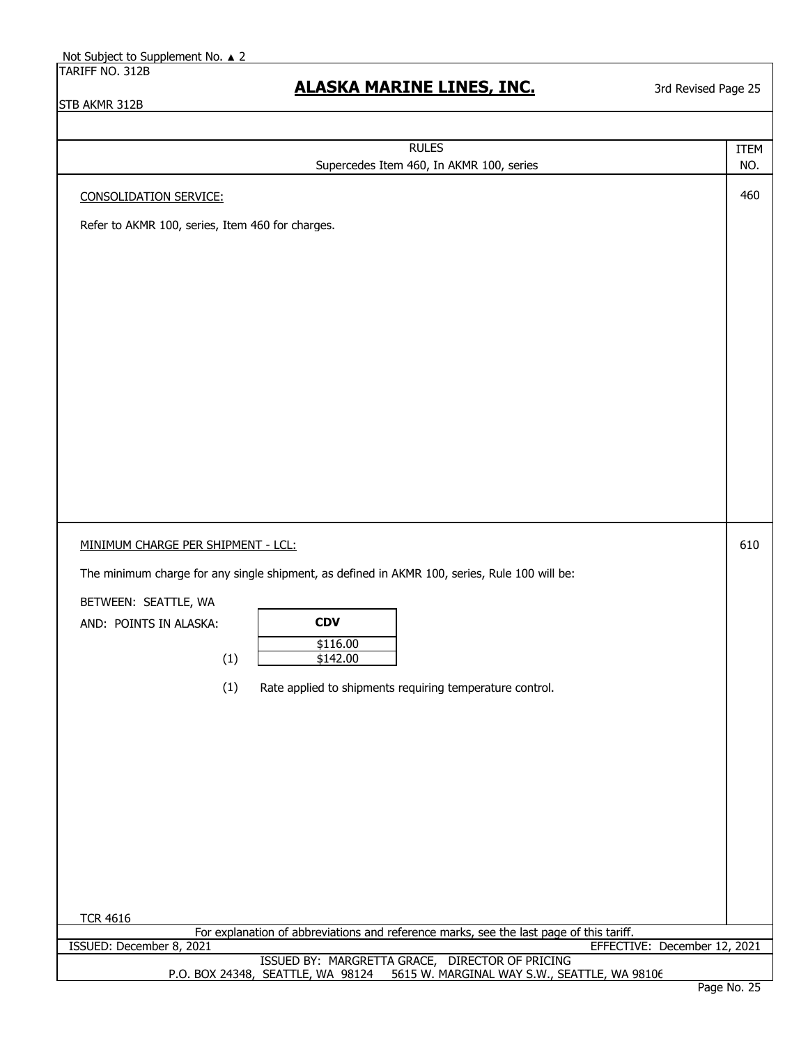3rd Revised Page 25

| <b>RULES</b>                                                                                                                                        | <b>ITEM</b> |  |
|-----------------------------------------------------------------------------------------------------------------------------------------------------|-------------|--|
| Supercedes Item 460, In AKMR 100, series                                                                                                            | NO.         |  |
| <b>CONSOLIDATION SERVICE:</b>                                                                                                                       | 460         |  |
| Refer to AKMR 100, series, Item 460 for charges.                                                                                                    |             |  |
|                                                                                                                                                     |             |  |
|                                                                                                                                                     |             |  |
|                                                                                                                                                     |             |  |
|                                                                                                                                                     |             |  |
|                                                                                                                                                     |             |  |
|                                                                                                                                                     |             |  |
|                                                                                                                                                     |             |  |
|                                                                                                                                                     |             |  |
|                                                                                                                                                     |             |  |
|                                                                                                                                                     |             |  |
|                                                                                                                                                     |             |  |
|                                                                                                                                                     |             |  |
|                                                                                                                                                     |             |  |
|                                                                                                                                                     |             |  |
|                                                                                                                                                     |             |  |
| MINIMUM CHARGE PER SHIPMENT - LCL:                                                                                                                  | 610         |  |
| The minimum charge for any single shipment, as defined in AKMR 100, series, Rule 100 will be:                                                       |             |  |
| BETWEEN: SEATTLE, WA                                                                                                                                |             |  |
| <b>CDV</b><br>AND: POINTS IN ALASKA:                                                                                                                |             |  |
| \$116.00                                                                                                                                            |             |  |
| (1)<br>\$142.00                                                                                                                                     |             |  |
| (1)                                                                                                                                                 |             |  |
| Rate applied to shipments requiring temperature control.                                                                                            |             |  |
|                                                                                                                                                     |             |  |
|                                                                                                                                                     |             |  |
|                                                                                                                                                     |             |  |
|                                                                                                                                                     |             |  |
|                                                                                                                                                     |             |  |
|                                                                                                                                                     |             |  |
|                                                                                                                                                     |             |  |
|                                                                                                                                                     |             |  |
|                                                                                                                                                     |             |  |
|                                                                                                                                                     |             |  |
| <b>TCR 4616</b>                                                                                                                                     |             |  |
| For explanation of abbreviations and reference marks, see the last page of this tariff.<br>ISSUED: December 8, 2021<br>EFFECTIVE: December 12, 2021 |             |  |
| ISSUED BY: MARGRETTA GRACE, DIRECTOR OF PRICING                                                                                                     |             |  |
| 5615 W. MARGINAL WAY S.W., SEATTLE, WA 98106<br>P.O. BOX 24348, SEATTLE, WA 98124<br>$D = - - N$                                                    |             |  |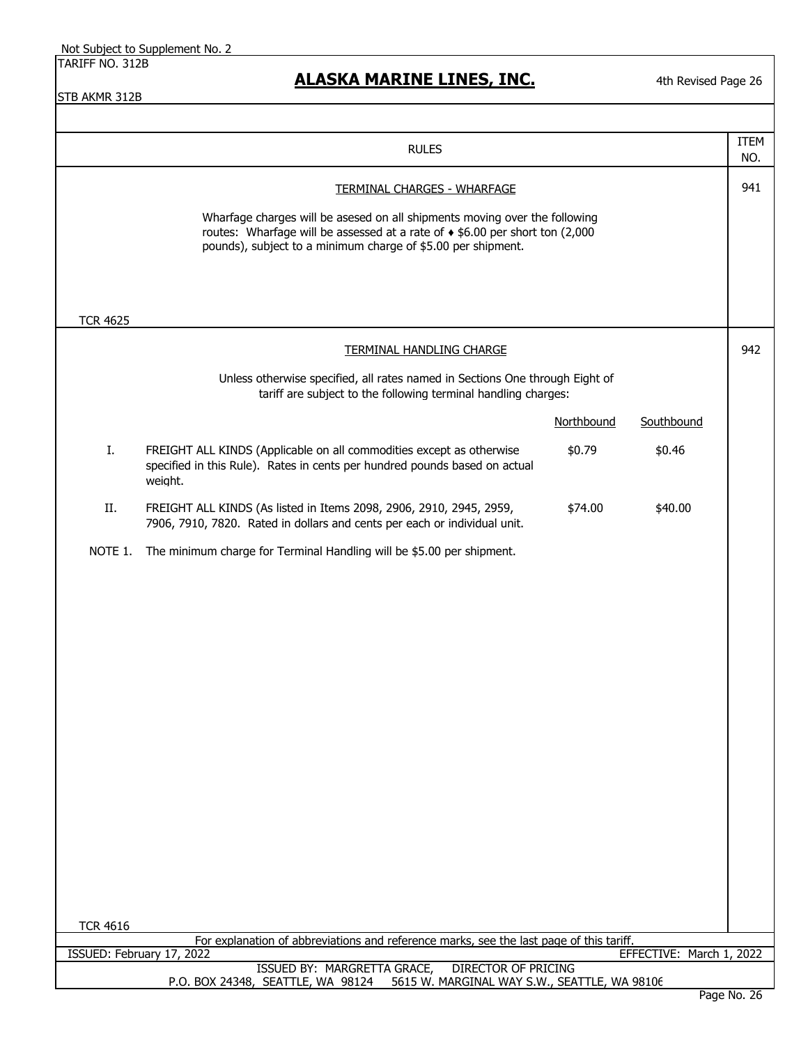# **ALASKA MARINE LINES, INC.**

4th Revised Page 26

| <b>RULES</b>                                                                                                                                                                                                                                                               |                                                                                                                                                               |            |            | <b>ITEM</b><br>NO. |
|----------------------------------------------------------------------------------------------------------------------------------------------------------------------------------------------------------------------------------------------------------------------------|---------------------------------------------------------------------------------------------------------------------------------------------------------------|------------|------------|--------------------|
| <b>TERMINAL CHARGES - WHARFAGE</b><br>Wharfage charges will be asesed on all shipments moving over the following<br>routes: Wharfage will be assessed at a rate of $\triangle$ \$6.00 per short ton (2,000<br>pounds), subject to a minimum charge of \$5.00 per shipment. |                                                                                                                                                               |            | 941        |                    |
| <b>TCR 4625</b>                                                                                                                                                                                                                                                            |                                                                                                                                                               |            |            |                    |
|                                                                                                                                                                                                                                                                            | <b>TERMINAL HANDLING CHARGE</b>                                                                                                                               |            |            | 942                |
| Unless otherwise specified, all rates named in Sections One through Eight of<br>tariff are subject to the following terminal handling charges:                                                                                                                             |                                                                                                                                                               |            |            |                    |
|                                                                                                                                                                                                                                                                            |                                                                                                                                                               | Northbound | Southbound |                    |
| Ι.                                                                                                                                                                                                                                                                         | FREIGHT ALL KINDS (Applicable on all commodities except as otherwise<br>specified in this Rule). Rates in cents per hundred pounds based on actual<br>weight. | \$0.79     | \$0.46     |                    |
| II.                                                                                                                                                                                                                                                                        | FREIGHT ALL KINDS (As listed in Items 2098, 2906, 2910, 2945, 2959,<br>7906, 7910, 7820. Rated in dollars and cents per each or individual unit.              | \$74.00    | \$40.00    |                    |
| NOTE 1.                                                                                                                                                                                                                                                                    | The minimum charge for Terminal Handling will be \$5.00 per shipment.                                                                                         |            |            |                    |
| <b>TCR 4616</b>                                                                                                                                                                                                                                                            | For explanation of abbreviations and reference marks, see the last page of this tariff.                                                                       |            |            |                    |
| EFFECTIVE: March 1, 2022<br>ISSUED: February 17, 2022                                                                                                                                                                                                                      |                                                                                                                                                               |            |            |                    |
| ISSUED BY: MARGRETTA GRACE,<br>DIRECTOR OF PRICING<br>5615 W. MARGINAL WAY S.W., SEATTLE, WA 98106<br>P.O. BOX 24348, SEATTLE, WA 98124                                                                                                                                    |                                                                                                                                                               |            |            |                    |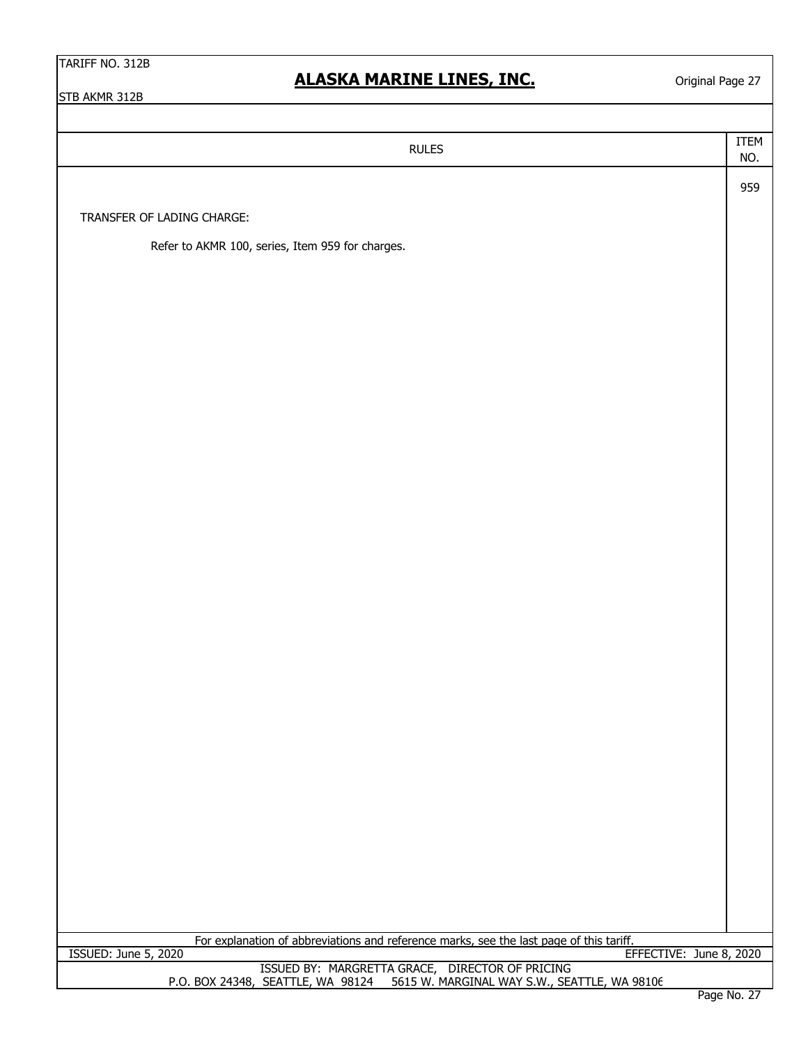Original Page 27

STB AKMR 312B

ITEM NO. 959 TRANSFER OF LADING CHARGE: Refer to AKMR 100, series, Item 959 for charges. RULES ISSUED BY: MARGRETTA GRACE, DIRECTOR OF PRICING For explanation of abbreviations and reference marks, see the last page of this tariff. ISSUED: June 5, 2020 EFFECTIVE: June 8, 2020

P.O. BOX 24348, SEATTLE, WA 98124 5615 W. MARGINAL WAY S.W., SEATTLE, WA 98106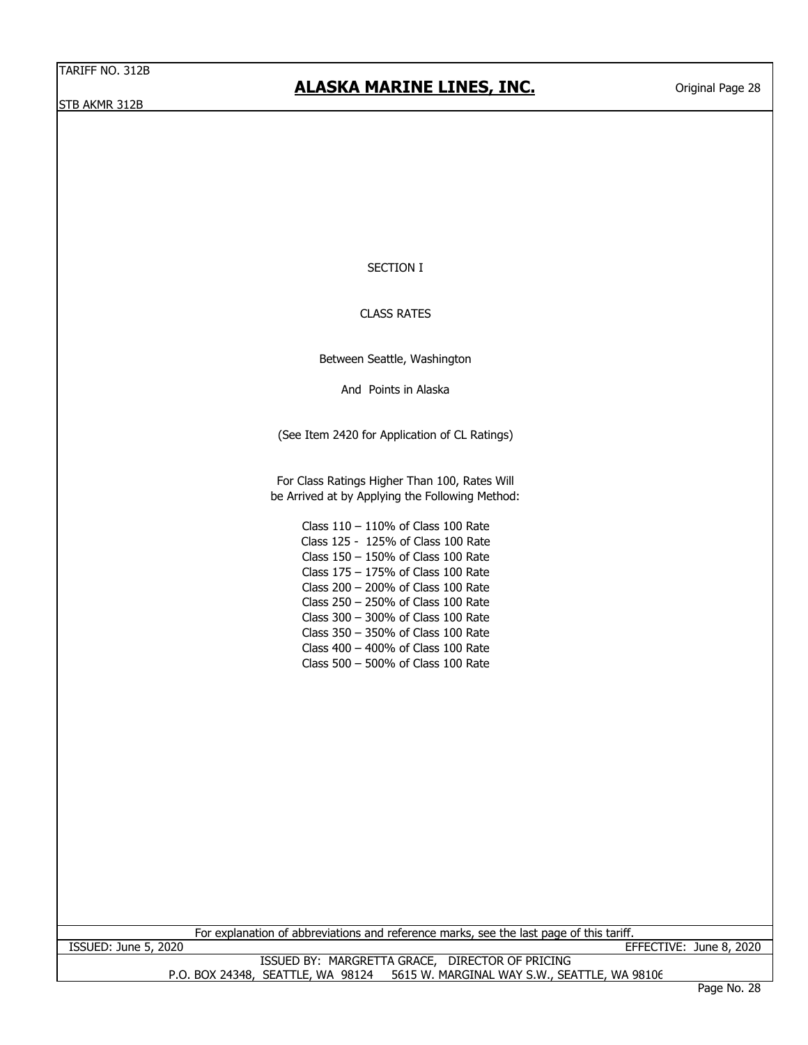SECTION I

CLASS RATES

Between Seattle, Washington

And Points in Alaska

(See Item 2420 for Application of CL Ratings)

For Class Ratings Higher Than 100, Rates Will be Arrived at by Applying the Following Method:

> Class 110 – 110% of Class 100 Rate Class 125 - 125% of Class 100 Rate Class 150 – 150% of Class 100 Rate Class 175 – 175% of Class 100 Rate Class 200 – 200% of Class 100 Rate Class 250 – 250% of Class 100 Rate Class 300 – 300% of Class 100 Rate Class 350 – 350% of Class 100 Rate Class 400 – 400% of Class 100 Rate Class 500 – 500% of Class 100 Rate

For explanation of abbreviations and reference marks, see the last page of this tariff.

ISSUED: June 5, 2020 EFFECTIVE: June 8, 2020

P.O. BOX 24348, SEATTLE, WA 98124 5615 W. MARGINAL WAY S.W., SEATTLE, WA 98106 ISSUED BY: MARGRETTA GRACE, DIRECTOR OF PRICING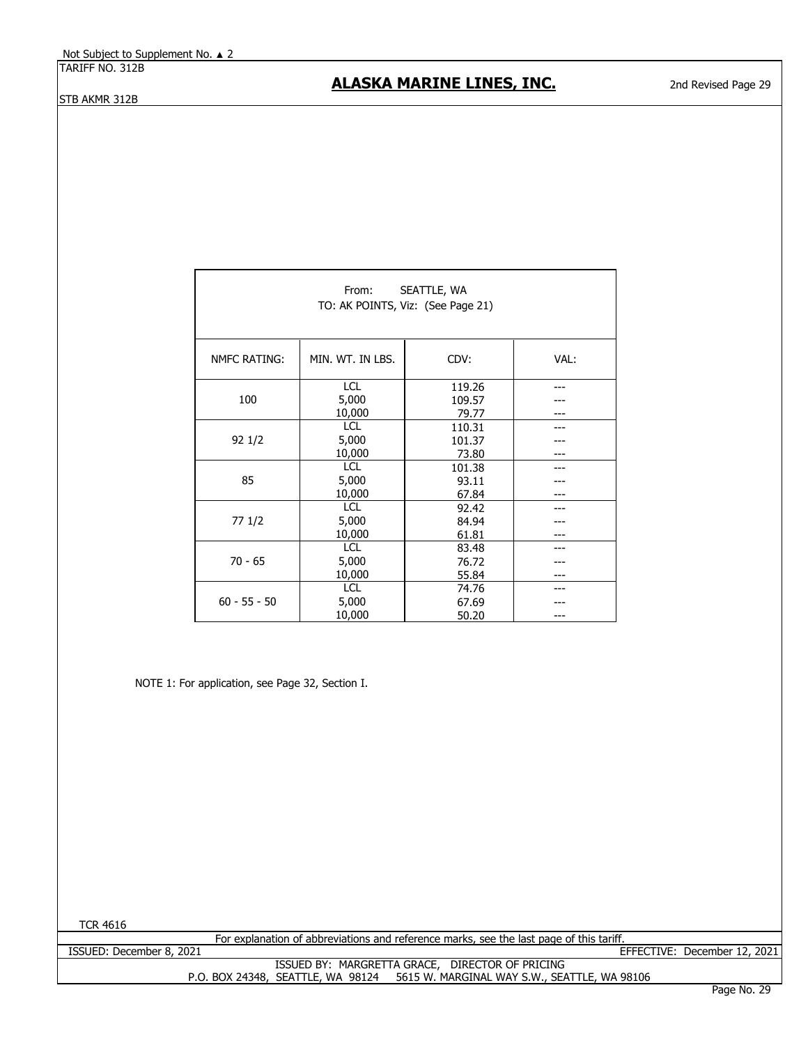#### **ALASKA MARINE LINES, INC.**

| SEATTLE, WA<br>From:<br>TO: AK POINTS, Viz: (See Page 21) |                  |        |      |  |
|-----------------------------------------------------------|------------------|--------|------|--|
| <b>NMFC RATING:</b>                                       | MIN. WT. IN LBS. | CDV:   | VAL: |  |
|                                                           | <b>LCL</b>       | 119.26 |      |  |
| 100                                                       | 5,000            | 109.57 |      |  |
|                                                           | 10,000           | 79.77  |      |  |
|                                                           | <b>LCL</b>       | 110.31 |      |  |
| 92 1/2                                                    | 5,000            | 101.37 |      |  |
|                                                           | 10,000           | 73.80  |      |  |
|                                                           | <b>LCL</b>       | 101.38 |      |  |
| 85                                                        | 5,000            | 93.11  |      |  |
|                                                           | 10,000           | 67.84  |      |  |
|                                                           | <b>LCL</b>       | 92.42  |      |  |
| 77 1/2                                                    | 5,000            | 84.94  |      |  |
|                                                           | 10,000           | 61.81  |      |  |
|                                                           | <b>LCL</b>       | 83.48  |      |  |
| $70 - 65$                                                 | 5,000            | 76.72  |      |  |
|                                                           | 10,000           | 55.84  |      |  |
|                                                           | <b>LCL</b>       | 74.76  |      |  |
| $60 - 55 - 50$                                            | 5,000            | 67.69  |      |  |
|                                                           | 10,000           | 50.20  |      |  |

NOTE 1: For application, see Page 32, Section I.

TCR 4616

ISSUED: December 8, 2021

For explanation of abbreviations and reference marks, see the last page of this tariff.

EFFECTIVE: December 12, 2021

ISSUED BY: MARGRETTA GRACE, DIRECTOR OF PRICING P.O. BOX 24348, SEATTLE, WA 98124 5615 W. MARGINAL WAY S.W., SEATTLE, WA 98106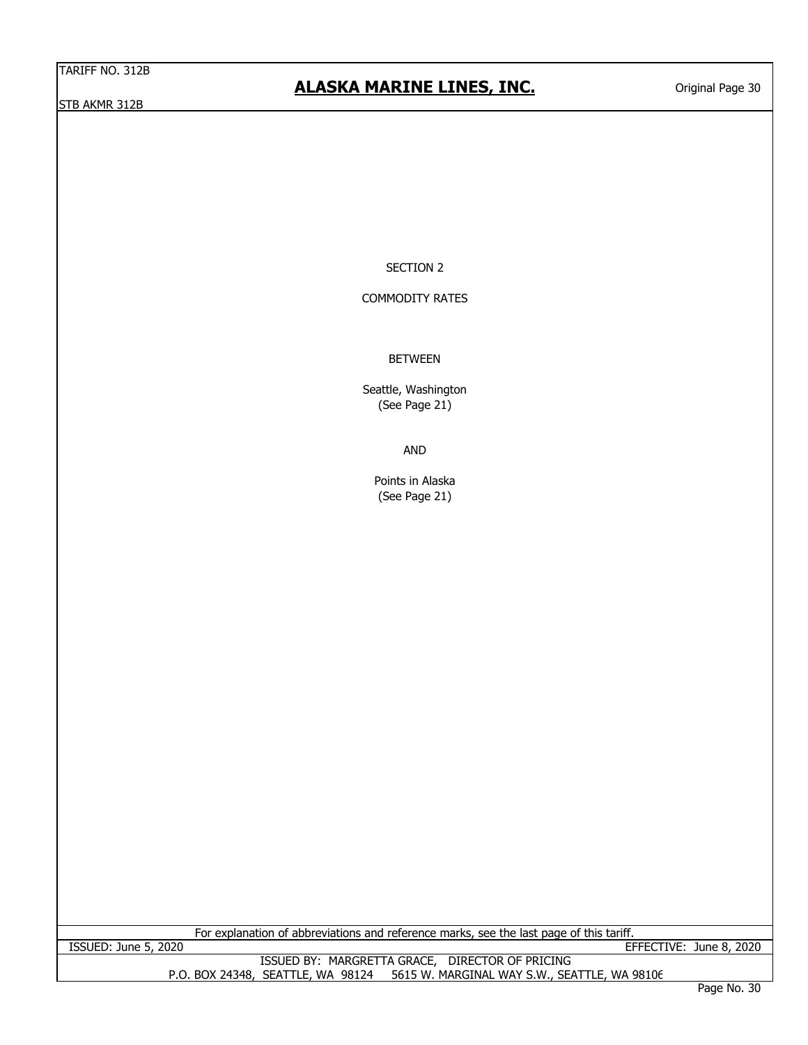#### **ALASKA MARINE LINES, INC.**

SECTION 2

#### COMMODITY RATES

#### BETWEEN

Seattle, Washington (See Page 21)

AND

Points in Alaska (See Page 21)

For explanation of abbreviations and reference marks, see the last page of this tariff. ISSUED: June 5, 2020 EFFECTIVE: June 8, 2020

ISSUED BY: MARGRETTA GRACE, DIRECTOR OF PRICING P.O. BOX 24348, SEATTLE, WA 98124 5615 W. MARGINAL WAY S.W., SEATTLE, WA 98106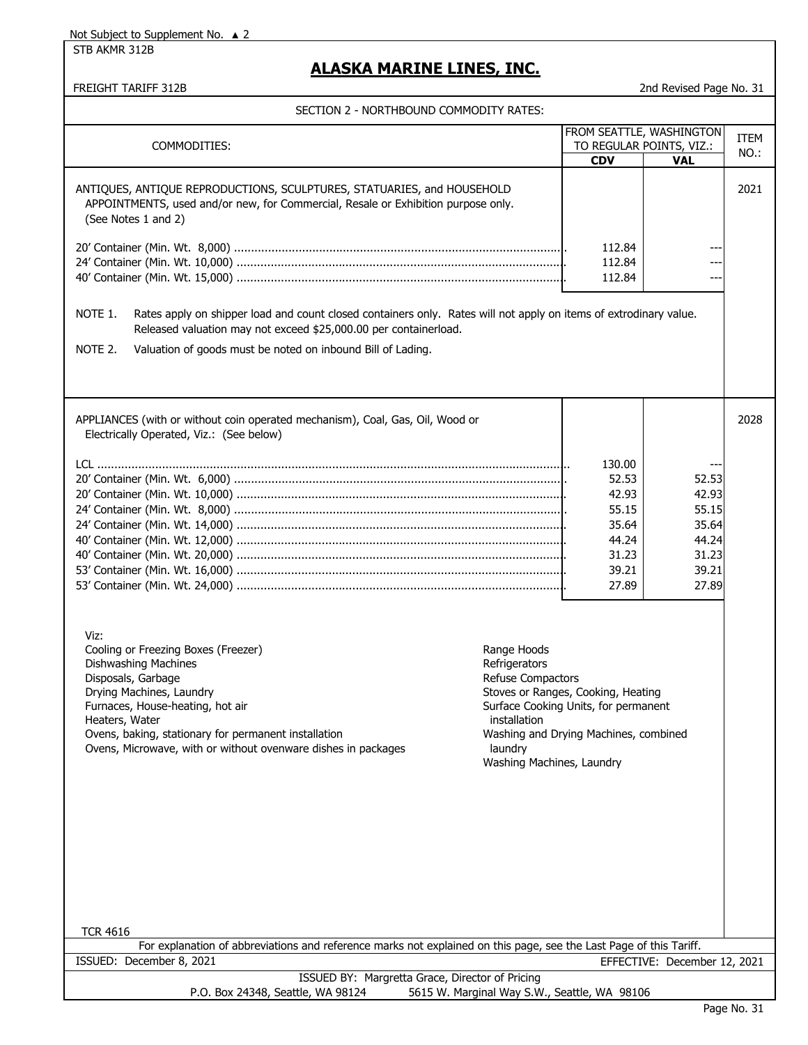Not Subject to Supplement No. ▲ 2

STB AKMR 312B

#### **ALASKA MARINE LINES, INC.**

FREIGHT TARIFF 312B 2nd Revised Page No. 31

SECTION 2 - NORTHBOUND COMMODITY RATES:

| SECTION Z - NORTHBOUND COMMODITT RATES.                                                                                                                                                                                                                                                              |                                                                                                           |                                                                                                                     |                              |      |
|------------------------------------------------------------------------------------------------------------------------------------------------------------------------------------------------------------------------------------------------------------------------------------------------------|-----------------------------------------------------------------------------------------------------------|---------------------------------------------------------------------------------------------------------------------|------------------------------|------|
|                                                                                                                                                                                                                                                                                                      |                                                                                                           | FROM SEATTLE, WASHINGTON                                                                                            |                              | ITEM |
| COMMODITIES:                                                                                                                                                                                                                                                                                         |                                                                                                           | TO REGULAR POINTS, VIZ.:                                                                                            |                              | NO.: |
|                                                                                                                                                                                                                                                                                                      |                                                                                                           | <b>CDV</b>                                                                                                          | <b>VAL</b>                   |      |
| ANTIQUES, ANTIQUE REPRODUCTIONS, SCULPTURES, STATUARIES, and HOUSEHOLD<br>APPOINTMENTS, used and/or new, for Commercial, Resale or Exhibition purpose only.<br>(See Notes 1 and 2)                                                                                                                   |                                                                                                           |                                                                                                                     |                              | 2021 |
|                                                                                                                                                                                                                                                                                                      |                                                                                                           | 112.84                                                                                                              |                              |      |
|                                                                                                                                                                                                                                                                                                      |                                                                                                           | 112.84                                                                                                              |                              |      |
|                                                                                                                                                                                                                                                                                                      |                                                                                                           | 112.84                                                                                                              | $---$                        |      |
|                                                                                                                                                                                                                                                                                                      |                                                                                                           |                                                                                                                     |                              |      |
| NOTE 1.<br>Rates apply on shipper load and count closed containers only. Rates will not apply on items of extrodinary value.<br>Released valuation may not exceed \$25,000.00 per containerload.<br>NOTE 2.<br>Valuation of goods must be noted on inbound Bill of Lading.                           |                                                                                                           |                                                                                                                     |                              |      |
| APPLIANCES (with or without coin operated mechanism), Coal, Gas, Oil, Wood or<br>Electrically Operated, Viz.: (See below)                                                                                                                                                                            |                                                                                                           |                                                                                                                     |                              | 2028 |
|                                                                                                                                                                                                                                                                                                      |                                                                                                           |                                                                                                                     |                              |      |
|                                                                                                                                                                                                                                                                                                      |                                                                                                           | 130.00                                                                                                              |                              |      |
|                                                                                                                                                                                                                                                                                                      |                                                                                                           | 52.53                                                                                                               | 52.53                        |      |
|                                                                                                                                                                                                                                                                                                      |                                                                                                           | 42.93                                                                                                               | 42.93                        |      |
|                                                                                                                                                                                                                                                                                                      |                                                                                                           | 55.15                                                                                                               | 55.15                        |      |
|                                                                                                                                                                                                                                                                                                      |                                                                                                           | 35.64<br>44.24                                                                                                      | 35.64                        |      |
|                                                                                                                                                                                                                                                                                                      |                                                                                                           | 31.23                                                                                                               | 44.24<br>31.23               |      |
|                                                                                                                                                                                                                                                                                                      |                                                                                                           | 39.21                                                                                                               | 39.21                        |      |
|                                                                                                                                                                                                                                                                                                      |                                                                                                           | 27.89                                                                                                               | 27.89                        |      |
| Viz:<br>Cooling or Freezing Boxes (Freezer)<br>Dishwashing Machines<br>Disposals, Garbage<br>Drying Machines, Laundry<br>Furnaces, House-heating, hot air<br>Heaters, Water<br>Ovens, baking, stationary for permanent installation<br>Ovens, Microwave, with or without ovenware dishes in packages | Range Hoods<br>Refrigerators<br>Refuse Compactors<br>installation<br>laundry<br>Washing Machines, Laundry | Stoves or Ranges, Cooking, Heating<br>Surface Cooking Units, for permanent<br>Washing and Drying Machines, combined |                              |      |
| <b>TCR 4616</b><br>For explanation of abbreviations and reference marks not explained on this page, see the Last Page of this Tariff.                                                                                                                                                                |                                                                                                           |                                                                                                                     |                              |      |
| ISSUED: December 8, 2021                                                                                                                                                                                                                                                                             |                                                                                                           |                                                                                                                     | EFFECTIVE: December 12, 2021 |      |
| ISSUED BY: Margretta Grace, Director of Pricing                                                                                                                                                                                                                                                      |                                                                                                           |                                                                                                                     |                              |      |
| P.O. Box 24348, Seattle, WA 98124                                                                                                                                                                                                                                                                    | 5615 W. Marginal Way S.W., Seattle, WA 98106                                                              |                                                                                                                     |                              |      |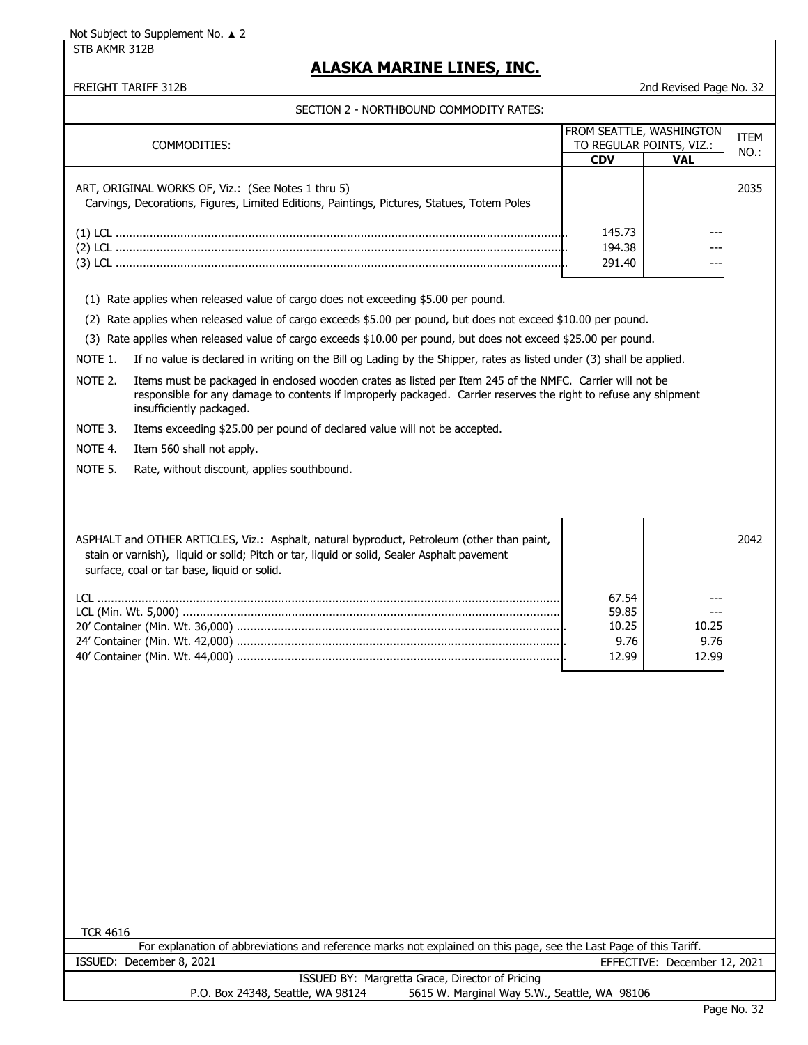Not Subject to Supplement No. ▲ 2

STB AKMR 312B

### **ALASKA MARINE LINES, INC.**

FREIGHT TARIFF 312B 2nd Revised Page No. 32

SECTION 2 - NORTHBOUND COMMODITY RATES:

| COMMODITIES:                                                                                                                                                                                                                                                                                                                                                                                           |                                          | FROM SEATTLE, WASHINGTON<br>TO REGULAR POINTS, VIZ.: | ITEM |
|--------------------------------------------------------------------------------------------------------------------------------------------------------------------------------------------------------------------------------------------------------------------------------------------------------------------------------------------------------------------------------------------------------|------------------------------------------|------------------------------------------------------|------|
|                                                                                                                                                                                                                                                                                                                                                                                                        | <b>CDV</b>                               | <b>VAL</b>                                           | NO.: |
| ART, ORIGINAL WORKS OF, Viz.: (See Notes 1 thru 5)<br>Carvings, Decorations, Figures, Limited Editions, Paintings, Pictures, Statues, Totem Poles                                                                                                                                                                                                                                                      | 145.73                                   |                                                      | 2035 |
|                                                                                                                                                                                                                                                                                                                                                                                                        | 194.38                                   |                                                      |      |
|                                                                                                                                                                                                                                                                                                                                                                                                        | 291.40                                   |                                                      |      |
| (1) Rate applies when released value of cargo does not exceeding \$5.00 per pound.                                                                                                                                                                                                                                                                                                                     |                                          |                                                      |      |
| (2) Rate applies when released value of cargo exceeds \$5.00 per pound, but does not exceed \$10.00 per pound.                                                                                                                                                                                                                                                                                         |                                          |                                                      |      |
| (3) Rate applies when released value of cargo exceeds \$10.00 per pound, but does not exceed \$25.00 per pound.                                                                                                                                                                                                                                                                                        |                                          |                                                      |      |
|                                                                                                                                                                                                                                                                                                                                                                                                        |                                          |                                                      |      |
| NOTE 1.<br>If no value is declared in writing on the Bill og Lading by the Shipper, rates as listed under (3) shall be applied.<br>NOTE 2.<br>Items must be packaged in enclosed wooden crates as listed per Item 245 of the NMFC. Carrier will not be<br>responsible for any damage to contents if improperly packaged. Carrier reserves the right to refuse any shipment<br>insufficiently packaged. |                                          |                                                      |      |
| Items exceeding \$25.00 per pound of declared value will not be accepted.<br>NOTE 3.                                                                                                                                                                                                                                                                                                                   |                                          |                                                      |      |
| NOTE 4.<br>Item 560 shall not apply.                                                                                                                                                                                                                                                                                                                                                                   |                                          |                                                      |      |
| NOTE 5.<br>Rate, without discount, applies southbound.                                                                                                                                                                                                                                                                                                                                                 |                                          |                                                      |      |
|                                                                                                                                                                                                                                                                                                                                                                                                        |                                          |                                                      |      |
| ASPHALT and OTHER ARTICLES, Viz.: Asphalt, natural byproduct, Petroleum (other than paint,<br>stain or varnish), liquid or solid; Pitch or tar, liquid or solid, Sealer Asphalt pavement<br>surface, coal or tar base, liquid or solid.<br><b>TCR 4616</b><br>For explanation of abbreviations and reference marks not explained on this page, see the Last Page of this Tariff.                       | 67.54<br>59.85<br>10.25<br>9.76<br>12.99 | 10.25<br>9.76<br>12.99                               | 2042 |
| ISSUED: December 8, 2021<br>EFFECTIVE: December 12, 2021                                                                                                                                                                                                                                                                                                                                               |                                          |                                                      |      |
| ISSUED BY: Margretta Grace, Director of Pricing<br>P.O. Box 24348, Seattle, WA 98124<br>5615 W. Marginal Way S.W., Seattle, WA 98106                                                                                                                                                                                                                                                                   |                                          |                                                      |      |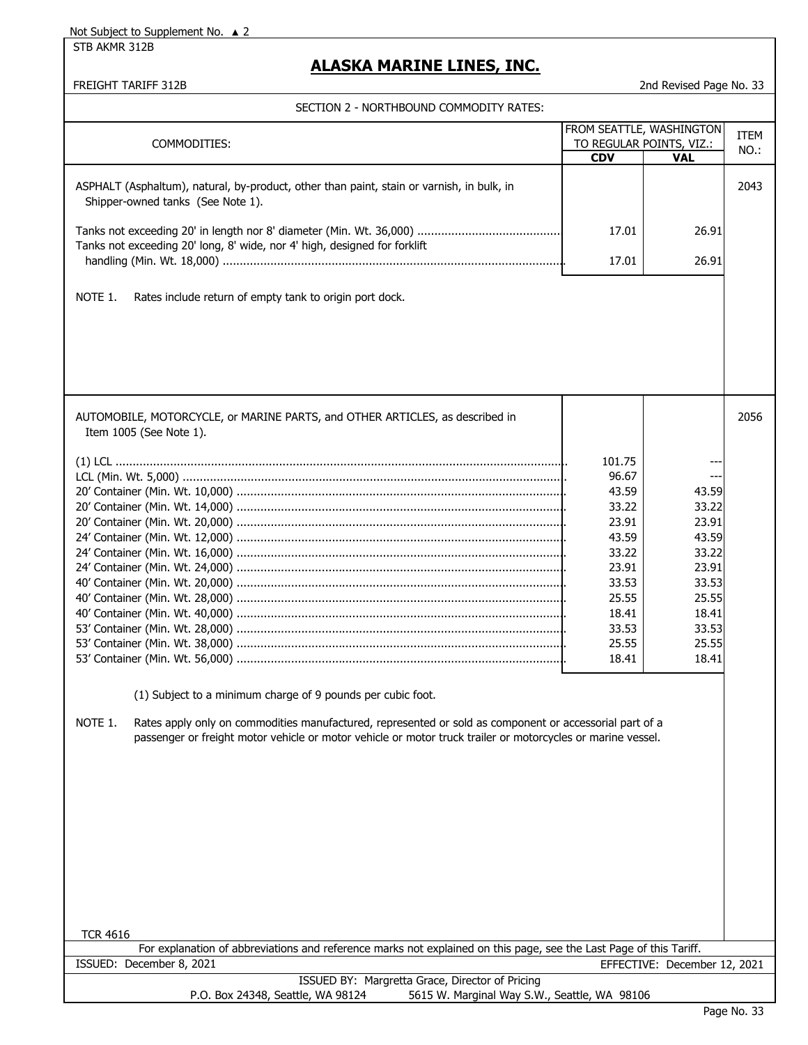Not Subject to Supplement No. ▲ 2

STB AKMR 312B

#### **ALASKA MARINE LINES, INC.**

FREIGHT TARIFF 312B 2nd Revised Page No. 33

| SECTION 2 - NORTHBOUND COMMODITY RATES:                                                                                                                                                                                                                                                          |                                                                                                                             |                                                                                                          |      |
|--------------------------------------------------------------------------------------------------------------------------------------------------------------------------------------------------------------------------------------------------------------------------------------------------|-----------------------------------------------------------------------------------------------------------------------------|----------------------------------------------------------------------------------------------------------|------|
|                                                                                                                                                                                                                                                                                                  |                                                                                                                             | FROM SEATTLE, WASHINGTON                                                                                 | ITEM |
| COMMODITIES:                                                                                                                                                                                                                                                                                     |                                                                                                                             | TO REGULAR POINTS, VIZ.:                                                                                 | NO.: |
|                                                                                                                                                                                                                                                                                                  | <b>CDV</b>                                                                                                                  | <b>VAL</b>                                                                                               |      |
| ASPHALT (Asphaltum), natural, by-product, other than paint, stain or varnish, in bulk, in<br>Shipper-owned tanks (See Note 1).                                                                                                                                                                   |                                                                                                                             |                                                                                                          | 2043 |
| Tanks not exceeding 20' long, 8' wide, nor 4' high, designed for forklift                                                                                                                                                                                                                        | 17.01                                                                                                                       | 26.91                                                                                                    |      |
|                                                                                                                                                                                                                                                                                                  | 17.01                                                                                                                       | 26.91                                                                                                    |      |
| NOTE 1.<br>Rates include return of empty tank to origin port dock.                                                                                                                                                                                                                               |                                                                                                                             |                                                                                                          |      |
| AUTOMOBILE, MOTORCYCLE, or MARINE PARTS, and OTHER ARTICLES, as described in<br>Item 1005 (See Note 1).                                                                                                                                                                                          |                                                                                                                             |                                                                                                          | 2056 |
| (1) Subject to a minimum charge of 9 pounds per cubic foot.<br>NOTE 1.<br>Rates apply only on commodities manufactured, represented or sold as component or accessorial part of a<br>passenger or freight motor vehicle or motor vehicle or motor truck trailer or motorcycles or marine vessel. | 101.75<br>96.67<br>43.59<br>33.22<br>23.91<br>43.59<br>33.22<br>23.91<br>33.53<br>25.55<br>18.41<br>33.53<br>25.55<br>18.41 | 43.59<br>33.22<br>23.91<br>43.59<br>33.22<br>23.91<br>33.53<br>25.55<br>18.41<br>33.53<br>25.55<br>18.41 |      |
| <b>TCR 4616</b><br>For explanation of abbreviations and reference marks not explained on this page, see the Last Page of this Tariff.<br>ISSUED: December 8, 2021                                                                                                                                |                                                                                                                             | EFFECTIVE: December 12, 2021                                                                             |      |
| ISSUED BY: Margretta Grace, Director of Pricing<br>P.O. Box 24348, Seattle, WA 98124<br>5615 W. Marginal Way S.W., Seattle, WA 98106                                                                                                                                                             |                                                                                                                             |                                                                                                          |      |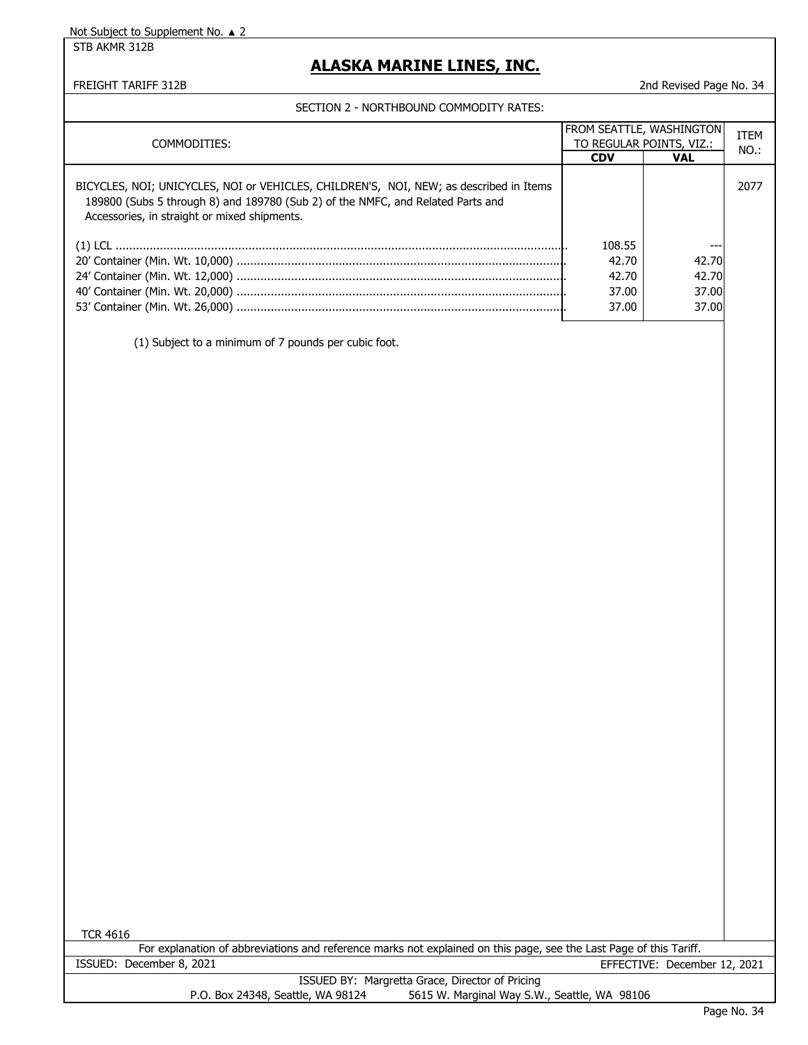STB AKMR 312B

### **ALASKA MARINE LINES, INC.**

FREIGHT TARIFF 312B 2nd Revised Page No. 34

| . כם היה דו דשטרו וסט שווטטשווידטו ביש ויוטרו טבע                                                                                                                                                                         |            |                          |             |
|---------------------------------------------------------------------------------------------------------------------------------------------------------------------------------------------------------------------------|------------|--------------------------|-------------|
|                                                                                                                                                                                                                           |            | FROM SEATTLE, WASHINGTON |             |
| COMMODITIES:                                                                                                                                                                                                              |            | TO REGULAR POINTS, VIZ.: | <b>ITEM</b> |
|                                                                                                                                                                                                                           | <b>CDV</b> | <b>VAL</b>               | NO.:        |
|                                                                                                                                                                                                                           |            |                          |             |
| BICYCLES, NOI; UNICYCLES, NOI or VEHICLES, CHILDREN'S, NOI, NEW; as described in Items<br>189800 (Subs 5 through 8) and 189780 (Sub 2) of the NMFC, and Related Parts and<br>Accessories, in straight or mixed shipments. |            |                          | 2077        |
|                                                                                                                                                                                                                           |            |                          |             |
|                                                                                                                                                                                                                           | 108.55     | ---                      |             |
|                                                                                                                                                                                                                           | 42.70      | 42.70                    |             |
|                                                                                                                                                                                                                           | 42.70      | 42.70                    |             |
|                                                                                                                                                                                                                           | 37.00      | 37.00                    |             |
|                                                                                                                                                                                                                           | 37.00      | 37.00                    |             |
|                                                                                                                                                                                                                           |            |                          |             |
| (1) Subject to a minimum of 7 pounds per cubic foot.                                                                                                                                                                      |            |                          |             |
|                                                                                                                                                                                                                           |            |                          |             |

|                                   | For explanation of abbreviations and reference marks not explained on this page, see the Last Page of this Tariff. |  |
|-----------------------------------|--------------------------------------------------------------------------------------------------------------------|--|
| ISSUED: December 8, 2021          | EFFECTIVE: December 12, 2021                                                                                       |  |
|                                   | ISSUED BY: Margretta Grace, Director of Pricing                                                                    |  |
| P.O. Box 24348, Seattle, WA 98124 | 5615 W. Marginal Way S.W., Seattle, WA 98106                                                                       |  |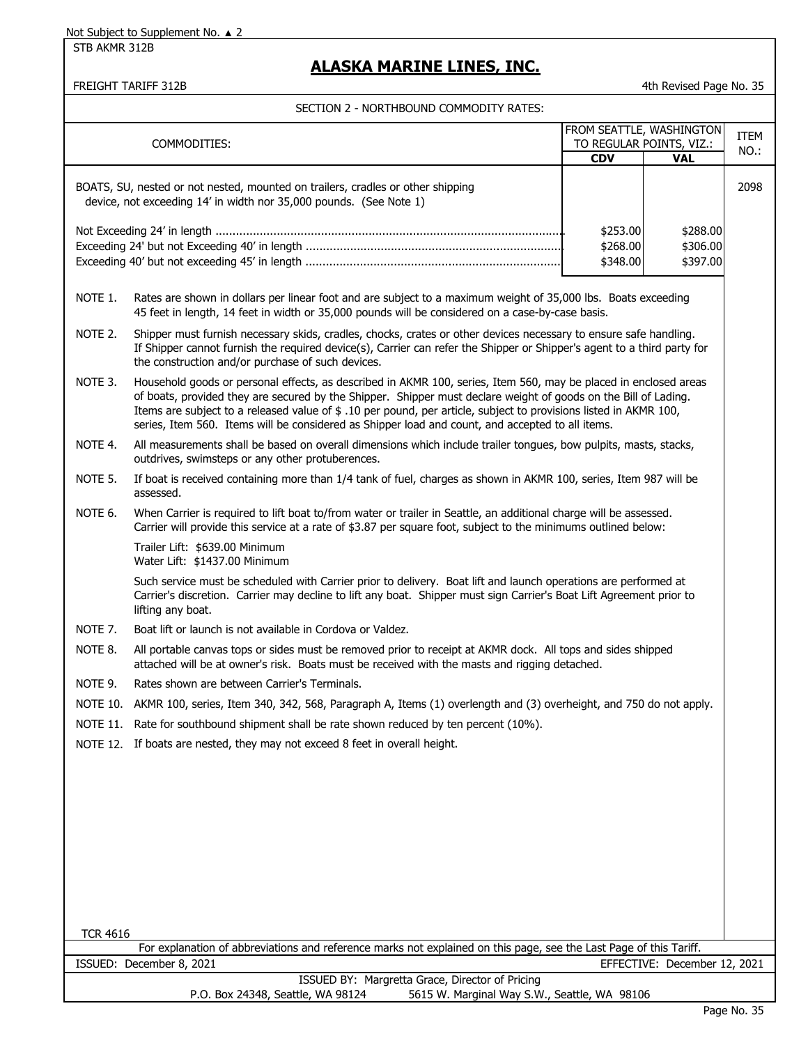STB AKMR 312B

### **ALASKA MARINE LINES, INC.**

FREIGHT TARIFF 312B 4th Revised Page No. 35

|                 | COMMODITIES:                                                                                                                                                                                                                                                                                                                                                                                                                                                 |            | FROM SEATTLE, WASHINGTON<br>TO REGULAR POINTS, VIZ.: | ITEM |
|-----------------|--------------------------------------------------------------------------------------------------------------------------------------------------------------------------------------------------------------------------------------------------------------------------------------------------------------------------------------------------------------------------------------------------------------------------------------------------------------|------------|------------------------------------------------------|------|
|                 |                                                                                                                                                                                                                                                                                                                                                                                                                                                              | <b>CDV</b> | <b>VAL</b>                                           | NO.: |
|                 | BOATS, SU, nested or not nested, mounted on trailers, cradles or other shipping<br>device, not exceeding 14' in width nor 35,000 pounds. (See Note 1)                                                                                                                                                                                                                                                                                                        |            |                                                      | 2098 |
|                 |                                                                                                                                                                                                                                                                                                                                                                                                                                                              | \$253.00   | \$288.00                                             |      |
|                 |                                                                                                                                                                                                                                                                                                                                                                                                                                                              | \$268.00   | \$306.00                                             |      |
|                 |                                                                                                                                                                                                                                                                                                                                                                                                                                                              | \$348.00   | \$397.00                                             |      |
| NOTE 1.         | Rates are shown in dollars per linear foot and are subject to a maximum weight of 35,000 lbs. Boats exceeding<br>45 feet in length, 14 feet in width or 35,000 pounds will be considered on a case-by-case basis.                                                                                                                                                                                                                                            |            |                                                      |      |
| NOTE 2.         | Shipper must furnish necessary skids, cradles, chocks, crates or other devices necessary to ensure safe handling.<br>If Shipper cannot furnish the required device(s), Carrier can refer the Shipper or Shipper's agent to a third party for<br>the construction and/or purchase of such devices.                                                                                                                                                            |            |                                                      |      |
| NOTE 3.         | Household goods or personal effects, as described in AKMR 100, series, Item 560, may be placed in enclosed areas<br>of boats, provided they are secured by the Shipper. Shipper must declare weight of goods on the Bill of Lading.<br>Items are subject to a released value of \$ .10 per pound, per article, subject to provisions listed in AKMR 100,<br>series, Item 560. Items will be considered as Shipper load and count, and accepted to all items. |            |                                                      |      |
| NOTE 4.         | All measurements shall be based on overall dimensions which include trailer tongues, bow pulpits, masts, stacks,<br>outdrives, swimsteps or any other protuberences.                                                                                                                                                                                                                                                                                         |            |                                                      |      |
| NOTE 5.         | If boat is received containing more than 1/4 tank of fuel, charges as shown in AKMR 100, series, Item 987 will be<br>assessed.                                                                                                                                                                                                                                                                                                                               |            |                                                      |      |
| NOTE 6.         | When Carrier is required to lift boat to/from water or trailer in Seattle, an additional charge will be assessed.<br>Carrier will provide this service at a rate of \$3.87 per square foot, subject to the minimums outlined below:                                                                                                                                                                                                                          |            |                                                      |      |
|                 | Trailer Lift: \$639.00 Minimum<br>Water Lift: \$1437.00 Minimum                                                                                                                                                                                                                                                                                                                                                                                              |            |                                                      |      |
|                 | Such service must be scheduled with Carrier prior to delivery. Boat lift and launch operations are performed at<br>Carrier's discretion. Carrier may decline to lift any boat. Shipper must sign Carrier's Boat Lift Agreement prior to<br>lifting any boat.                                                                                                                                                                                                 |            |                                                      |      |
| NOTE 7.         | Boat lift or launch is not available in Cordova or Valdez.                                                                                                                                                                                                                                                                                                                                                                                                   |            |                                                      |      |
| NOTE 8.         | All portable canvas tops or sides must be removed prior to receipt at AKMR dock. All tops and sides shipped<br>attached will be at owner's risk. Boats must be received with the masts and rigging detached.                                                                                                                                                                                                                                                 |            |                                                      |      |
| NOTE 9.         | Rates shown are between Carrier's Terminals.                                                                                                                                                                                                                                                                                                                                                                                                                 |            |                                                      |      |
|                 | NOTE 10. AKMR 100, series, Item 340, 342, 568, Paragraph A, Items (1) overlength and (3) overheight, and 750 do not apply.                                                                                                                                                                                                                                                                                                                                   |            |                                                      |      |
|                 | NOTE 11. Rate for southbound shipment shall be rate shown reduced by ten percent (10%).                                                                                                                                                                                                                                                                                                                                                                      |            |                                                      |      |
|                 | NOTE 12. If boats are nested, they may not exceed 8 feet in overall height.                                                                                                                                                                                                                                                                                                                                                                                  |            |                                                      |      |
|                 |                                                                                                                                                                                                                                                                                                                                                                                                                                                              |            |                                                      |      |
|                 |                                                                                                                                                                                                                                                                                                                                                                                                                                                              |            |                                                      |      |
|                 |                                                                                                                                                                                                                                                                                                                                                                                                                                                              |            |                                                      |      |
|                 |                                                                                                                                                                                                                                                                                                                                                                                                                                                              |            |                                                      |      |
|                 |                                                                                                                                                                                                                                                                                                                                                                                                                                                              |            |                                                      |      |
|                 |                                                                                                                                                                                                                                                                                                                                                                                                                                                              |            |                                                      |      |
|                 |                                                                                                                                                                                                                                                                                                                                                                                                                                                              |            |                                                      |      |
|                 |                                                                                                                                                                                                                                                                                                                                                                                                                                                              |            |                                                      |      |
|                 |                                                                                                                                                                                                                                                                                                                                                                                                                                                              |            |                                                      |      |
| <b>TCR 4616</b> | For explanation of abbreviations and reference marks not explained on this page, see the Last Page of this Tariff.                                                                                                                                                                                                                                                                                                                                           |            |                                                      |      |
|                 | ISSUED: December 8, 2021                                                                                                                                                                                                                                                                                                                                                                                                                                     |            | EFFECTIVE: December 12, 2021                         |      |
|                 | ISSUED BY: Margretta Grace, Director of Pricing                                                                                                                                                                                                                                                                                                                                                                                                              |            |                                                      |      |
|                 | P.O. Box 24348, Seattle, WA 98124<br>5615 W. Marginal Way S.W., Seattle, WA 98106                                                                                                                                                                                                                                                                                                                                                                            |            |                                                      |      |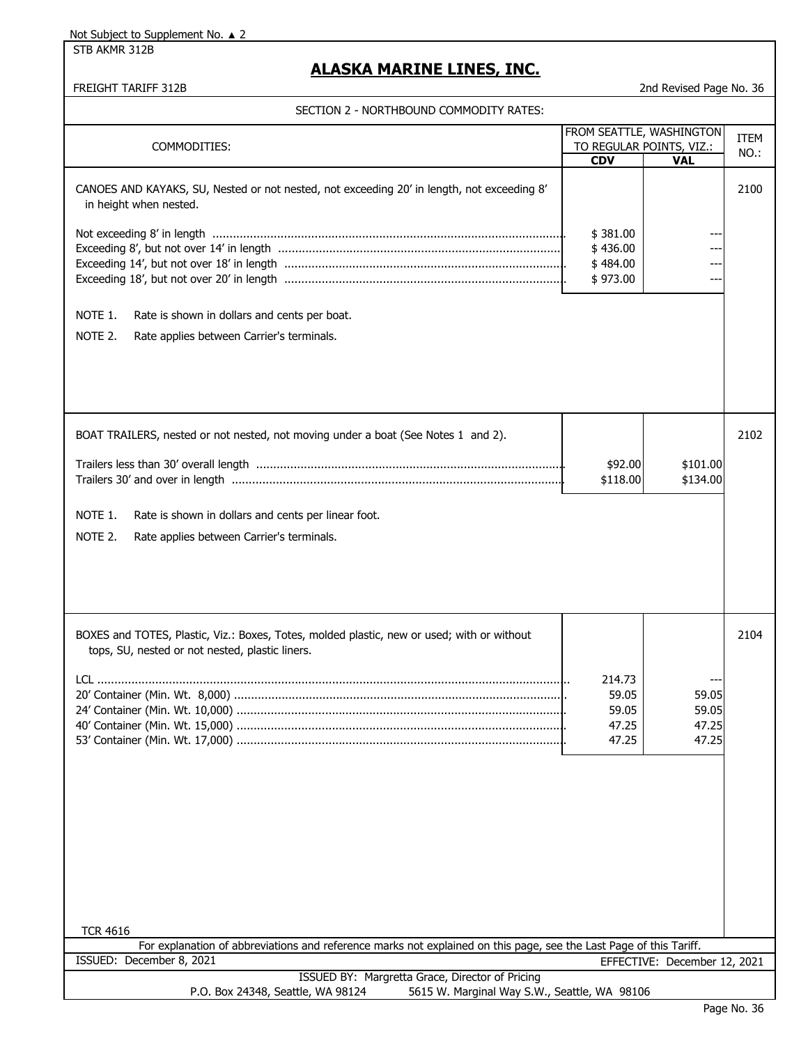STB AKMR 312B

# **ALASKA MARINE LINES, INC.**

|                                                                                                                    | FROM SEATTLE, WASHINGTON               |                              | <b>ITEM</b> |
|--------------------------------------------------------------------------------------------------------------------|----------------------------------------|------------------------------|-------------|
| COMMODITIES:                                                                                                       | TO REGULAR POINTS, VIZ.:<br><b>CDV</b> | <b>VAL</b>                   | NO.:        |
|                                                                                                                    |                                        |                              |             |
| CANOES AND KAYAKS, SU, Nested or not nested, not exceeding 20' in length, not exceeding 8'                         |                                        |                              | 2100        |
| in height when nested.                                                                                             |                                        |                              |             |
|                                                                                                                    |                                        |                              |             |
|                                                                                                                    | \$381.00                               |                              |             |
|                                                                                                                    | \$436.00                               |                              |             |
|                                                                                                                    | \$484.00                               |                              |             |
|                                                                                                                    | \$973.00                               |                              |             |
|                                                                                                                    |                                        |                              |             |
|                                                                                                                    |                                        |                              |             |
| NOTE 1.<br>Rate is shown in dollars and cents per boat.                                                            |                                        |                              |             |
| NOTE 2.<br>Rate applies between Carrier's terminals.                                                               |                                        |                              |             |
|                                                                                                                    |                                        |                              |             |
|                                                                                                                    |                                        |                              |             |
|                                                                                                                    |                                        |                              |             |
|                                                                                                                    |                                        |                              |             |
|                                                                                                                    |                                        |                              |             |
|                                                                                                                    |                                        |                              |             |
| BOAT TRAILERS, nested or not nested, not moving under a boat (See Notes 1 and 2).                                  |                                        |                              | 2102        |
|                                                                                                                    |                                        |                              |             |
|                                                                                                                    | \$92.00                                | \$101.00                     |             |
|                                                                                                                    | \$118.00                               | \$134.00                     |             |
|                                                                                                                    |                                        |                              |             |
| NOTE 1.<br>Rate is shown in dollars and cents per linear foot.                                                     |                                        |                              |             |
| NOTE 2.<br>Rate applies between Carrier's terminals.                                                               |                                        |                              |             |
|                                                                                                                    |                                        |                              |             |
|                                                                                                                    |                                        |                              |             |
|                                                                                                                    |                                        |                              |             |
|                                                                                                                    |                                        |                              |             |
|                                                                                                                    |                                        |                              |             |
|                                                                                                                    |                                        |                              |             |
| BOXES and TOTES, Plastic, Viz.: Boxes, Totes, molded plastic, new or used; with or without                         |                                        |                              | 2104        |
| tops, SU, nested or not nested, plastic liners.                                                                    |                                        |                              |             |
|                                                                                                                    |                                        |                              |             |
|                                                                                                                    | 214.73                                 |                              |             |
|                                                                                                                    | 59.05                                  | 59.05                        |             |
|                                                                                                                    | 59.05                                  | 59.05                        |             |
|                                                                                                                    | 47.25                                  | 47.25                        |             |
|                                                                                                                    | 47.25                                  | 47.25                        |             |
|                                                                                                                    |                                        |                              |             |
|                                                                                                                    |                                        |                              |             |
|                                                                                                                    |                                        |                              |             |
|                                                                                                                    |                                        |                              |             |
|                                                                                                                    |                                        |                              |             |
|                                                                                                                    |                                        |                              |             |
|                                                                                                                    |                                        |                              |             |
|                                                                                                                    |                                        |                              |             |
|                                                                                                                    |                                        |                              |             |
|                                                                                                                    |                                        |                              |             |
|                                                                                                                    |                                        |                              |             |
|                                                                                                                    |                                        |                              |             |
| <b>TCR 4616</b>                                                                                                    |                                        |                              |             |
| For explanation of abbreviations and reference marks not explained on this page, see the Last Page of this Tariff. |                                        |                              |             |
| ISSUED: December 8, 2021                                                                                           |                                        | EFFECTIVE: December 12, 2021 |             |
| ISSUED BY: Margretta Grace, Director of Pricing                                                                    |                                        |                              |             |
| P.O. Box 24348, Seattle, WA 98124<br>5615 W. Marginal Way S.W., Seattle, WA 98106                                  |                                        |                              |             |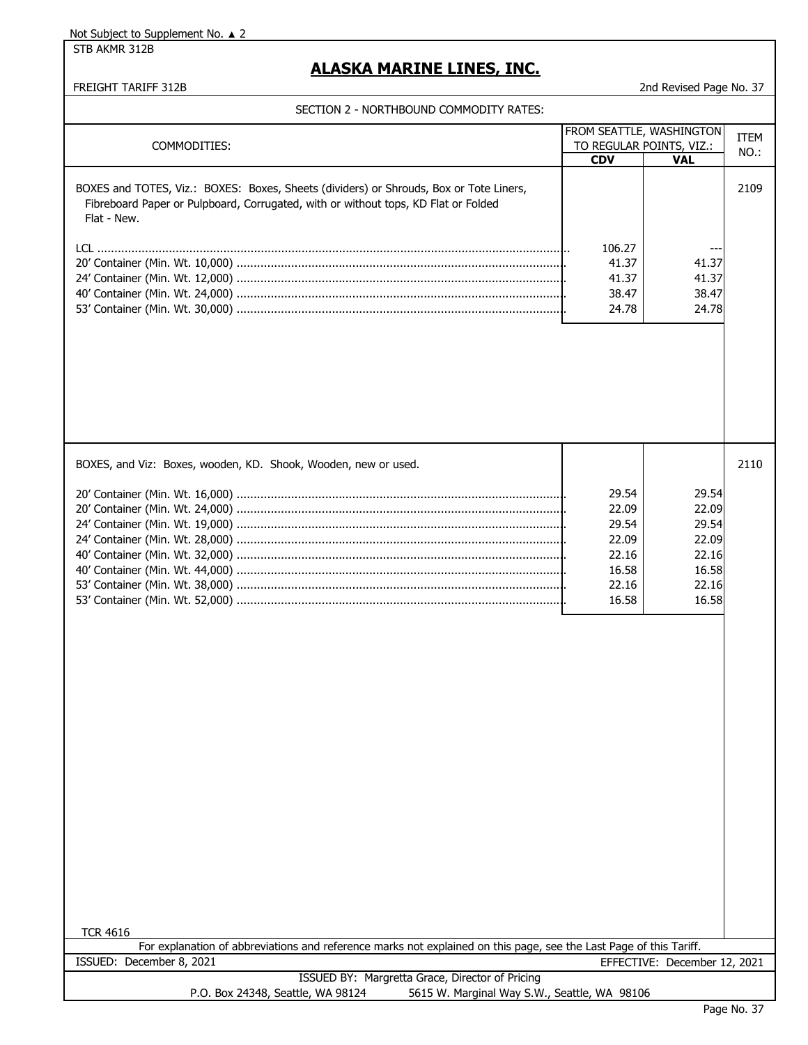STB AKMR 312B

# **ALASKA MARINE LINES, INC.**

#### FREIGHT TARIFF 312B 2nd Revised Page No. 37

### SECTION 2 - NORTHBOUND COMMODITY RATES:

| SECTION 2 - NORTHBOUND COMMODITY RATES:                                                                                                                                                     |                                            |                                                             |      |
|---------------------------------------------------------------------------------------------------------------------------------------------------------------------------------------------|--------------------------------------------|-------------------------------------------------------------|------|
| COMMODITIES:                                                                                                                                                                                |                                            | <b>FROM SEATTLE, WASHINGTON</b><br>TO REGULAR POINTS, VIZ.: |      |
|                                                                                                                                                                                             | <b>CDV</b>                                 | <b>VAL</b>                                                  | NO.: |
| BOXES and TOTES, Viz.: BOXES: Boxes, Sheets (dividers) or Shrouds, Box or Tote Liners,<br>Fibreboard Paper or Pulpboard, Corrugated, with or without tops, KD Flat or Folded<br>Flat - New. |                                            |                                                             | 2109 |
|                                                                                                                                                                                             | 106.27<br>41.37<br>41.37<br>38.47<br>24.78 | 41.37<br>41.37<br>38.47<br>24.78                            |      |
|                                                                                                                                                                                             |                                            |                                                             |      |

| BOXES, and Viz: Boxes, wooden, KD. Shook, Wooden, new or used. |       |       | 2110 |
|----------------------------------------------------------------|-------|-------|------|
|                                                                | 29.54 | 29.54 |      |
|                                                                | 22.09 | 22.09 |      |
|                                                                | 29.54 | 29.54 |      |
|                                                                | 22.09 | 22.09 |      |
|                                                                | 22.16 | 22.16 |      |
|                                                                | 16.58 | 16.58 |      |
|                                                                | 22.16 | 22.16 |      |
|                                                                | 16.58 | 16.58 |      |
|                                                                |       |       |      |

For explanation of abbreviations and reference marks not explained on this page, see the Last Page of this Tariff. ISSUED: December 8, 2021 EFFECTIVE: December 12, 2021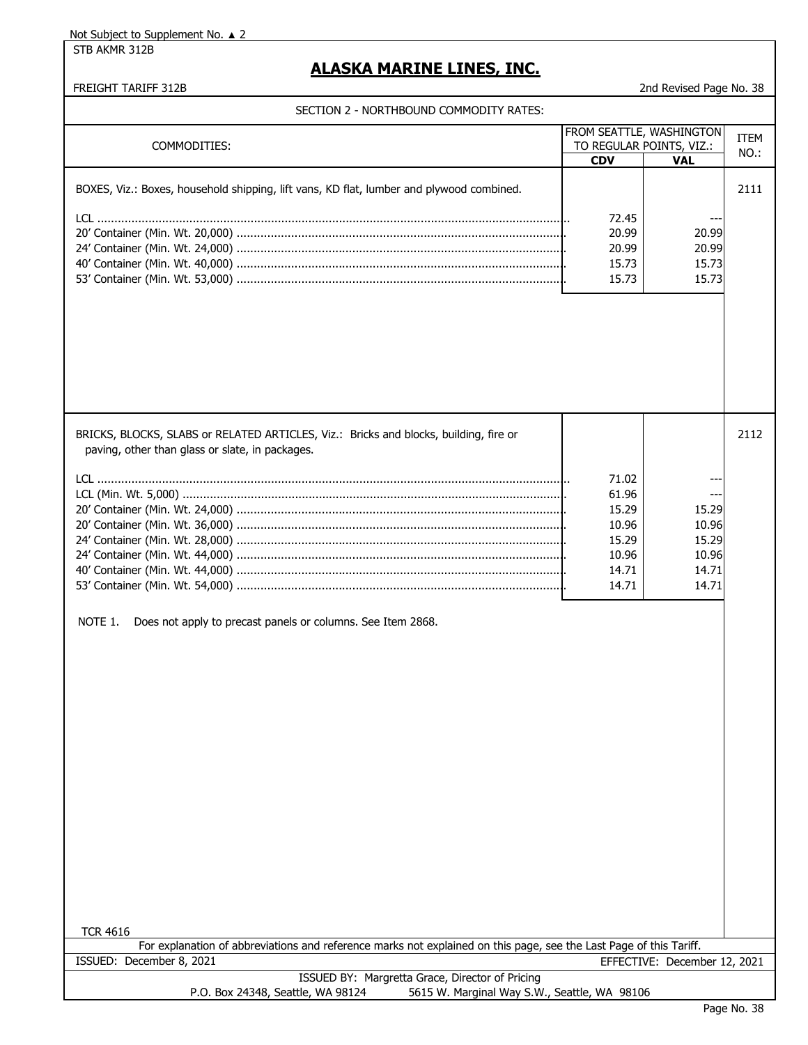STB AKMR 312B

# **ALASKA MARINE LINES, INC.**

#### FREIGHT TARIFF 312B 2nd Revised Page No. 38

| COMMODITIES:                                                                                                                             | FROM SEATTLE, WASHINGTON | TO REGULAR POINTS, VIZ.:     | ITEM |
|------------------------------------------------------------------------------------------------------------------------------------------|--------------------------|------------------------------|------|
|                                                                                                                                          | <b>CDV</b>               | <b>VAL</b>                   | NO.: |
|                                                                                                                                          |                          |                              |      |
| BOXES, Viz.: Boxes, household shipping, lift vans, KD flat, lumber and plywood combined.                                                 |                          |                              | 2111 |
|                                                                                                                                          |                          |                              |      |
|                                                                                                                                          | 72.45                    |                              |      |
|                                                                                                                                          | 20.99                    | 20.99                        |      |
|                                                                                                                                          | 20.99                    | 20.99                        |      |
|                                                                                                                                          | 15.73                    | 15.73                        |      |
|                                                                                                                                          | 15.73                    | 15.73                        |      |
|                                                                                                                                          |                          |                              |      |
|                                                                                                                                          |                          |                              |      |
| BRICKS, BLOCKS, SLABS or RELATED ARTICLES, Viz.: Bricks and blocks, building, fire or<br>paving, other than glass or slate, in packages. |                          |                              | 2112 |
|                                                                                                                                          | 71.02                    |                              |      |
|                                                                                                                                          | 61.96                    |                              |      |
|                                                                                                                                          | 15.29                    | 15.29                        |      |
|                                                                                                                                          | 10.96                    | 10.96                        |      |
|                                                                                                                                          | 15.29                    | 15.29                        |      |
|                                                                                                                                          | 10.96                    | 10.96                        |      |
|                                                                                                                                          | 14.71                    | 14.71                        |      |
|                                                                                                                                          | 14.71                    | 14.71                        |      |
| NOTE 1.<br>Does not apply to precast panels or columns. See Item 2868.<br><b>TCR 4616</b>                                                |                          |                              |      |
| For explanation of abbreviations and reference marks not explained on this page, see the Last Page of this Tariff.                       |                          |                              |      |
| ISSUED: December 8, 2021                                                                                                                 |                          | EFFECTIVE: December 12, 2021 |      |
| ISSUED BY: Margretta Grace, Director of Pricing<br>P.O. Box 24348, Seattle, WA 98124<br>5615 W. Marginal Way S.W., Seattle, WA 98106     |                          |                              |      |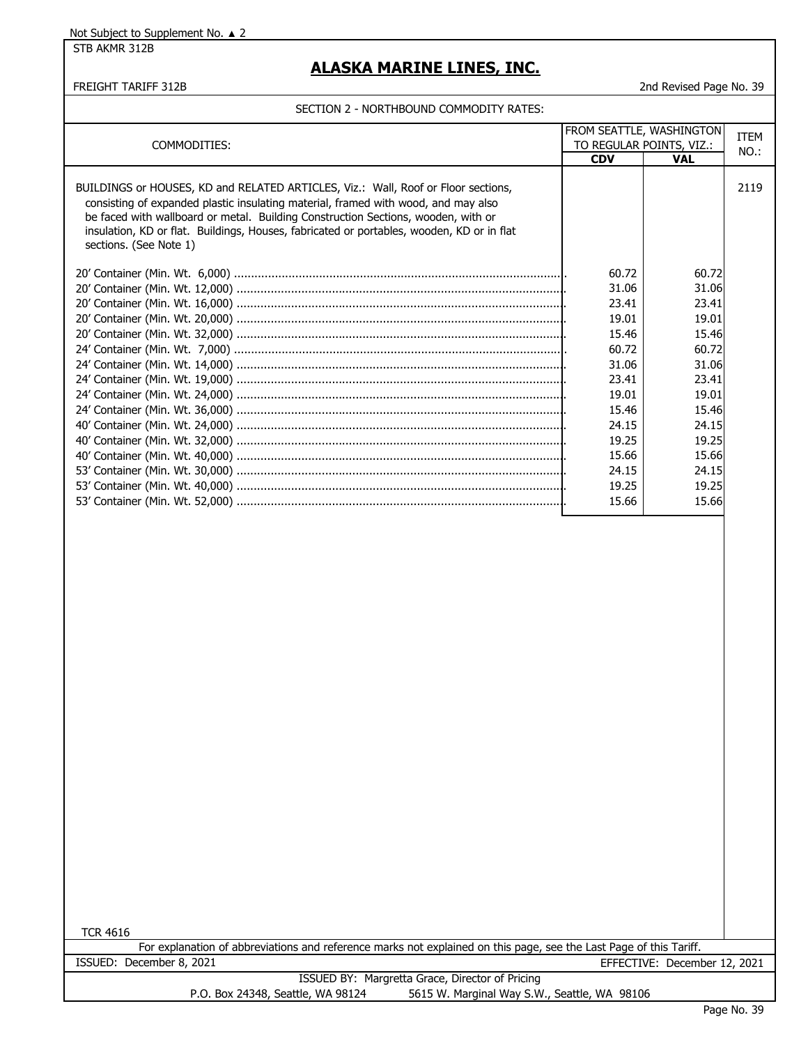STB AKMR 312B

# **ALASKA MARINE LINES, INC.**

#### FREIGHT TARIFF 312B 2nd Revised Page No. 39

|                                                                                                                                                                                                                                                                                                                                                                                     |                | FROM SEATTLE, WASHINGTON<br>TO REGULAR POINTS, VIZ.: |      |
|-------------------------------------------------------------------------------------------------------------------------------------------------------------------------------------------------------------------------------------------------------------------------------------------------------------------------------------------------------------------------------------|----------------|------------------------------------------------------|------|
| COMMODITIES:                                                                                                                                                                                                                                                                                                                                                                        |                |                                                      | NO.: |
|                                                                                                                                                                                                                                                                                                                                                                                     | <b>CDV</b>     | <b>VAL</b>                                           |      |
| BUILDINGS or HOUSES, KD and RELATED ARTICLES, Viz.: Wall, Roof or Floor sections,<br>consisting of expanded plastic insulating material, framed with wood, and may also<br>be faced with wallboard or metal. Building Construction Sections, wooden, with or<br>insulation, KD or flat. Buildings, Houses, fabricated or portables, wooden, KD or in flat<br>sections. (See Note 1) |                |                                                      | 2119 |
|                                                                                                                                                                                                                                                                                                                                                                                     |                |                                                      |      |
|                                                                                                                                                                                                                                                                                                                                                                                     | 60.72          | 60.72                                                |      |
|                                                                                                                                                                                                                                                                                                                                                                                     | 31.06          | 31.06                                                |      |
|                                                                                                                                                                                                                                                                                                                                                                                     | 23.41          | 23.41                                                |      |
|                                                                                                                                                                                                                                                                                                                                                                                     | 19.01          | 19.01                                                |      |
|                                                                                                                                                                                                                                                                                                                                                                                     | 15.46          | 15.46                                                |      |
|                                                                                                                                                                                                                                                                                                                                                                                     | 60.72          | 60.72                                                |      |
|                                                                                                                                                                                                                                                                                                                                                                                     | 31.06          | 31.06                                                |      |
|                                                                                                                                                                                                                                                                                                                                                                                     | 23.41          | 23.41                                                |      |
|                                                                                                                                                                                                                                                                                                                                                                                     | 19.01          | 19.01                                                |      |
|                                                                                                                                                                                                                                                                                                                                                                                     | 15.46          | 15.46                                                |      |
|                                                                                                                                                                                                                                                                                                                                                                                     | 24.15          | 24.15                                                |      |
|                                                                                                                                                                                                                                                                                                                                                                                     | 19.25          | 19.25                                                |      |
|                                                                                                                                                                                                                                                                                                                                                                                     | 15.66          | 15.66                                                |      |
|                                                                                                                                                                                                                                                                                                                                                                                     | 24.15<br>19.25 | 24.15<br>19.25                                       |      |
|                                                                                                                                                                                                                                                                                                                                                                                     | 15.66          | 15.66                                                |      |
|                                                                                                                                                                                                                                                                                                                                                                                     |                |                                                      |      |
|                                                                                                                                                                                                                                                                                                                                                                                     |                |                                                      |      |
|                                                                                                                                                                                                                                                                                                                                                                                     |                |                                                      |      |
|                                                                                                                                                                                                                                                                                                                                                                                     |                |                                                      |      |
|                                                                                                                                                                                                                                                                                                                                                                                     |                |                                                      |      |
|                                                                                                                                                                                                                                                                                                                                                                                     |                |                                                      |      |
|                                                                                                                                                                                                                                                                                                                                                                                     |                |                                                      |      |
|                                                                                                                                                                                                                                                                                                                                                                                     |                |                                                      |      |
|                                                                                                                                                                                                                                                                                                                                                                                     |                |                                                      |      |
|                                                                                                                                                                                                                                                                                                                                                                                     |                |                                                      |      |
|                                                                                                                                                                                                                                                                                                                                                                                     |                |                                                      |      |
|                                                                                                                                                                                                                                                                                                                                                                                     |                |                                                      |      |
|                                                                                                                                                                                                                                                                                                                                                                                     |                |                                                      |      |
|                                                                                                                                                                                                                                                                                                                                                                                     |                |                                                      |      |
|                                                                                                                                                                                                                                                                                                                                                                                     |                |                                                      |      |
|                                                                                                                                                                                                                                                                                                                                                                                     |                |                                                      |      |
|                                                                                                                                                                                                                                                                                                                                                                                     |                |                                                      |      |
|                                                                                                                                                                                                                                                                                                                                                                                     |                |                                                      |      |
|                                                                                                                                                                                                                                                                                                                                                                                     |                |                                                      |      |
|                                                                                                                                                                                                                                                                                                                                                                                     |                |                                                      |      |
|                                                                                                                                                                                                                                                                                                                                                                                     |                |                                                      |      |
|                                                                                                                                                                                                                                                                                                                                                                                     |                |                                                      |      |
|                                                                                                                                                                                                                                                                                                                                                                                     |                |                                                      |      |
|                                                                                                                                                                                                                                                                                                                                                                                     |                |                                                      |      |
|                                                                                                                                                                                                                                                                                                                                                                                     |                |                                                      |      |
|                                                                                                                                                                                                                                                                                                                                                                                     |                |                                                      |      |
|                                                                                                                                                                                                                                                                                                                                                                                     |                |                                                      |      |
| <b>TCR 4616</b>                                                                                                                                                                                                                                                                                                                                                                     |                |                                                      |      |
| For explanation of abbreviations and reference marks not explained on this page, see the Last Page of this Tariff.                                                                                                                                                                                                                                                                  |                |                                                      |      |
| ISSUED: December 8, 2021                                                                                                                                                                                                                                                                                                                                                            |                | EFFECTIVE: December 12, 2021                         |      |
| ISSUED BY: Margretta Grace, Director of Pricing                                                                                                                                                                                                                                                                                                                                     |                |                                                      |      |
| 5615 W. Marginal Way S.W., Seattle, WA 98106<br>P.O. Box 24348, Seattle, WA 98124                                                                                                                                                                                                                                                                                                   |                |                                                      |      |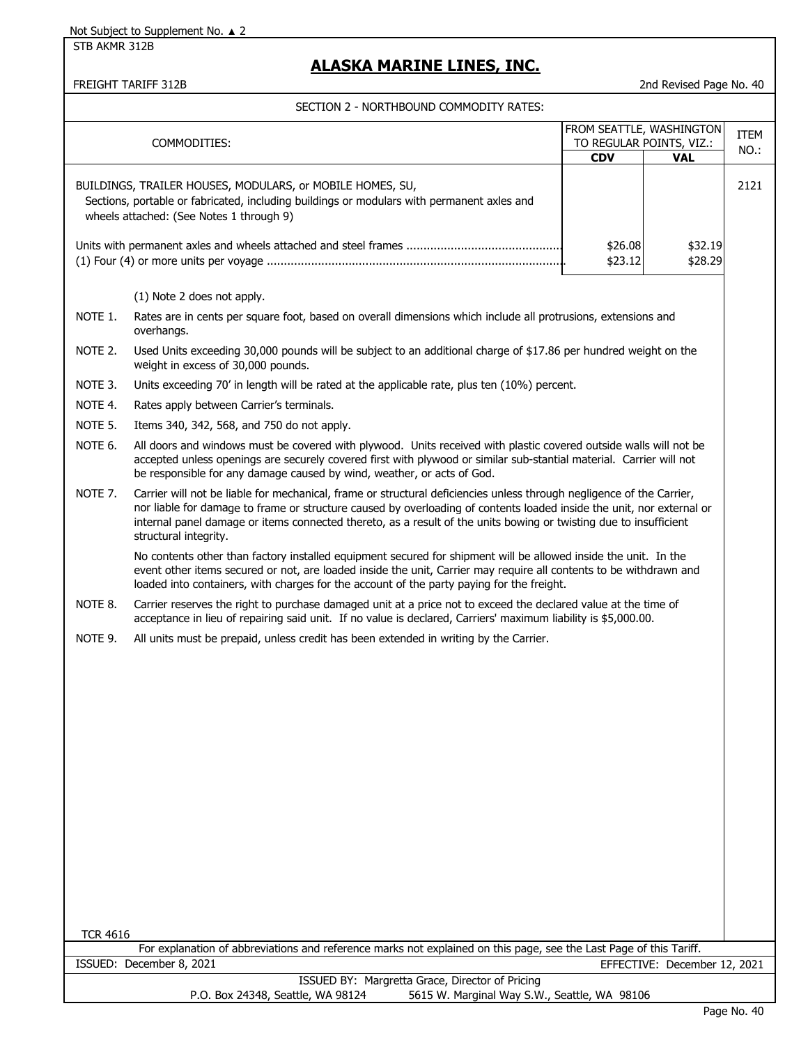STB AKMR 312B

### **ALASKA MARINE LINES, INC.**

FREIGHT TARIFF 312B 2nd Revised Page No. 40

|                 | COMMODITIES:                                                                                                                                                                                                                                                                                                                                                                                 | <b>CDV</b>         | FROM SEATTLE, WASHINGTON<br>TO REGULAR POINTS, VIZ.:<br><b>VAL</b> | <b>ITEM</b><br>NO.: |
|-----------------|----------------------------------------------------------------------------------------------------------------------------------------------------------------------------------------------------------------------------------------------------------------------------------------------------------------------------------------------------------------------------------------------|--------------------|--------------------------------------------------------------------|---------------------|
|                 | BUILDINGS, TRAILER HOUSES, MODULARS, or MOBILE HOMES, SU,<br>Sections, portable or fabricated, including buildings or modulars with permanent axles and<br>wheels attached: (See Notes 1 through 9)                                                                                                                                                                                          |                    |                                                                    | 2121                |
|                 |                                                                                                                                                                                                                                                                                                                                                                                              | \$26.08<br>\$23.12 | \$32.19<br>\$28.29                                                 |                     |
|                 | (1) Note 2 does not apply.                                                                                                                                                                                                                                                                                                                                                                   |                    |                                                                    |                     |
| NOTE 1.         | Rates are in cents per square foot, based on overall dimensions which include all protrusions, extensions and<br>overhangs.                                                                                                                                                                                                                                                                  |                    |                                                                    |                     |
| NOTE 2.         | Used Units exceeding 30,000 pounds will be subject to an additional charge of \$17.86 per hundred weight on the<br>weight in excess of 30,000 pounds.                                                                                                                                                                                                                                        |                    |                                                                    |                     |
| NOTE 3.         | Units exceeding 70' in length will be rated at the applicable rate, plus ten (10%) percent.                                                                                                                                                                                                                                                                                                  |                    |                                                                    |                     |
| NOTE 4.         | Rates apply between Carrier's terminals.                                                                                                                                                                                                                                                                                                                                                     |                    |                                                                    |                     |
| NOTE 5.         | Items 340, 342, 568, and 750 do not apply.                                                                                                                                                                                                                                                                                                                                                   |                    |                                                                    |                     |
| NOTE 6.         | All doors and windows must be covered with plywood. Units received with plastic covered outside walls will not be<br>accepted unless openings are securely covered first with plywood or similar sub-stantial material. Carrier will not<br>be responsible for any damage caused by wind, weather, or acts of God.                                                                           |                    |                                                                    |                     |
| NOTE 7.         | Carrier will not be liable for mechanical, frame or structural deficiencies unless through negligence of the Carrier,<br>nor liable for damage to frame or structure caused by overloading of contents loaded inside the unit, nor external or<br>internal panel damage or items connected thereto, as a result of the units bowing or twisting due to insufficient<br>structural integrity. |                    |                                                                    |                     |
|                 | No contents other than factory installed equipment secured for shipment will be allowed inside the unit. In the<br>event other items secured or not, are loaded inside the unit, Carrier may require all contents to be withdrawn and<br>loaded into containers, with charges for the account of the party paying for the freight.                                                           |                    |                                                                    |                     |
| NOTE 8.         | Carrier reserves the right to purchase damaged unit at a price not to exceed the declared value at the time of<br>acceptance in lieu of repairing said unit. If no value is declared, Carriers' maximum liability is \$5,000.00.                                                                                                                                                             |                    |                                                                    |                     |
| NOTE 9.         | All units must be prepaid, unless credit has been extended in writing by the Carrier.                                                                                                                                                                                                                                                                                                        |                    |                                                                    |                     |
|                 |                                                                                                                                                                                                                                                                                                                                                                                              |                    |                                                                    |                     |
|                 |                                                                                                                                                                                                                                                                                                                                                                                              |                    |                                                                    |                     |
|                 |                                                                                                                                                                                                                                                                                                                                                                                              |                    |                                                                    |                     |
|                 |                                                                                                                                                                                                                                                                                                                                                                                              |                    |                                                                    |                     |
|                 |                                                                                                                                                                                                                                                                                                                                                                                              |                    |                                                                    |                     |
|                 |                                                                                                                                                                                                                                                                                                                                                                                              |                    |                                                                    |                     |
| <b>TCR 4616</b> |                                                                                                                                                                                                                                                                                                                                                                                              |                    |                                                                    |                     |
|                 | For explanation of abbreviations and reference marks not explained on this page, see the Last Page of this Tariff.                                                                                                                                                                                                                                                                           |                    |                                                                    |                     |
|                 | ISSUED: December 8, 2021<br>ISSUED BY: Margretta Grace, Director of Pricing                                                                                                                                                                                                                                                                                                                  |                    | EFFECTIVE: December 12, 2021                                       |                     |
|                 | 5615 W. Marginal Way S.W., Seattle, WA 98106<br>P.O. Box 24348, Seattle, WA 98124                                                                                                                                                                                                                                                                                                            |                    |                                                                    |                     |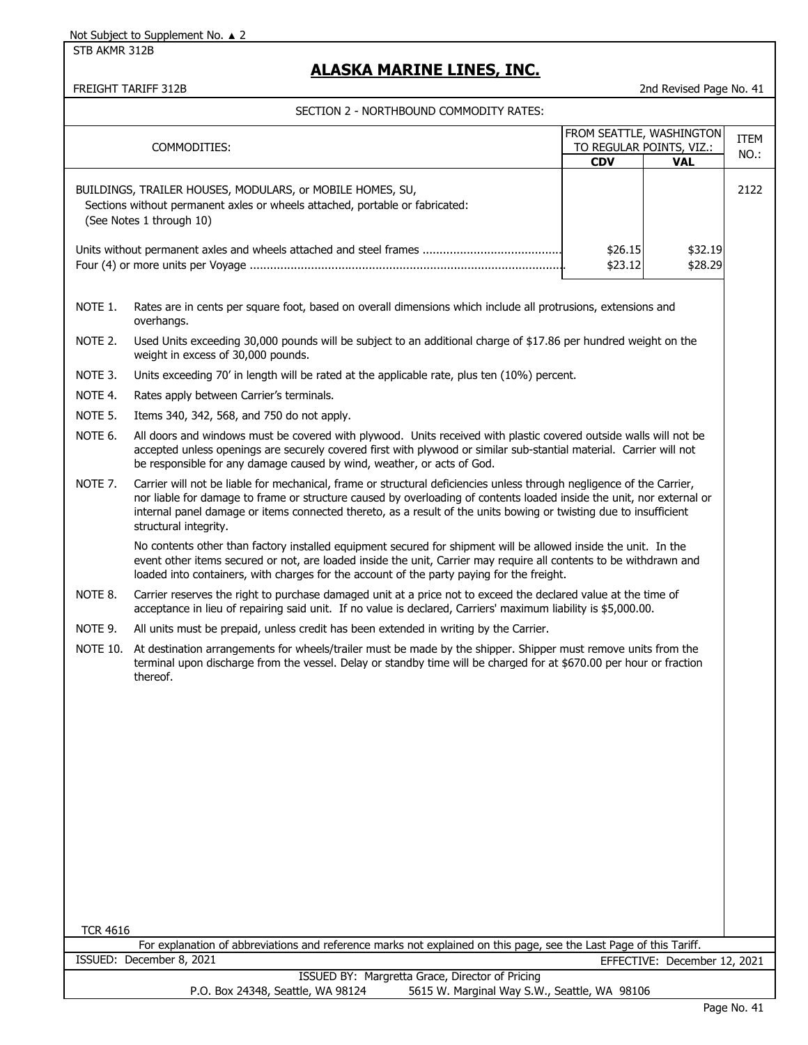STB AKMR 312B

# **ALASKA MARINE LINES, INC.**

FREIGHT TARIFF 312B 2nd Revised Page No. 41

|                                                                                                                                       |                                                                                                                                                                                                                                                                                                                                                                                              |                    | FROM SEATTLE, WASHINGTON     |      |
|---------------------------------------------------------------------------------------------------------------------------------------|----------------------------------------------------------------------------------------------------------------------------------------------------------------------------------------------------------------------------------------------------------------------------------------------------------------------------------------------------------------------------------------------|--------------------|------------------------------|------|
|                                                                                                                                       | COMMODITIES:                                                                                                                                                                                                                                                                                                                                                                                 |                    | TO REGULAR POINTS, VIZ.:     | ITEM |
|                                                                                                                                       |                                                                                                                                                                                                                                                                                                                                                                                              | <b>CDV</b>         | <b>VAL</b>                   | NO.: |
|                                                                                                                                       | BUILDINGS, TRAILER HOUSES, MODULARS, or MOBILE HOMES, SU,<br>Sections without permanent axles or wheels attached, portable or fabricated:<br>(See Notes 1 through 10)                                                                                                                                                                                                                        |                    |                              | 2122 |
|                                                                                                                                       |                                                                                                                                                                                                                                                                                                                                                                                              | \$26.15<br>\$23.12 | \$32.19<br>\$28.29           |      |
| NOTE 1.                                                                                                                               | Rates are in cents per square foot, based on overall dimensions which include all protrusions, extensions and<br>overhangs.                                                                                                                                                                                                                                                                  |                    |                              |      |
| NOTE 2.                                                                                                                               | Used Units exceeding 30,000 pounds will be subject to an additional charge of \$17.86 per hundred weight on the<br>weight in excess of 30,000 pounds.                                                                                                                                                                                                                                        |                    |                              |      |
| NOTE 3.                                                                                                                               | Units exceeding 70' in length will be rated at the applicable rate, plus ten (10%) percent.                                                                                                                                                                                                                                                                                                  |                    |                              |      |
| NOTE 4.                                                                                                                               | Rates apply between Carrier's terminals.                                                                                                                                                                                                                                                                                                                                                     |                    |                              |      |
| NOTE 5.                                                                                                                               | Items 340, 342, 568, and 750 do not apply.                                                                                                                                                                                                                                                                                                                                                   |                    |                              |      |
| NOTE 6.                                                                                                                               | All doors and windows must be covered with plywood. Units received with plastic covered outside walls will not be<br>accepted unless openings are securely covered first with plywood or similar sub-stantial material. Carrier will not<br>be responsible for any damage caused by wind, weather, or acts of God.                                                                           |                    |                              |      |
| NOTE 7.                                                                                                                               | Carrier will not be liable for mechanical, frame or structural deficiencies unless through negligence of the Carrier,<br>nor liable for damage to frame or structure caused by overloading of contents loaded inside the unit, nor external or<br>internal panel damage or items connected thereto, as a result of the units bowing or twisting due to insufficient<br>structural integrity. |                    |                              |      |
|                                                                                                                                       | No contents other than factory installed equipment secured for shipment will be allowed inside the unit. In the<br>event other items secured or not, are loaded inside the unit, Carrier may require all contents to be withdrawn and<br>loaded into containers, with charges for the account of the party paying for the freight.                                                           |                    |                              |      |
| NOTE 8.                                                                                                                               | Carrier reserves the right to purchase damaged unit at a price not to exceed the declared value at the time of<br>acceptance in lieu of repairing said unit. If no value is declared, Carriers' maximum liability is \$5,000.00.                                                                                                                                                             |                    |                              |      |
| NOTE 9.                                                                                                                               | All units must be prepaid, unless credit has been extended in writing by the Carrier.                                                                                                                                                                                                                                                                                                        |                    |                              |      |
|                                                                                                                                       | NOTE 10. At destination arrangements for wheels/trailer must be made by the shipper. Shipper must remove units from the<br>terminal upon discharge from the vessel. Delay or standby time will be charged for at \$670.00 per hour or fraction<br>thereof.                                                                                                                                   |                    |                              |      |
|                                                                                                                                       |                                                                                                                                                                                                                                                                                                                                                                                              |                    |                              |      |
|                                                                                                                                       |                                                                                                                                                                                                                                                                                                                                                                                              |                    |                              |      |
|                                                                                                                                       |                                                                                                                                                                                                                                                                                                                                                                                              |                    |                              |      |
|                                                                                                                                       |                                                                                                                                                                                                                                                                                                                                                                                              |                    |                              |      |
|                                                                                                                                       |                                                                                                                                                                                                                                                                                                                                                                                              |                    |                              |      |
|                                                                                                                                       |                                                                                                                                                                                                                                                                                                                                                                                              |                    |                              |      |
| <b>TCR 4616</b><br>For explanation of abbreviations and reference marks not explained on this page, see the Last Page of this Tariff. |                                                                                                                                                                                                                                                                                                                                                                                              |                    |                              |      |
|                                                                                                                                       | ISSUED: December 8, 2021                                                                                                                                                                                                                                                                                                                                                                     |                    | EFFECTIVE: December 12, 2021 |      |
|                                                                                                                                       | ISSUED BY: Margretta Grace, Director of Pricing                                                                                                                                                                                                                                                                                                                                              |                    |                              |      |
|                                                                                                                                       | 5615 W. Marginal Way S.W., Seattle, WA 98106<br>P.O. Box 24348, Seattle, WA 98124                                                                                                                                                                                                                                                                                                            |                    |                              |      |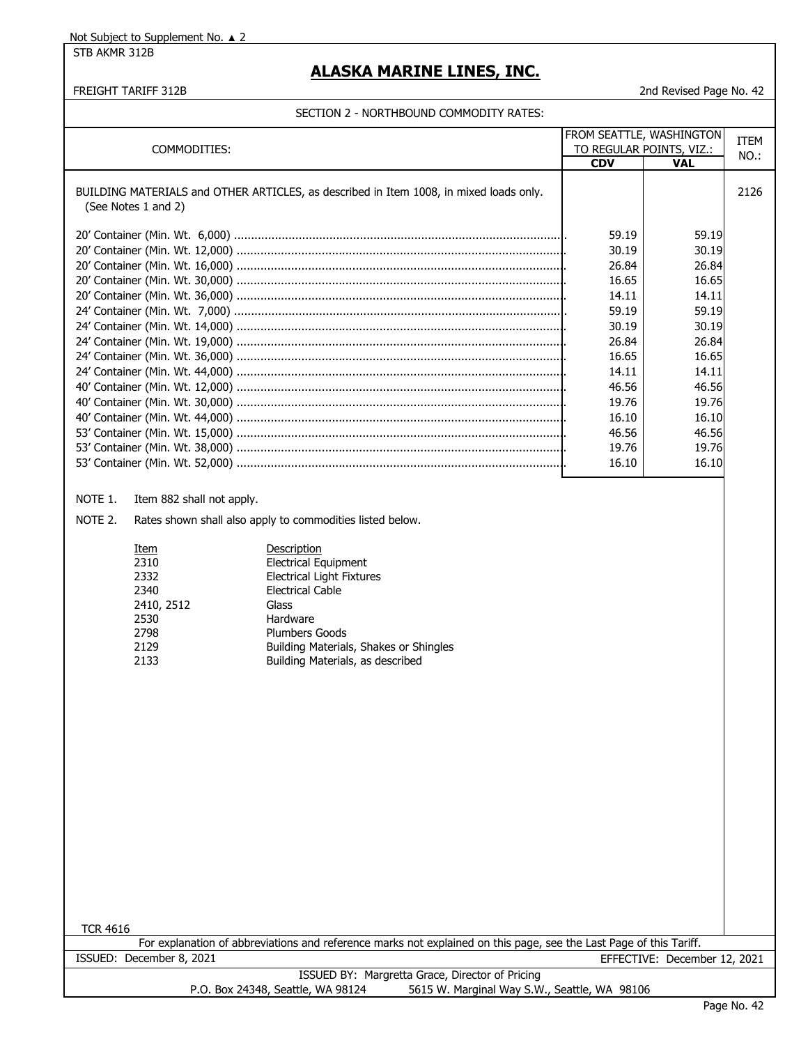STB AKMR 312B

# **ALASKA MARINE LINES, INC.**

FREIGHT TARIFF 312B 2nd Revised Page No. 42

|                                                                                                                    |            | FROM SEATTLE, WASHINGTON<br>TO REGULAR POINTS, VIZ.: |      |
|--------------------------------------------------------------------------------------------------------------------|------------|------------------------------------------------------|------|
| COMMODITIES:                                                                                                       | <b>CDV</b> | <b>VAL</b>                                           | NO.: |
|                                                                                                                    |            |                                                      |      |
| BUILDING MATERIALS and OTHER ARTICLES, as described in Item 1008, in mixed loads only.                             |            |                                                      | 2126 |
| (See Notes 1 and 2)                                                                                                |            |                                                      |      |
|                                                                                                                    | 59.19      | 59.19                                                |      |
|                                                                                                                    | 30.19      | 30.19                                                |      |
|                                                                                                                    | 26.84      | 26.84                                                |      |
|                                                                                                                    | 16.65      | 16.65                                                |      |
|                                                                                                                    | 14.11      | 14.11                                                |      |
|                                                                                                                    | 59.19      | 59.19                                                |      |
|                                                                                                                    | 30.19      | 30.19                                                |      |
|                                                                                                                    | 26.84      | 26.84                                                |      |
|                                                                                                                    | 16.65      | 16.65                                                |      |
|                                                                                                                    | 14.11      | 14.11                                                |      |
|                                                                                                                    | 46.56      | 46.56                                                |      |
|                                                                                                                    | 19.76      | 19.76                                                |      |
|                                                                                                                    | 16.10      | 16.10                                                |      |
|                                                                                                                    | 46.56      | 46.56                                                |      |
|                                                                                                                    | 19.76      | 19.76                                                |      |
|                                                                                                                    | 16.10      | 16.10                                                |      |
|                                                                                                                    |            |                                                      |      |
| NOTE 1.<br>Item 882 shall not apply.                                                                               |            |                                                      |      |
| NOTE 2.<br>Rates shown shall also apply to commodities listed below.                                               |            |                                                      |      |
|                                                                                                                    |            |                                                      |      |
| Description<br>Item                                                                                                |            |                                                      |      |
| <b>Electrical Equipment</b><br>2310                                                                                |            |                                                      |      |
| 2332<br><b>Electrical Light Fixtures</b>                                                                           |            |                                                      |      |
| 2340<br><b>Electrical Cable</b><br>2410, 2512<br>Glass                                                             |            |                                                      |      |
| 2530<br>Hardware                                                                                                   |            |                                                      |      |
| 2798<br><b>Plumbers Goods</b>                                                                                      |            |                                                      |      |
| 2129<br>Building Materials, Shakes or Shingles                                                                     |            |                                                      |      |
| 2133<br>Building Materials, as described                                                                           |            |                                                      |      |
|                                                                                                                    |            |                                                      |      |
|                                                                                                                    |            |                                                      |      |
|                                                                                                                    |            |                                                      |      |
|                                                                                                                    |            |                                                      |      |
|                                                                                                                    |            |                                                      |      |
|                                                                                                                    |            |                                                      |      |
|                                                                                                                    |            |                                                      |      |
|                                                                                                                    |            |                                                      |      |
|                                                                                                                    |            |                                                      |      |
|                                                                                                                    |            |                                                      |      |
|                                                                                                                    |            |                                                      |      |
|                                                                                                                    |            |                                                      |      |
|                                                                                                                    |            |                                                      |      |
|                                                                                                                    |            |                                                      |      |
|                                                                                                                    |            |                                                      |      |
|                                                                                                                    |            |                                                      |      |
| <b>TCR 4616</b>                                                                                                    |            |                                                      |      |
| For explanation of abbreviations and reference marks not explained on this page, see the Last Page of this Tariff. |            |                                                      |      |
| ISSUED: December 8, 2021                                                                                           |            | EFFECTIVE: December 12, 2021                         |      |
| ISSUED BY: Margretta Grace, Director of Pricing                                                                    |            |                                                      |      |
| P.O. Box 24348, Seattle, WA 98124<br>5615 W. Marginal Way S.W., Seattle, WA 98106                                  |            | Dogo No                                              |      |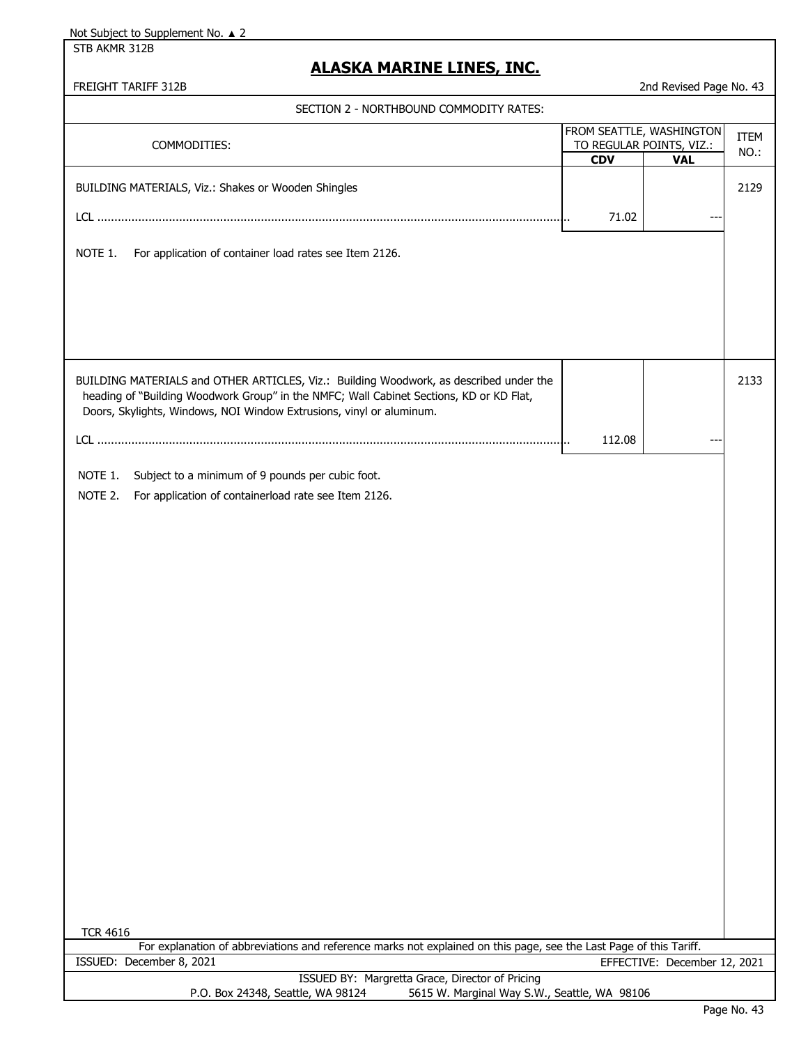STB AKMR 312B

### **ALASKA MARINE LINES, INC.**

| SECTION 2 - NORTHBOUND COMMODITY RATES:                                                                                                                                                                                                                   |        |                                                                    |                     |
|-----------------------------------------------------------------------------------------------------------------------------------------------------------------------------------------------------------------------------------------------------------|--------|--------------------------------------------------------------------|---------------------|
| COMMODITIES:                                                                                                                                                                                                                                              | CDV    | FROM SEATTLE, WASHINGTON<br>TO REGULAR POINTS, VIZ.:<br><b>VAL</b> | <b>ITEM</b><br>NO.: |
| BUILDING MATERIALS, Viz.: Shakes or Wooden Shingles                                                                                                                                                                                                       | 71.02  |                                                                    | 2129                |
| NOTE 1.<br>For application of container load rates see Item 2126.                                                                                                                                                                                         |        |                                                                    |                     |
|                                                                                                                                                                                                                                                           |        |                                                                    |                     |
| BUILDING MATERIALS and OTHER ARTICLES, Viz.: Building Woodwork, as described under the<br>heading of "Building Woodwork Group" in the NMFC; Wall Cabinet Sections, KD or KD Flat,<br>Doors, Skylights, Windows, NOI Window Extrusions, vinyl or aluminum. |        |                                                                    | 2133                |
|                                                                                                                                                                                                                                                           | 112.08 |                                                                    |                     |
| Subject to a minimum of 9 pounds per cubic foot.<br>NOTE 1.<br>For application of containerload rate see Item 2126.<br>NOTE 2.                                                                                                                            |        |                                                                    |                     |
|                                                                                                                                                                                                                                                           |        |                                                                    |                     |
|                                                                                                                                                                                                                                                           |        |                                                                    |                     |
|                                                                                                                                                                                                                                                           |        |                                                                    |                     |
| <b>TCR 4616</b>                                                                                                                                                                                                                                           |        |                                                                    |                     |
| For explanation of abbreviations and reference marks not explained on this page, see the Last Page of this Tariff.<br>ISSUED: December 8, 2021                                                                                                            |        | EFFECTIVE: December 12, 2021                                       |                     |
| ISSUED BY: Margretta Grace, Director of Pricing<br>5615 W. Marginal Way S.W., Seattle, WA 98106<br>P.O. Box 24348, Seattle, WA 98124                                                                                                                      |        |                                                                    |                     |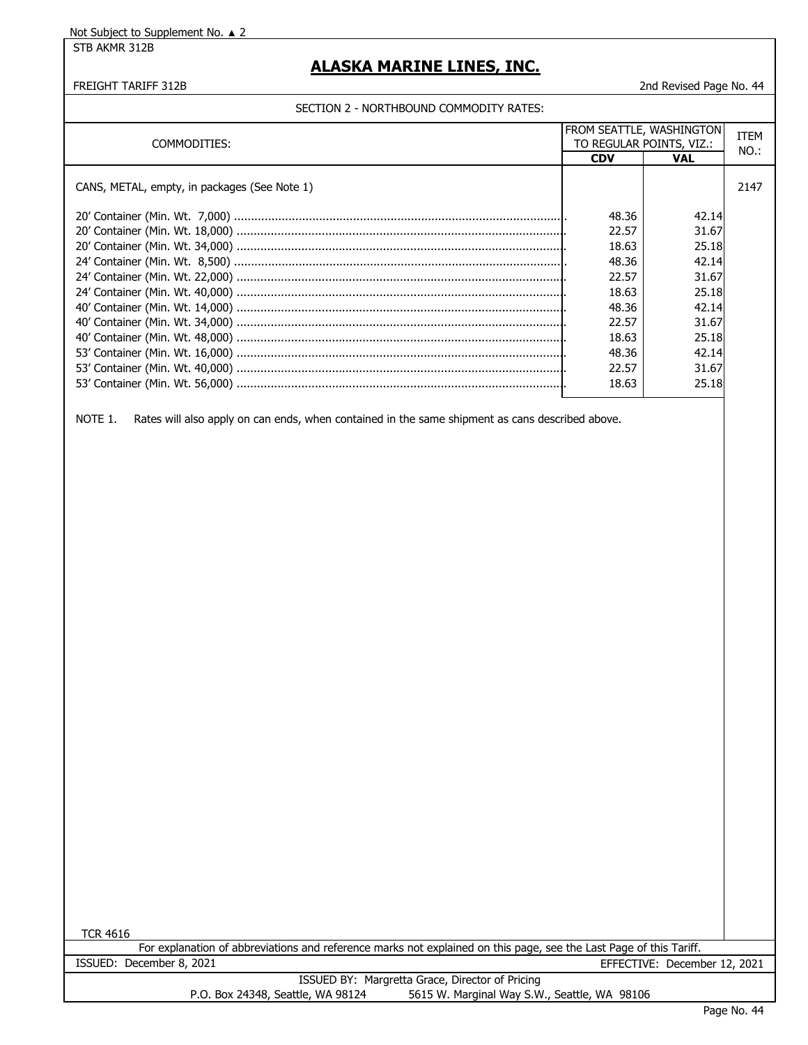STB AKMR 312B

### **ALASKA MARINE LINES, INC.**

#### FREIGHT TARIFF 312B 2nd Revised Page No. 44

#### SECTION 2 - NORTHBOUND COMMODITY RATES:

| COMMODITIES:                                 | FROM SEATTLE, WASHINGTON | TO REGULAR POINTS, VIZ.: | <b>ITEM</b><br>NO.: |
|----------------------------------------------|--------------------------|--------------------------|---------------------|
|                                              | <b>CDV</b>               | <b>VAL</b>               |                     |
| CANS, METAL, empty, in packages (See Note 1) |                          |                          | 2147                |
|                                              | 48.36                    | 42.14                    |                     |
|                                              | 22.57                    | 31.67                    |                     |
|                                              | 18.63                    | 25.18                    |                     |
|                                              | 48.36                    | 42.14                    |                     |
|                                              | 22.57                    | 31.67                    |                     |
|                                              | 18.63                    | 25.18                    |                     |
|                                              | 48.36                    | 42.14                    |                     |
|                                              | 22.57                    | 31.67                    |                     |
|                                              | 18.63                    | 25.18                    |                     |
|                                              | 48.36                    | 42.14                    |                     |
|                                              | 22.57                    | 31.67                    |                     |
|                                              | 18.63                    | 25.18                    |                     |

NOTE 1. Rates will also apply on can ends, when contained in the same shipment as cans described above.

TCR 4616

|                          | For explanation of abbreviations and reference marks not explained on this page, see the Last Page of this Tariff. |                              |  |
|--------------------------|--------------------------------------------------------------------------------------------------------------------|------------------------------|--|
| ISSUED: December 8, 2021 |                                                                                                                    | EFFECTIVE: December 12, 2021 |  |

ISSUED BY: Margretta Grace, Director of Pricing<br>P.O. Box 24348, Seattle, WA 98124 5615 W. Marginal Way S.W 5615 W. Marginal Way S.W., Seattle, WA 98106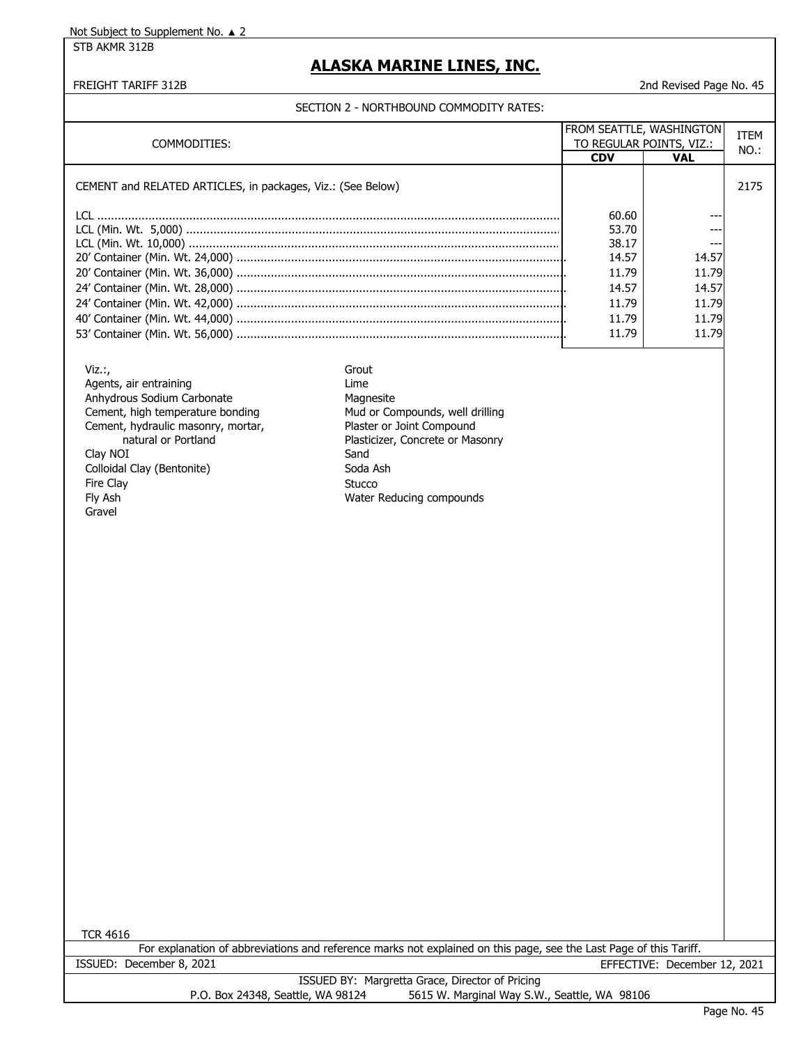STB AKMR 312B

### **ALASKA MARINE LINES, INC.**

FREIGHT TARIFF 312B 2nd Revised Page No. 45

| COMMODITIES:                                                                                                                                                                                                                                  |                                                                                                                                                                                                 | FROM SEATTLE, WASHINGTON<br>TO REGULAR POINTS, VIZ.: |                              | <b>ITEM</b><br>NO.: |
|-----------------------------------------------------------------------------------------------------------------------------------------------------------------------------------------------------------------------------------------------|-------------------------------------------------------------------------------------------------------------------------------------------------------------------------------------------------|------------------------------------------------------|------------------------------|---------------------|
|                                                                                                                                                                                                                                               |                                                                                                                                                                                                 | <b>CDV</b>                                           | <b>VAL</b>                   |                     |
| CEMENT and RELATED ARTICLES, in packages, Viz.: (See Below)                                                                                                                                                                                   |                                                                                                                                                                                                 |                                                      |                              | 2175                |
|                                                                                                                                                                                                                                               |                                                                                                                                                                                                 | 60.60                                                |                              |                     |
|                                                                                                                                                                                                                                               |                                                                                                                                                                                                 | 53.70<br>38.17                                       |                              |                     |
|                                                                                                                                                                                                                                               |                                                                                                                                                                                                 | 14.57                                                | 14.57                        |                     |
|                                                                                                                                                                                                                                               |                                                                                                                                                                                                 | 11.79                                                | 11.79                        |                     |
|                                                                                                                                                                                                                                               |                                                                                                                                                                                                 | 14.57                                                | 14.57                        |                     |
|                                                                                                                                                                                                                                               |                                                                                                                                                                                                 | 11.79                                                | 11.79                        |                     |
|                                                                                                                                                                                                                                               |                                                                                                                                                                                                 | 11.79                                                | 11.79                        |                     |
|                                                                                                                                                                                                                                               |                                                                                                                                                                                                 | 11.79                                                | 11.79                        |                     |
|                                                                                                                                                                                                                                               |                                                                                                                                                                                                 |                                                      |                              |                     |
| $Viz.$ ;<br>Agents, air entraining<br>Anhydrous Sodium Carbonate<br>Cement, high temperature bonding<br>Cement, hydraulic masonry, mortar,<br>natural or Portland<br>Clay NOI<br>Colloidal Clay (Bentonite)<br>Fire Clay<br>Fly Ash<br>Gravel | Grout<br>Lime<br>Magnesite<br>Mud or Compounds, well drilling<br>Plaster or Joint Compound<br>Plasticizer, Concrete or Masonry<br>Sand<br>Soda Ash<br><b>Stucco</b><br>Water Reducing compounds |                                                      |                              |                     |
|                                                                                                                                                                                                                                               |                                                                                                                                                                                                 |                                                      |                              |                     |
|                                                                                                                                                                                                                                               |                                                                                                                                                                                                 |                                                      |                              |                     |
| <b>TCR 4616</b>                                                                                                                                                                                                                               |                                                                                                                                                                                                 |                                                      |                              |                     |
|                                                                                                                                                                                                                                               | For explanation of abbreviations and reference marks not explained on this page, see the Last Page of this Tariff.                                                                              |                                                      |                              |                     |
| ISSUED: December 8, 2021                                                                                                                                                                                                                      |                                                                                                                                                                                                 |                                                      | EFFECTIVE: December 12, 2021 |                     |
| P.O. Box 24348, Seattle, WA 98124                                                                                                                                                                                                             | ISSUED BY: Margretta Grace, Director of Pricing<br>5615 W. Marginal Way S.W., Seattle, WA 98106                                                                                                 |                                                      |                              |                     |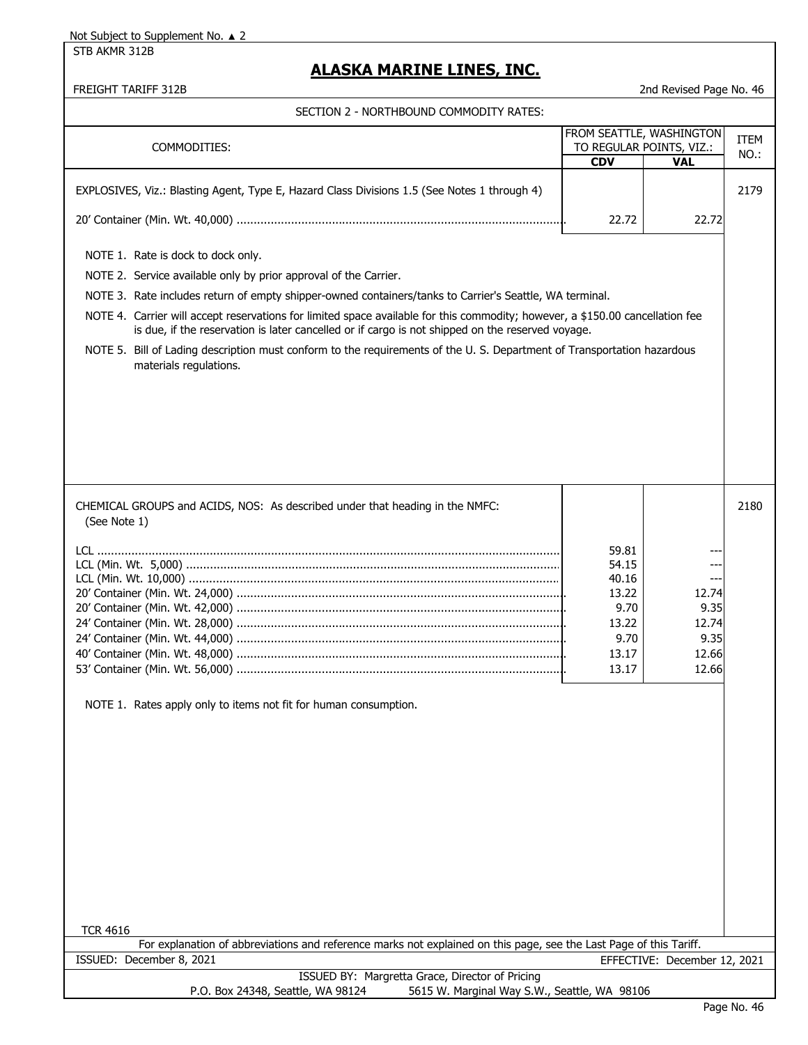STB AKMR 312B

# **ALASKA MARINE LINES, INC.**

| SECTION 2 - NORTHBOUND COMMODITY RATES:                                                                                                                                                                                                                                                                                                                                                                                                                                                                                                                                                                    |                                                                             |                                                  |             |
|------------------------------------------------------------------------------------------------------------------------------------------------------------------------------------------------------------------------------------------------------------------------------------------------------------------------------------------------------------------------------------------------------------------------------------------------------------------------------------------------------------------------------------------------------------------------------------------------------------|-----------------------------------------------------------------------------|--------------------------------------------------|-------------|
|                                                                                                                                                                                                                                                                                                                                                                                                                                                                                                                                                                                                            | FROM SEATTLE, WASHINGTON                                                    |                                                  |             |
| COMMODITIES:                                                                                                                                                                                                                                                                                                                                                                                                                                                                                                                                                                                               |                                                                             | TO REGULAR POINTS, VIZ.:                         | <b>ITEM</b> |
|                                                                                                                                                                                                                                                                                                                                                                                                                                                                                                                                                                                                            | <b>CDV</b>                                                                  | <b>VAL</b>                                       | NO.:        |
| EXPLOSIVES, Viz.: Blasting Agent, Type E, Hazard Class Divisions 1.5 (See Notes 1 through 4)                                                                                                                                                                                                                                                                                                                                                                                                                                                                                                               |                                                                             |                                                  | 2179        |
|                                                                                                                                                                                                                                                                                                                                                                                                                                                                                                                                                                                                            | 22.72                                                                       | 22.72                                            |             |
| NOTE 1. Rate is dock to dock only.<br>NOTE 2. Service available only by prior approval of the Carrier.<br>NOTE 3. Rate includes return of empty shipper-owned containers/tanks to Carrier's Seattle, WA terminal.<br>NOTE 4. Carrier will accept reservations for limited space available for this commodity; however, a \$150.00 cancellation fee<br>is due, if the reservation is later cancelled or if cargo is not shipped on the reserved voyage.<br>NOTE 5. Bill of Lading description must conform to the requirements of the U.S. Department of Transportation hazardous<br>materials regulations. |                                                                             |                                                  |             |
|                                                                                                                                                                                                                                                                                                                                                                                                                                                                                                                                                                                                            |                                                                             |                                                  |             |
| CHEMICAL GROUPS and ACIDS, NOS: As described under that heading in the NMFC:<br>(See Note 1)                                                                                                                                                                                                                                                                                                                                                                                                                                                                                                               |                                                                             |                                                  | 2180        |
|                                                                                                                                                                                                                                                                                                                                                                                                                                                                                                                                                                                                            |                                                                             |                                                  |             |
| NOTE 1. Rates apply only to items not fit for human consumption.                                                                                                                                                                                                                                                                                                                                                                                                                                                                                                                                           | 59.81<br>54.15<br>40.16<br>13.22<br>9.70<br>13.22<br>9.70<br>13.17<br>13.17 | 12.74<br>9.35<br>12.74<br>9.35<br>12.66<br>12.66 |             |
| <b>TCR 4616</b><br>For explanation of abbreviations and reference marks not explained on this page, see the Last Page of this Tariff.                                                                                                                                                                                                                                                                                                                                                                                                                                                                      |                                                                             |                                                  |             |
| ISSUED: December 8, 2021                                                                                                                                                                                                                                                                                                                                                                                                                                                                                                                                                                                   |                                                                             | EFFECTIVE: December 12, 2021                     |             |
| ISSUED BY: Margretta Grace, Director of Pricing<br>P.O. Box 24348, Seattle, WA 98124<br>5615 W. Marginal Way S.W., Seattle, WA 98106                                                                                                                                                                                                                                                                                                                                                                                                                                                                       |                                                                             |                                                  |             |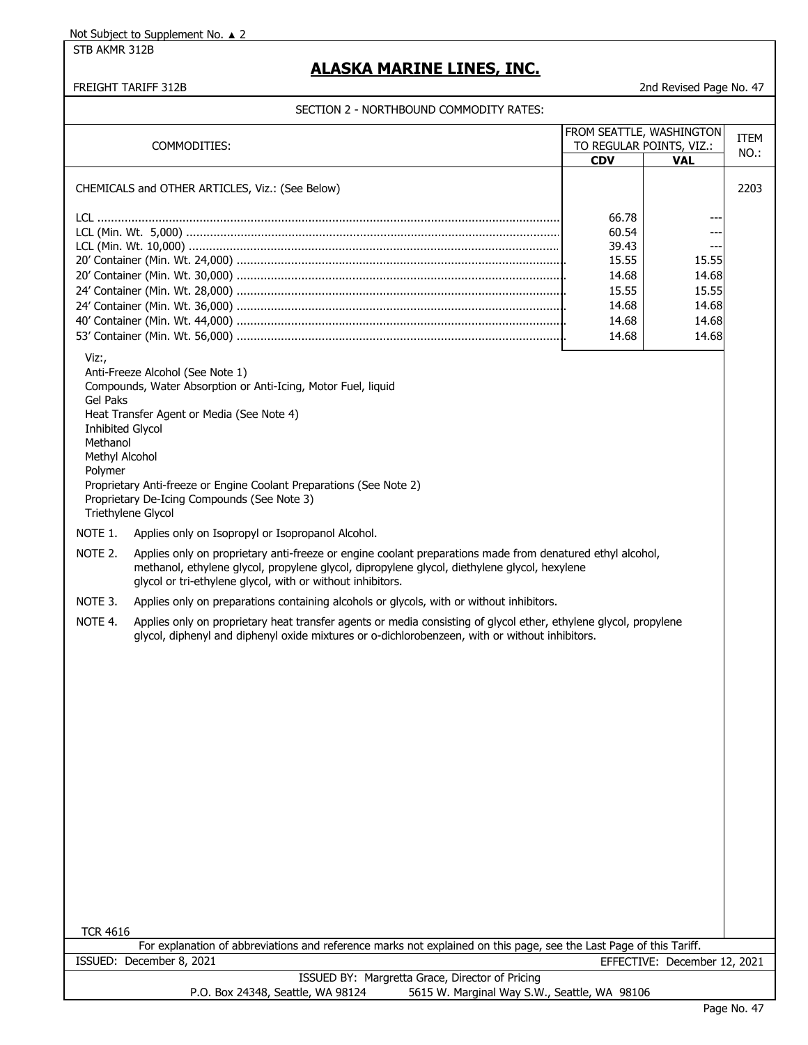STB AKMR 312B

# **ALASKA MARINE LINES, INC.**

#### FREIGHT TARIFF 312B 2nd Revised Page No. 47

| COMMODITIES:                                                                          |                                                                                                                                                                                                                                                                         | FROM SEATTLE, WASHINGTON<br>TO REGULAR POINTS, VIZ.: |                              | <b>ITEM</b> |
|---------------------------------------------------------------------------------------|-------------------------------------------------------------------------------------------------------------------------------------------------------------------------------------------------------------------------------------------------------------------------|------------------------------------------------------|------------------------------|-------------|
|                                                                                       |                                                                                                                                                                                                                                                                         | <b>CDV</b>                                           | <b>VAL</b>                   | NO.:        |
|                                                                                       |                                                                                                                                                                                                                                                                         |                                                      |                              |             |
|                                                                                       | CHEMICALS and OTHER ARTICLES, Viz.: (See Below)                                                                                                                                                                                                                         |                                                      |                              | 2203        |
|                                                                                       |                                                                                                                                                                                                                                                                         |                                                      |                              |             |
|                                                                                       |                                                                                                                                                                                                                                                                         | 66.78                                                |                              |             |
|                                                                                       |                                                                                                                                                                                                                                                                         | 60.54                                                |                              |             |
|                                                                                       |                                                                                                                                                                                                                                                                         | 39.43                                                |                              |             |
|                                                                                       |                                                                                                                                                                                                                                                                         | 15.55                                                | 15.55                        |             |
|                                                                                       |                                                                                                                                                                                                                                                                         | 14.68                                                | 14.68                        |             |
|                                                                                       |                                                                                                                                                                                                                                                                         | 15.55                                                | 15.55                        |             |
|                                                                                       |                                                                                                                                                                                                                                                                         | 14.68                                                | 14.68                        |             |
|                                                                                       |                                                                                                                                                                                                                                                                         | 14.68                                                | 14.68                        |             |
|                                                                                       |                                                                                                                                                                                                                                                                         | 14.68                                                | 14.68                        |             |
| Viz:,<br>Gel Paks<br><b>Inhibited Glycol</b><br>Methanol<br>Methyl Alcohol<br>Polymer | Anti-Freeze Alcohol (See Note 1)<br>Compounds, Water Absorption or Anti-Icing, Motor Fuel, liquid<br>Heat Transfer Agent or Media (See Note 4)<br>Proprietary Anti-freeze or Engine Coolant Preparations (See Note 2)<br>Proprietary De-Icing Compounds (See Note 3)    |                                                      |                              |             |
| Triethylene Glycol                                                                    |                                                                                                                                                                                                                                                                         |                                                      |                              |             |
| NOTE 1.                                                                               | Applies only on Isopropyl or Isopropanol Alcohol.                                                                                                                                                                                                                       |                                                      |                              |             |
| NOTE 2.                                                                               | Applies only on proprietary anti-freeze or engine coolant preparations made from denatured ethyl alcohol,<br>methanol, ethylene glycol, propylene glycol, dipropylene glycol, diethylene glycol, hexylene<br>glycol or tri-ethylene glycol, with or without inhibitors. |                                                      |                              |             |
| NOTE 3.                                                                               | Applies only on preparations containing alcohols or glycols, with or without inhibitors.                                                                                                                                                                                |                                                      |                              |             |
| NOTE 4.                                                                               | Applies only on proprietary heat transfer agents or media consisting of glycol ether, ethylene glycol, propylene                                                                                                                                                        |                                                      |                              |             |
|                                                                                       | glycol, diphenyl and diphenyl oxide mixtures or o-dichlorobenzeen, with or without inhibitors.                                                                                                                                                                          |                                                      |                              |             |
| <b>TCR 4616</b>                                                                       |                                                                                                                                                                                                                                                                         |                                                      |                              |             |
|                                                                                       | For explanation of abbreviations and reference marks not explained on this page, see the Last Page of this Tariff.                                                                                                                                                      |                                                      |                              |             |
|                                                                                       | ISSUED: December 8, 2021<br>ISSUED BY: Margretta Grace, Director of Pricing                                                                                                                                                                                             |                                                      | EFFECTIVE: December 12, 2021 |             |
|                                                                                       | P.O. Box 24348, Seattle, WA 98124<br>5615 W. Marginal Way S.W., Seattle, WA 98106                                                                                                                                                                                       |                                                      |                              |             |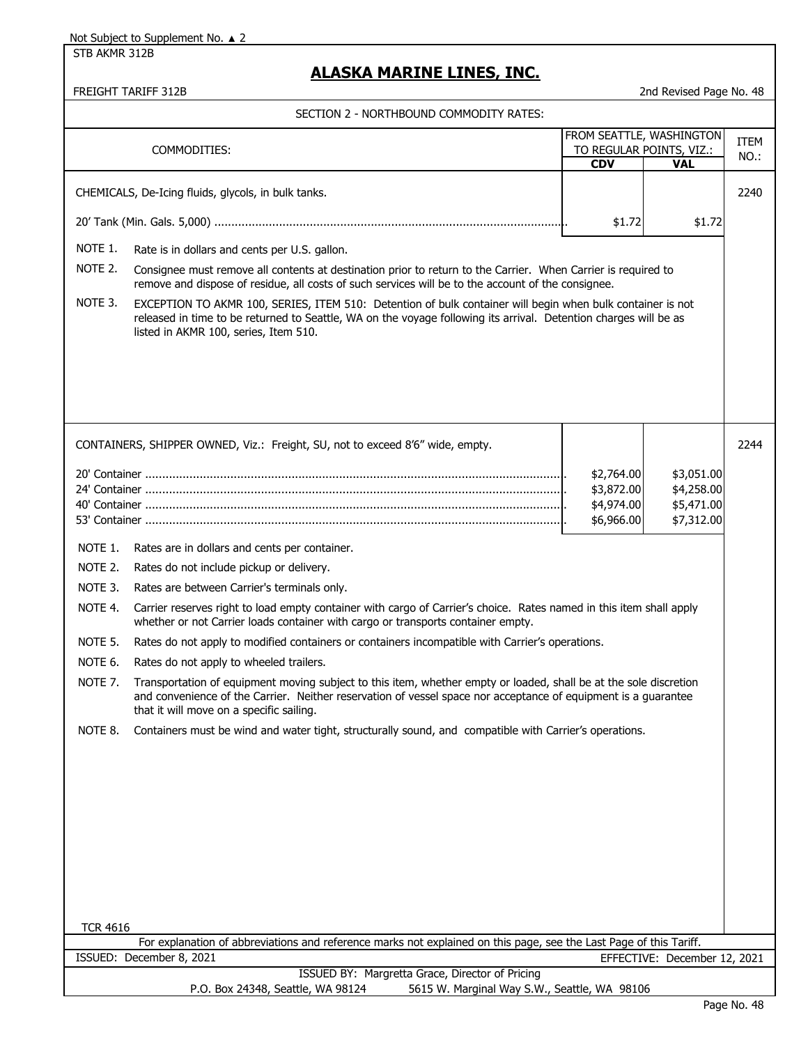STB AKMR 312B

# **ALASKA MARINE LINES, INC.**

| SECTION 2 - NORTHBOUND COMMODITY RATES: |                                                                                                                                                                                                                                                                                 |                          |                              |              |
|-----------------------------------------|---------------------------------------------------------------------------------------------------------------------------------------------------------------------------------------------------------------------------------------------------------------------------------|--------------------------|------------------------------|--------------|
|                                         | COMMODITIES:                                                                                                                                                                                                                                                                    | FROM SEATTLE, WASHINGTON | TO REGULAR POINTS, VIZ.:     | ITEM<br>NO.: |
|                                         |                                                                                                                                                                                                                                                                                 | <b>CDV</b>               | <b>VAL</b>                   |              |
|                                         | CHEMICALS, De-Icing fluids, glycols, in bulk tanks.                                                                                                                                                                                                                             |                          |                              | 2240         |
|                                         |                                                                                                                                                                                                                                                                                 | \$1.72                   | \$1.72                       |              |
| NOTE 1.                                 | Rate is in dollars and cents per U.S. gallon.                                                                                                                                                                                                                                   |                          |                              |              |
| NOTE 2.                                 | Consignee must remove all contents at destination prior to return to the Carrier. When Carrier is required to<br>remove and dispose of residue, all costs of such services will be to the account of the consignee.                                                             |                          |                              |              |
| NOTE 3.                                 | EXCEPTION TO AKMR 100, SERIES, ITEM 510: Detention of bulk container will begin when bulk container is not<br>released in time to be returned to Seattle, WA on the voyage following its arrival. Detention charges will be as<br>listed in AKMR 100, series, Item 510.         |                          |                              |              |
|                                         |                                                                                                                                                                                                                                                                                 |                          |                              |              |
|                                         |                                                                                                                                                                                                                                                                                 |                          |                              |              |
|                                         | CONTAINERS, SHIPPER OWNED, Viz.: Freight, SU, not to exceed 8'6" wide, empty.                                                                                                                                                                                                   |                          |                              | 2244         |
|                                         |                                                                                                                                                                                                                                                                                 | \$2,764.00               | \$3,051.00                   |              |
|                                         |                                                                                                                                                                                                                                                                                 | \$3,872.00               | \$4,258.00                   |              |
|                                         |                                                                                                                                                                                                                                                                                 | \$4,974.00               | \$5,471.00                   |              |
|                                         |                                                                                                                                                                                                                                                                                 | \$6,966.00               | \$7,312.00                   |              |
| NOTE 1.                                 | Rates are in dollars and cents per container.                                                                                                                                                                                                                                   |                          |                              |              |
| NOTE 2.                                 | Rates do not include pickup or delivery.                                                                                                                                                                                                                                        |                          |                              |              |
| NOTE 3.                                 | Rates are between Carrier's terminals only.                                                                                                                                                                                                                                     |                          |                              |              |
| NOTE 4.                                 | Carrier reserves right to load empty container with cargo of Carrier's choice. Rates named in this item shall apply<br>whether or not Carrier loads container with cargo or transports container empty.                                                                         |                          |                              |              |
| NOTE 5.                                 | Rates do not apply to modified containers or containers incompatible with Carrier's operations.                                                                                                                                                                                 |                          |                              |              |
| NOTE 6.                                 | Rates do not apply to wheeled trailers.                                                                                                                                                                                                                                         |                          |                              |              |
| NOTE 7.                                 | Transportation of equipment moving subject to this item, whether empty or loaded, shall be at the sole discretion<br>and convenience of the Carrier. Neither reservation of vessel space nor acceptance of equipment is a guarantee<br>that it will move on a specific sailing. |                          |                              |              |
| NOTE 8.                                 | Containers must be wind and water tight, structurally sound, and compatible with Carrier's operations.                                                                                                                                                                          |                          |                              |              |
|                                         |                                                                                                                                                                                                                                                                                 |                          |                              |              |
|                                         |                                                                                                                                                                                                                                                                                 |                          |                              |              |
|                                         |                                                                                                                                                                                                                                                                                 |                          |                              |              |
|                                         |                                                                                                                                                                                                                                                                                 |                          |                              |              |
|                                         |                                                                                                                                                                                                                                                                                 |                          |                              |              |
|                                         |                                                                                                                                                                                                                                                                                 |                          |                              |              |
|                                         |                                                                                                                                                                                                                                                                                 |                          |                              |              |
|                                         |                                                                                                                                                                                                                                                                                 |                          |                              |              |
| <b>TCR 4616</b>                         | For explanation of abbreviations and reference marks not explained on this page, see the Last Page of this Tariff.                                                                                                                                                              |                          |                              |              |
|                                         | ISSUED: December 8, 2021                                                                                                                                                                                                                                                        |                          | EFFECTIVE: December 12, 2021 |              |
|                                         | ISSUED BY: Margretta Grace, Director of Pricing                                                                                                                                                                                                                                 |                          |                              |              |
|                                         | P.O. Box 24348, Seattle, WA 98124<br>5615 W. Marginal Way S.W., Seattle, WA 98106                                                                                                                                                                                               |                          |                              |              |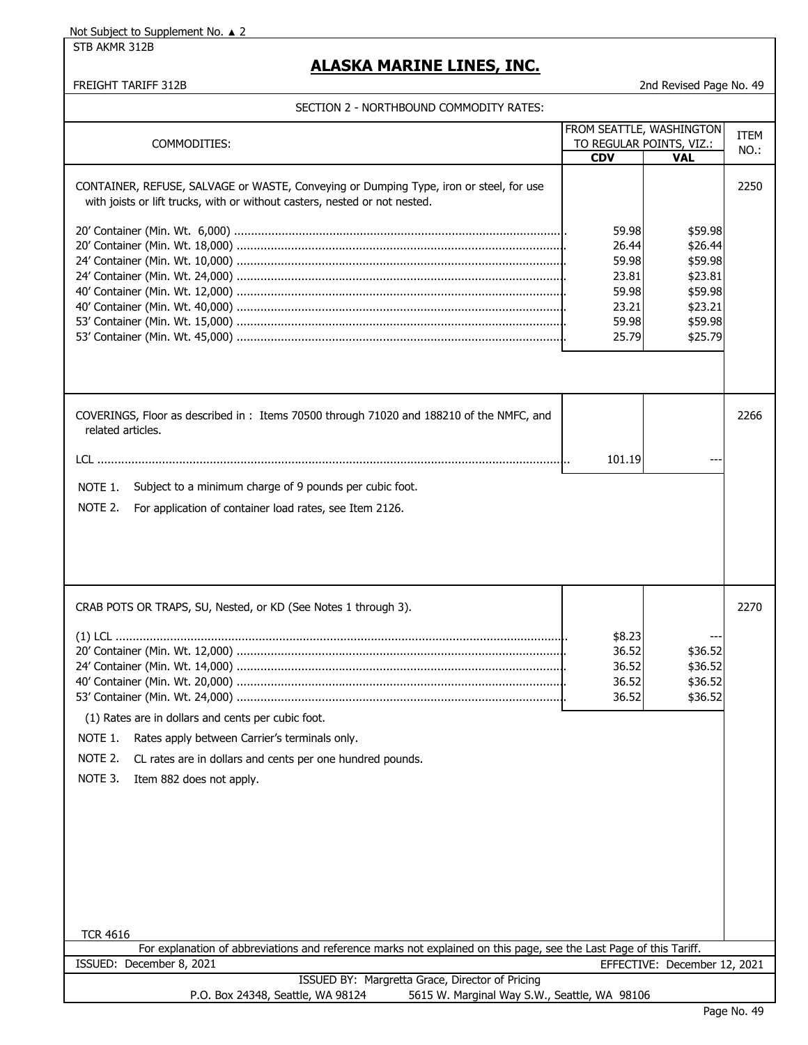STB AKMR 312B

### **ALASKA MARINE LINES, INC.**

|  | SECTION 2 - NORTHBOUND COMMODITY RATES: |  |
|--|-----------------------------------------|--|
|  |                                         |  |

| COMMODITIES:                                                                                                       | FROM SEATTLE, WASHINGTON<br>TO REGULAR POINTS, VIZ.: |                              | <b>ITEM</b> |
|--------------------------------------------------------------------------------------------------------------------|------------------------------------------------------|------------------------------|-------------|
|                                                                                                                    | <b>CDV</b>                                           | <b>VAL</b>                   | NO.:        |
|                                                                                                                    |                                                      |                              |             |
| CONTAINER, REFUSE, SALVAGE or WASTE, Conveying or Dumping Type, iron or steel, for use                             |                                                      |                              | 2250        |
| with joists or lift trucks, with or without casters, nested or not nested.                                         |                                                      |                              |             |
|                                                                                                                    |                                                      |                              |             |
|                                                                                                                    | 59.98                                                | \$59.98                      |             |
|                                                                                                                    | 26.44                                                | \$26.44                      |             |
|                                                                                                                    |                                                      |                              |             |
|                                                                                                                    | 59.98                                                | \$59.98                      |             |
|                                                                                                                    | 23.81                                                | \$23.81                      |             |
|                                                                                                                    | 59.98                                                | \$59.98                      |             |
|                                                                                                                    | 23.21                                                | \$23.21                      |             |
|                                                                                                                    | 59.98                                                | \$59.98                      |             |
|                                                                                                                    | 25.79                                                | \$25.79                      |             |
|                                                                                                                    |                                                      |                              |             |
|                                                                                                                    |                                                      |                              |             |
|                                                                                                                    |                                                      |                              |             |
|                                                                                                                    |                                                      |                              |             |
| COVERINGS, Floor as described in: Items 70500 through 71020 and 188210 of the NMFC, and                            |                                                      |                              | 2266        |
| related articles.                                                                                                  |                                                      |                              |             |
|                                                                                                                    |                                                      |                              |             |
|                                                                                                                    |                                                      |                              |             |
|                                                                                                                    | 101.19                                               |                              |             |
| Subject to a minimum charge of 9 pounds per cubic foot.<br>NOTE 1.                                                 |                                                      |                              |             |
|                                                                                                                    |                                                      |                              |             |
| NOTE 2.<br>For application of container load rates, see Item 2126.                                                 |                                                      |                              |             |
|                                                                                                                    |                                                      |                              |             |
|                                                                                                                    |                                                      |                              |             |
|                                                                                                                    |                                                      |                              |             |
|                                                                                                                    |                                                      |                              |             |
|                                                                                                                    |                                                      |                              |             |
|                                                                                                                    |                                                      |                              |             |
| CRAB POTS OR TRAPS, SU, Nested, or KD (See Notes 1 through 3).                                                     |                                                      |                              | 2270        |
|                                                                                                                    |                                                      |                              |             |
|                                                                                                                    | \$8.23                                               |                              |             |
|                                                                                                                    | 36.52                                                | \$36.52                      |             |
|                                                                                                                    | 36.52                                                | \$36.52                      |             |
|                                                                                                                    | 36.52                                                | \$36.52                      |             |
|                                                                                                                    | 36.52                                                | \$36.52                      |             |
| (1) Rates are in dollars and cents per cubic foot.                                                                 |                                                      |                              |             |
|                                                                                                                    |                                                      |                              |             |
| NOTE 1.<br>Rates apply between Carrier's terminals only.                                                           |                                                      |                              |             |
| NOTE 2.<br>CL rates are in dollars and cents per one hundred pounds.                                               |                                                      |                              |             |
|                                                                                                                    |                                                      |                              |             |
| NOTE 3.<br>Item 882 does not apply.                                                                                |                                                      |                              |             |
|                                                                                                                    |                                                      |                              |             |
|                                                                                                                    |                                                      |                              |             |
|                                                                                                                    |                                                      |                              |             |
|                                                                                                                    |                                                      |                              |             |
|                                                                                                                    |                                                      |                              |             |
|                                                                                                                    |                                                      |                              |             |
|                                                                                                                    |                                                      |                              |             |
|                                                                                                                    |                                                      |                              |             |
|                                                                                                                    |                                                      |                              |             |
|                                                                                                                    |                                                      |                              |             |
| <b>TCR 4616</b>                                                                                                    |                                                      |                              |             |
| For explanation of abbreviations and reference marks not explained on this page, see the Last Page of this Tariff. |                                                      |                              |             |
| ISSUED: December 8, 2021                                                                                           |                                                      | EFFECTIVE: December 12, 2021 |             |
| ISSUED BY: Margretta Grace, Director of Pricing                                                                    |                                                      |                              |             |
| P.O. Box 24348, Seattle, WA 98124<br>5615 W. Marginal Way S.W., Seattle, WA 98106                                  |                                                      |                              |             |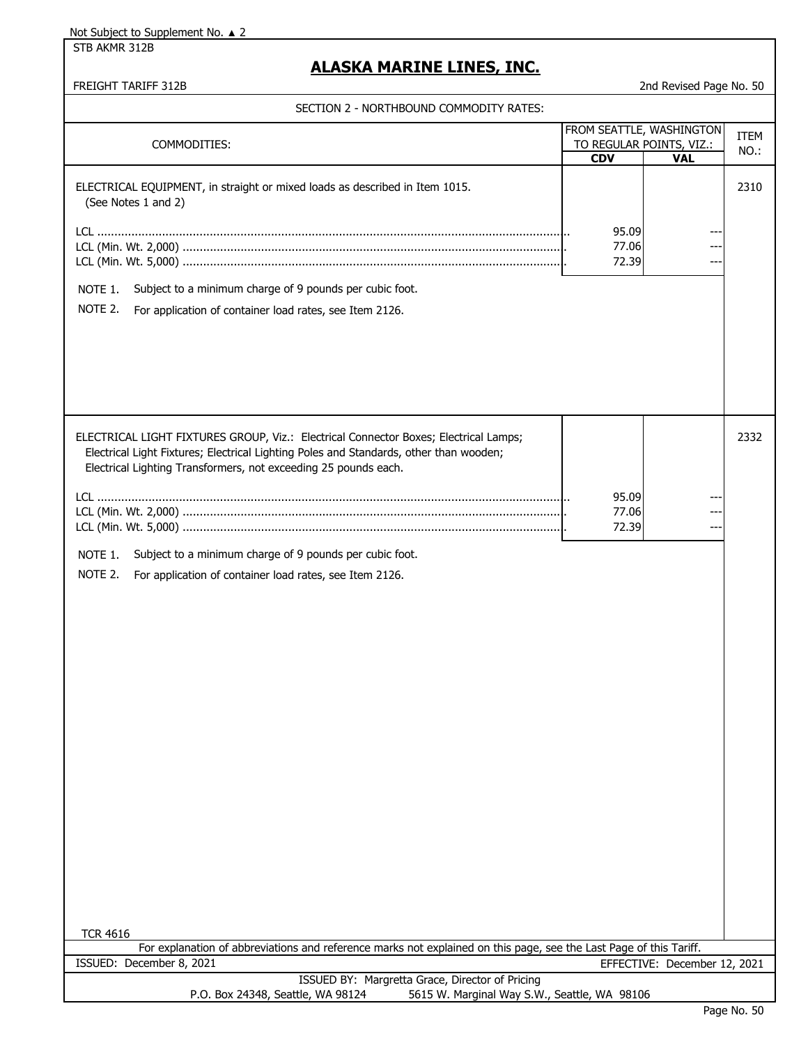STB AKMR 312B

# **ALASKA MARINE LINES, INC.**

|                                                                                                                                                           |            | FROM SEATTLE, WASHINGTON               | ITEM |
|-----------------------------------------------------------------------------------------------------------------------------------------------------------|------------|----------------------------------------|------|
| COMMODITIES:                                                                                                                                              | <b>CDV</b> | TO REGULAR POINTS, VIZ.:<br><b>VAL</b> | NO.: |
|                                                                                                                                                           |            |                                        |      |
| ELECTRICAL EQUIPMENT, in straight or mixed loads as described in Item 1015.                                                                               |            |                                        | 2310 |
| (See Notes 1 and 2)                                                                                                                                       |            |                                        |      |
|                                                                                                                                                           |            |                                        |      |
|                                                                                                                                                           | 95.09      |                                        |      |
|                                                                                                                                                           | 77.06      |                                        |      |
|                                                                                                                                                           | 72.39      |                                        |      |
|                                                                                                                                                           |            |                                        |      |
| Subject to a minimum charge of 9 pounds per cubic foot.<br>NOTE 1.                                                                                        |            |                                        |      |
| NOTE 2.<br>For application of container load rates, see Item 2126.                                                                                        |            |                                        |      |
|                                                                                                                                                           |            |                                        |      |
|                                                                                                                                                           |            |                                        |      |
|                                                                                                                                                           |            |                                        |      |
|                                                                                                                                                           |            |                                        |      |
|                                                                                                                                                           |            |                                        |      |
|                                                                                                                                                           |            |                                        |      |
|                                                                                                                                                           |            |                                        |      |
| ELECTRICAL LIGHT FIXTURES GROUP, Viz.: Electrical Connector Boxes; Electrical Lamps;                                                                      |            |                                        | 2332 |
|                                                                                                                                                           |            |                                        |      |
| Electrical Light Fixtures; Electrical Lighting Poles and Standards, other than wooden;<br>Electrical Lighting Transformers, not exceeding 25 pounds each. |            |                                        |      |
|                                                                                                                                                           |            |                                        |      |
|                                                                                                                                                           | 95.09      |                                        |      |
|                                                                                                                                                           | 77.06      |                                        |      |
|                                                                                                                                                           | 72.39      |                                        |      |
|                                                                                                                                                           |            |                                        |      |
| NOTE 1.<br>Subject to a minimum charge of 9 pounds per cubic foot.                                                                                        |            |                                        |      |
| NOTE 2.                                                                                                                                                   |            |                                        |      |
| For application of container load rates, see Item 2126.                                                                                                   |            |                                        |      |
|                                                                                                                                                           |            |                                        |      |
|                                                                                                                                                           |            |                                        |      |
|                                                                                                                                                           |            |                                        |      |
|                                                                                                                                                           |            |                                        |      |
|                                                                                                                                                           |            |                                        |      |
|                                                                                                                                                           |            |                                        |      |
|                                                                                                                                                           |            |                                        |      |
|                                                                                                                                                           |            |                                        |      |
|                                                                                                                                                           |            |                                        |      |
|                                                                                                                                                           |            |                                        |      |
|                                                                                                                                                           |            |                                        |      |
|                                                                                                                                                           |            |                                        |      |
|                                                                                                                                                           |            |                                        |      |
|                                                                                                                                                           |            |                                        |      |
|                                                                                                                                                           |            |                                        |      |
|                                                                                                                                                           |            |                                        |      |
|                                                                                                                                                           |            |                                        |      |
|                                                                                                                                                           |            |                                        |      |
|                                                                                                                                                           |            |                                        |      |
|                                                                                                                                                           |            |                                        |      |
|                                                                                                                                                           |            |                                        |      |
|                                                                                                                                                           |            |                                        |      |
| <b>TCR 4616</b>                                                                                                                                           |            |                                        |      |
| For explanation of abbreviations and reference marks not explained on this page, see the Last Page of this Tariff.                                        |            |                                        |      |
| ISSUED: December 8, 2021                                                                                                                                  |            | EFFECTIVE: December 12, 2021           |      |
| ISSUED BY: Margretta Grace, Director of Pricing                                                                                                           |            |                                        |      |
| P.O. Box 24348, Seattle, WA 98124<br>5615 W. Marginal Way S.W., Seattle, WA 98106                                                                         |            |                                        |      |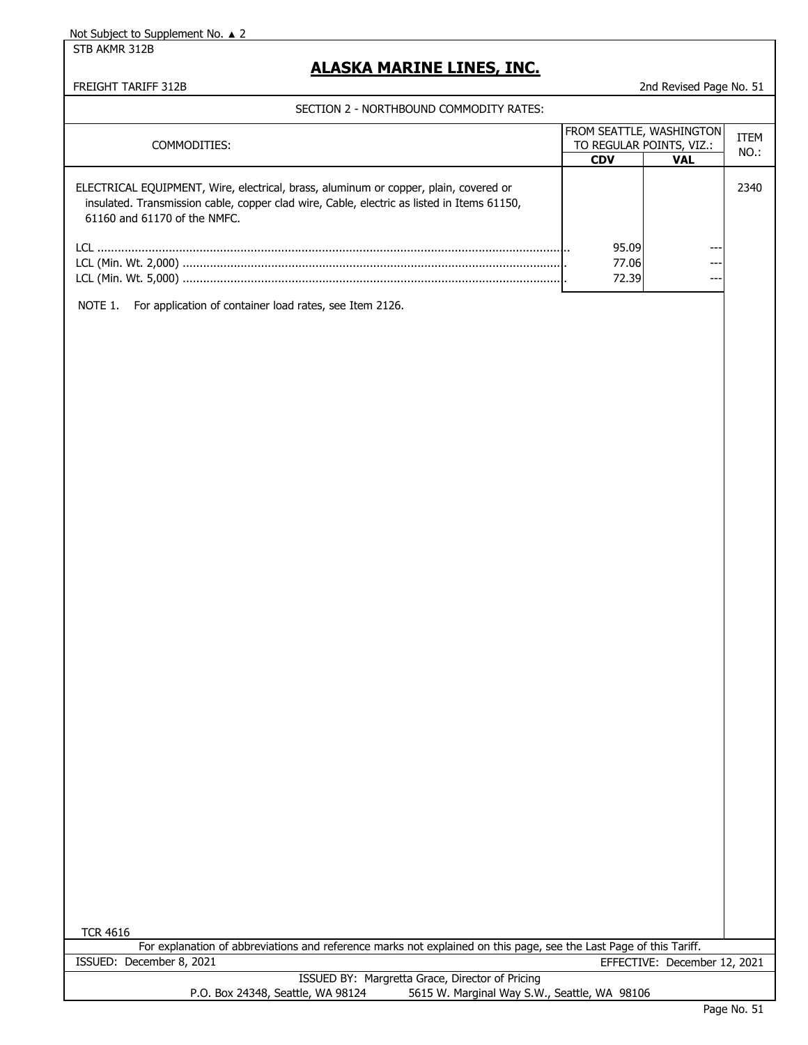STB AKMR 312B

# **ALASKA MARINE LINES, INC.**

FREIGHT TARIFF 312B 2nd Revised Page No. 51

SECTION 2 - NORTHBOUND COMMODITY RATES:

| COMMODITIES:                                                                                                                                                                                                       | <b>FROM SEATTLE, WASHINGTON</b><br>TO REGULAR POINTS, VIZ.: |            | <b>ITEM</b><br>NO.: |
|--------------------------------------------------------------------------------------------------------------------------------------------------------------------------------------------------------------------|-------------------------------------------------------------|------------|---------------------|
|                                                                                                                                                                                                                    | <b>CDV</b>                                                  | <b>VAL</b> |                     |
| ELECTRICAL EQUIPMENT, Wire, electrical, brass, aluminum or copper, plain, covered or<br>insulated. Transmission cable, copper clad wire, Cable, electric as listed in Items 61150,<br>61160 and 61170 of the NMFC. |                                                             |            | 2340                |
| LCL.                                                                                                                                                                                                               | 95.09                                                       | ---        |                     |
|                                                                                                                                                                                                                    | 77.06                                                       | ---        |                     |
|                                                                                                                                                                                                                    | 72.39                                                       | ---        |                     |
| For application of container load rates, see Item 2126.<br>NOTE 1.                                                                                                                                                 |                                                             |            |                     |

TCR 4616

| For explanation of abbreviations and reference marks not explained on this page, see the Last Page of this Tariff. |  |                                                 |                              |
|--------------------------------------------------------------------------------------------------------------------|--|-------------------------------------------------|------------------------------|
| ISSUED: December 8, 2021                                                                                           |  |                                                 | EFFECTIVE: December 12, 2021 |
|                                                                                                                    |  | ISSUED BY: Margretta Grace, Director of Pricing |                              |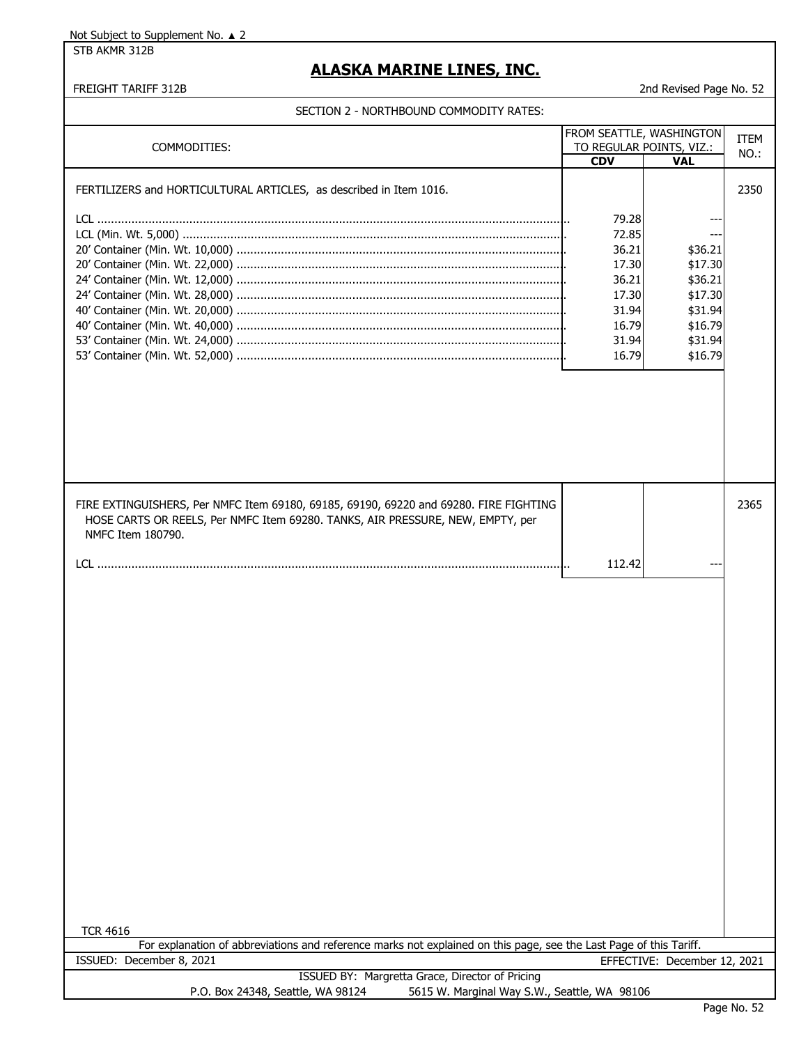STB AKMR 312B

### **ALASKA MARINE LINES, INC.**

#### FREIGHT TARIFF 312B 2nd Revised Page No. 52

| FROM SEATTLE, WASHINGTON                                                                                           |            |                              |      |
|--------------------------------------------------------------------------------------------------------------------|------------|------------------------------|------|
| TO REGULAR POINTS, VIZ.:<br>COMMODITIES:                                                                           |            | <b>ITEM</b>                  |      |
|                                                                                                                    | <b>CDV</b> | <b>VAL</b>                   | NO.: |
|                                                                                                                    |            |                              |      |
| FERTILIZERS and HORTICULTURAL ARTICLES, as described in Item 1016.                                                 |            |                              | 2350 |
|                                                                                                                    |            |                              |      |
|                                                                                                                    | 79.28      |                              |      |
|                                                                                                                    | 72.85      |                              |      |
|                                                                                                                    | 36.21      | \$36.21                      |      |
|                                                                                                                    | 17.30      | \$17.30                      |      |
|                                                                                                                    | 36.21      | \$36.21                      |      |
|                                                                                                                    | 17.30      | \$17.30                      |      |
|                                                                                                                    | 31.94      | \$31.94                      |      |
|                                                                                                                    | 16.79      | \$16.79                      |      |
|                                                                                                                    | 31.94      | \$31.94                      |      |
|                                                                                                                    | 16.79      | \$16.79                      |      |
|                                                                                                                    |            |                              |      |
|                                                                                                                    |            |                              |      |
|                                                                                                                    |            |                              |      |
|                                                                                                                    |            |                              |      |
|                                                                                                                    |            |                              |      |
|                                                                                                                    |            |                              |      |
|                                                                                                                    |            |                              |      |
|                                                                                                                    |            |                              |      |
|                                                                                                                    |            |                              |      |
|                                                                                                                    |            |                              |      |
| FIRE EXTINGUISHERS, Per NMFC Item 69180, 69185, 69190, 69220 and 69280. FIRE FIGHTING                              |            |                              | 2365 |
| HOSE CARTS OR REELS, Per NMFC Item 69280. TANKS, AIR PRESSURE, NEW, EMPTY, per                                     |            |                              |      |
| NMFC Item 180790.                                                                                                  |            |                              |      |
|                                                                                                                    |            |                              |      |
|                                                                                                                    | 112.42     |                              |      |
|                                                                                                                    |            |                              |      |
|                                                                                                                    |            |                              |      |
|                                                                                                                    |            |                              |      |
|                                                                                                                    |            |                              |      |
|                                                                                                                    |            |                              |      |
|                                                                                                                    |            |                              |      |
|                                                                                                                    |            |                              |      |
|                                                                                                                    |            |                              |      |
|                                                                                                                    |            |                              |      |
|                                                                                                                    |            |                              |      |
|                                                                                                                    |            |                              |      |
|                                                                                                                    |            |                              |      |
|                                                                                                                    |            |                              |      |
|                                                                                                                    |            |                              |      |
|                                                                                                                    |            |                              |      |
|                                                                                                                    |            |                              |      |
|                                                                                                                    |            |                              |      |
|                                                                                                                    |            |                              |      |
|                                                                                                                    |            |                              |      |
|                                                                                                                    |            |                              |      |
|                                                                                                                    |            |                              |      |
|                                                                                                                    |            |                              |      |
|                                                                                                                    |            |                              |      |
|                                                                                                                    |            |                              |      |
|                                                                                                                    |            |                              |      |
|                                                                                                                    |            |                              |      |
| <b>TCR 4616</b>                                                                                                    |            |                              |      |
| For explanation of abbreviations and reference marks not explained on this page, see the Last Page of this Tariff. |            |                              |      |
| ISSUED: December 8, 2021                                                                                           |            | EFFECTIVE: December 12, 2021 |      |
| ISSUED BY: Margretta Grace, Director of Pricing                                                                    |            |                              |      |
| 5615 W. Marginal Way S.W., Seattle, WA 98106<br>P.O. Box 24348, Seattle, WA 98124                                  |            |                              |      |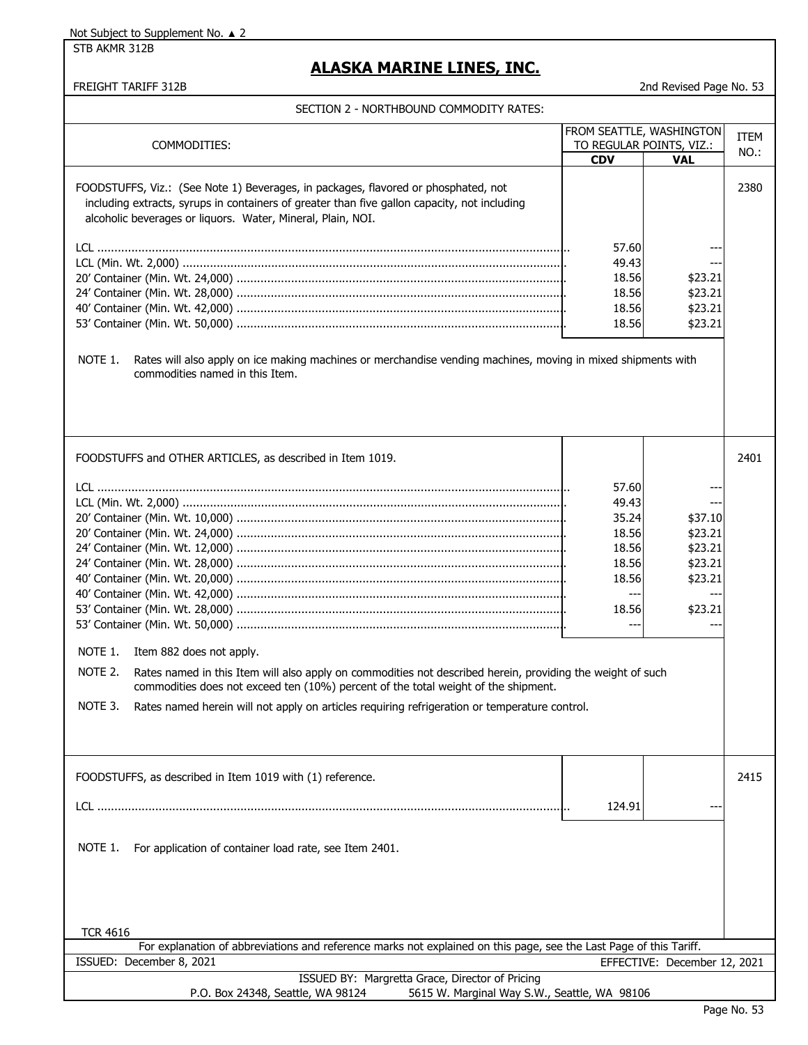STB AKMR 312B

# **ALASKA MARINE LINES, INC.**

|  | SECTION 2 - NORTHBOUND COMMODITY RATES: |  |  |
|--|-----------------------------------------|--|--|
|  |                                         |  |  |

| COMMODITIES:                                                                                                                                                                                                                                                                                                                                                   | <b>CDV</b>                                                                    | FROM SEATTLE, WASHINGTON<br>TO REGULAR POINTS, VIZ.:<br><b>VAL</b>           | ITEM<br>NO.: |
|----------------------------------------------------------------------------------------------------------------------------------------------------------------------------------------------------------------------------------------------------------------------------------------------------------------------------------------------------------------|-------------------------------------------------------------------------------|------------------------------------------------------------------------------|--------------|
| FOODSTUFFS, Viz.: (See Note 1) Beverages, in packages, flavored or phosphated, not<br>including extracts, syrups in containers of greater than five gallon capacity, not including<br>alcoholic beverages or liquors. Water, Mineral, Plain, NOI.                                                                                                              |                                                                               |                                                                              | 2380         |
|                                                                                                                                                                                                                                                                                                                                                                | 57.60<br>49.43<br>18.56<br>18.56<br>18.56<br>18.56                            | --<br>---<br>\$23.21<br>\$23.21<br>\$23.21<br>\$23.21                        |              |
| NOTE 1.<br>Rates will also apply on ice making machines or merchandise vending machines, moving in mixed shipments with<br>commodities named in this Item.                                                                                                                                                                                                     |                                                                               |                                                                              |              |
| FOODSTUFFS and OTHER ARTICLES, as described in Item 1019.                                                                                                                                                                                                                                                                                                      |                                                                               |                                                                              | 2401         |
| NOTE 1.<br>Item 882 does not apply.<br>NOTE 2.<br>Rates named in this Item will also apply on commodities not described herein, providing the weight of such<br>commodities does not exceed ten (10%) percent of the total weight of the shipment.<br>NOTE 3.<br>Rates named herein will not apply on articles requiring refrigeration or temperature control. | 57.60<br>49.43<br>35.24<br>18.56<br>18.56<br>18.56<br>18.56<br>$---$<br>18.56 | \$37.10<br>\$23.21<br>\$23.21<br>\$23.21<br>\$23.21<br>---<br>\$23.21<br>--- |              |
| FOODSTUFFS, as described in Item 1019 with (1) reference.                                                                                                                                                                                                                                                                                                      | 124.91                                                                        |                                                                              | 2415         |
| NOTE 1.<br>For application of container load rate, see Item 2401.<br><b>TCR 4616</b><br>For explanation of abbreviations and reference marks not explained on this page, see the Last Page of this Tariff.                                                                                                                                                     |                                                                               |                                                                              |              |
| ISSUED: December 8, 2021<br>ISSUED BY: Margretta Grace, Director of Pricing                                                                                                                                                                                                                                                                                    |                                                                               | EFFECTIVE: December 12, 2021                                                 |              |
| 5615 W. Marginal Way S.W., Seattle, WA 98106<br>P.O. Box 24348, Seattle, WA 98124                                                                                                                                                                                                                                                                              |                                                                               |                                                                              |              |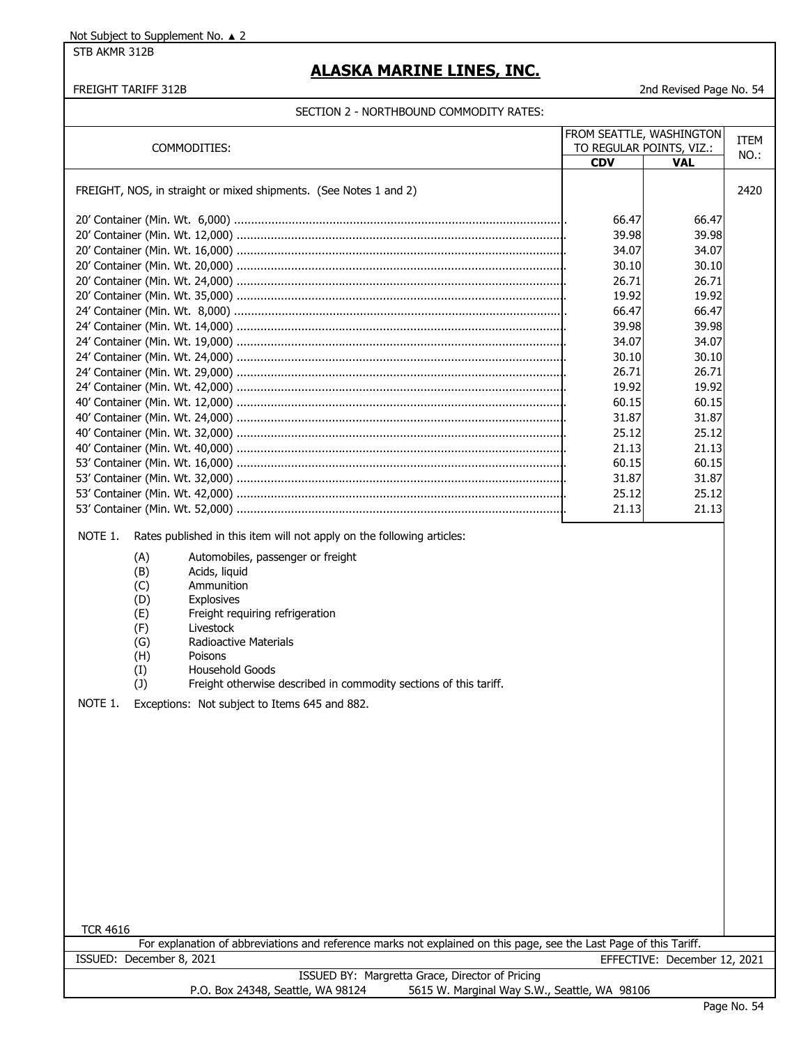STB AKMR 312B

# **ALASKA MARINE LINES, INC.**

#### FREIGHT TARIFF 312B 2nd Revised Page No. 54

|                                                                                                                                                                                                                                                                    | FROM SEATTLE, WASHINGTON |                              | ITEM |
|--------------------------------------------------------------------------------------------------------------------------------------------------------------------------------------------------------------------------------------------------------------------|--------------------------|------------------------------|------|
| COMMODITIES:                                                                                                                                                                                                                                                       |                          | TO REGULAR POINTS, VIZ.:     | NO.: |
|                                                                                                                                                                                                                                                                    | <b>CDV</b>               | <b>VAL</b>                   |      |
|                                                                                                                                                                                                                                                                    |                          |                              |      |
| FREIGHT, NOS, in straight or mixed shipments. (See Notes 1 and 2)                                                                                                                                                                                                  |                          |                              | 2420 |
|                                                                                                                                                                                                                                                                    |                          |                              |      |
|                                                                                                                                                                                                                                                                    | 66.47                    | 66.47                        |      |
|                                                                                                                                                                                                                                                                    | 39.98                    | 39.98                        |      |
|                                                                                                                                                                                                                                                                    | 34.07                    | 34.07                        |      |
|                                                                                                                                                                                                                                                                    | 30.10                    | 30.10                        |      |
|                                                                                                                                                                                                                                                                    | 26.71                    | 26.71                        |      |
|                                                                                                                                                                                                                                                                    | 19.92                    | 19.92                        |      |
|                                                                                                                                                                                                                                                                    | 66.47                    | 66.47                        |      |
|                                                                                                                                                                                                                                                                    | 39.98                    | 39.98                        |      |
|                                                                                                                                                                                                                                                                    | 34.07                    | 34.07                        |      |
|                                                                                                                                                                                                                                                                    | 30.10                    | 30.10                        |      |
|                                                                                                                                                                                                                                                                    | 26.71                    | 26.71                        |      |
|                                                                                                                                                                                                                                                                    | 19.92                    | 19.92                        |      |
|                                                                                                                                                                                                                                                                    | 60.15                    | 60.15                        |      |
|                                                                                                                                                                                                                                                                    | 31.87                    | 31.87                        |      |
|                                                                                                                                                                                                                                                                    | 25.12                    | 25.12                        |      |
|                                                                                                                                                                                                                                                                    | 21.13                    | 21.13                        |      |
|                                                                                                                                                                                                                                                                    |                          |                              |      |
|                                                                                                                                                                                                                                                                    | 60.15                    | 60.15                        |      |
|                                                                                                                                                                                                                                                                    | 31.87                    | 31.87                        |      |
|                                                                                                                                                                                                                                                                    | 25.12                    | 25.12                        |      |
|                                                                                                                                                                                                                                                                    | 21.13                    | 21.13                        |      |
| NOTE 1.<br>Rates published in this item will not apply on the following articles:                                                                                                                                                                                  |                          |                              |      |
| Automobiles, passenger or freight<br>(A)<br>(B)<br>Acids, liquid<br>(C)<br>Ammunition<br>(D)<br>Explosives<br>Freight requiring refrigeration<br>(E)<br>(F)<br>Livestock<br><b>Radioactive Materials</b><br>(G)<br>(H)<br>Poisons<br>(I)<br><b>Household Goods</b> |                          |                              |      |
| (1)<br>Freight otherwise described in commodity sections of this tariff.                                                                                                                                                                                           |                          |                              |      |
| NOTE 1.<br>Exceptions: Not subject to Items 645 and 882.                                                                                                                                                                                                           |                          |                              |      |
|                                                                                                                                                                                                                                                                    |                          |                              |      |
|                                                                                                                                                                                                                                                                    |                          |                              |      |
|                                                                                                                                                                                                                                                                    |                          |                              |      |
|                                                                                                                                                                                                                                                                    |                          |                              |      |
|                                                                                                                                                                                                                                                                    |                          |                              |      |
|                                                                                                                                                                                                                                                                    |                          |                              |      |
|                                                                                                                                                                                                                                                                    |                          |                              |      |
|                                                                                                                                                                                                                                                                    |                          |                              |      |
|                                                                                                                                                                                                                                                                    |                          |                              |      |
|                                                                                                                                                                                                                                                                    |                          |                              |      |
|                                                                                                                                                                                                                                                                    |                          |                              |      |
|                                                                                                                                                                                                                                                                    |                          |                              |      |
|                                                                                                                                                                                                                                                                    |                          |                              |      |
|                                                                                                                                                                                                                                                                    |                          |                              |      |
|                                                                                                                                                                                                                                                                    |                          |                              |      |
| <b>TCR 4616</b>                                                                                                                                                                                                                                                    |                          |                              |      |
| For explanation of abbreviations and reference marks not explained on this page, see the Last Page of this Tariff.                                                                                                                                                 |                          |                              |      |
| ISSUED: December 8, 2021                                                                                                                                                                                                                                           |                          | EFFECTIVE: December 12, 2021 |      |
| ISSUED BY: Margretta Grace, Director of Pricing<br>5615 W. Marginal Way S.W., Seattle, WA 98106<br>P.O. Box 24348, Seattle, WA 98124                                                                                                                               |                          |                              |      |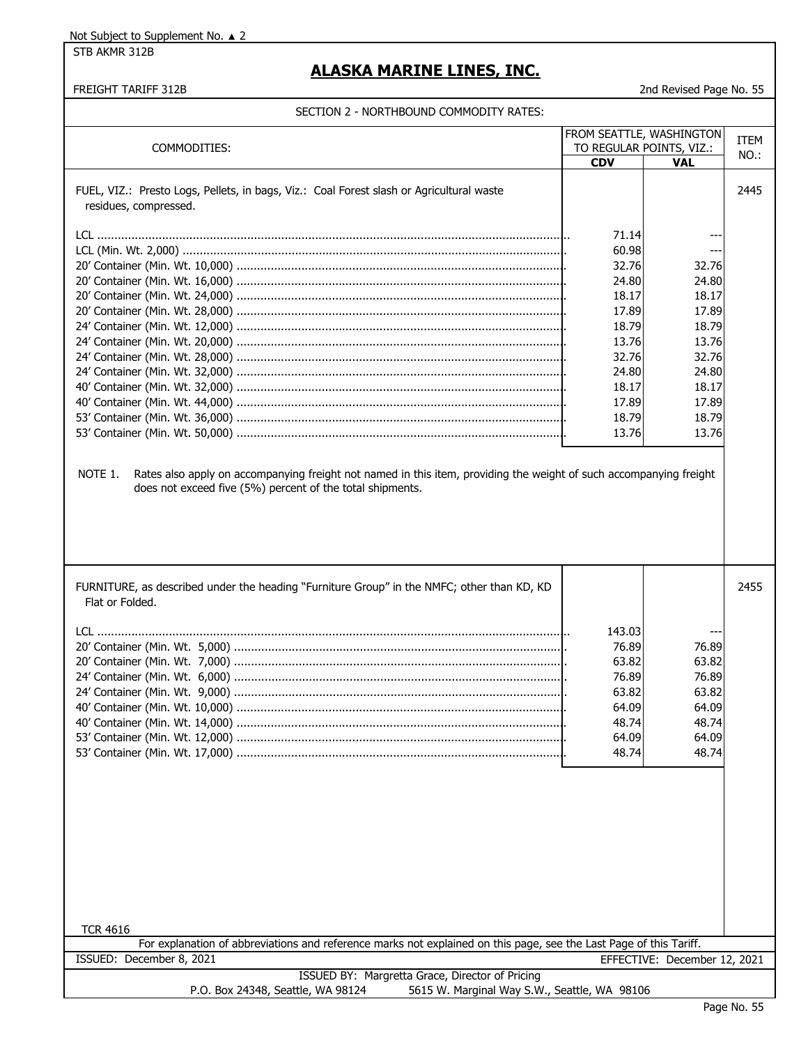#### STB AKMR 312B

### **ALASKA MARINE LINES, INC.**

#### FREIGHT TARIFF 312B 2nd Revised Page No. 55

|                                                                                                                               |            | <b>FROM SEATTLE, WASHINGTON</b> | ITEM |
|-------------------------------------------------------------------------------------------------------------------------------|------------|---------------------------------|------|
| COMMODITIES:                                                                                                                  |            | TO REGULAR POINTS, VIZ.:        | NO.: |
|                                                                                                                               | <b>CDV</b> | VAL                             |      |
| FUEL, VIZ.: Presto Logs, Pellets, in bags, Viz.: Coal Forest slash or Agricultural waste<br>residues, compressed.             |            |                                 | 2445 |
|                                                                                                                               |            |                                 |      |
|                                                                                                                               | 71.14      |                                 |      |
|                                                                                                                               | 60.98      |                                 |      |
|                                                                                                                               | 32.76      | 32.76                           |      |
|                                                                                                                               | 24.80      | 24.80                           |      |
|                                                                                                                               | 18.17      | 18.17                           |      |
|                                                                                                                               | 17.89      | 17.89                           |      |
|                                                                                                                               | 18.79      | 18.79                           |      |
|                                                                                                                               | 13.76      | 13.76                           |      |
|                                                                                                                               | 32.76      | 32.76                           |      |
|                                                                                                                               | 24.80      | 24.80                           |      |
|                                                                                                                               |            |                                 |      |
|                                                                                                                               | 18.17      | 18.17                           |      |
|                                                                                                                               | 17.89      | 17.89                           |      |
|                                                                                                                               | 18.79      | 18.79                           |      |
|                                                                                                                               | 13.76      | 13.76                           |      |
|                                                                                                                               |            |                                 |      |
|                                                                                                                               |            |                                 |      |
| Rates also apply on accompanying freight not named in this item, providing the weight of such accompanying freight<br>NOTE 1. |            |                                 |      |
| does not exceed five (5%) percent of the total shipments.                                                                     |            |                                 |      |
|                                                                                                                               |            |                                 |      |
|                                                                                                                               |            |                                 |      |
|                                                                                                                               |            |                                 |      |
|                                                                                                                               |            |                                 |      |
|                                                                                                                               |            |                                 |      |
| FURNITURE, as described under the heading "Furniture Group" in the NMFC; other than KD, KD<br>Flat or Folded.                 |            |                                 | 2455 |
|                                                                                                                               |            |                                 |      |
|                                                                                                                               | 143.03     |                                 |      |
|                                                                                                                               | 76.89      | 76.89                           |      |
|                                                                                                                               | 63.82      | 63.82                           |      |
|                                                                                                                               | 76.89      | 76.89                           |      |
|                                                                                                                               | 63.82      | 63.82                           |      |
|                                                                                                                               | 64.09      | 64.09                           |      |
|                                                                                                                               | 48.74      | 48.74                           |      |
|                                                                                                                               | 64.09      | 64.09                           |      |
|                                                                                                                               | 48.74      | 48.74                           |      |
|                                                                                                                               |            |                                 |      |
|                                                                                                                               |            |                                 |      |
|                                                                                                                               |            |                                 |      |
|                                                                                                                               |            |                                 |      |
|                                                                                                                               |            |                                 |      |
|                                                                                                                               |            |                                 |      |
|                                                                                                                               |            |                                 |      |
|                                                                                                                               |            |                                 |      |
|                                                                                                                               |            |                                 |      |
|                                                                                                                               |            |                                 |      |
|                                                                                                                               |            |                                 |      |
|                                                                                                                               |            |                                 |      |
| <b>TCR 4616</b>                                                                                                               |            |                                 |      |
| For explanation of abbreviations and reference marks not explained on this page, see the Last Page of this Tariff.            |            |                                 |      |
| ISSUED: December 8, 2021                                                                                                      |            | EFFECTIVE: December 12, 2021    |      |
| ISSUED BY: Margretta Grace, Director of Pricing                                                                               |            |                                 |      |
| 5615 W. Marginal Way S.W., Seattle, WA 98106<br>P.O. Box 24348, Seattle, WA 98124                                             |            |                                 |      |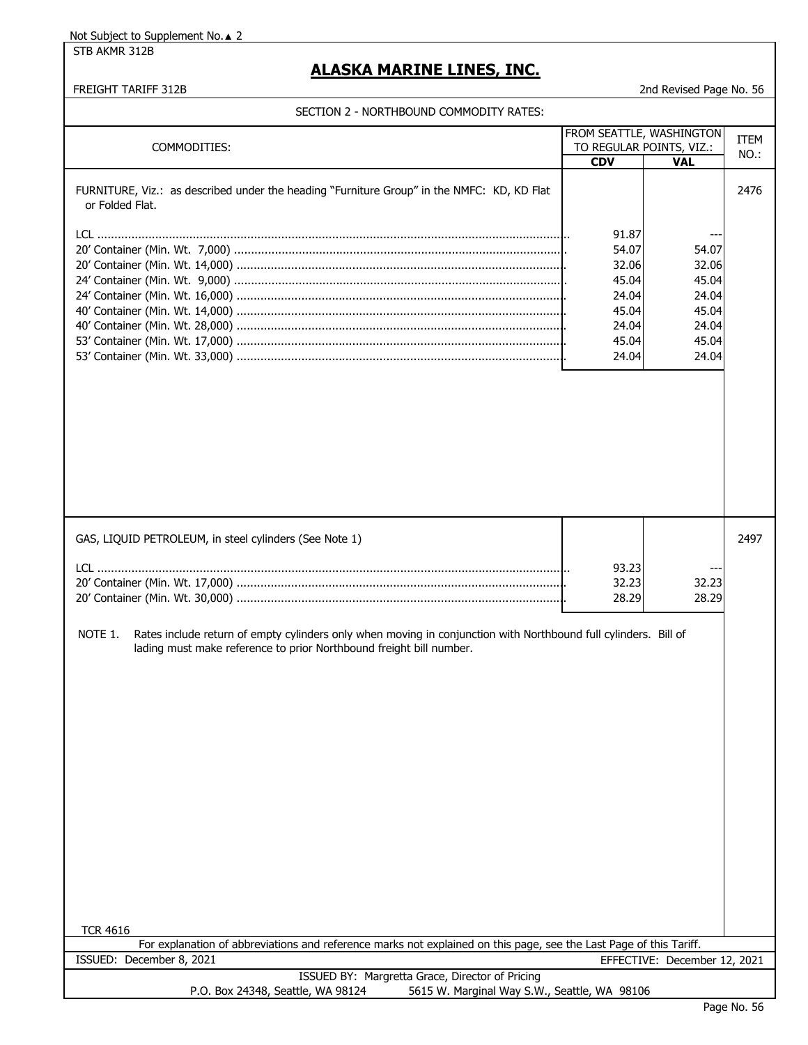STB AKMR 312B

# **ALASKA MARINE LINES, INC.**

| COMMODITIES:                                                                                                                                                                                                                                                                   | FROM SEATTLE, WASHINGTON<br>TO REGULAR POINTS, VIZ.:<br><b>CDV</b>            | <b>VAL</b>                                                           | <b>ITEM</b><br>NO.: |
|--------------------------------------------------------------------------------------------------------------------------------------------------------------------------------------------------------------------------------------------------------------------------------|-------------------------------------------------------------------------------|----------------------------------------------------------------------|---------------------|
| FURNITURE, Viz.: as described under the heading "Furniture Group" in the NMFC: KD, KD Flat<br>or Folded Flat.                                                                                                                                                                  | 91.87<br>54.07<br>32.06<br>45.04<br>24.04<br>45.04<br>24.04<br>45.04<br>24.04 | 54.07<br>32.06<br>45.04<br>24.04<br>45.04<br>24.04<br>45.04<br>24.04 | 2476                |
| GAS, LIQUID PETROLEUM, in steel cylinders (See Note 1)<br>NOTE 1.<br>Rates include return of empty cylinders only when moving in conjunction with Northbound full cylinders. Bill of<br>lading must make reference to prior Northbound freight bill number.<br><b>TCR 4616</b> | 93.23<br>32.23<br>28.29                                                       | 32.23<br>28.29                                                       | 2497                |
| For explanation of abbreviations and reference marks not explained on this page, see the Last Page of this Tariff.<br>ISSUED: December 8, 2021                                                                                                                                 |                                                                               | EFFECTIVE: December 12, 2021                                         |                     |
| ISSUED BY: Margretta Grace, Director of Pricing<br>P.O. Box 24348, Seattle, WA 98124<br>5615 W. Marginal Way S.W., Seattle, WA 98106                                                                                                                                           |                                                                               |                                                                      |                     |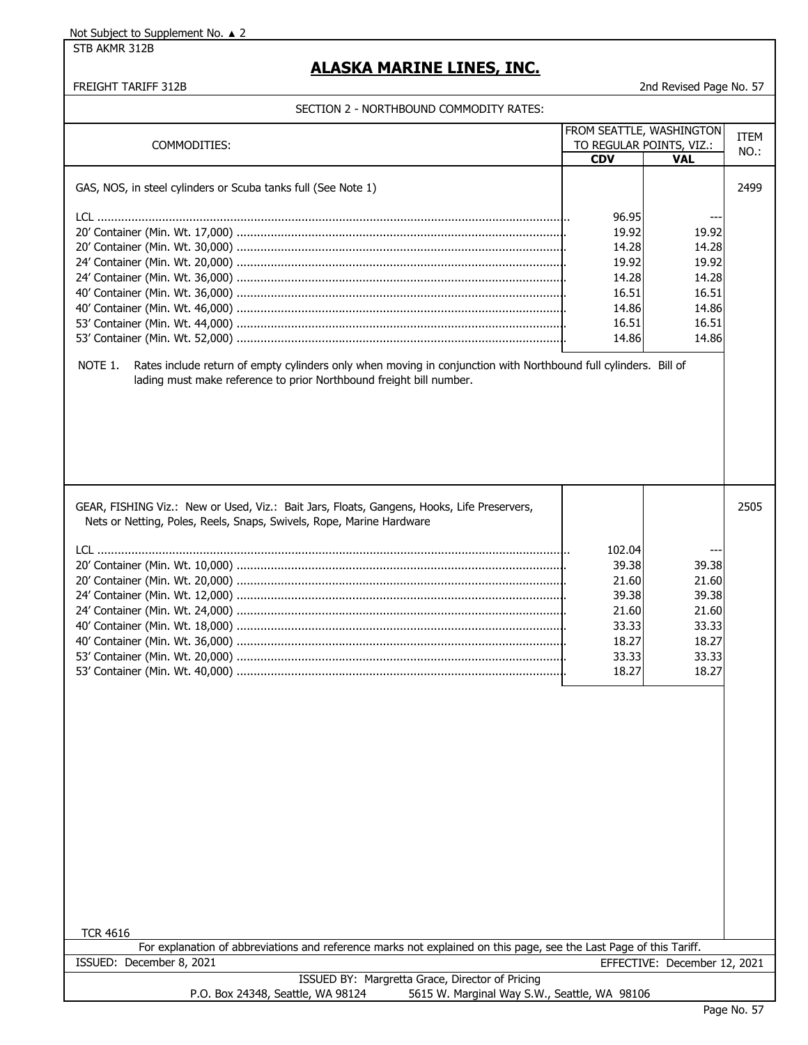STB AKMR 312B

# **ALASKA MARINE LINES, INC.**

FREIGHT TARIFF 312B 2nd Revised Page No. 57

|                                                                                                                                                                    | FROM SEATTLE, WASHINGTON |                              |             |
|--------------------------------------------------------------------------------------------------------------------------------------------------------------------|--------------------------|------------------------------|-------------|
| COMMODITIES:                                                                                                                                                       | TO REGULAR POINTS, VIZ.: |                              | <b>ITEM</b> |
|                                                                                                                                                                    | <b>CDV</b>               | <b>VAL</b>                   | NO.:        |
|                                                                                                                                                                    |                          |                              |             |
| GAS, NOS, in steel cylinders or Scuba tanks full (See Note 1)                                                                                                      |                          |                              | 2499        |
|                                                                                                                                                                    |                          |                              |             |
|                                                                                                                                                                    | 96.95                    | $-$                          |             |
|                                                                                                                                                                    | 19.92<br>14.28           | 19.92<br>14.28               |             |
|                                                                                                                                                                    | 19.92                    | 19.92                        |             |
|                                                                                                                                                                    | 14.28                    | 14.28                        |             |
|                                                                                                                                                                    | 16.51                    | 16.51                        |             |
|                                                                                                                                                                    | 14.86                    | 14.86                        |             |
|                                                                                                                                                                    | 16.51                    | 16.51                        |             |
|                                                                                                                                                                    | 14.86                    | 14.86                        |             |
|                                                                                                                                                                    |                          |                              |             |
| lading must make reference to prior Northbound freight bill number.                                                                                                |                          |                              |             |
| GEAR, FISHING Viz.: New or Used, Viz.: Bait Jars, Floats, Gangens, Hooks, Life Preservers,<br>Nets or Netting, Poles, Reels, Snaps, Swivels, Rope, Marine Hardware |                          |                              | 2505        |
|                                                                                                                                                                    |                          |                              |             |
|                                                                                                                                                                    | 102.04<br>39.38          |                              |             |
|                                                                                                                                                                    | 21.60                    | 39.38<br>21.60               |             |
|                                                                                                                                                                    | 39.38                    | 39.38                        |             |
|                                                                                                                                                                    | 21.60                    | 21.60                        |             |
|                                                                                                                                                                    | 33.33                    | 33.33                        |             |
|                                                                                                                                                                    | 18.27                    | 18.27                        |             |
|                                                                                                                                                                    | 33.33                    | 33.33                        |             |
|                                                                                                                                                                    | 18.27                    | 18.27                        |             |
|                                                                                                                                                                    |                          |                              |             |
| <b>TCR 4616</b>                                                                                                                                                    |                          |                              |             |
| For explanation of abbreviations and reference marks not explained on this page, see the Last Page of this Tariff.                                                 |                          |                              |             |
| ISSUED: December 8, 2021                                                                                                                                           |                          | EFFECTIVE: December 12, 2021 |             |
| ISSUED BY: Margretta Grace, Director of Pricing                                                                                                                    |                          |                              |             |
| 5615 W. Marginal Way S.W., Seattle, WA 98106<br>P.O. Box 24348, Seattle, WA 98124                                                                                  |                          |                              |             |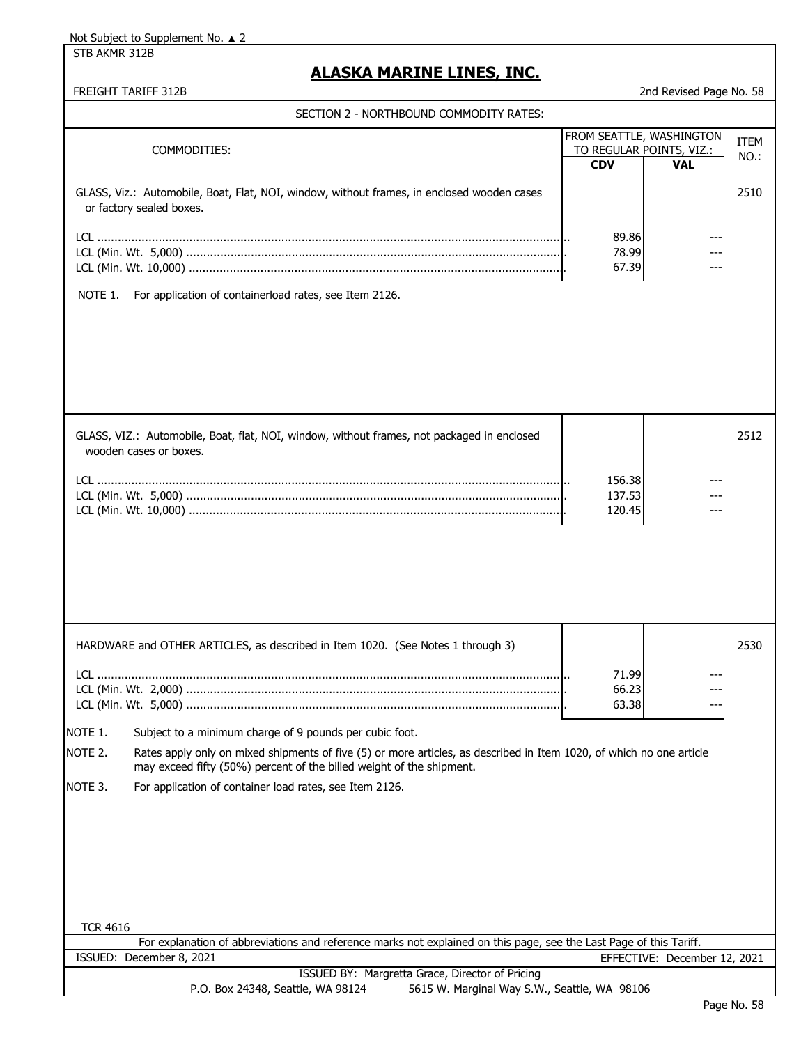STB AKMR 312B

# **ALASKA MARINE LINES, INC.**

|                                                                                                                                                                                                         |            | FROM SEATTLE, WASHINGTON     | <b>ITEM</b> |
|---------------------------------------------------------------------------------------------------------------------------------------------------------------------------------------------------------|------------|------------------------------|-------------|
| COMMODITIES:                                                                                                                                                                                            |            | TO REGULAR POINTS, VIZ.:     | NO.:        |
|                                                                                                                                                                                                         | <b>CDV</b> | <b>VAL</b>                   |             |
| GLASS, Viz.: Automobile, Boat, Flat, NOI, window, without frames, in enclosed wooden cases<br>or factory sealed boxes.                                                                                  |            |                              | 2510        |
|                                                                                                                                                                                                         |            |                              |             |
|                                                                                                                                                                                                         | 89.86      |                              |             |
|                                                                                                                                                                                                         | 78.99      |                              |             |
|                                                                                                                                                                                                         | 67.39      |                              |             |
|                                                                                                                                                                                                         |            |                              |             |
| For application of containerload rates, see Item 2126.<br>NOTE 1.                                                                                                                                       |            |                              |             |
| GLASS, VIZ.: Automobile, Boat, flat, NOI, window, without frames, not packaged in enclosed                                                                                                              |            |                              | 2512        |
| wooden cases or boxes.                                                                                                                                                                                  |            |                              |             |
|                                                                                                                                                                                                         |            |                              |             |
|                                                                                                                                                                                                         | 156.38     |                              |             |
|                                                                                                                                                                                                         | 137.53     |                              |             |
|                                                                                                                                                                                                         | 120.45     |                              |             |
|                                                                                                                                                                                                         |            |                              |             |
|                                                                                                                                                                                                         |            |                              |             |
| HARDWARE and OTHER ARTICLES, as described in Item 1020. (See Notes 1 through 3)                                                                                                                         |            |                              | 2530        |
|                                                                                                                                                                                                         |            |                              |             |
|                                                                                                                                                                                                         | 71.99      |                              |             |
|                                                                                                                                                                                                         | 66.23      |                              |             |
|                                                                                                                                                                                                         | 63.38      |                              |             |
|                                                                                                                                                                                                         |            |                              |             |
| NOTE 1.<br>Subject to a minimum charge of 9 pounds per cubic foot.                                                                                                                                      |            |                              |             |
| NOTE 2.<br>Rates apply only on mixed shipments of five (5) or more articles, as described in Item 1020, of which no one article<br>may exceed fifty (50%) percent of the billed weight of the shipment. |            |                              |             |
| NOTE 3.<br>For application of container load rates, see Item 2126.                                                                                                                                      |            |                              |             |
|                                                                                                                                                                                                         |            |                              |             |
|                                                                                                                                                                                                         |            |                              |             |
|                                                                                                                                                                                                         |            |                              |             |
|                                                                                                                                                                                                         |            |                              |             |
|                                                                                                                                                                                                         |            |                              |             |
|                                                                                                                                                                                                         |            |                              |             |
|                                                                                                                                                                                                         |            |                              |             |
| <b>TCR 4616</b>                                                                                                                                                                                         |            |                              |             |
| For explanation of abbreviations and reference marks not explained on this page, see the Last Page of this Tariff.                                                                                      |            |                              |             |
| ISSUED: December 8, 2021                                                                                                                                                                                |            | EFFECTIVE: December 12, 2021 |             |
| ISSUED BY: Margretta Grace, Director of Pricing                                                                                                                                                         |            |                              |             |
| P.O. Box 24348, Seattle, WA 98124<br>5615 W. Marginal Way S.W., Seattle, WA 98106                                                                                                                       |            |                              |             |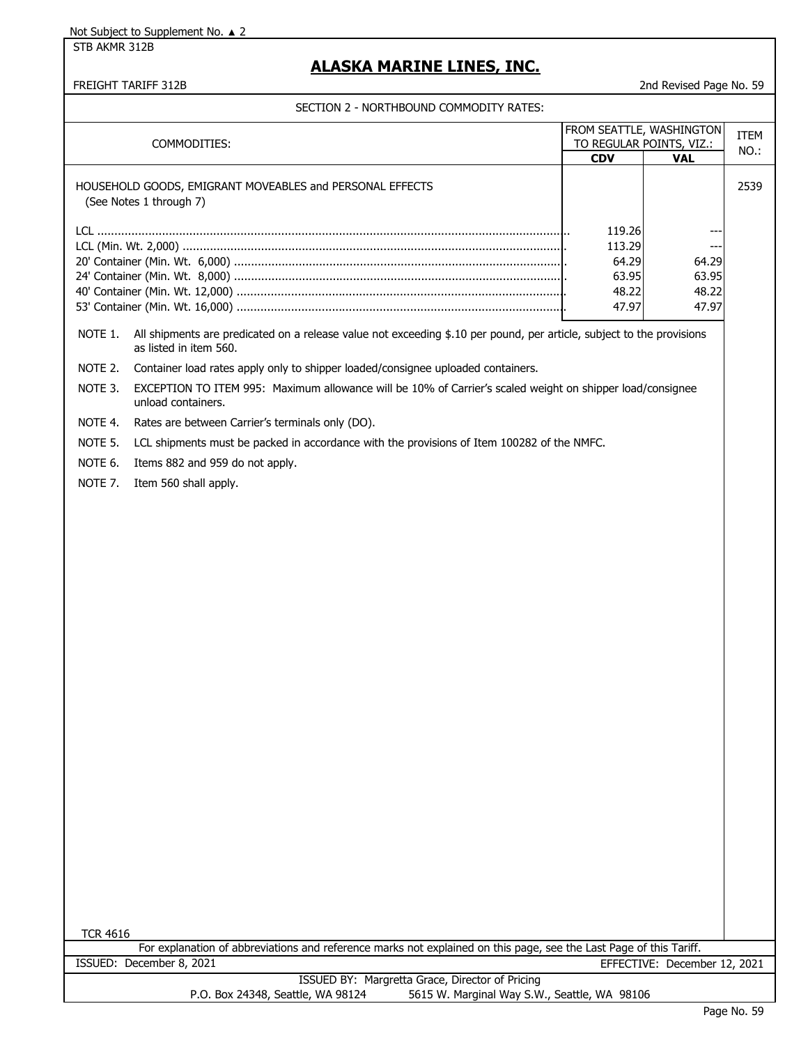STB AKMR 312B

### **ALASKA MARINE LINES, INC.**

FREIGHT TARIFF 312B 2nd Revised Page No. 59

|                 | CITON Z – NORTHDOUND COMMODITI INTIEU.                                                                                                          |                          |                                        |             |
|-----------------|-------------------------------------------------------------------------------------------------------------------------------------------------|--------------------------|----------------------------------------|-------------|
|                 |                                                                                                                                                 | FROM SEATTLE, WASHINGTON |                                        | <b>ITEM</b> |
|                 | COMMODITIES:                                                                                                                                    | <b>CDV</b>               | TO REGULAR POINTS, VIZ.:<br><b>VAL</b> | NO.:        |
|                 | HOUSEHOLD GOODS, EMIGRANT MOVEABLES and PERSONAL EFFECTS<br>(See Notes 1 through 7)                                                             |                          |                                        | 2539        |
|                 |                                                                                                                                                 | 119.26                   |                                        |             |
|                 |                                                                                                                                                 | 113.29                   | ---                                    |             |
|                 |                                                                                                                                                 | 64.29<br>63.95           | 64.29<br>63.95                         |             |
|                 |                                                                                                                                                 | 48.22                    | 48.22                                  |             |
|                 |                                                                                                                                                 | 47.97                    | 47.97                                  |             |
| NOTE 1.         | All shipments are predicated on a release value not exceeding \$.10 per pound, per article, subject to the provisions<br>as listed in item 560. |                          |                                        |             |
| NOTE 2.         | Container load rates apply only to shipper loaded/consignee uploaded containers.                                                                |                          |                                        |             |
| NOTE 3.         | EXCEPTION TO ITEM 995: Maximum allowance will be 10% of Carrier's scaled weight on shipper load/consignee<br>unload containers.                 |                          |                                        |             |
| NOTE 4.         | Rates are between Carrier's terminals only (DO).                                                                                                |                          |                                        |             |
| NOTE 5.         | LCL shipments must be packed in accordance with the provisions of Item 100282 of the NMFC.                                                      |                          |                                        |             |
| NOTE 6.         | Items 882 and 959 do not apply.                                                                                                                 |                          |                                        |             |
| NOTE 7.         | Item 560 shall apply.                                                                                                                           |                          |                                        |             |
|                 |                                                                                                                                                 |                          |                                        |             |
|                 |                                                                                                                                                 |                          |                                        |             |
|                 |                                                                                                                                                 |                          |                                        |             |
|                 |                                                                                                                                                 |                          |                                        |             |
|                 |                                                                                                                                                 |                          |                                        |             |
|                 |                                                                                                                                                 |                          |                                        |             |
|                 |                                                                                                                                                 |                          |                                        |             |
|                 |                                                                                                                                                 |                          |                                        |             |
|                 |                                                                                                                                                 |                          |                                        |             |
|                 |                                                                                                                                                 |                          |                                        |             |
|                 |                                                                                                                                                 |                          |                                        |             |
|                 |                                                                                                                                                 |                          |                                        |             |
|                 |                                                                                                                                                 |                          |                                        |             |
|                 |                                                                                                                                                 |                          |                                        |             |
|                 |                                                                                                                                                 |                          |                                        |             |
|                 |                                                                                                                                                 |                          |                                        |             |
|                 |                                                                                                                                                 |                          |                                        |             |
|                 |                                                                                                                                                 |                          |                                        |             |
|                 |                                                                                                                                                 |                          |                                        |             |
|                 |                                                                                                                                                 |                          |                                        |             |
|                 |                                                                                                                                                 |                          |                                        |             |
|                 |                                                                                                                                                 |                          |                                        |             |
| <b>TCR 4616</b> |                                                                                                                                                 |                          |                                        |             |
|                 | For explanation of abbreviations and reference marks not explained on this page, see the Last Page of this Tariff.<br>ISSUED: December 8, 2021  |                          | EFFECTIVE: December 12, 2021           |             |
|                 | ISSUED BY: Margretta Grace, Director of Pricing                                                                                                 |                          |                                        |             |
|                 | 5615 W. Marginal Way S.W., Seattle, WA 98106<br>P.O. Box 24348, Seattle, WA 98124                                                               |                          |                                        |             |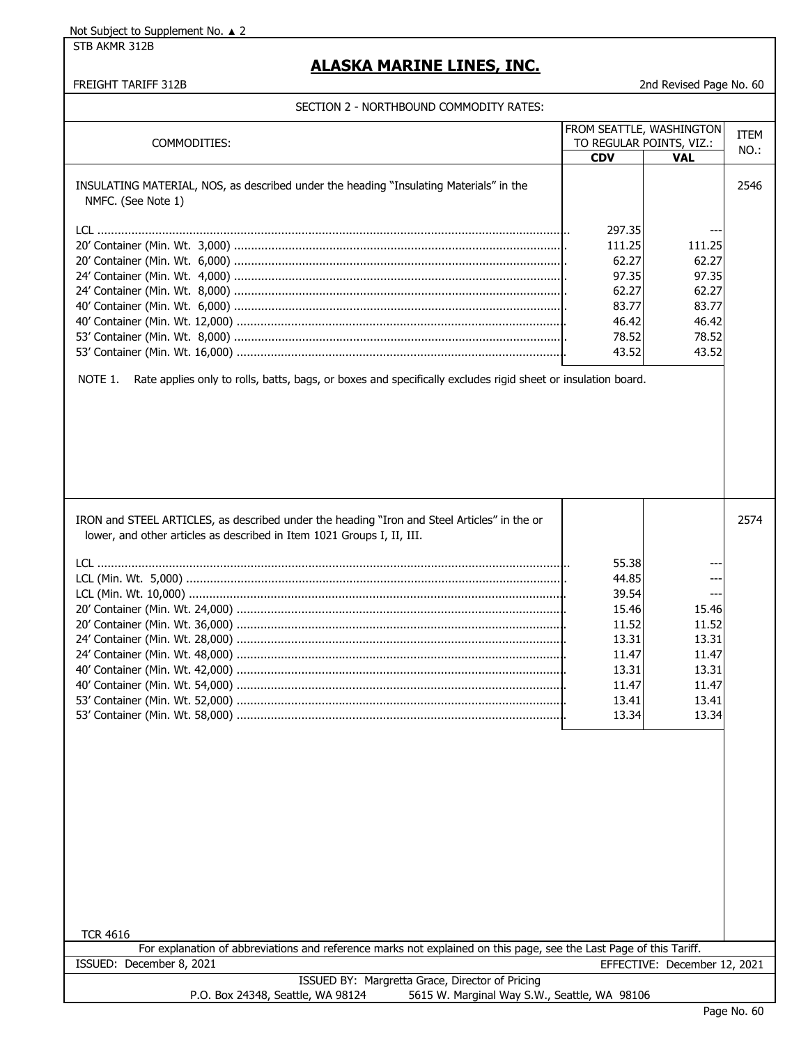STB AKMR 312B

### **ALASKA MARINE LINES, INC.**

FREIGHT TARIFF 312B 2nd Revised Page No. 60

| COMMODITIES:                                                                                                                                                          |                | FROM SEATTLE, WASHINGTON<br>TO REGULAR POINTS, VIZ.: | <b>ITEM</b> |
|-----------------------------------------------------------------------------------------------------------------------------------------------------------------------|----------------|------------------------------------------------------|-------------|
|                                                                                                                                                                       | <b>CDV</b>     | <b>VAL</b>                                           | NO.:        |
| INSULATING MATERIAL, NOS, as described under the heading "Insulating Materials" in the<br>NMFC. (See Note 1)                                                          |                |                                                      | 2546        |
|                                                                                                                                                                       | 297.35         |                                                      |             |
|                                                                                                                                                                       | 111.25         | 111.25                                               |             |
|                                                                                                                                                                       | 62.27          | 62.27                                                |             |
|                                                                                                                                                                       | 97.35          | 97.35                                                |             |
|                                                                                                                                                                       | 62.27          | 62.27                                                |             |
|                                                                                                                                                                       | 83.77          | 83.77                                                |             |
|                                                                                                                                                                       | 46.42          | 46.42                                                |             |
|                                                                                                                                                                       | 78.52<br>43.52 | 78.52<br>43.52                                       |             |
|                                                                                                                                                                       |                |                                                      |             |
|                                                                                                                                                                       |                |                                                      |             |
| IRON and STEEL ARTICLES, as described under the heading "Iron and Steel Articles" in the or<br>lower, and other articles as described in Item 1021 Groups I, II, III. |                |                                                      | 2574        |
|                                                                                                                                                                       |                |                                                      |             |
|                                                                                                                                                                       | 55.38          | --                                                   |             |
|                                                                                                                                                                       | 44.85          | --                                                   |             |
|                                                                                                                                                                       | 39.54          |                                                      |             |
|                                                                                                                                                                       | 15.46          | 15.46                                                |             |
|                                                                                                                                                                       | 11.52          | 11.52                                                |             |
|                                                                                                                                                                       | 13.31          | 13.31                                                |             |
|                                                                                                                                                                       | 11.47<br>13.31 | 11.47<br>13.31                                       |             |
|                                                                                                                                                                       | 11.47          | 11.47                                                |             |
|                                                                                                                                                                       | 13.41          | 13.41                                                |             |
|                                                                                                                                                                       | 13.34          | 13.34                                                |             |
| <b>TCR 4616</b>                                                                                                                                                       |                |                                                      |             |
| For explanation of abbreviations and reference marks not explained on this page, see the Last Page of this Tariff.                                                    |                |                                                      |             |
| ISSUED: December 8, 2021                                                                                                                                              |                | EFFECTIVE: December 12, 2021                         |             |
| ISSUED BY: Margretta Grace, Director of Pricing                                                                                                                       |                |                                                      |             |
| P.O. Box 24348, Seattle, WA 98124<br>5615 W. Marginal Way S.W., Seattle, WA 98106                                                                                     |                |                                                      |             |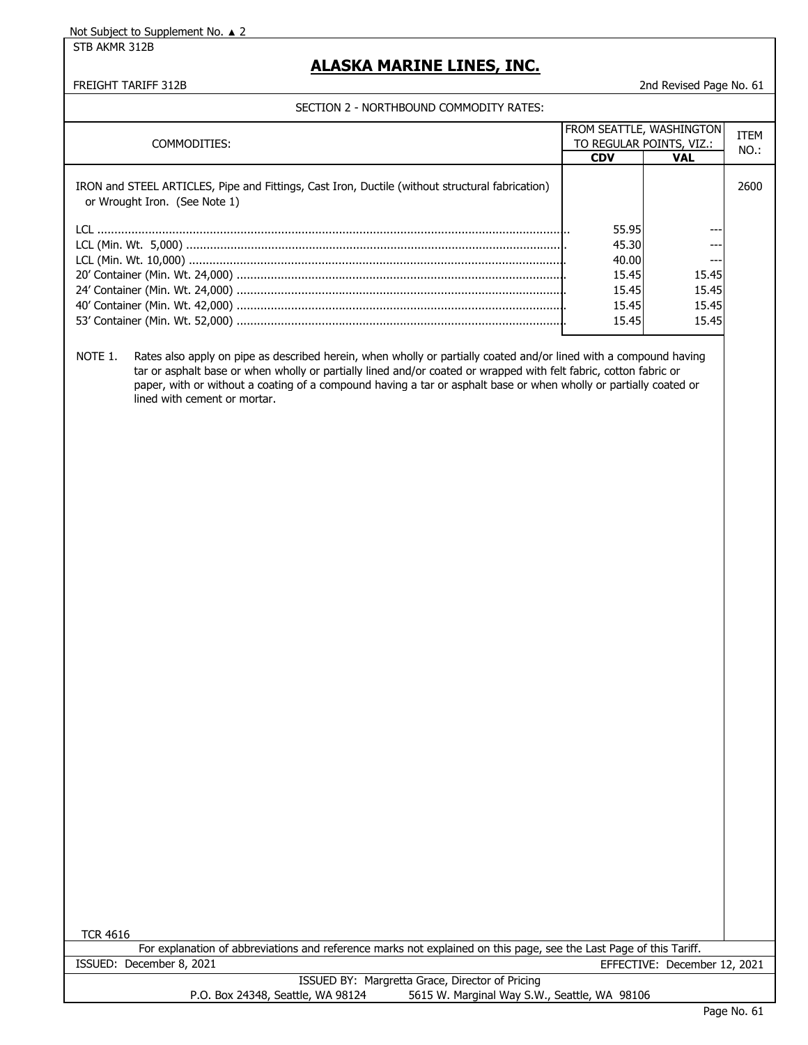STB AKMR 312B

### **ALASKA MARINE LINES, INC.**

FREIGHT TARIFF 312B 2nd Revised Page No. 61

#### SECTION 2 - NORTHBOUND COMMODITY RATES:

| COMMODITIES:                                                                                                                     | <b>FROM SEATTLE, WASHINGTON</b><br>TO REGULAR POINTS, VIZ.: |            | <b>ITEM</b><br>$NO.$ : |
|----------------------------------------------------------------------------------------------------------------------------------|-------------------------------------------------------------|------------|------------------------|
|                                                                                                                                  | <b>CDV</b>                                                  | <b>VAL</b> |                        |
| IRON and STEEL ARTICLES, Pipe and Fittings, Cast Iron, Ductile (without structural fabrication)<br>or Wrought Iron. (See Note 1) |                                                             |            | 2600                   |
|                                                                                                                                  | 55.95                                                       |            |                        |
|                                                                                                                                  | 45.30                                                       | ---        |                        |
|                                                                                                                                  | 40.00                                                       | $- - -$    |                        |
|                                                                                                                                  | 15.45                                                       | 15.45      |                        |
|                                                                                                                                  | 15.45                                                       | 15.45      |                        |
|                                                                                                                                  | 15.45                                                       | 15.45      |                        |
|                                                                                                                                  | 15.45                                                       | 15.45      |                        |

NOTE 1. Rates also apply on pipe as described herein, when wholly or partially coated and/or lined with a compound having tar or asphalt base or when wholly or partially lined and/or coated or wrapped with felt fabric, cotton fabric or paper, with or without a coating of a compound having a tar or asphalt base or when wholly or partially coated or lined with cement or mortar.

TCR 4616

|                          | For explanation of abbreviations and reference marks not explained on this page, see the Last Page of this Tariff. |                              |
|--------------------------|--------------------------------------------------------------------------------------------------------------------|------------------------------|
| ISSUED: December 8, 2021 |                                                                                                                    | EFFECTIVE: December 12, 2021 |
|                          | <b>ICCLIED RV: Margretta Crace, Director of Pricing</b>                                                            |                              |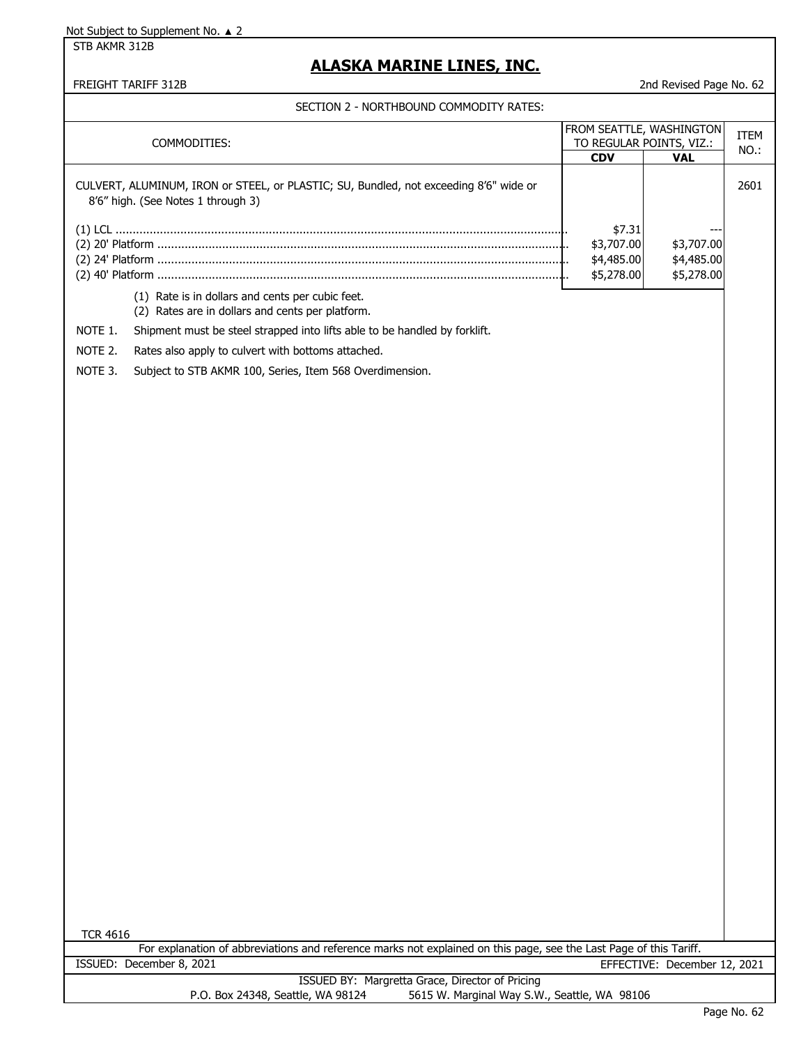STB AKMR 312B

### **ALASKA MARINE LINES, INC.**

FREIGHT TARIFF 312B 2nd Revised Page No. 62

| COMMODITIES:                                                                                                                          | <b>CDV</b>                                       | FROM SEATTLE, WASHINGTON<br>TO REGULAR POINTS, VIZ.:<br><b>VAL</b> | ITEM<br>NO.: |
|---------------------------------------------------------------------------------------------------------------------------------------|--------------------------------------------------|--------------------------------------------------------------------|--------------|
| CULVERT, ALUMINUM, IRON or STEEL, or PLASTIC; SU, Bundled, not exceeding 8'6" wide or<br>8'6" high. (See Notes 1 through 3)           |                                                  |                                                                    | 2601         |
|                                                                                                                                       | \$7.31<br>\$3,707.00<br>\$4,485.00<br>\$5,278.00 | \$3,707.00<br>\$4,485.00<br>\$5,278.00                             |              |
| (1) Rate is in dollars and cents per cubic feet.<br>(2) Rates are in dollars and cents per platform.                                  |                                                  |                                                                    |              |
| NOTE 1.<br>Shipment must be steel strapped into lifts able to be handled by forklift.                                                 |                                                  |                                                                    |              |
| NOTE 2.<br>Rates also apply to culvert with bottoms attached.                                                                         |                                                  |                                                                    |              |
| NOTE 3.<br>Subject to STB AKMR 100, Series, Item 568 Overdimension.                                                                   |                                                  |                                                                    |              |
|                                                                                                                                       |                                                  |                                                                    |              |
| <b>TCR 4616</b><br>For explanation of abbreviations and reference marks not explained on this page, see the Last Page of this Tariff. |                                                  |                                                                    |              |
| ISSUED: December 8, 2021                                                                                                              |                                                  | EFFECTIVE: December 12, 2021                                       |              |
| ISSUED BY: Margretta Grace, Director of Pricing<br>5615 W. Marginal Way S.W., Seattle, WA 98106<br>P.O. Box 24348, Seattle, WA 98124  |                                                  |                                                                    |              |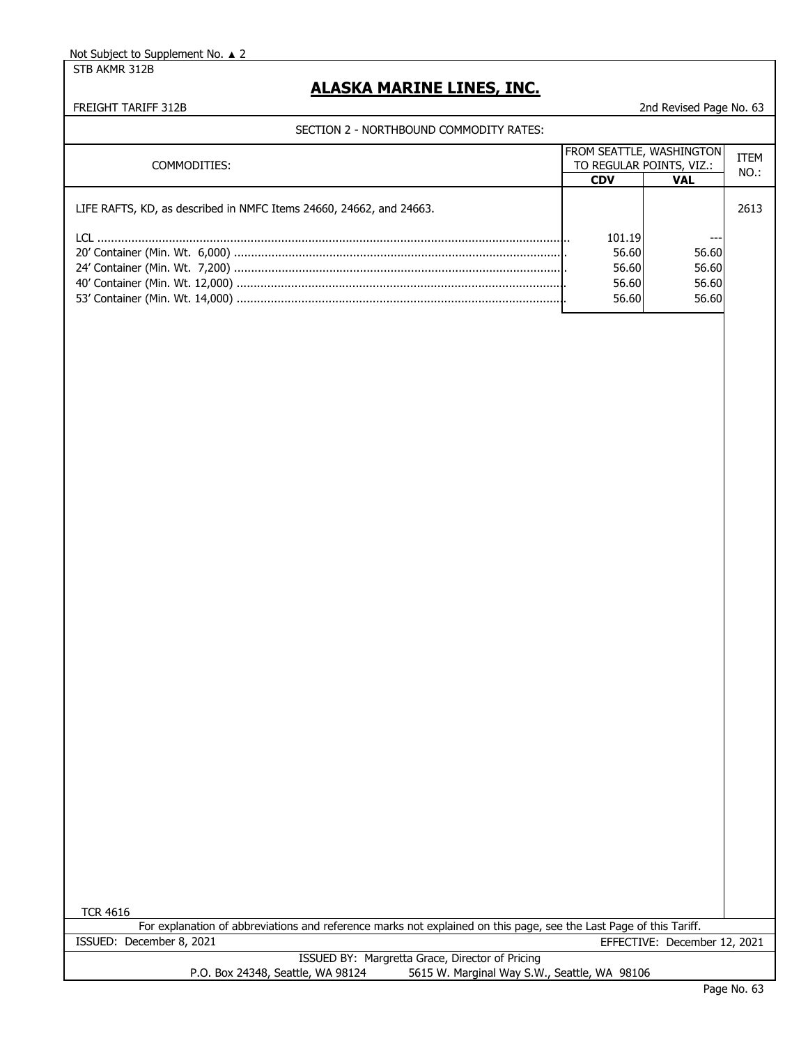STB AKMR 312B

### **ALASKA MARINE LINES, INC.**

FREIGHT TARIFF 312B 2nd Revised Page No. 63

SECTION 2 - NORTHBOUND COMMODITY RATES:

| COMMODITIES:                                                                                                           |            | <b>FROM SEATTLE, WASHINGTON</b><br>TO REGULAR POINTS, VIZ.: |      |
|------------------------------------------------------------------------------------------------------------------------|------------|-------------------------------------------------------------|------|
|                                                                                                                        | <b>CDV</b> | <b>VAL</b>                                                  | NO.: |
| LIFE RAFTS, KD, as described in NMFC Items 24660, 24662, and 24663.                                                    |            |                                                             | 2613 |
| <u>I Clarence and the contract of the contract of the contract of the contract of the contract of the contract of </u> | 101.19     | ---                                                         |      |
|                                                                                                                        | 56.60      | 56.60                                                       |      |
|                                                                                                                        | 56.60      | 56.60                                                       |      |
|                                                                                                                        | 56.60      | 56.60                                                       |      |
|                                                                                                                        | 56.60      | 56.60                                                       |      |
|                                                                                                                        |            |                                                             |      |
|                                                                                                                        |            |                                                             |      |

TCR 4616

For explanation of abbreviations and reference marks not explained on this page, see the Last Page of this Tariff. ISSUED: December 8, 2021 EFFECTIVE: December 12, 2021

> ISSUED BY: Margretta Grace, Director of Pricing P.O. Box 24348, Seattle, WA 98124 5615 W. Marginal Way S.W., Seattle, WA 98106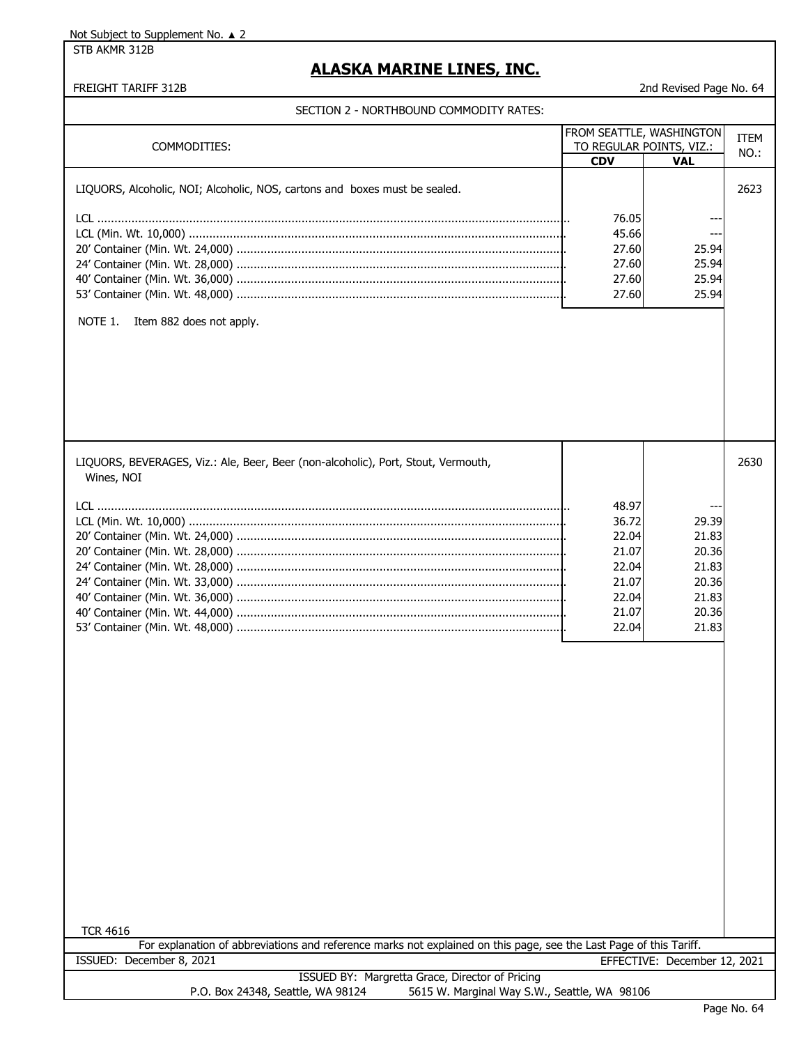STB AKMR 312B

### **ALASKA MARINE LINES, INC.**

#### FREIGHT TARIFF 312B 2nd Revised Page No. 64

| COMMODITIES:                                                                                                                          | <b>CDV</b>                                                                    | FROM SEATTLE, WASHINGTON<br>TO REGULAR POINTS, VIZ.:<br>VAL          | <b>ITEM</b><br>NO.: |
|---------------------------------------------------------------------------------------------------------------------------------------|-------------------------------------------------------------------------------|----------------------------------------------------------------------|---------------------|
| LIQUORS, Alcoholic, NOI; Alcoholic, NOS, cartons and boxes must be sealed.<br>NOTE 1.<br>Item 882 does not apply.                     | 76.05<br>45.66<br>27.60<br>27.60<br>27.60<br>27.60                            | 25.94<br>25.94<br>25.94<br>25.94                                     | 2623                |
| LIQUORS, BEVERAGES, Viz.: Ale, Beer, Beer (non-alcoholic), Port, Stout, Vermouth,<br>Wines, NOI                                       | 48.97<br>36.72<br>22.04<br>21.07<br>22.04<br>21.07<br>22.04<br>21.07<br>22.04 | 29.39<br>21.83<br>20.36<br>21.83<br>20.36<br>21.83<br>20.36<br>21.83 | 2630                |
| <b>TCR 4616</b><br>For explanation of abbreviations and reference marks not explained on this page, see the Last Page of this Tariff. |                                                                               |                                                                      |                     |
| ISSUED: December 8, 2021                                                                                                              |                                                                               | EFFECTIVE: December 12, 2021                                         |                     |
| ISSUED BY: Margretta Grace, Director of Pricing                                                                                       |                                                                               |                                                                      |                     |
| P.O. Box 24348, Seattle, WA 98124<br>5615 W. Marginal Way S.W., Seattle, WA 98106                                                     |                                                                               |                                                                      |                     |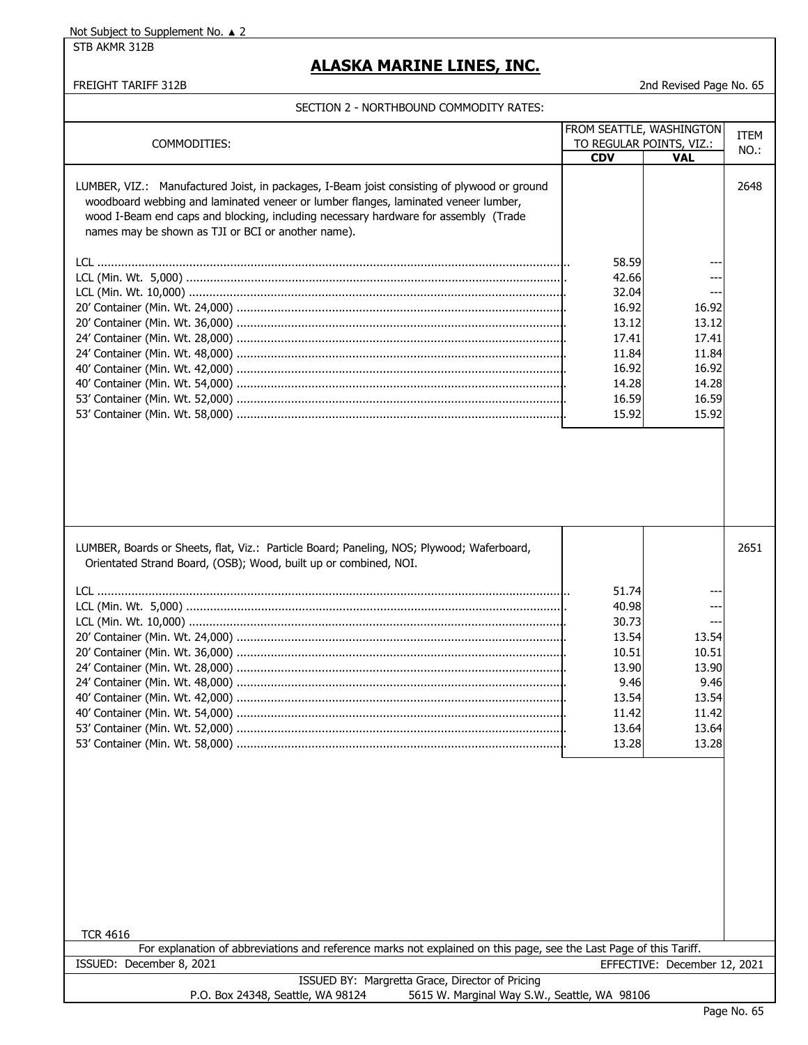STB AKMR 312B

### **ALASKA MARINE LINES, INC.**

FREIGHT TARIFF 312B 2nd Revised Page No. 65

|                                                                                                                    |            | FROM SEATTLE, WASHINGTON     | <b>ITEM</b> |
|--------------------------------------------------------------------------------------------------------------------|------------|------------------------------|-------------|
| COMMODITIES:                                                                                                       |            | TO REGULAR POINTS, VIZ.:     | NO.:        |
|                                                                                                                    | <b>CDV</b> | <b>VAL</b>                   |             |
|                                                                                                                    |            |                              |             |
| LUMBER, VIZ.: Manufactured Joist, in packages, I-Beam joist consisting of plywood or ground                        |            |                              | 2648        |
| woodboard webbing and laminated veneer or lumber flanges, laminated veneer lumber,                                 |            |                              |             |
| wood I-Beam end caps and blocking, including necessary hardware for assembly (Trade                                |            |                              |             |
| names may be shown as TJI or BCI or another name).                                                                 |            |                              |             |
|                                                                                                                    |            |                              |             |
|                                                                                                                    | 58.59      |                              |             |
|                                                                                                                    | 42.66      |                              |             |
|                                                                                                                    | 32.04      |                              |             |
|                                                                                                                    | 16.92      | 16.92                        |             |
|                                                                                                                    |            |                              |             |
|                                                                                                                    | 13.12      | 13.12                        |             |
|                                                                                                                    | 17.41      | 17.41                        |             |
|                                                                                                                    | 11.84      | 11.84                        |             |
|                                                                                                                    | 16.92      | 16.92                        |             |
|                                                                                                                    | 14.28      | 14.28                        |             |
|                                                                                                                    | 16.59      | 16.59                        |             |
|                                                                                                                    | 15.92      | 15.92                        |             |
|                                                                                                                    |            |                              |             |
|                                                                                                                    |            |                              |             |
|                                                                                                                    |            |                              |             |
|                                                                                                                    |            |                              |             |
|                                                                                                                    |            |                              |             |
|                                                                                                                    |            |                              |             |
|                                                                                                                    |            |                              |             |
|                                                                                                                    |            |                              |             |
|                                                                                                                    |            |                              |             |
| LUMBER, Boards or Sheets, flat, Viz.: Particle Board; Paneling, NOS; Plywood; Waferboard,                          |            |                              | 2651        |
| Orientated Strand Board, (OSB); Wood, built up or combined, NOI.                                                   |            |                              |             |
|                                                                                                                    |            |                              |             |
|                                                                                                                    | 51.74      |                              |             |
|                                                                                                                    | 40.98      |                              |             |
|                                                                                                                    | 30.73      | $---$                        |             |
|                                                                                                                    |            |                              |             |
|                                                                                                                    | 13.54      | 13.54                        |             |
|                                                                                                                    | 10.51      | 10.51                        |             |
|                                                                                                                    | 13.90      | 13.90                        |             |
|                                                                                                                    | 9.46       | 9.46                         |             |
|                                                                                                                    | 13.54      | 13.54                        |             |
|                                                                                                                    | 11.42      | 11.42                        |             |
|                                                                                                                    | 13.64      | 13.64                        |             |
|                                                                                                                    | 13.28      | 13.28                        |             |
|                                                                                                                    |            |                              |             |
|                                                                                                                    |            |                              |             |
|                                                                                                                    |            |                              |             |
|                                                                                                                    |            |                              |             |
|                                                                                                                    |            |                              |             |
|                                                                                                                    |            |                              |             |
|                                                                                                                    |            |                              |             |
|                                                                                                                    |            |                              |             |
|                                                                                                                    |            |                              |             |
|                                                                                                                    |            |                              |             |
|                                                                                                                    |            |                              |             |
|                                                                                                                    |            |                              |             |
|                                                                                                                    |            |                              |             |
| <b>TCR 4616</b>                                                                                                    |            |                              |             |
| For explanation of abbreviations and reference marks not explained on this page, see the Last Page of this Tariff. |            |                              |             |
| ISSUED: December 8, 2021                                                                                           |            |                              |             |
|                                                                                                                    |            | EFFECTIVE: December 12, 2021 |             |
| ISSUED BY: Margretta Grace, Director of Pricing                                                                    |            |                              |             |
| 5615 W. Marginal Way S.W., Seattle, WA 98106<br>P.O. Box 24348, Seattle, WA 98124                                  |            |                              |             |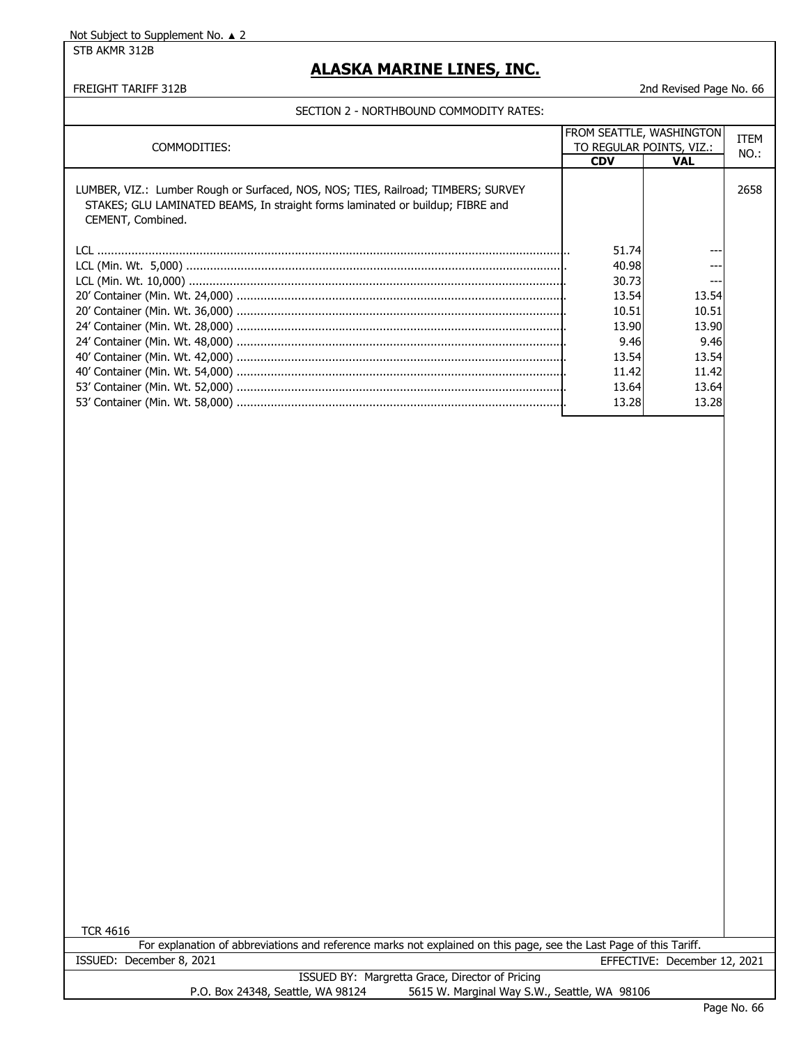STB AKMR 312B

### **ALASKA MARINE LINES, INC.**

#### FREIGHT TARIFF 312B 2nd Revised Page No. 66

#### SECTION 2 - NORTHBOUND COMMODITY RATES:

| COMMODITIES:                                                                                                                                                                             | <b>FROM SEATTLE, WASHINGTON</b><br>TO REGULAR POINTS, VIZ.: |            | ITEM |
|------------------------------------------------------------------------------------------------------------------------------------------------------------------------------------------|-------------------------------------------------------------|------------|------|
|                                                                                                                                                                                          | <b>CDV</b>                                                  | <b>VAL</b> | NO.: |
| LUMBER, VIZ.: Lumber Rough or Surfaced, NOS, NOS; TIES, Railroad; TIMBERS; SURVEY<br>STAKES; GLU LAMINATED BEAMS, In straight forms laminated or buildup; FIBRE and<br>CEMENT, Combined. |                                                             |            | 2658 |
|                                                                                                                                                                                          | 51.74                                                       |            |      |
|                                                                                                                                                                                          | 40.98                                                       |            |      |
|                                                                                                                                                                                          | 30.73                                                       |            |      |
|                                                                                                                                                                                          | 13.54                                                       | 13.54      |      |
|                                                                                                                                                                                          | 10.51                                                       | 10.51      |      |
|                                                                                                                                                                                          | 13.90                                                       | 13.90      |      |
|                                                                                                                                                                                          | 9.46                                                        | 9.46       |      |
|                                                                                                                                                                                          | 13.54                                                       | 13.54      |      |
|                                                                                                                                                                                          | 11.42                                                       | 11.42      |      |
|                                                                                                                                                                                          | 13.64                                                       | 13.64      |      |
|                                                                                                                                                                                          | 13.28                                                       | 13.28      |      |

TCR 4616

For explanation of abbreviations and reference marks not explained on this page, see the Last Page of this Tariff. ISSUED: December 8, 2021 EFFECTIVE: December 12, 2021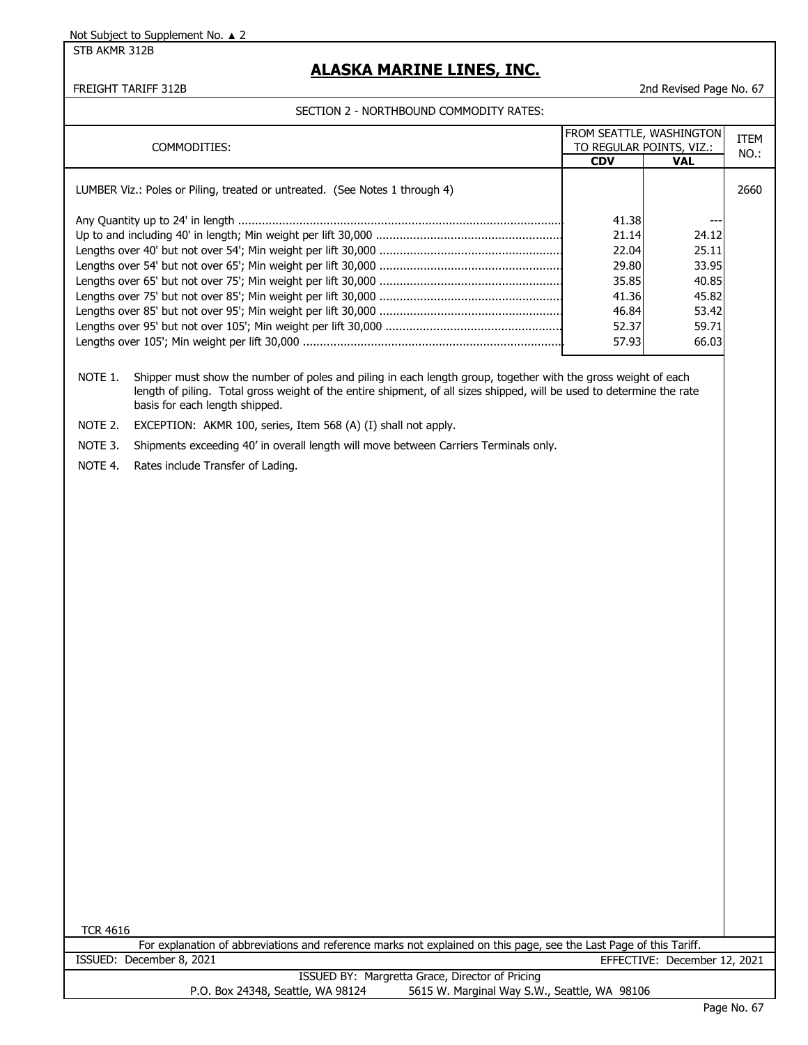STB AKMR 312B

### **ALASKA MARINE LINES, INC.**

#### SECTION 2 - NORTHBOUND COMMODITY RATES:

FREIGHT TARIFF 312B 2nd Revised Page No. 67

| COMMODITIES:                                                                |            | <b>FROM SEATTLE, WASHINGTON</b><br>TO REGULAR POINTS, VIZ.: | ITEM |
|-----------------------------------------------------------------------------|------------|-------------------------------------------------------------|------|
|                                                                             | <b>CDV</b> | <b>VAL</b>                                                  | NO.: |
| LUMBER Viz.: Poles or Piling, treated or untreated. (See Notes 1 through 4) |            |                                                             | 2660 |
|                                                                             | 41.38      |                                                             |      |
|                                                                             | 21.14      | 24.12                                                       |      |
|                                                                             | 22.04      | 25.11                                                       |      |
|                                                                             | 29.80      | 33.95                                                       |      |
|                                                                             | 35.85      | 40.85                                                       |      |
|                                                                             | 41.36      | 45.82                                                       |      |
|                                                                             | 46.84      | 53.42                                                       |      |
|                                                                             | 52.37      | 59.71                                                       |      |
|                                                                             | 57.93      | 66.03                                                       |      |

NOTE 1. Shipper must show the number of poles and piling in each length group, together with the gross weight of each length of piling. Total gross weight of the entire shipment, of all sizes shipped, will be used to determine the rate basis for each length shipped.

NOTE 2. EXCEPTION: AKMR 100, series, Item 568 (A) (I) shall not apply.

NOTE 3. Shipments exceeding 40' in overall length will move between Carriers Terminals only.

NOTE 4. Rates include Transfer of Lading.

TCR 4616

For explanation of abbreviations and reference marks not explained on this page, see the Last Page of this Tariff. ISSUED: December 8, 2021 EFFECTIVE: December 12, 2021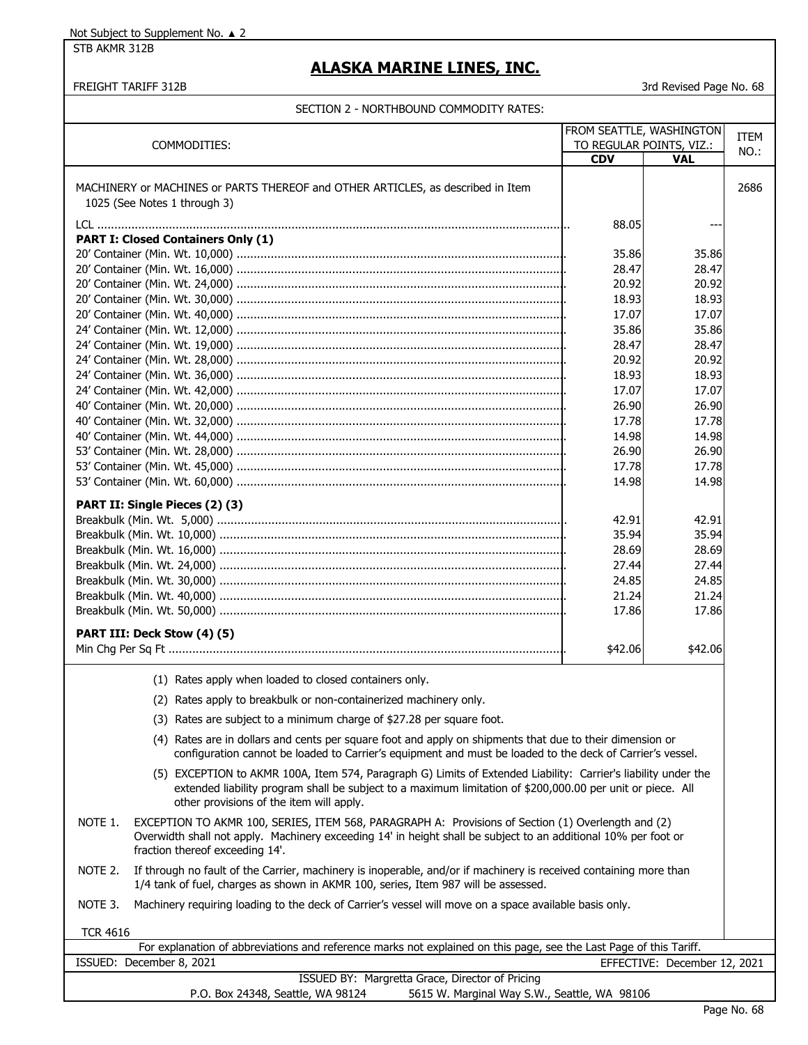STB AKMR 312B

# **ALASKA MARINE LINES, INC.**

#### FREIGHT TARIFF 312B 3rd Revised Page No. 68

|                                                                                                                                                                                                                                 |                          | FROM SEATTLE, WASHINGTON     | <b>ITEM</b> |
|---------------------------------------------------------------------------------------------------------------------------------------------------------------------------------------------------------------------------------|--------------------------|------------------------------|-------------|
| COMMODITIES:                                                                                                                                                                                                                    | TO REGULAR POINTS, VIZ.: |                              | NO.:        |
|                                                                                                                                                                                                                                 | <b>CDV</b>               | <b>VAL</b>                   |             |
|                                                                                                                                                                                                                                 |                          |                              |             |
| MACHINERY or MACHINES or PARTS THEREOF and OTHER ARTICLES, as described in Item                                                                                                                                                 |                          |                              | 2686        |
| 1025 (See Notes 1 through 3)                                                                                                                                                                                                    |                          |                              |             |
|                                                                                                                                                                                                                                 | 88.05                    |                              |             |
| <b>PART I: Closed Containers Only (1)</b>                                                                                                                                                                                       |                          |                              |             |
|                                                                                                                                                                                                                                 | 35.86                    | 35.86                        |             |
|                                                                                                                                                                                                                                 | 28.47                    | 28.47                        |             |
|                                                                                                                                                                                                                                 | 20.92                    | 20.92                        |             |
|                                                                                                                                                                                                                                 | 18.93                    | 18.93                        |             |
|                                                                                                                                                                                                                                 | 17.07                    | 17.07                        |             |
|                                                                                                                                                                                                                                 | 35.86                    | 35.86                        |             |
|                                                                                                                                                                                                                                 |                          |                              |             |
|                                                                                                                                                                                                                                 | 28.47                    | 28.47                        |             |
|                                                                                                                                                                                                                                 | 20.92                    | 20.92                        |             |
|                                                                                                                                                                                                                                 | 18.93                    | 18.93                        |             |
|                                                                                                                                                                                                                                 | 17.07                    | 17.07                        |             |
|                                                                                                                                                                                                                                 | 26.90                    | 26.90                        |             |
|                                                                                                                                                                                                                                 | 17.78                    | 17.78                        |             |
|                                                                                                                                                                                                                                 | 14.98                    | 14.98                        |             |
|                                                                                                                                                                                                                                 | 26.90                    | 26.90                        |             |
|                                                                                                                                                                                                                                 | 17.78                    | 17.78                        |             |
|                                                                                                                                                                                                                                 | 14.98                    | 14.98                        |             |
|                                                                                                                                                                                                                                 |                          |                              |             |
| PART II: Single Pieces (2) (3)                                                                                                                                                                                                  |                          |                              |             |
|                                                                                                                                                                                                                                 | 42.91                    | 42.91                        |             |
|                                                                                                                                                                                                                                 | 35.94                    | 35.94                        |             |
|                                                                                                                                                                                                                                 | 28.69                    | 28.69                        |             |
|                                                                                                                                                                                                                                 | 27.44                    | 27.44                        |             |
|                                                                                                                                                                                                                                 | 24.85                    | 24.85                        |             |
|                                                                                                                                                                                                                                 | 21.24                    | 21.24                        |             |
|                                                                                                                                                                                                                                 | 17.86                    | 17.86                        |             |
|                                                                                                                                                                                                                                 |                          |                              |             |
| PART III: Deck Stow (4) (5)                                                                                                                                                                                                     |                          |                              |             |
|                                                                                                                                                                                                                                 | \$42.06                  | \$42.06                      |             |
| (1) Rates apply when loaded to closed containers only.                                                                                                                                                                          |                          |                              |             |
| (2) Rates apply to breakbulk or non-containerized machinery only.                                                                                                                                                               |                          |                              |             |
|                                                                                                                                                                                                                                 |                          |                              |             |
| (3) Rates are subject to a minimum charge of \$27.28 per square foot.                                                                                                                                                           |                          |                              |             |
| (4) Rates are in dollars and cents per square foot and apply on shipments that due to their dimension or<br>configuration cannot be loaded to Carrier's equipment and must be loaded to the deck of Carrier's vessel.           |                          |                              |             |
| (5) EXCEPTION to AKMR 100A, Item 574, Paragraph G) Limits of Extended Liability: Carrier's liability under the                                                                                                                  |                          |                              |             |
| extended liability program shall be subject to a maximum limitation of \$200,000.00 per unit or piece. All<br>other provisions of the item will apply.                                                                          |                          |                              |             |
| NOTE 1.<br>EXCEPTION TO AKMR 100, SERIES, ITEM 568, PARAGRAPH A: Provisions of Section (1) Overlength and (2)<br>Overwidth shall not apply. Machinery exceeding 14' in height shall be subject to an additional 10% per foot or |                          |                              |             |
| fraction thereof exceeding 14'.<br>If through no fault of the Carrier, machinery is inoperable, and/or if machinery is received containing more than<br>NOTE 2.                                                                 |                          |                              |             |
| 1/4 tank of fuel, charges as shown in AKMR 100, series, Item 987 will be assessed.                                                                                                                                              |                          |                              |             |
| NOTE 3.<br>Machinery requiring loading to the deck of Carrier's vessel will move on a space available basis only.                                                                                                               |                          |                              |             |
| <b>TCR 4616</b>                                                                                                                                                                                                                 |                          |                              |             |
| For explanation of abbreviations and reference marks not explained on this page, see the Last Page of this Tariff.                                                                                                              |                          |                              |             |
| ISSUED: December 8, 2021                                                                                                                                                                                                        |                          | EFFECTIVE: December 12, 2021 |             |
| ISSUED BY: Margretta Grace, Director of Pricing<br>P.O. Box 24348, Seattle, WA 98124<br>5615 W. Marginal Way S.W., Seattle, WA 98106                                                                                            |                          |                              |             |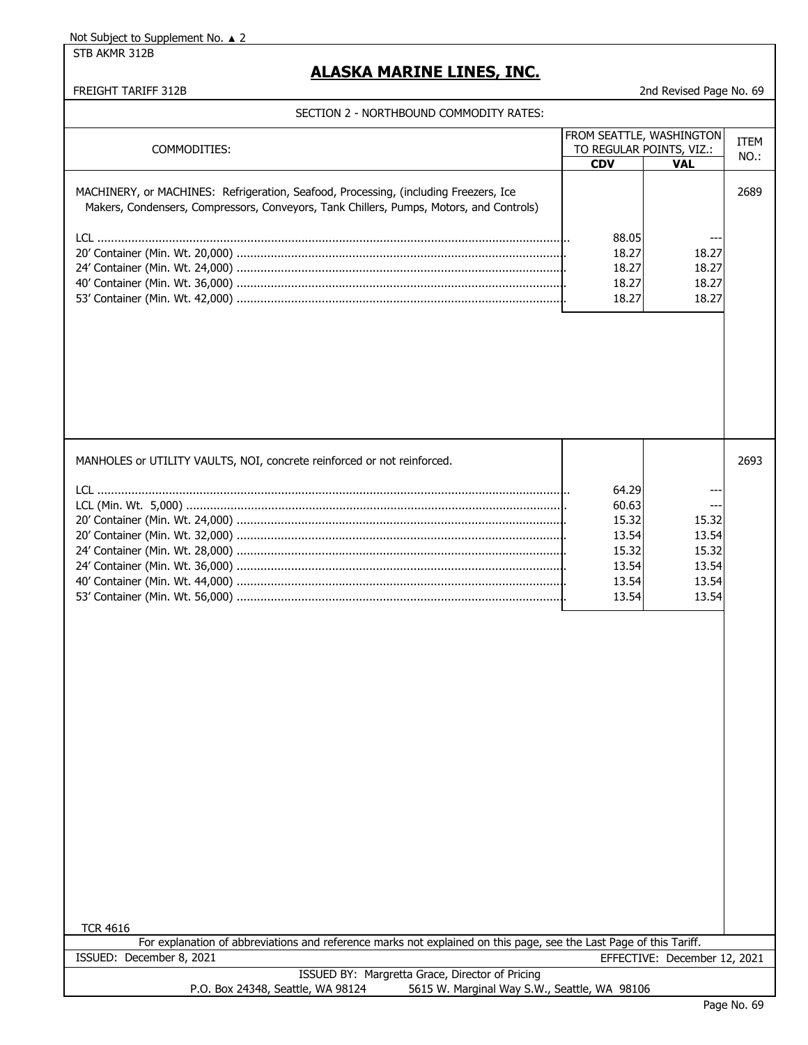STB AKMR 312B

### **ALASKA MARINE LINES, INC.**

#### FREIGHT TARIFF 312B 2nd Revised Page No. 69

#### SECTION 2 - NORTHBOUND COMMODITY RATES:

| COMMODITIES:                                                                                                                                                                    | FROM SEATTLE, WASHINGTON<br>TO REGULAR POINTS, VIZ.: |            | <b>ITEM</b><br>NO.: |
|---------------------------------------------------------------------------------------------------------------------------------------------------------------------------------|------------------------------------------------------|------------|---------------------|
|                                                                                                                                                                                 | <b>CDV</b>                                           | <b>VAL</b> |                     |
| MACHINERY, or MACHINES: Refrigeration, Seafood, Processing, (including Freezers, Ice<br>Makers, Condensers, Compressors, Conveyors, Tank Chillers, Pumps, Motors, and Controls) |                                                      |            | 2689                |
|                                                                                                                                                                                 | 88.05                                                | ---        |                     |
|                                                                                                                                                                                 | 18.27                                                | 18.27      |                     |
|                                                                                                                                                                                 | 18.27                                                | 18.27      |                     |
|                                                                                                                                                                                 | 18.27                                                | 18.27      |                     |
|                                                                                                                                                                                 | 18.27                                                | 18.27      |                     |

| MANHOLES or UTILITY VAULTS, NOI, concrete reinforced or not reinforced. |       |       | 2693 |
|-------------------------------------------------------------------------|-------|-------|------|
|                                                                         | 64.29 | ---   |      |
|                                                                         | 60.63 | ---   |      |
|                                                                         | 15.32 | 15.32 |      |
|                                                                         | 13.54 | 13.54 |      |
|                                                                         | 15.32 | 15.32 |      |
|                                                                         | 13.54 | 13.54 |      |
|                                                                         | 13.54 | 13.54 |      |
|                                                                         | 13.54 | 13.54 |      |

For explanation of abbreviations and reference marks not explained on this page, see the Last Page of this Tariff. ISSUED: December 8, 2021 EFFECTIVE: December 12, 2021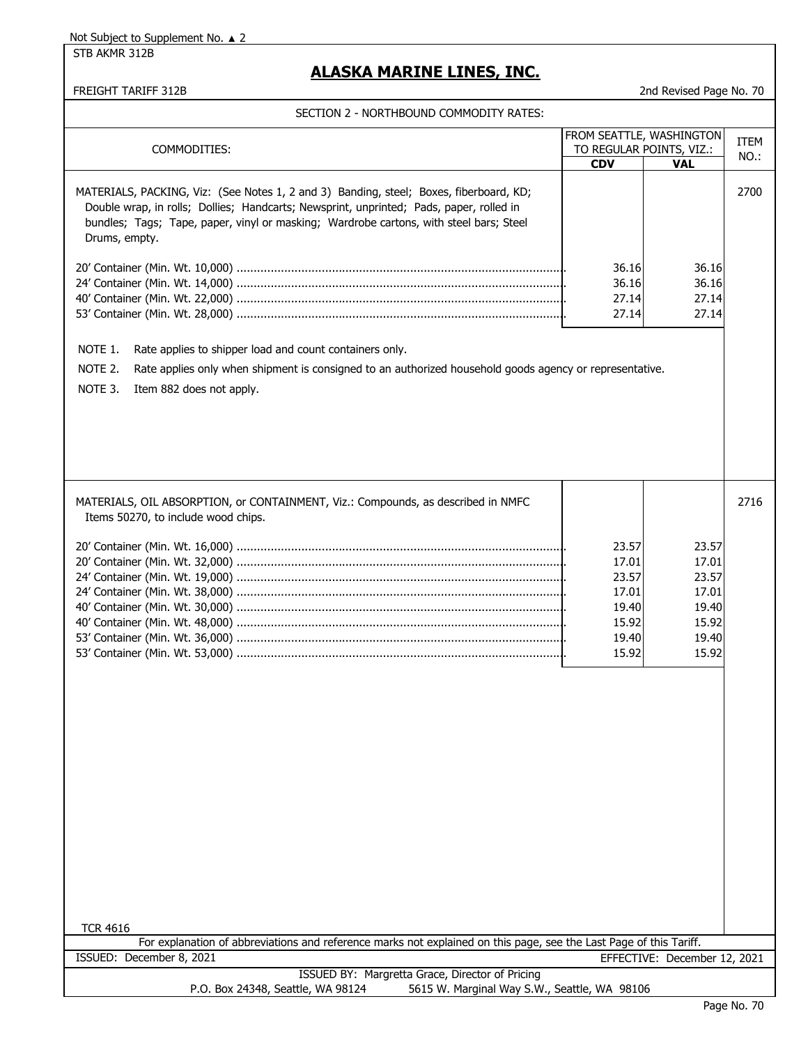STB AKMR 312B

# **ALASKA MARINE LINES, INC.**

|  | SECTION 2 - NORTHBOUND COMMODITY RATES: |  |
|--|-----------------------------------------|--|
|  |                                         |  |

|                                                                                                                                                                                                                                                                                              | FROM SEATTLE, WASHINGTON |                              | <b>ITEM</b> |
|----------------------------------------------------------------------------------------------------------------------------------------------------------------------------------------------------------------------------------------------------------------------------------------------|--------------------------|------------------------------|-------------|
| COMMODITIES:                                                                                                                                                                                                                                                                                 |                          | TO REGULAR POINTS, VIZ.:     | NO.:        |
|                                                                                                                                                                                                                                                                                              | <b>CDV</b>               | <b>VAL</b>                   |             |
| MATERIALS, PACKING, Viz: (See Notes 1, 2 and 3) Banding, steel; Boxes, fiberboard, KD;<br>Double wrap, in rolls; Dollies; Handcarts; Newsprint, unprinted; Pads, paper, rolled in<br>bundles; Tags; Tape, paper, vinyl or masking; Wardrobe cartons, with steel bars; Steel<br>Drums, empty. |                          |                              | 2700        |
|                                                                                                                                                                                                                                                                                              | 36.16                    | 36.16                        |             |
|                                                                                                                                                                                                                                                                                              | 36.16                    | 36.16                        |             |
|                                                                                                                                                                                                                                                                                              | 27.14                    | 27.14                        |             |
|                                                                                                                                                                                                                                                                                              | 27.14                    | 27.14                        |             |
|                                                                                                                                                                                                                                                                                              |                          |                              |             |
| NOTE 1.<br>Rate applies to shipper load and count containers only.                                                                                                                                                                                                                           |                          |                              |             |
| NOTE 2.<br>Rate applies only when shipment is consigned to an authorized household goods agency or representative.                                                                                                                                                                           |                          |                              |             |
|                                                                                                                                                                                                                                                                                              |                          |                              |             |
| NOTE 3.<br>Item 882 does not apply.                                                                                                                                                                                                                                                          |                          |                              |             |
|                                                                                                                                                                                                                                                                                              |                          |                              |             |
|                                                                                                                                                                                                                                                                                              |                          |                              |             |
|                                                                                                                                                                                                                                                                                              |                          |                              |             |
|                                                                                                                                                                                                                                                                                              |                          |                              |             |
|                                                                                                                                                                                                                                                                                              |                          |                              |             |
|                                                                                                                                                                                                                                                                                              |                          |                              |             |
| MATERIALS, OIL ABSORPTION, or CONTAINMENT, Viz.: Compounds, as described in NMFC                                                                                                                                                                                                             |                          |                              | 2716        |
|                                                                                                                                                                                                                                                                                              |                          |                              |             |
| Items 50270, to include wood chips.                                                                                                                                                                                                                                                          |                          |                              |             |
|                                                                                                                                                                                                                                                                                              | 23.57                    | 23.57                        |             |
|                                                                                                                                                                                                                                                                                              | 17.01                    | 17.01                        |             |
|                                                                                                                                                                                                                                                                                              | 23.57                    | 23.57                        |             |
|                                                                                                                                                                                                                                                                                              |                          | 17.01                        |             |
|                                                                                                                                                                                                                                                                                              | 17.01                    | 19.40                        |             |
|                                                                                                                                                                                                                                                                                              | 19.40                    |                              |             |
|                                                                                                                                                                                                                                                                                              | 15.92                    | 15.92                        |             |
|                                                                                                                                                                                                                                                                                              | 19.40                    | 19.40                        |             |
|                                                                                                                                                                                                                                                                                              | 15.92                    | 15.92                        |             |
|                                                                                                                                                                                                                                                                                              |                          |                              |             |
|                                                                                                                                                                                                                                                                                              |                          |                              |             |
|                                                                                                                                                                                                                                                                                              |                          |                              |             |
|                                                                                                                                                                                                                                                                                              |                          |                              |             |
|                                                                                                                                                                                                                                                                                              |                          |                              |             |
|                                                                                                                                                                                                                                                                                              |                          |                              |             |
|                                                                                                                                                                                                                                                                                              |                          |                              |             |
|                                                                                                                                                                                                                                                                                              |                          |                              |             |
|                                                                                                                                                                                                                                                                                              |                          |                              |             |
|                                                                                                                                                                                                                                                                                              |                          |                              |             |
|                                                                                                                                                                                                                                                                                              |                          |                              |             |
|                                                                                                                                                                                                                                                                                              |                          |                              |             |
|                                                                                                                                                                                                                                                                                              |                          |                              |             |
|                                                                                                                                                                                                                                                                                              |                          |                              |             |
|                                                                                                                                                                                                                                                                                              |                          |                              |             |
|                                                                                                                                                                                                                                                                                              |                          |                              |             |
|                                                                                                                                                                                                                                                                                              |                          |                              |             |
| <b>TCR 4616</b>                                                                                                                                                                                                                                                                              |                          |                              |             |
| For explanation of abbreviations and reference marks not explained on this page, see the Last Page of this Tariff.                                                                                                                                                                           |                          |                              |             |
| ISSUED: December 8, 2021                                                                                                                                                                                                                                                                     |                          | EFFECTIVE: December 12, 2021 |             |
| ISSUED BY: Margretta Grace, Director of Pricing                                                                                                                                                                                                                                              |                          |                              |             |
| P.O. Box 24348, Seattle, WA 98124<br>5615 W. Marginal Way S.W., Seattle, WA 98106                                                                                                                                                                                                            |                          |                              |             |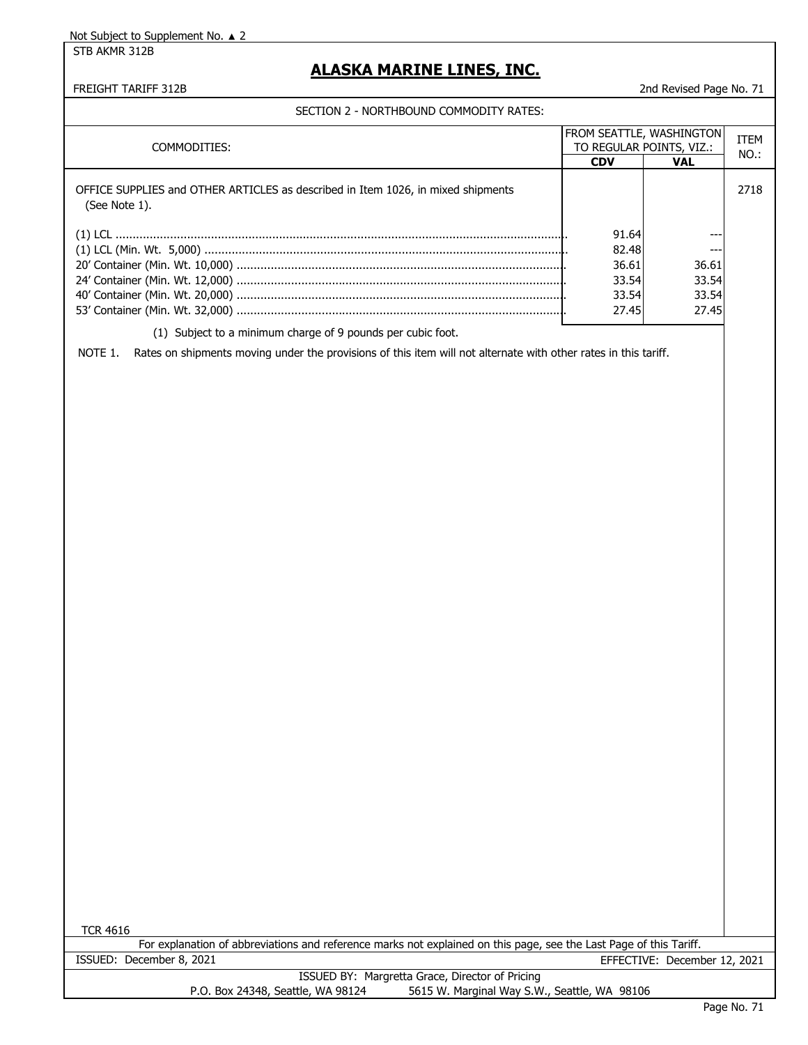STB AKMR 312B

# **ALASKA MARINE LINES, INC.**

### FREIGHT TARIFF 312B 2nd Revised Page No. 71

| COMMODITIES:                                                                                                                                                                              | TO REGULAR POINTS, VIZ.:                           | FROM SEATTLE, WASHINGTON                | <b>ITEM</b><br>NO.: |
|-------------------------------------------------------------------------------------------------------------------------------------------------------------------------------------------|----------------------------------------------------|-----------------------------------------|---------------------|
| OFFICE SUPPLIES and OTHER ARTICLES as described in Item 1026, in mixed shipments<br>(See Note 1).                                                                                         | <b>CDV</b>                                         | <b>VAL</b>                              | 2718                |
|                                                                                                                                                                                           | 91.64<br>82.48<br>36.61<br>33.54<br>33.54<br>27.45 | ---<br>36.61<br>33.54<br>33.54<br>27.45 |                     |
| (1) Subject to a minimum charge of 9 pounds per cubic foot.<br>NOTE 1.<br>Rates on shipments moving under the provisions of this item will not alternate with other rates in this tariff. |                                                    |                                         |                     |
|                                                                                                                                                                                           |                                                    |                                         |                     |
| <b>TCR 4616</b><br>For explanation of abbreviations and reference marks not explained on this page, see the Last Page of this Tariff.                                                     |                                                    |                                         |                     |
| ISSUED: December 8, 2021                                                                                                                                                                  |                                                    | EFFECTIVE: December 12, 2021            |                     |
| ISSUED BY: Margretta Grace, Director of Pricing                                                                                                                                           |                                                    |                                         |                     |
| P.O. Box 24348, Seattle, WA 98124<br>5615 W. Marginal Way S.W., Seattle, WA 98106                                                                                                         |                                                    |                                         | $Dao M_2$ 71        |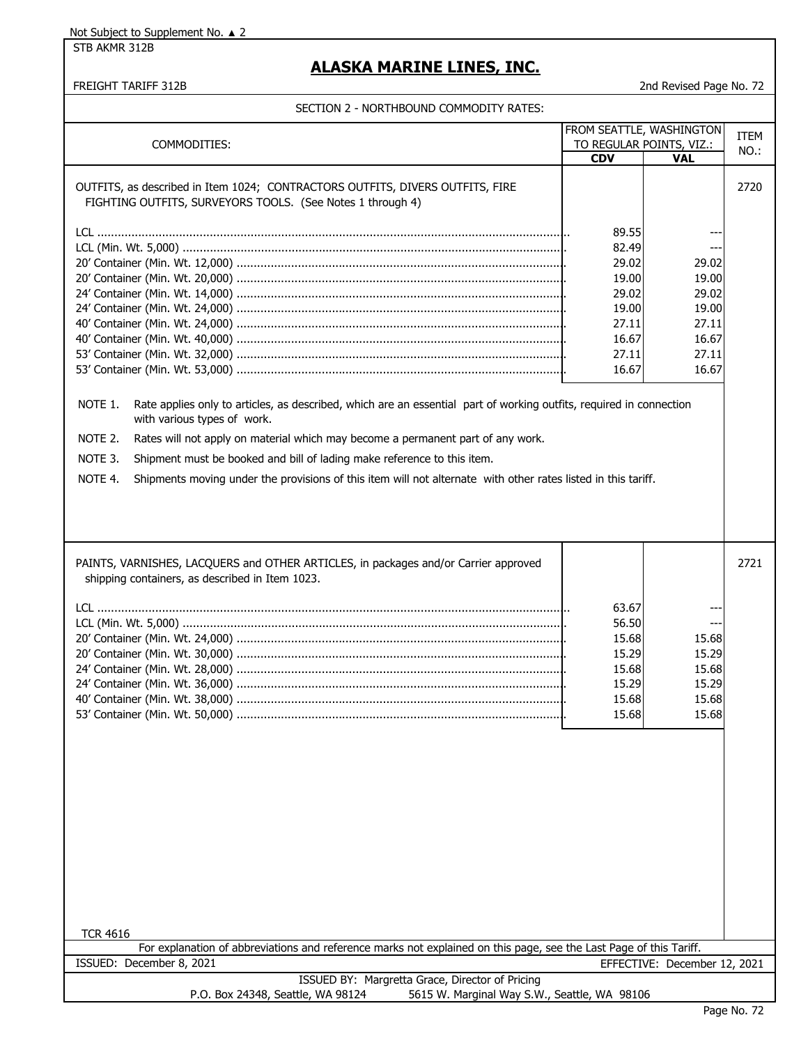STB AKMR 312B

## **ALASKA MARINE LINES, INC.**

| SECTION 2 - NORTHBOUND COMMODITY RATES: |  |  |  |  |
|-----------------------------------------|--|--|--|--|
|                                         |  |  |  |  |

| COMMODITIES:                                                                                                                                                                                                                                                                                                                                                                                                                                                                                                                                                                                                                                           | FROM SEATTLE, WASHINGTON<br><b>CDV</b>                               | TO REGULAR POINTS, VIZ.:<br><b>VAL</b>                                         | <b>ITEM</b><br>NO.: |
|--------------------------------------------------------------------------------------------------------------------------------------------------------------------------------------------------------------------------------------------------------------------------------------------------------------------------------------------------------------------------------------------------------------------------------------------------------------------------------------------------------------------------------------------------------------------------------------------------------------------------------------------------------|----------------------------------------------------------------------|--------------------------------------------------------------------------------|---------------------|
| OUTFITS, as described in Item 1024; CONTRACTORS OUTFITS, DIVERS OUTFITS, FIRE<br>FIGHTING OUTFITS, SURVEYORS TOOLS. (See Notes 1 through 4)                                                                                                                                                                                                                                                                                                                                                                                                                                                                                                            |                                                                      |                                                                                | 2720                |
| 89.55<br>82.49<br>---<br>29.02<br>29.02<br>19.00<br>19.00<br>29.02<br>29.02<br>19.00<br>19.00<br>27.11<br>27.11<br>16.67<br>16.67<br>27.11<br>27.11<br>16.67<br>16.67<br>NOTE 1.<br>Rate applies only to articles, as described, which are an essential part of working outfits, required in connection<br>with various types of work.<br>NOTE 2.<br>Rates will not apply on material which may become a permanent part of any work.<br>NOTE 3.<br>Shipment must be booked and bill of lading make reference to this item.<br>NOTE 4.<br>Shipments moving under the provisions of this item will not alternate with other rates listed in this tariff. |                                                                      |                                                                                |                     |
| PAINTS, VARNISHES, LACQUERS and OTHER ARTICLES, in packages and/or Carrier approved<br>shipping containers, as described in Item 1023.<br><b>TCR 4616</b>                                                                                                                                                                                                                                                                                                                                                                                                                                                                                              | 63.67<br>56.50<br>15.68<br>15.29<br>15.68<br>15.29<br>15.68<br>15.68 | $\overline{\phantom{a}}$<br>15.68<br>15.29<br>15.68<br>15.29<br>15.68<br>15.68 | 2721                |
| For explanation of abbreviations and reference marks not explained on this page, see the Last Page of this Tariff.                                                                                                                                                                                                                                                                                                                                                                                                                                                                                                                                     |                                                                      |                                                                                |                     |
| ISSUED: December 8, 2021                                                                                                                                                                                                                                                                                                                                                                                                                                                                                                                                                                                                                               |                                                                      | EFFECTIVE: December 12, 2021                                                   |                     |
| ISSUED BY: Margretta Grace, Director of Pricing<br>5615 W. Marginal Way S.W., Seattle, WA 98106<br>P.O. Box 24348, Seattle, WA 98124                                                                                                                                                                                                                                                                                                                                                                                                                                                                                                                   |                                                                      |                                                                                |                     |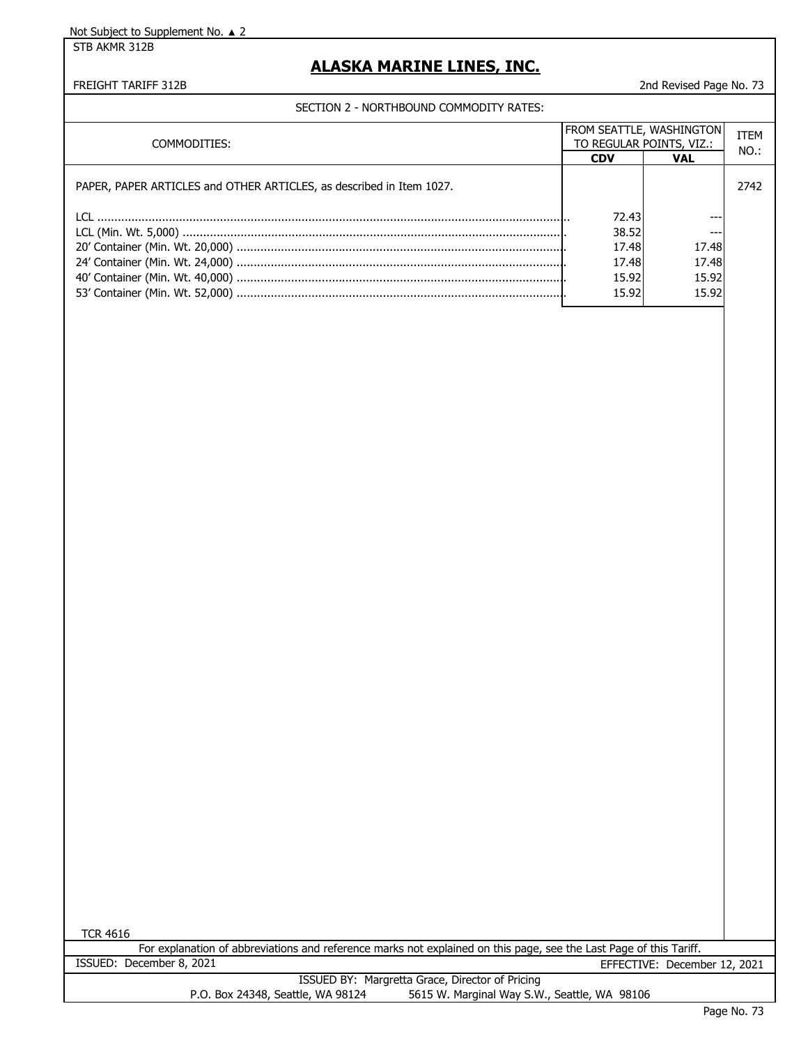STB AKMR 312B

## **ALASKA MARINE LINES, INC.**

FREIGHT TARIFF 312B 2nd Revised Page No. 73

SECTION 2 - NORTHBOUND COMMODITY RATES:

| COMMODITIES:                                                         |            | <b>FROM SEATTLE, WASHINGTON</b><br>TO REGULAR POINTS, VIZ.: |      |  |
|----------------------------------------------------------------------|------------|-------------------------------------------------------------|------|--|
|                                                                      | <b>CDV</b> | <b>VAL</b>                                                  | NO.: |  |
| PAPER, PAPER ARTICLES and OTHER ARTICLES, as described in Item 1027. |            |                                                             | 2742 |  |
|                                                                      | 72.43      |                                                             |      |  |
|                                                                      | 38.52      | $- - -$                                                     |      |  |
|                                                                      | 17.48      | 17.48                                                       |      |  |
|                                                                      | 17.48      | 17.48                                                       |      |  |
|                                                                      | 15.92      | 15.92                                                       |      |  |
|                                                                      | 15.92      | 15.92                                                       |      |  |
|                                                                      |            |                                                             |      |  |

TCR 4616

For explanation of abbreviations and reference marks not explained on this page, see the Last Page of this Tariff. ISSUED: December 8, 2021 EFFECTIVE: December 12, 2021

|                                   | ISSUED BY: Margretta Grace, Director of Pricing |  |
|-----------------------------------|-------------------------------------------------|--|
| P.O. Box 24348, Seattle, WA 98124 | 5615 W. Marginal Way S.W., Seattle, WA 98106    |  |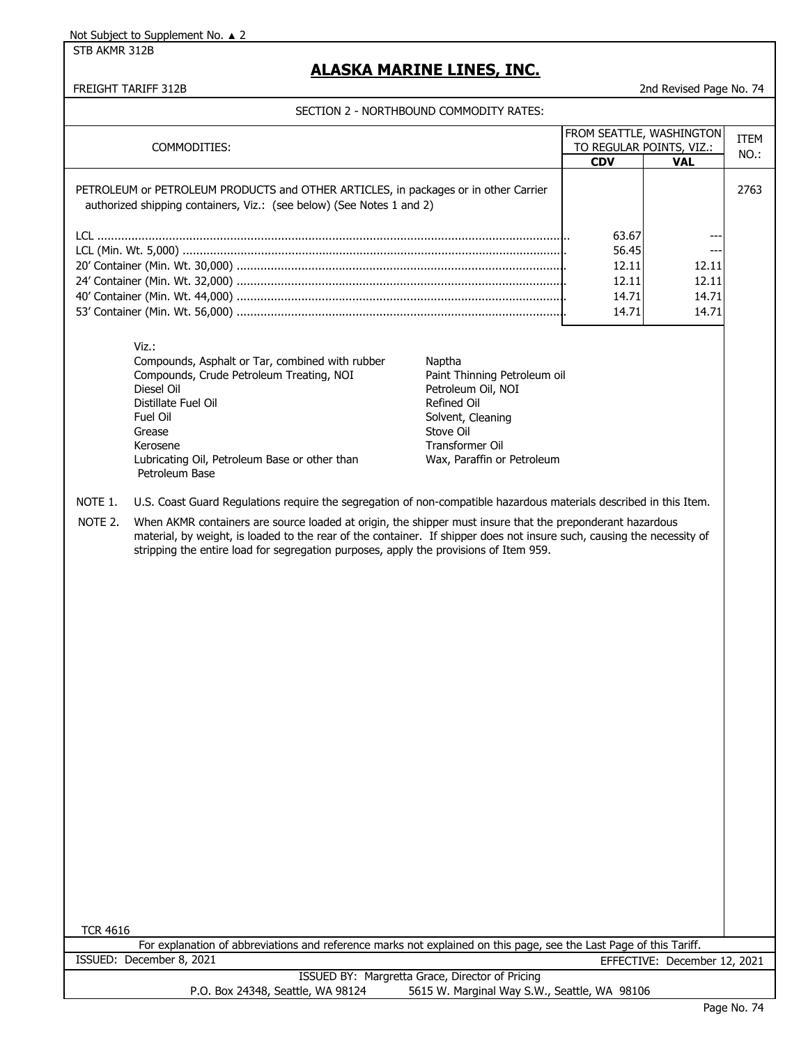STB AKMR 312B

## **ALASKA MARINE LINES, INC.**

#### FREIGHT TARIFF 312B 2nd Revised Page No. 74

|                                                                                                                                                              | COMMODITIES:                                                                                                                                                                                                                        |                                                 | FROM SEATTLE, WASHINGTON<br>TO REGULAR POINTS, VIZ.: |                              | <b>ITEM</b><br>NO.: |
|--------------------------------------------------------------------------------------------------------------------------------------------------------------|-------------------------------------------------------------------------------------------------------------------------------------------------------------------------------------------------------------------------------------|-------------------------------------------------|------------------------------------------------------|------------------------------|---------------------|
|                                                                                                                                                              |                                                                                                                                                                                                                                     |                                                 | <b>CDV</b>                                           | <b>VAL</b>                   |                     |
| PETROLEUM or PETROLEUM PRODUCTS and OTHER ARTICLES, in packages or in other Carrier<br>authorized shipping containers, Viz.: (see below) (See Notes 1 and 2) |                                                                                                                                                                                                                                     |                                                 |                                                      | 2763                         |                     |
|                                                                                                                                                              |                                                                                                                                                                                                                                     |                                                 | 63.67                                                | --                           |                     |
|                                                                                                                                                              |                                                                                                                                                                                                                                     |                                                 | 56.45                                                | ---                          |                     |
|                                                                                                                                                              |                                                                                                                                                                                                                                     |                                                 | 12.11<br>12.11                                       | 12.11<br>12.11               |                     |
|                                                                                                                                                              |                                                                                                                                                                                                                                     |                                                 | 14.71                                                | 14.71                        |                     |
|                                                                                                                                                              |                                                                                                                                                                                                                                     |                                                 | 14.71                                                | 14.71                        |                     |
|                                                                                                                                                              |                                                                                                                                                                                                                                     |                                                 |                                                      |                              |                     |
|                                                                                                                                                              | $Viz.$ :<br>Compounds, Asphalt or Tar, combined with rubber                                                                                                                                                                         | Naptha                                          |                                                      |                              |                     |
|                                                                                                                                                              | Compounds, Crude Petroleum Treating, NOI                                                                                                                                                                                            | Paint Thinning Petroleum oil                    |                                                      |                              |                     |
|                                                                                                                                                              | Diesel Oil<br>Distillate Fuel Oil                                                                                                                                                                                                   | Petroleum Oil, NOI<br>Refined Oil               |                                                      |                              |                     |
|                                                                                                                                                              | Fuel Oil                                                                                                                                                                                                                            | Solvent, Cleaning                               |                                                      |                              |                     |
|                                                                                                                                                              | Grease                                                                                                                                                                                                                              | Stove Oil                                       |                                                      |                              |                     |
|                                                                                                                                                              | Kerosene                                                                                                                                                                                                                            | Transformer Oil                                 |                                                      |                              |                     |
|                                                                                                                                                              | Lubricating Oil, Petroleum Base or other than<br>Petroleum Base                                                                                                                                                                     | Wax, Paraffin or Petroleum                      |                                                      |                              |                     |
| NOTE 1.                                                                                                                                                      | U.S. Coast Guard Regulations require the segregation of non-compatible hazardous materials described in this Item.                                                                                                                  |                                                 |                                                      |                              |                     |
| NOTE 2.                                                                                                                                                      |                                                                                                                                                                                                                                     |                                                 |                                                      |                              |                     |
|                                                                                                                                                              | When AKMR containers are source loaded at origin, the shipper must insure that the preponderant hazardous<br>material, by weight, is loaded to the rear of the container. If shipper does not insure such, causing the necessity of |                                                 |                                                      |                              |                     |
|                                                                                                                                                              | stripping the entire load for segregation purposes, apply the provisions of Item 959.                                                                                                                                               |                                                 |                                                      |                              |                     |
|                                                                                                                                                              |                                                                                                                                                                                                                                     |                                                 |                                                      |                              |                     |
|                                                                                                                                                              |                                                                                                                                                                                                                                     |                                                 |                                                      |                              |                     |
|                                                                                                                                                              |                                                                                                                                                                                                                                     |                                                 |                                                      |                              |                     |
|                                                                                                                                                              |                                                                                                                                                                                                                                     |                                                 |                                                      |                              |                     |
|                                                                                                                                                              |                                                                                                                                                                                                                                     |                                                 |                                                      |                              |                     |
|                                                                                                                                                              |                                                                                                                                                                                                                                     |                                                 |                                                      |                              |                     |
|                                                                                                                                                              |                                                                                                                                                                                                                                     |                                                 |                                                      |                              |                     |
|                                                                                                                                                              |                                                                                                                                                                                                                                     |                                                 |                                                      |                              |                     |
|                                                                                                                                                              |                                                                                                                                                                                                                                     |                                                 |                                                      |                              |                     |
|                                                                                                                                                              |                                                                                                                                                                                                                                     |                                                 |                                                      |                              |                     |
|                                                                                                                                                              |                                                                                                                                                                                                                                     |                                                 |                                                      |                              |                     |
|                                                                                                                                                              |                                                                                                                                                                                                                                     |                                                 |                                                      |                              |                     |
|                                                                                                                                                              |                                                                                                                                                                                                                                     |                                                 |                                                      |                              |                     |
|                                                                                                                                                              |                                                                                                                                                                                                                                     |                                                 |                                                      |                              |                     |
|                                                                                                                                                              |                                                                                                                                                                                                                                     |                                                 |                                                      |                              |                     |
|                                                                                                                                                              |                                                                                                                                                                                                                                     |                                                 |                                                      |                              |                     |
|                                                                                                                                                              |                                                                                                                                                                                                                                     |                                                 |                                                      |                              |                     |
|                                                                                                                                                              |                                                                                                                                                                                                                                     |                                                 |                                                      |                              |                     |
|                                                                                                                                                              |                                                                                                                                                                                                                                     |                                                 |                                                      |                              |                     |
| <b>TCR 4616</b>                                                                                                                                              |                                                                                                                                                                                                                                     |                                                 |                                                      |                              |                     |
|                                                                                                                                                              | For explanation of abbreviations and reference marks not explained on this page, see the Last Page of this Tariff.<br>ISSUED: December 8, 2021                                                                                      |                                                 |                                                      | EFFECTIVE: December 12, 2021 |                     |
|                                                                                                                                                              |                                                                                                                                                                                                                                     | ISSUED BY: Margretta Grace, Director of Pricing |                                                      |                              |                     |
|                                                                                                                                                              | P.O. Box 24348, Seattle, WA 98124                                                                                                                                                                                                   | 5615 W. Marginal Way S.W., Seattle, WA 98106    |                                                      |                              |                     |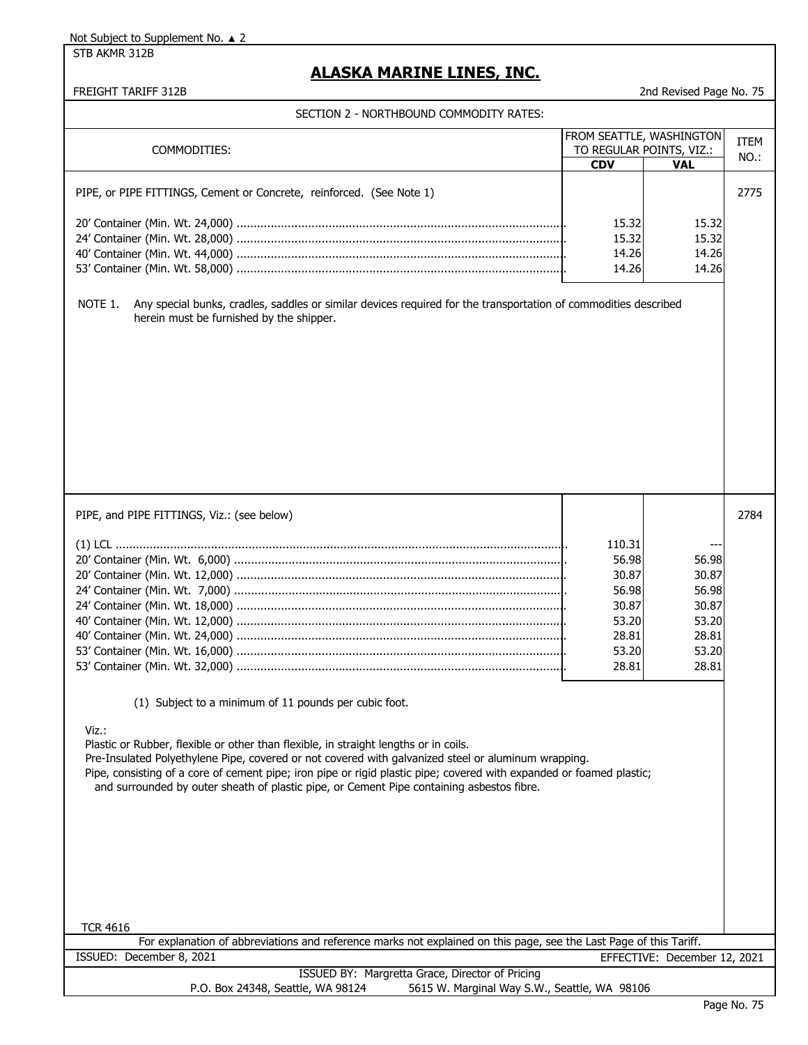STB AKMR 312B

## **ALASKA MARINE LINES, INC.**

| SECTION 2 - NORTHBOUND COMMODITY RATES:                                                                                    |                          |                              |             |
|----------------------------------------------------------------------------------------------------------------------------|--------------------------|------------------------------|-------------|
|                                                                                                                            | FROM SEATTLE, WASHINGTON |                              | <b>ITEM</b> |
| COMMODITIES:                                                                                                               | TO REGULAR POINTS, VIZ.: |                              | NO.:        |
|                                                                                                                            | <b>CDV</b>               | <b>VAL</b>                   |             |
|                                                                                                                            |                          |                              |             |
| PIPE, or PIPE FITTINGS, Cement or Concrete, reinforced. (See Note 1)                                                       |                          |                              | 2775        |
|                                                                                                                            |                          |                              |             |
|                                                                                                                            | 15.32                    | 15.32                        |             |
|                                                                                                                            | 15.32                    | 15.32                        |             |
|                                                                                                                            | 14.26                    | 14.26                        |             |
|                                                                                                                            | 14.26                    | 14.26                        |             |
|                                                                                                                            |                          |                              |             |
| Any special bunks, cradles, saddles or similar devices required for the transportation of commodities described<br>NOTE 1. |                          |                              |             |
| herein must be furnished by the shipper.                                                                                   |                          |                              |             |
|                                                                                                                            |                          |                              |             |
|                                                                                                                            |                          |                              |             |
|                                                                                                                            |                          |                              |             |
|                                                                                                                            |                          |                              |             |
|                                                                                                                            |                          |                              |             |
|                                                                                                                            |                          |                              |             |
|                                                                                                                            |                          |                              |             |
|                                                                                                                            |                          |                              |             |
|                                                                                                                            |                          |                              |             |
|                                                                                                                            |                          |                              |             |
|                                                                                                                            |                          |                              |             |
|                                                                                                                            |                          |                              |             |
|                                                                                                                            |                          |                              |             |
| PIPE, and PIPE FITTINGS, Viz.: (see below)                                                                                 |                          |                              | 2784        |
|                                                                                                                            |                          |                              |             |
|                                                                                                                            | 110.31                   |                              |             |
|                                                                                                                            | 56.98                    | 56.98                        |             |
|                                                                                                                            | 30.87                    | 30.87                        |             |
|                                                                                                                            |                          |                              |             |
|                                                                                                                            | 56.98                    | 56.98                        |             |
|                                                                                                                            | 30.87                    | 30.87                        |             |
|                                                                                                                            | 53.20                    | 53.20                        |             |
|                                                                                                                            | 28.81                    | 28.81                        |             |
|                                                                                                                            | 53.20                    | 53.20                        |             |
|                                                                                                                            | 28.81                    | 28.81                        |             |
|                                                                                                                            |                          |                              |             |
| (1) Subject to a minimum of 11 pounds per cubic foot.                                                                      |                          |                              |             |
|                                                                                                                            |                          |                              |             |
| Viz.:                                                                                                                      |                          |                              |             |
| Plastic or Rubber, flexible or other than flexible, in straight lengths or in coils.                                       |                          |                              |             |
| Pre-Insulated Polyethylene Pipe, covered or not covered with galvanized steel or aluminum wrapping.                        |                          |                              |             |
| Pipe, consisting of a core of cement pipe; iron pipe or rigid plastic pipe; covered with expanded or foamed plastic;       |                          |                              |             |
| and surrounded by outer sheath of plastic pipe, or Cement Pipe containing asbestos fibre.                                  |                          |                              |             |
|                                                                                                                            |                          |                              |             |
|                                                                                                                            |                          |                              |             |
|                                                                                                                            |                          |                              |             |
|                                                                                                                            |                          |                              |             |
|                                                                                                                            |                          |                              |             |
|                                                                                                                            |                          |                              |             |
|                                                                                                                            |                          |                              |             |
|                                                                                                                            |                          |                              |             |
|                                                                                                                            |                          |                              |             |
| <b>TCR 4616</b>                                                                                                            |                          |                              |             |
| For explanation of abbreviations and reference marks not explained on this page, see the Last Page of this Tariff.         |                          |                              |             |
| ISSUED: December 8, 2021                                                                                                   |                          | EFFECTIVE: December 12, 2021 |             |
| ISSUED BY: Margretta Grace, Director of Pricing                                                                            |                          |                              |             |
| P.O. Box 24348, Seattle, WA 98124<br>5615 W. Marginal Way S.W., Seattle, WA 98106                                          |                          |                              |             |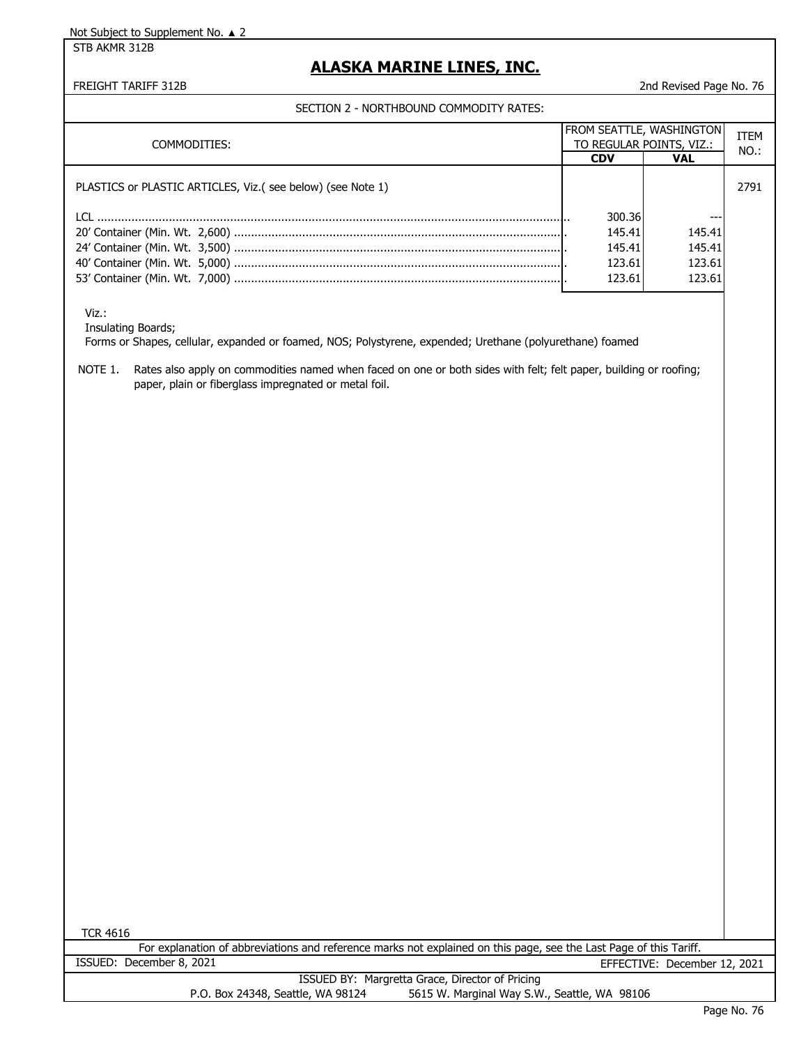STB AKMR 312B

### **ALASKA MARINE LINES, INC.**

FREIGHT TARIFF 312B 2nd Revised Page No. 76

SECTION 2 - NORTHBOUND COMMODITY RATES:

| COMMODITIES:                                                |            | <b>FROM SEATTLE, WASHINGTON</b><br>TO REGULAR POINTS, VIZ.: |      |
|-------------------------------------------------------------|------------|-------------------------------------------------------------|------|
|                                                             | <b>CDV</b> | <b>VAL</b>                                                  | NO.: |
| PLASTICS or PLASTIC ARTICLES, Viz. (see below) (see Note 1) |            |                                                             | 2791 |
|                                                             | 300.36     |                                                             |      |
|                                                             | 145.41     | 145.41                                                      |      |
|                                                             | 145.41     | 145.41                                                      |      |
|                                                             | 123.61     | 123.61                                                      |      |
|                                                             | 123.61     | 123.61                                                      |      |

Viz.:

Insulating Boards;

Forms or Shapes, cellular, expanded or foamed, NOS; Polystyrene, expended; Urethane (polyurethane) foamed

NOTE 1. Rates also apply on commodities named when faced on one or both sides with felt; felt paper, building or roofing; paper, plain or fiberglass impregnated or metal foil.

TCR 4616

For explanation of abbreviations and reference marks not explained on this page, see the Last Page of this Tariff. ISSUED: December 8, 2021 EFFECTIVE: December 12, 2021

ISSUED BY: Margretta Grace, Director of Pricing P.O. Box 24348, Seattle, WA 98124 5615 W. Marginal Way S.W., Seattle, WA 98106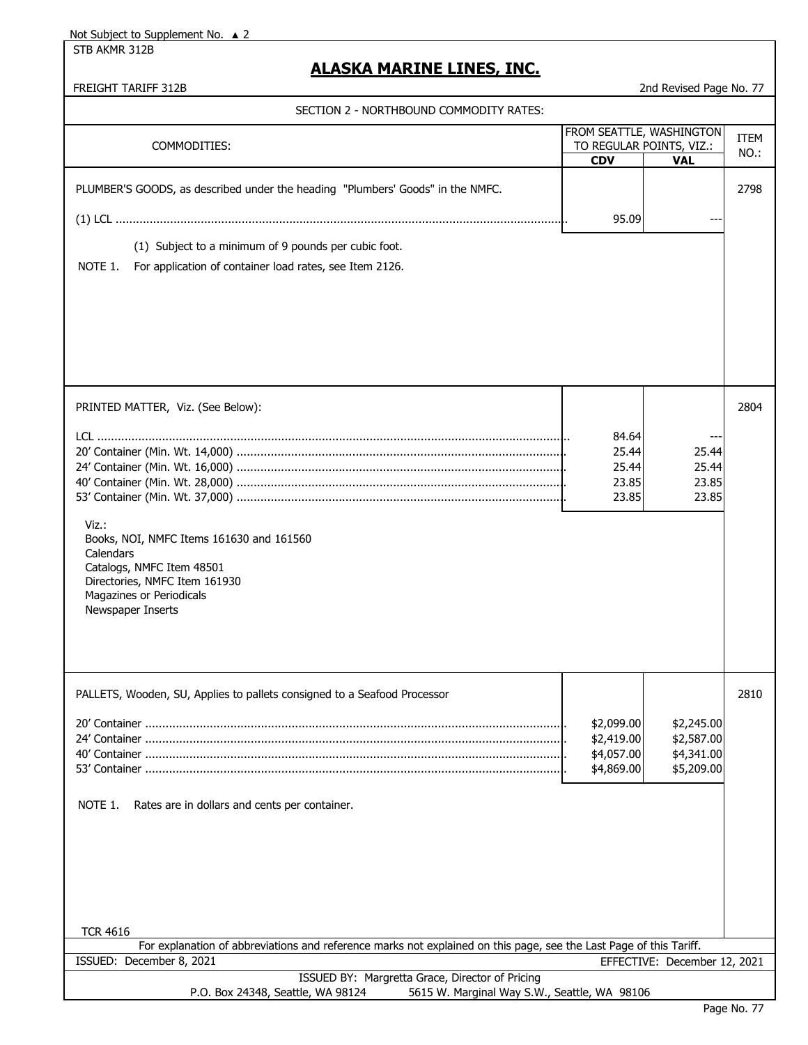STB AKMR 312B

## **ALASKA MARINE LINES, INC.**

| SECTION 2 - NORTHBOUND COMMODITY RATES:                                                                                                                                                                            |                                                                    |                                                      |                 |
|--------------------------------------------------------------------------------------------------------------------------------------------------------------------------------------------------------------------|--------------------------------------------------------------------|------------------------------------------------------|-----------------|
| COMMODITIES:                                                                                                                                                                                                       | FROM SEATTLE, WASHINGTON<br>TO REGULAR POINTS, VIZ.:<br><b>CDV</b> | <b>VAL</b>                                           | ITEM<br>$NO.$ : |
| PLUMBER'S GOODS, as described under the heading "Plumbers' Goods" in the NMFC.<br>(1) Subject to a minimum of 9 pounds per cubic foot.<br>For application of container load rates, see Item 2126.<br>NOTE 1.       | 95.09                                                              |                                                      | 2798            |
|                                                                                                                                                                                                                    |                                                                    |                                                      |                 |
| PRINTED MATTER, Viz. (See Below):<br>Viz.:<br>Books, NOI, NMFC Items 161630 and 161560<br>Calendars<br>Catalogs, NMFC Item 48501<br>Directories, NMFC Item 161930<br>Magazines or Periodicals<br>Newspaper Inserts | 84.64<br>25.44<br>25.44<br>23.85<br>23.85                          | $- -$<br>25.44<br>25.44<br>23.85<br>23.85            | 2804            |
| PALLETS, Wooden, SU, Applies to pallets consigned to a Seafood Processor<br>NOTE 1.<br>Rates are in dollars and cents per container.<br><b>TCR 4616</b>                                                            | \$2,099.00<br>\$2,419.00<br>\$4,057.00<br>\$4,869.00               | \$2,245.00<br>\$2,587.00<br>\$4,341.00<br>\$5,209.00 | 2810            |
| For explanation of abbreviations and reference marks not explained on this page, see the Last Page of this Tariff.<br>ISSUED: December 8, 2021                                                                     |                                                                    | EFFECTIVE: December 12, 2021                         |                 |
| ISSUED BY: Margretta Grace, Director of Pricing<br>P.O. Box 24348, Seattle, WA 98124<br>5615 W. Marginal Way S.W., Seattle, WA 98106                                                                               |                                                                    |                                                      |                 |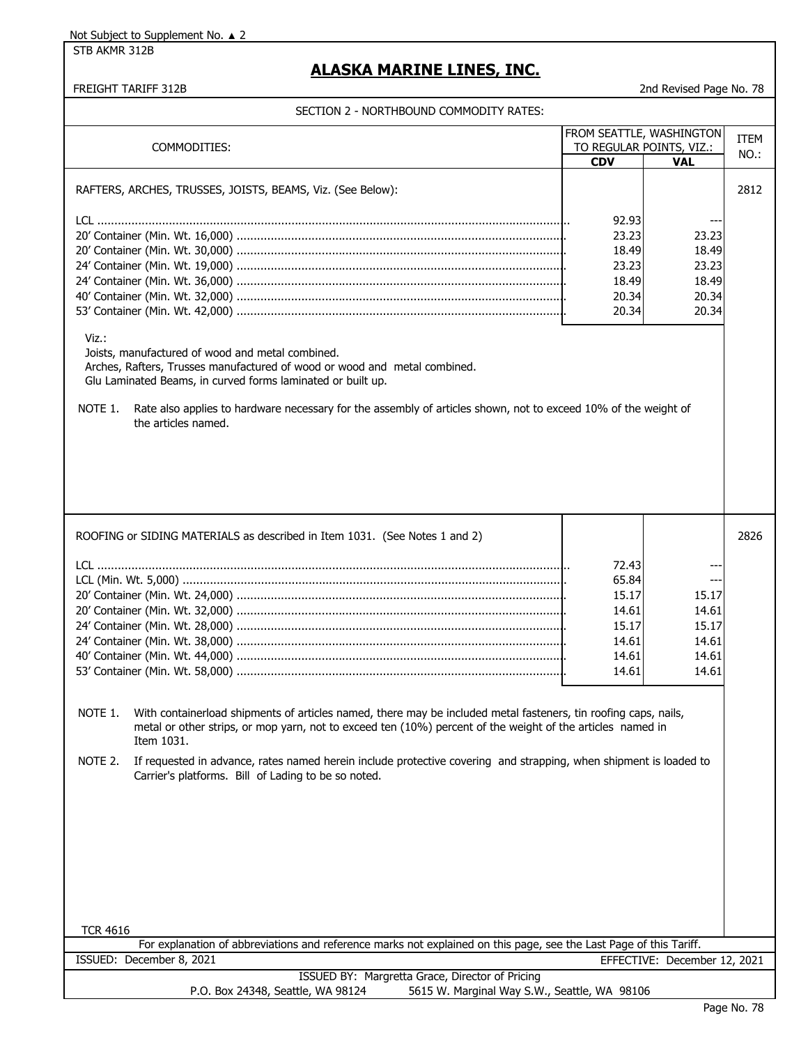STB AKMR 312B

# **ALASKA MARINE LINES, INC.**

| COMMODITIES:                                                                                                                                                                                                                                                                                                                                                                                                                                                                                                                                | FROM SEATTLE, WASHINGTON<br><b>CDV</b>                               | TO REGULAR POINTS, VIZ.:<br><b>VAL</b>                    | <b>ITEM</b><br>NO.: |
|---------------------------------------------------------------------------------------------------------------------------------------------------------------------------------------------------------------------------------------------------------------------------------------------------------------------------------------------------------------------------------------------------------------------------------------------------------------------------------------------------------------------------------------------|----------------------------------------------------------------------|-----------------------------------------------------------|---------------------|
| RAFTERS, ARCHES, TRUSSES, JOISTS, BEAMS, Viz. (See Below):<br>Viz.:<br>Joists, manufactured of wood and metal combined.<br>Arches, Rafters, Trusses manufactured of wood or wood and metal combined.<br>Glu Laminated Beams, in curved forms laminated or built up.<br>Rate also applies to hardware necessary for the assembly of articles shown, not to exceed 10% of the weight of<br>NOTE 1.<br>the articles named.                                                                                                                     | 92.93<br>23.23<br>18.49<br>23.23<br>18.49<br>20.34<br>20.34          | 23.23<br>18.49<br>23.23<br>18.49<br>20.34<br>20.34        | 2812                |
| ROOFING or SIDING MATERIALS as described in Item 1031. (See Notes 1 and 2)<br>NOTE 1. With containerload shipments of articles named, there may be included metal fasteners, tin roofing caps, nails,<br>metal or other strips, or mop yarn, not to exceed ten (10%) percent of the weight of the articles named in<br>Item 1031.<br>NOTE 2.<br>If requested in advance, rates named herein include protective covering and strapping, when shipment is loaded to<br>Carrier's platforms. Bill of Lading to be so noted.<br><b>TCR 4616</b> | 72.43<br>65.84<br>15.17<br>14.61<br>15.17<br>14.61<br>14.61<br>14.61 | ---<br>15.17<br>14.61<br>15.17<br>14.61<br>14.61<br>14.61 | 2826                |
| For explanation of abbreviations and reference marks not explained on this page, see the Last Page of this Tariff.<br>EFFECTIVE: December 12, 2021                                                                                                                                                                                                                                                                                                                                                                                          |                                                                      |                                                           |                     |
| ISSUED: December 8, 2021<br>ISSUED BY: Margretta Grace, Director of Pricing                                                                                                                                                                                                                                                                                                                                                                                                                                                                 |                                                                      |                                                           |                     |
| P.O. Box 24348, Seattle, WA 98124<br>5615 W. Marginal Way S.W., Seattle, WA 98106                                                                                                                                                                                                                                                                                                                                                                                                                                                           |                                                                      |                                                           |                     |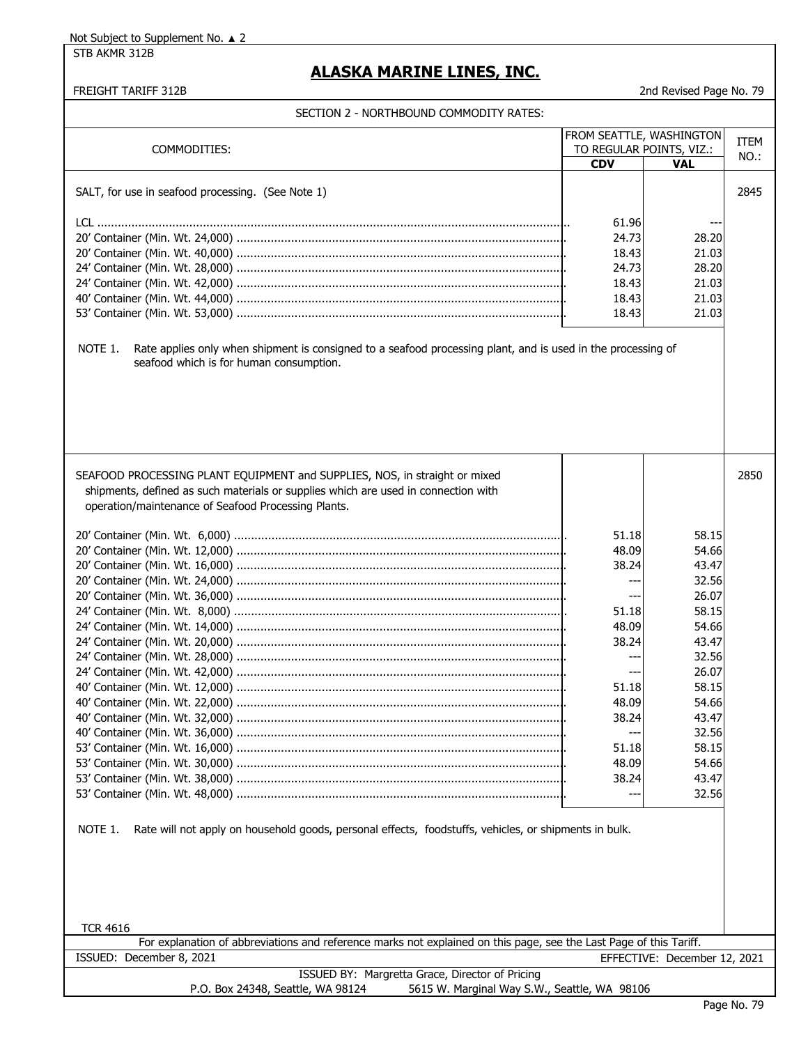STB AKMR 312B

# **ALASKA MARINE LINES, INC.**

### FREIGHT TARIFF 312B 2nd Revised Page No. 79

|                                                                                                                                                                                                                         |            | FROM SEATTLE, WASHINGTON     | <b>ITEM</b> |
|-------------------------------------------------------------------------------------------------------------------------------------------------------------------------------------------------------------------------|------------|------------------------------|-------------|
| COMMODITIES:                                                                                                                                                                                                            |            | TO REGULAR POINTS, VIZ.:     | NO.:        |
|                                                                                                                                                                                                                         | <b>CDV</b> | <b>VAL</b>                   |             |
| SALT, for use in seafood processing. (See Note 1)                                                                                                                                                                       |            |                              | 2845        |
|                                                                                                                                                                                                                         |            |                              |             |
|                                                                                                                                                                                                                         | 61.96      |                              |             |
|                                                                                                                                                                                                                         | 24.73      | 28.20                        |             |
|                                                                                                                                                                                                                         | 18.43      | 21.03                        |             |
|                                                                                                                                                                                                                         | 24.73      | 28.20                        |             |
|                                                                                                                                                                                                                         |            | 21.03                        |             |
|                                                                                                                                                                                                                         | 18.43      |                              |             |
|                                                                                                                                                                                                                         | 18.43      | 21.03                        |             |
|                                                                                                                                                                                                                         | 18.43      | 21.03                        |             |
| NOTE 1.<br>Rate applies only when shipment is consigned to a seafood processing plant, and is used in the processing of<br>seafood which is for human consumption.                                                      |            |                              |             |
| SEAFOOD PROCESSING PLANT EQUIPMENT and SUPPLIES, NOS, in straight or mixed<br>shipments, defined as such materials or supplies which are used in connection with<br>operation/maintenance of Seafood Processing Plants. |            |                              | 2850        |
|                                                                                                                                                                                                                         | 51.18      | 58.15                        |             |
|                                                                                                                                                                                                                         | 48.09      | 54.66                        |             |
|                                                                                                                                                                                                                         | 38.24      | 43.47                        |             |
|                                                                                                                                                                                                                         |            | 32.56                        |             |
|                                                                                                                                                                                                                         |            | 26.07                        |             |
|                                                                                                                                                                                                                         | 51.18      | 58.15                        |             |
|                                                                                                                                                                                                                         | 48.09      | 54.66                        |             |
|                                                                                                                                                                                                                         | 38.24      | 43.47                        |             |
|                                                                                                                                                                                                                         |            | 32.56                        |             |
|                                                                                                                                                                                                                         | $---$      | 26.07                        |             |
|                                                                                                                                                                                                                         | 51.18      | 58.15                        |             |
|                                                                                                                                                                                                                         | 48.09      | 54.66                        |             |
|                                                                                                                                                                                                                         | 38.24      | 43.47                        |             |
|                                                                                                                                                                                                                         |            | 32.56                        |             |
|                                                                                                                                                                                                                         | 51.18      | 58.15                        |             |
|                                                                                                                                                                                                                         | 48.09      | 54.66                        |             |
|                                                                                                                                                                                                                         | 38.24      | 43.47                        |             |
|                                                                                                                                                                                                                         |            | 32.56                        |             |
| NOTE 1.<br>Rate will not apply on household goods, personal effects, foodstuffs, vehicles, or shipments in bulk.                                                                                                        |            |                              |             |
| <b>TCR 4616</b>                                                                                                                                                                                                         |            |                              |             |
| For explanation of abbreviations and reference marks not explained on this page, see the Last Page of this Tariff.<br>ISSUED: December 8, 2021                                                                          |            | EFFECTIVE: December 12, 2021 |             |
| ISSUED BY: Margretta Grace, Director of Pricing                                                                                                                                                                         |            |                              |             |
| P.O. Box 24348, Seattle, WA 98124<br>5615 W. Marginal Way S.W., Seattle, WA 98106                                                                                                                                       |            |                              |             |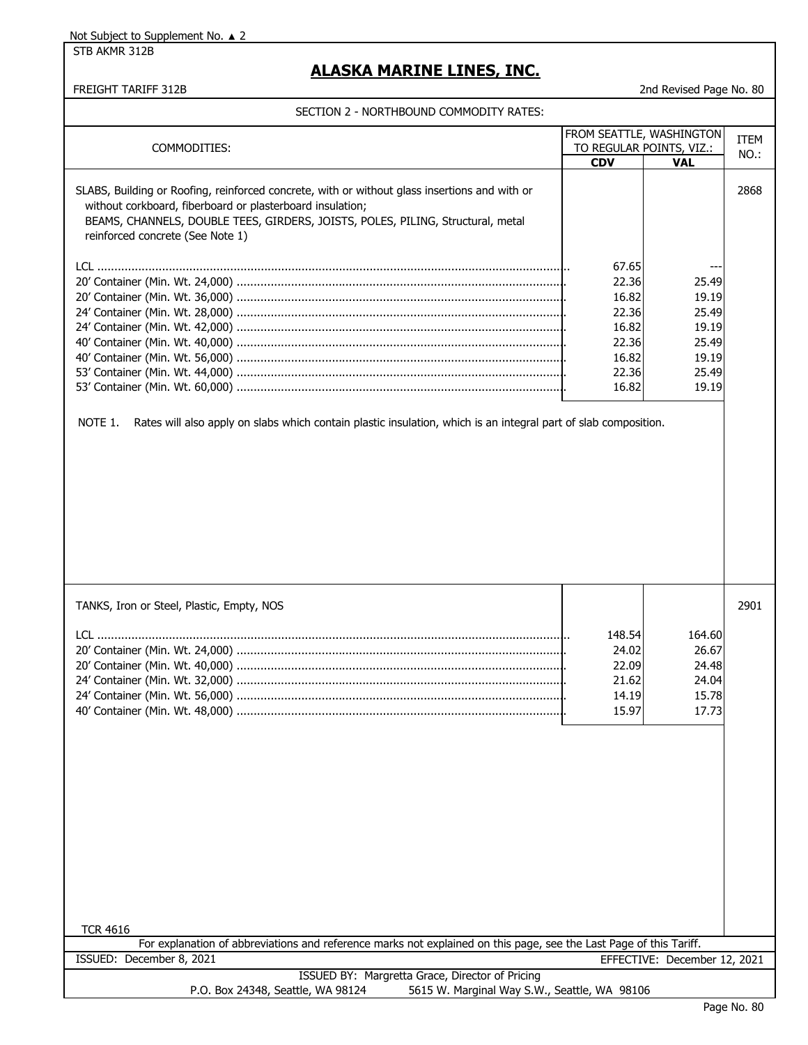#### STB AKMR 312B

## **ALASKA MARINE LINES, INC.**

#### FREIGHT TARIFF 312B 2nd Revised Page No. 80

| COMMODITIES:                                                                                                                                                                                                                                                                      | FROM SEATTLE, WASHINGTON<br>TO REGULAR POINTS, VIZ.:<br><b>CDV</b><br>VAL     |                                                                      | <b>ITEM</b><br>NO.: |  |
|-----------------------------------------------------------------------------------------------------------------------------------------------------------------------------------------------------------------------------------------------------------------------------------|-------------------------------------------------------------------------------|----------------------------------------------------------------------|---------------------|--|
| SLABS, Building or Roofing, reinforced concrete, with or without glass insertions and with or<br>without corkboard, fiberboard or plasterboard insulation;<br>BEAMS, CHANNELS, DOUBLE TEES, GIRDERS, JOISTS, POLES, PILING, Structural, metal<br>reinforced concrete (See Note 1) |                                                                               |                                                                      | 2868                |  |
| Rates will also apply on slabs which contain plastic insulation, which is an integral part of slab composition.<br>NOTE 1.                                                                                                                                                        | 67.65<br>22.36<br>16.82<br>22.36<br>16.82<br>22.36<br>16.82<br>22.36<br>16.82 | 25.49<br>19.19<br>25.49<br>19.19<br>25.49<br>19.19<br>25.49<br>19.19 |                     |  |
|                                                                                                                                                                                                                                                                                   |                                                                               |                                                                      |                     |  |
| TANKS, Iron or Steel, Plastic, Empty, NOS<br><b>TCR 4616</b>                                                                                                                                                                                                                      | 148.54<br>24.02<br>22.09<br>21.62<br>14.19<br>15.97                           | 164.60<br>26.67<br>24.48<br>24.04<br>15.78<br>17.73                  | 2901                |  |
| For explanation of abbreviations and reference marks not explained on this page, see the Last Page of this Tariff.<br>ISSUED: December 8, 2021                                                                                                                                    |                                                                               | EFFECTIVE: December 12, 2021                                         |                     |  |
| ISSUED BY: Margretta Grace, Director of Pricing<br>P.O. Box 24348, Seattle, WA 98124<br>5615 W. Marginal Way S.W., Seattle, WA 98106                                                                                                                                              |                                                                               |                                                                      |                     |  |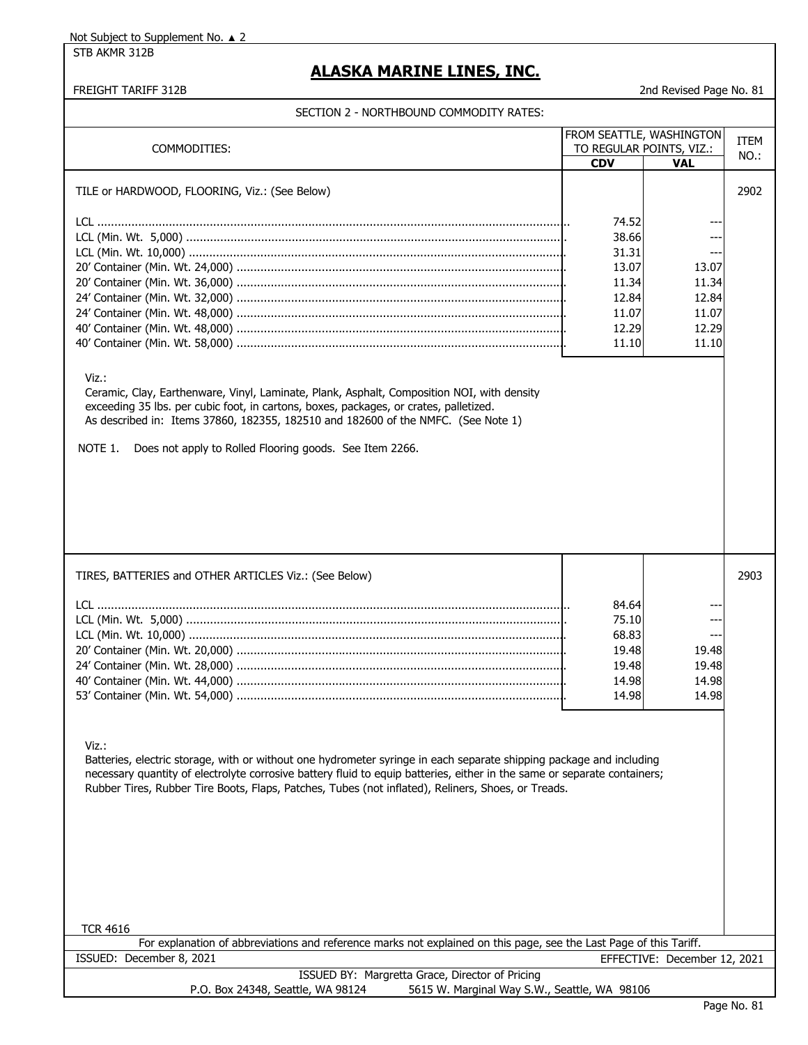STB AKMR 312B

# **ALASKA MARINE LINES, INC.**

#### FREIGHT TARIFF 312B 2nd Revised Page No. 81

|                                                                                                                                                                                                                                                                                                                                                                                   | FROM SEATTLE, WASHINGTON |                              | <b>ITEM</b> |  |
|-----------------------------------------------------------------------------------------------------------------------------------------------------------------------------------------------------------------------------------------------------------------------------------------------------------------------------------------------------------------------------------|--------------------------|------------------------------|-------------|--|
| COMMODITIES:                                                                                                                                                                                                                                                                                                                                                                      | TO REGULAR POINTS, VIZ.: |                              | NO.:        |  |
|                                                                                                                                                                                                                                                                                                                                                                                   | <b>CDV</b>               | <b>VAL</b>                   |             |  |
| TILE or HARDWOOD, FLOORING, Viz.: (See Below)                                                                                                                                                                                                                                                                                                                                     |                          |                              | 2902        |  |
|                                                                                                                                                                                                                                                                                                                                                                                   |                          |                              |             |  |
|                                                                                                                                                                                                                                                                                                                                                                                   | 74.52                    |                              |             |  |
|                                                                                                                                                                                                                                                                                                                                                                                   | 38.66                    |                              |             |  |
|                                                                                                                                                                                                                                                                                                                                                                                   | 31.31                    | ---                          |             |  |
|                                                                                                                                                                                                                                                                                                                                                                                   | 13.07                    | 13.07                        |             |  |
|                                                                                                                                                                                                                                                                                                                                                                                   | 11.34<br>12.84           | 11.34<br>12.84               |             |  |
|                                                                                                                                                                                                                                                                                                                                                                                   | 11.07                    | 11.07                        |             |  |
|                                                                                                                                                                                                                                                                                                                                                                                   | 12.29                    | 12.29                        |             |  |
|                                                                                                                                                                                                                                                                                                                                                                                   | 11.10                    | 11.10                        |             |  |
|                                                                                                                                                                                                                                                                                                                                                                                   |                          |                              |             |  |
| Viz.:<br>Ceramic, Clay, Earthenware, Vinyl, Laminate, Plank, Asphalt, Composition NOI, with density<br>exceeding 35 lbs. per cubic foot, in cartons, boxes, packages, or crates, palletized.<br>As described in: Items 37860, 182355, 182510 and 182600 of the NMFC. (See Note 1)<br>NOTE 1.<br>Does not apply to Rolled Flooring goods. See Item 2266.                           |                          |                              |             |  |
| TIRES, BATTERIES and OTHER ARTICLES Viz.: (See Below)                                                                                                                                                                                                                                                                                                                             |                          |                              | 2903        |  |
|                                                                                                                                                                                                                                                                                                                                                                                   | 84.64                    |                              |             |  |
|                                                                                                                                                                                                                                                                                                                                                                                   | 75.10                    |                              |             |  |
|                                                                                                                                                                                                                                                                                                                                                                                   | 68.83                    |                              |             |  |
|                                                                                                                                                                                                                                                                                                                                                                                   | 19.48                    | 19.48                        |             |  |
|                                                                                                                                                                                                                                                                                                                                                                                   | 19.48                    | 19.48                        |             |  |
|                                                                                                                                                                                                                                                                                                                                                                                   | 14.98                    | 14.98                        |             |  |
|                                                                                                                                                                                                                                                                                                                                                                                   | 14.98                    | 14.98                        |             |  |
| Viz.:<br>Batteries, electric storage, with or without one hydrometer syringe in each separate shipping package and including<br>necessary quantity of electrolyte corrosive battery fluid to equip batteries, either in the same or separate containers;<br>Rubber Tires, Rubber Tire Boots, Flaps, Patches, Tubes (not inflated), Reliners, Shoes, or Treads.<br><b>TCR 4616</b> |                          |                              |             |  |
| For explanation of abbreviations and reference marks not explained on this page, see the Last Page of this Tariff.                                                                                                                                                                                                                                                                |                          |                              |             |  |
| ISSUED: December 8, 2021                                                                                                                                                                                                                                                                                                                                                          |                          | EFFECTIVE: December 12, 2021 |             |  |
| ISSUED BY: Margretta Grace, Director of Pricing<br>P.O. Box 24348, Seattle, WA 98124<br>5615 W. Marginal Way S.W., Seattle, WA 98106                                                                                                                                                                                                                                              |                          |                              |             |  |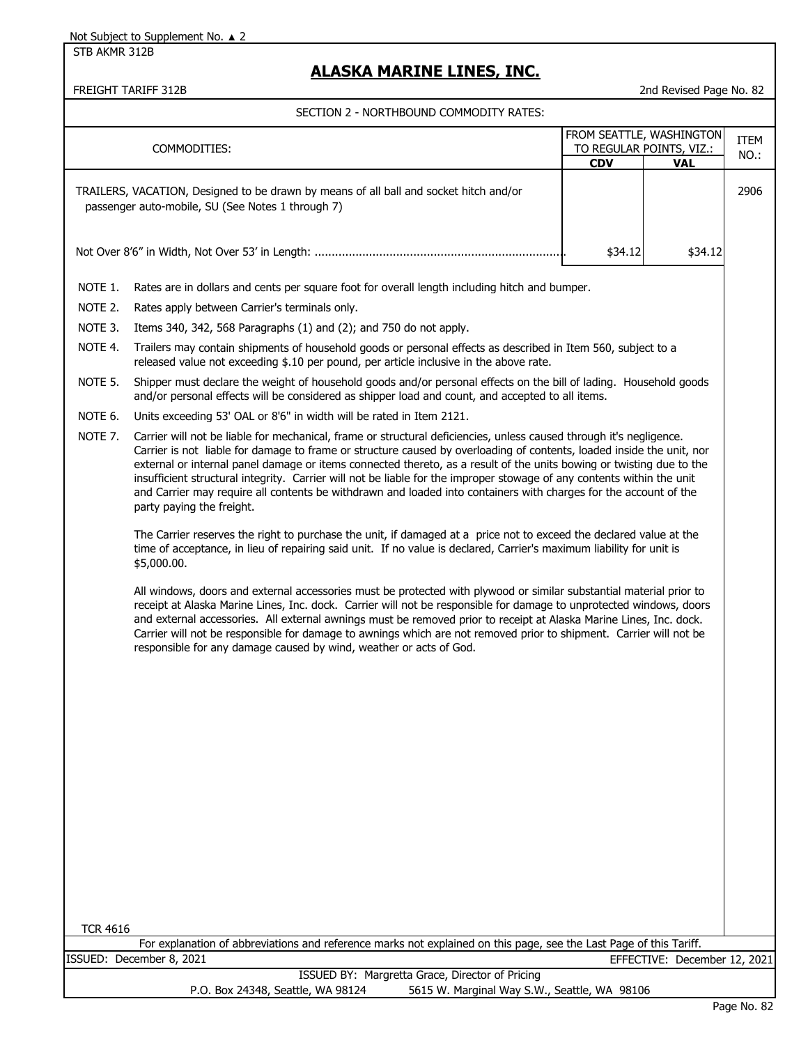STB AKMR 312B

# **ALASKA MARINE LINES, INC.**

FREIGHT TARIFF 312B 2nd Revised Page No. 82

|                                                                                                                                                                                                                                                                                                                                                                                                                                                                                                                                                                                                                                                            |                                                                                                                                                                                                                       |            | FROM SEATTLE, WASHINGTON     |                     |
|------------------------------------------------------------------------------------------------------------------------------------------------------------------------------------------------------------------------------------------------------------------------------------------------------------------------------------------------------------------------------------------------------------------------------------------------------------------------------------------------------------------------------------------------------------------------------------------------------------------------------------------------------------|-----------------------------------------------------------------------------------------------------------------------------------------------------------------------------------------------------------------------|------------|------------------------------|---------------------|
|                                                                                                                                                                                                                                                                                                                                                                                                                                                                                                                                                                                                                                                            | COMMODITIES:                                                                                                                                                                                                          |            | TO REGULAR POINTS, VIZ.:     | <b>ITEM</b><br>NO.: |
|                                                                                                                                                                                                                                                                                                                                                                                                                                                                                                                                                                                                                                                            |                                                                                                                                                                                                                       | <b>CDV</b> | <b>VAL</b>                   |                     |
|                                                                                                                                                                                                                                                                                                                                                                                                                                                                                                                                                                                                                                                            | TRAILERS, VACATION, Designed to be drawn by means of all ball and socket hitch and/or<br>passenger auto-mobile, SU (See Notes 1 through 7)                                                                            |            |                              | 2906                |
|                                                                                                                                                                                                                                                                                                                                                                                                                                                                                                                                                                                                                                                            |                                                                                                                                                                                                                       | \$34.12    | \$34.12                      |                     |
| NOTE 1.                                                                                                                                                                                                                                                                                                                                                                                                                                                                                                                                                                                                                                                    | Rates are in dollars and cents per square foot for overall length including hitch and bumper.                                                                                                                         |            |                              |                     |
| NOTE 2.                                                                                                                                                                                                                                                                                                                                                                                                                                                                                                                                                                                                                                                    | Rates apply between Carrier's terminals only.                                                                                                                                                                         |            |                              |                     |
| NOTE 3.                                                                                                                                                                                                                                                                                                                                                                                                                                                                                                                                                                                                                                                    | Items 340, 342, 568 Paragraphs $(1)$ and $(2)$ ; and 750 do not apply.                                                                                                                                                |            |                              |                     |
| NOTE 4.                                                                                                                                                                                                                                                                                                                                                                                                                                                                                                                                                                                                                                                    | Trailers may contain shipments of household goods or personal effects as described in Item 560, subject to a<br>released value not exceeding \$.10 per pound, per article inclusive in the above rate.                |            |                              |                     |
| NOTE 5.                                                                                                                                                                                                                                                                                                                                                                                                                                                                                                                                                                                                                                                    | Shipper must declare the weight of household goods and/or personal effects on the bill of lading. Household goods<br>and/or personal effects will be considered as shipper load and count, and accepted to all items. |            |                              |                     |
| NOTE 6.                                                                                                                                                                                                                                                                                                                                                                                                                                                                                                                                                                                                                                                    | Units exceeding 53' OAL or 8'6" in width will be rated in Item 2121.                                                                                                                                                  |            |                              |                     |
| NOTE 7.<br>Carrier will not be liable for mechanical, frame or structural deficiencies, unless caused through it's negligence.<br>Carrier is not liable for damage to frame or structure caused by overloading of contents, loaded inside the unit, nor<br>external or internal panel damage or items connected thereto, as a result of the units bowing or twisting due to the<br>insufficient structural integrity. Carrier will not be liable for the improper stowage of any contents within the unit<br>and Carrier may require all contents be withdrawn and loaded into containers with charges for the account of the<br>party paying the freight. |                                                                                                                                                                                                                       |            |                              |                     |
| The Carrier reserves the right to purchase the unit, if damaged at a price not to exceed the declared value at the<br>time of acceptance, in lieu of repairing said unit. If no value is declared, Carrier's maximum liability for unit is<br>\$5,000.00.                                                                                                                                                                                                                                                                                                                                                                                                  |                                                                                                                                                                                                                       |            |                              |                     |
| All windows, doors and external accessories must be protected with plywood or similar substantial material prior to<br>receipt at Alaska Marine Lines, Inc. dock. Carrier will not be responsible for damage to unprotected windows, doors<br>and external accessories. All external awnings must be removed prior to receipt at Alaska Marine Lines, Inc. dock.<br>Carrier will not be responsible for damage to awnings which are not removed prior to shipment. Carrier will not be<br>responsible for any damage caused by wind, weather or acts of God.                                                                                               |                                                                                                                                                                                                                       |            |                              |                     |
|                                                                                                                                                                                                                                                                                                                                                                                                                                                                                                                                                                                                                                                            |                                                                                                                                                                                                                       |            |                              |                     |
|                                                                                                                                                                                                                                                                                                                                                                                                                                                                                                                                                                                                                                                            |                                                                                                                                                                                                                       |            |                              |                     |
|                                                                                                                                                                                                                                                                                                                                                                                                                                                                                                                                                                                                                                                            |                                                                                                                                                                                                                       |            |                              |                     |
| <b>TCR 4616</b>                                                                                                                                                                                                                                                                                                                                                                                                                                                                                                                                                                                                                                            |                                                                                                                                                                                                                       |            |                              |                     |
|                                                                                                                                                                                                                                                                                                                                                                                                                                                                                                                                                                                                                                                            | For explanation of abbreviations and reference marks not explained on this page, see the Last Page of this Tariff.<br>ISSUED: December 8, 2021                                                                        |            | EFFECTIVE: December 12, 2021 |                     |
|                                                                                                                                                                                                                                                                                                                                                                                                                                                                                                                                                                                                                                                            | ISSUED BY: Margretta Grace, Director of Pricing                                                                                                                                                                       |            |                              |                     |
| P.O. Box 24348, Seattle, WA 98124<br>5615 W. Marginal Way S.W., Seattle, WA 98106                                                                                                                                                                                                                                                                                                                                                                                                                                                                                                                                                                          |                                                                                                                                                                                                                       |            |                              | $Dao M0$ 22         |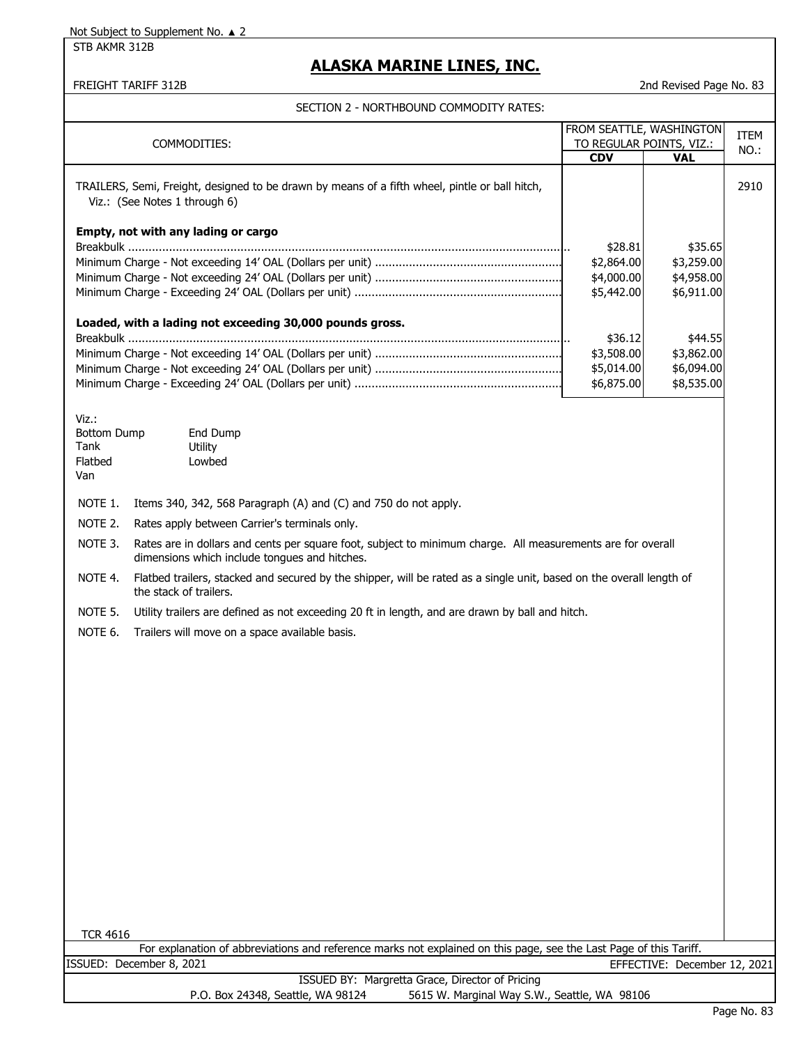STB AKMR 312B

## **ALASKA MARINE LINES, INC.**

FREIGHT TARIFF 312B 2nd Revised Page No. 83

| COMMODITIES:                                                                                                                                                            | <b>CDV</b>            | FROM SEATTLE, WASHINGTON<br>TO REGULAR POINTS, VIZ.:<br><b>VAL</b> | <b>ITEM</b><br>NO.: |
|-------------------------------------------------------------------------------------------------------------------------------------------------------------------------|-----------------------|--------------------------------------------------------------------|---------------------|
| TRAILERS, Semi, Freight, designed to be drawn by means of a fifth wheel, pintle or ball hitch,<br>Viz.: (See Notes 1 through 6)                                         |                       |                                                                    | 2910                |
| Empty, not with any lading or cargo                                                                                                                                     |                       |                                                                    |                     |
|                                                                                                                                                                         | \$28.81<br>\$2,864.00 | \$35.65<br>\$3,259.00                                              |                     |
|                                                                                                                                                                         | \$4,000.00            | \$4,958.00                                                         |                     |
|                                                                                                                                                                         | \$5,442.00            | \$6,911.00                                                         |                     |
| Loaded, with a lading not exceeding 30,000 pounds gross.                                                                                                                |                       |                                                                    |                     |
|                                                                                                                                                                         | \$36.12<br>\$3,508.00 | \$44.55<br>\$3,862.00                                              |                     |
|                                                                                                                                                                         | \$5,014.00            | \$6,094.00                                                         |                     |
|                                                                                                                                                                         | \$6,875.00            | \$8,535.00                                                         |                     |
| Viz.:<br><b>Bottom Dump</b><br>End Dump<br>Tank<br>Utility<br>Flatbed<br>Lowbed<br>Van                                                                                  |                       |                                                                    |                     |
| NOTE 1.<br>Items 340, 342, 568 Paragraph (A) and (C) and 750 do not apply.                                                                                              |                       |                                                                    |                     |
| NOTE 2.<br>Rates apply between Carrier's terminals only.                                                                                                                |                       |                                                                    |                     |
| NOTE 3.<br>Rates are in dollars and cents per square foot, subject to minimum charge. All measurements are for overall<br>dimensions which include tongues and hitches. |                       |                                                                    |                     |
| Flatbed trailers, stacked and secured by the shipper, will be rated as a single unit, based on the overall length of<br>NOTE 4.<br>the stack of trailers.               |                       |                                                                    |                     |
| NOTE 5.<br>Utility trailers are defined as not exceeding 20 ft in length, and are drawn by ball and hitch.                                                              |                       |                                                                    |                     |
| NOTE 6.<br>Trailers will move on a space available basis.                                                                                                               |                       |                                                                    |                     |
|                                                                                                                                                                         |                       |                                                                    |                     |
|                                                                                                                                                                         |                       |                                                                    |                     |
|                                                                                                                                                                         |                       |                                                                    |                     |
|                                                                                                                                                                         |                       |                                                                    |                     |
|                                                                                                                                                                         |                       |                                                                    |                     |
|                                                                                                                                                                         |                       |                                                                    |                     |
|                                                                                                                                                                         |                       |                                                                    |                     |
|                                                                                                                                                                         |                       |                                                                    |                     |
|                                                                                                                                                                         |                       |                                                                    |                     |
|                                                                                                                                                                         |                       |                                                                    |                     |
|                                                                                                                                                                         |                       |                                                                    |                     |
| <b>TCR 4616</b>                                                                                                                                                         |                       |                                                                    |                     |
| For explanation of abbreviations and reference marks not explained on this page, see the Last Page of this Tariff.                                                      |                       |                                                                    |                     |
| ISSUED: December 8, 2021                                                                                                                                                |                       | EFFECTIVE: December 12, 2021                                       |                     |
| ISSUED BY: Margretta Grace, Director of Pricing<br>P.O. Box 24348, Seattle, WA 98124<br>5615 W. Marginal Way S.W., Seattle, WA 98106                                    |                       |                                                                    |                     |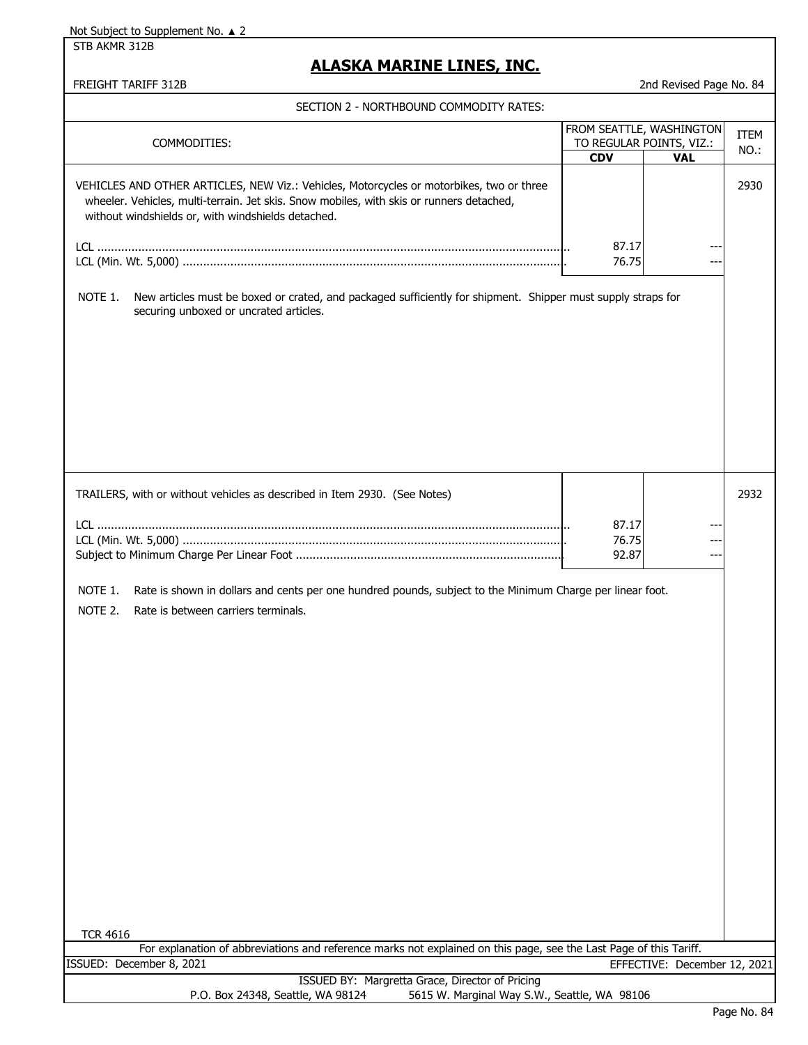STB AKMR 312B

## **ALASKA MARINE LINES, INC.**

| SECTION 2 - NORTHBOUND COMMODITY RATES:                                                                                                                                                                                                    |                |                                                                    |                     |
|--------------------------------------------------------------------------------------------------------------------------------------------------------------------------------------------------------------------------------------------|----------------|--------------------------------------------------------------------|---------------------|
| COMMODITIES:                                                                                                                                                                                                                               | <b>CDV</b>     | FROM SEATTLE, WASHINGTON<br>TO REGULAR POINTS, VIZ.:<br><b>VAL</b> | <b>ITEM</b><br>NO.: |
| VEHICLES AND OTHER ARTICLES, NEW Viz.: Vehicles, Motorcycles or motorbikes, two or three<br>wheeler. Vehicles, multi-terrain. Jet skis. Snow mobiles, with skis or runners detached,<br>without windshields or, with windshields detached. |                |                                                                    | 2930                |
|                                                                                                                                                                                                                                            | 87.17<br>76.75 |                                                                    |                     |
| NOTE 1.<br>New articles must be boxed or crated, and packaged sufficiently for shipment. Shipper must supply straps for<br>securing unboxed or uncrated articles.                                                                          |                |                                                                    |                     |
| TRAILERS, with or without vehicles as described in Item 2930. (See Notes)                                                                                                                                                                  | 87.17<br>76.75 |                                                                    | 2932                |
| NOTE 1.<br>Rate is shown in dollars and cents per one hundred pounds, subject to the Minimum Charge per linear foot.<br>NOTE 2.<br>Rate is between carriers terminals.                                                                     | 92.87          |                                                                    |                     |
|                                                                                                                                                                                                                                            |                |                                                                    |                     |
|                                                                                                                                                                                                                                            |                |                                                                    |                     |
|                                                                                                                                                                                                                                            |                |                                                                    |                     |
|                                                                                                                                                                                                                                            |                |                                                                    |                     |
|                                                                                                                                                                                                                                            |                |                                                                    |                     |
| <b>TCR 4616</b><br>For explanation of abbreviations and reference marks not explained on this page, see the Last Page of this Tariff.                                                                                                      |                |                                                                    |                     |
| ISSUED: December 8, 2021                                                                                                                                                                                                                   |                | EFFECTIVE: December 12, 2021                                       |                     |
| ISSUED BY: Margretta Grace, Director of Pricing<br>P.O. Box 24348, Seattle, WA 98124<br>5615 W. Marginal Way S.W., Seattle, WA 98106                                                                                                       |                |                                                                    |                     |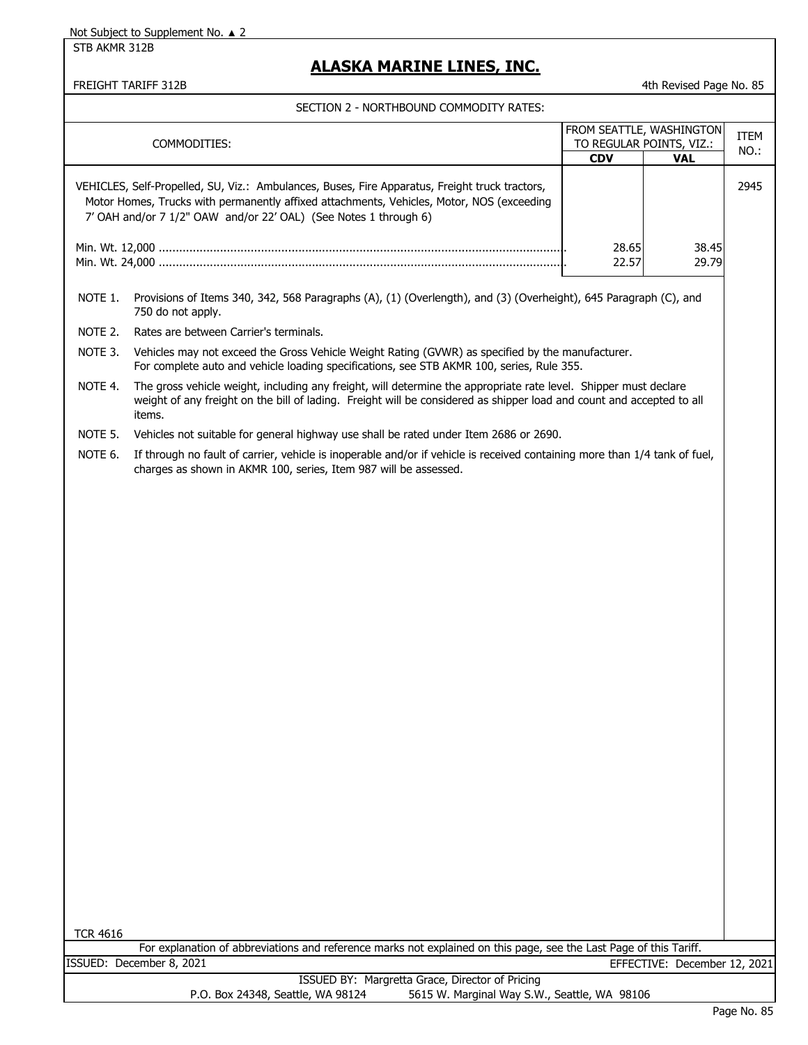STB AKMR 312B

## **ALASKA MARINE LINES, INC.**

FREIGHT TARIFF 312B **Accord 2013** 4th Revised Page No. 85

|                 | COMMODITIES:                                                                                                                                                                                                                                                    | FROM SEATTLE, WASHINGTON<br>TO REGULAR POINTS, VIZ.:<br><b>CDV</b> | <b>VAL</b>                   | <b>ITEM</b><br>NO.: |
|-----------------|-----------------------------------------------------------------------------------------------------------------------------------------------------------------------------------------------------------------------------------------------------------------|--------------------------------------------------------------------|------------------------------|---------------------|
|                 | VEHICLES, Self-Propelled, SU, Viz.: Ambulances, Buses, Fire Apparatus, Freight truck tractors,<br>Motor Homes, Trucks with permanently affixed attachments, Vehicles, Motor, NOS (exceeding<br>7' OAH and/or 7 1/2" OAW and/or 22' OAL) (See Notes 1 through 6) |                                                                    |                              | 2945                |
|                 |                                                                                                                                                                                                                                                                 | 28.65<br>22.57                                                     | 38.45<br>29.79               |                     |
| NOTE 1.         | Provisions of Items 340, 342, 568 Paragraphs (A), (1) (Overlength), and (3) (Overheight), 645 Paragraph (C), and<br>750 do not apply.                                                                                                                           |                                                                    |                              |                     |
| NOTE 2.         | Rates are between Carrier's terminals.                                                                                                                                                                                                                          |                                                                    |                              |                     |
| NOTE 3.         | Vehicles may not exceed the Gross Vehicle Weight Rating (GVWR) as specified by the manufacturer.<br>For complete auto and vehicle loading specifications, see STB AKMR 100, series, Rule 355.                                                                   |                                                                    |                              |                     |
| NOTE 4.         | The gross vehicle weight, including any freight, will determine the appropriate rate level. Shipper must declare<br>weight of any freight on the bill of lading. Freight will be considered as shipper load and count and accepted to all<br>items.             |                                                                    |                              |                     |
| NOTE 5.         | Vehicles not suitable for general highway use shall be rated under Item 2686 or 2690.                                                                                                                                                                           |                                                                    |                              |                     |
| NOTE 6.         | If through no fault of carrier, vehicle is inoperable and/or if vehicle is received containing more than 1/4 tank of fuel,<br>charges as shown in AKMR 100, series, Item 987 will be assessed.                                                                  |                                                                    |                              |                     |
|                 |                                                                                                                                                                                                                                                                 |                                                                    |                              |                     |
|                 |                                                                                                                                                                                                                                                                 |                                                                    |                              |                     |
|                 |                                                                                                                                                                                                                                                                 |                                                                    |                              |                     |
| <b>TCR 4616</b> |                                                                                                                                                                                                                                                                 |                                                                    |                              |                     |
|                 | For explanation of abbreviations and reference marks not explained on this page, see the Last Page of this Tariff.<br>ISSUED: December 8, 2021                                                                                                                  |                                                                    |                              |                     |
|                 | ISSUED BY: Margretta Grace, Director of Pricing                                                                                                                                                                                                                 |                                                                    | EFFECTIVE: December 12, 2021 |                     |
|                 | P.O. Box 24348, Seattle, WA 98124<br>5615 W. Marginal Way S.W., Seattle, WA 98106                                                                                                                                                                               |                                                                    |                              |                     |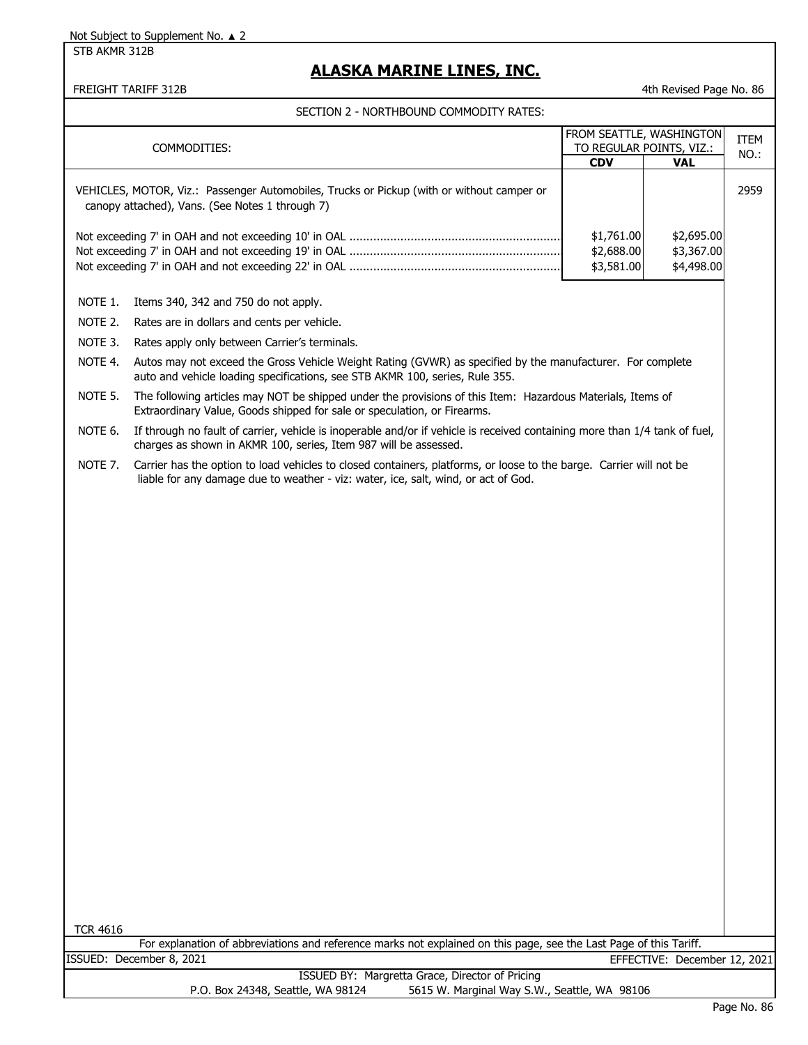STB AKMR 312B

## **ALASKA MARINE LINES, INC.**

### FREIGHT TARIFF 312B **Accord 2013** 4th Revised Page No. 86

|                 | COMMODITIES:                                                                                                                                                                                              | <b>CDV</b>                             | FROM SEATTLE, WASHINGTON<br>TO REGULAR POINTS, VIZ.:<br><b>VAL</b> | <b>ITEM</b><br>NO.: |
|-----------------|-----------------------------------------------------------------------------------------------------------------------------------------------------------------------------------------------------------|----------------------------------------|--------------------------------------------------------------------|---------------------|
|                 | VEHICLES, MOTOR, Viz.: Passenger Automobiles, Trucks or Pickup (with or without camper or<br>canopy attached), Vans. (See Notes 1 through 7)                                                              |                                        |                                                                    | 2959                |
|                 |                                                                                                                                                                                                           | \$1,761.00<br>\$2,688.00<br>\$3,581.00 | \$2,695.00<br>\$3,367.00<br>\$4,498.00                             |                     |
| NOTE 1.         | Items 340, 342 and 750 do not apply.                                                                                                                                                                      |                                        |                                                                    |                     |
| NOTE 2.         | Rates are in dollars and cents per vehicle.                                                                                                                                                               |                                        |                                                                    |                     |
| NOTE 3.         | Rates apply only between Carrier's terminals.                                                                                                                                                             |                                        |                                                                    |                     |
| NOTE 4.         | Autos may not exceed the Gross Vehicle Weight Rating (GVWR) as specified by the manufacturer. For complete<br>auto and vehicle loading specifications, see STB AKMR 100, series, Rule 355.                |                                        |                                                                    |                     |
| NOTE 5.         | The following articles may NOT be shipped under the provisions of this Item: Hazardous Materials, Items of<br>Extraordinary Value, Goods shipped for sale or speculation, or Firearms.                    |                                        |                                                                    |                     |
| NOTE 6.         | If through no fault of carrier, vehicle is inoperable and/or if vehicle is received containing more than 1/4 tank of fuel,<br>charges as shown in AKMR 100, series, Item 987 will be assessed.            |                                        |                                                                    |                     |
| NOTE 7.         | Carrier has the option to load vehicles to closed containers, platforms, or loose to the barge. Carrier will not be<br>liable for any damage due to weather - viz: water, ice, salt, wind, or act of God. |                                        |                                                                    |                     |
|                 |                                                                                                                                                                                                           |                                        |                                                                    |                     |
|                 |                                                                                                                                                                                                           |                                        |                                                                    |                     |
|                 |                                                                                                                                                                                                           |                                        |                                                                    |                     |
|                 |                                                                                                                                                                                                           |                                        |                                                                    |                     |
|                 |                                                                                                                                                                                                           |                                        |                                                                    |                     |
|                 |                                                                                                                                                                                                           |                                        |                                                                    |                     |
|                 |                                                                                                                                                                                                           |                                        |                                                                    |                     |
|                 |                                                                                                                                                                                                           |                                        |                                                                    |                     |
|                 |                                                                                                                                                                                                           |                                        |                                                                    |                     |
|                 |                                                                                                                                                                                                           |                                        |                                                                    |                     |
|                 |                                                                                                                                                                                                           |                                        |                                                                    |                     |
|                 |                                                                                                                                                                                                           |                                        |                                                                    |                     |
|                 |                                                                                                                                                                                                           |                                        |                                                                    |                     |
|                 |                                                                                                                                                                                                           |                                        |                                                                    |                     |
|                 |                                                                                                                                                                                                           |                                        |                                                                    |                     |
| <b>TCR 4616</b> |                                                                                                                                                                                                           |                                        |                                                                    |                     |
|                 | For explanation of abbreviations and reference marks not explained on this page, see the Last Page of this Tariff.                                                                                        |                                        |                                                                    |                     |
|                 | ISSUED: December 8, 2021<br>ISSUED BY: Margretta Grace, Director of Pricing                                                                                                                               |                                        | EFFECTIVE: December 12, 2021                                       |                     |
|                 | P.O. Box 24348, Seattle, WA 98124<br>5615 W. Marginal Way S.W., Seattle, WA 98106                                                                                                                         |                                        |                                                                    |                     |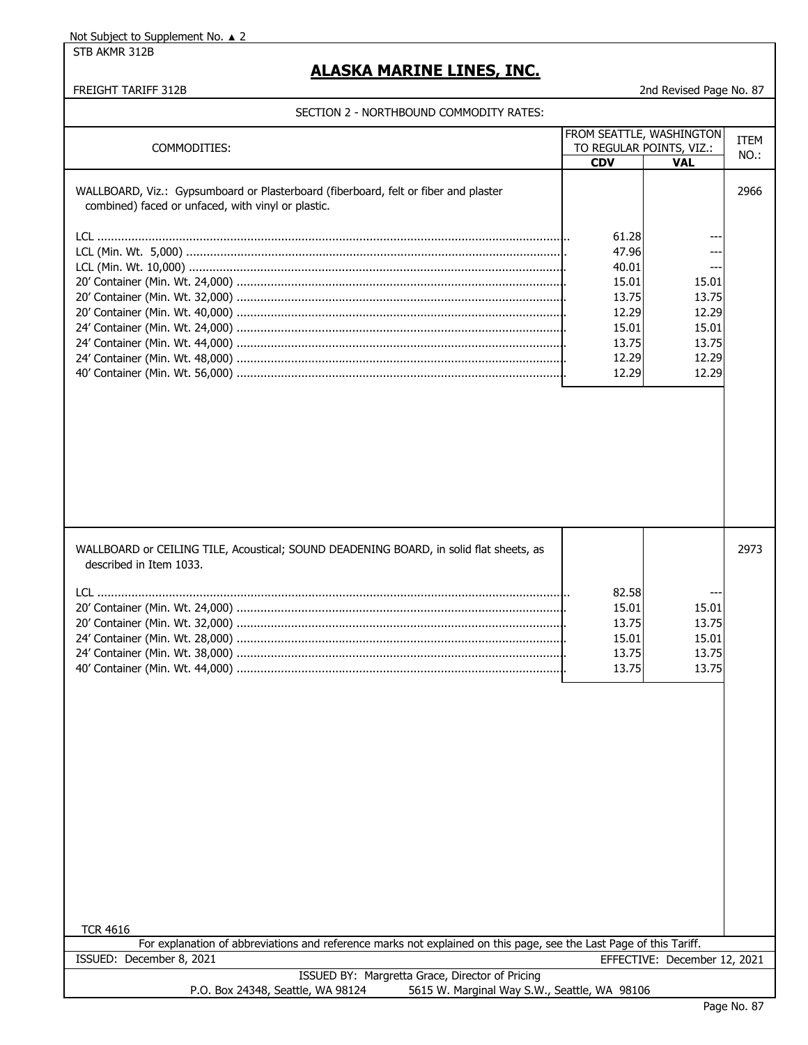STB AKMR 312B

## **ALASKA MARINE LINES, INC.**

#### FREIGHT TARIFF 312B 2nd Revised Page No. 87

| FROM SEATTLE, WASHINGTON                                                                                                                  |                                                                                        |                                                             | <b>ITEM</b> |
|-------------------------------------------------------------------------------------------------------------------------------------------|----------------------------------------------------------------------------------------|-------------------------------------------------------------|-------------|
| COMMODITIES:                                                                                                                              | TO REGULAR POINTS, VIZ.:                                                               |                                                             | NO.:        |
|                                                                                                                                           | <b>CDV</b>                                                                             | <b>VAL</b>                                                  |             |
| WALLBOARD, Viz.: Gypsumboard or Plasterboard (fiberboard, felt or fiber and plaster<br>combined) faced or unfaced, with vinyl or plastic. | 61.28<br>47.96<br>40.01<br>15.01<br>13.75<br>12.29<br>15.01<br>13.75<br>12.29<br>12.29 | 15.01<br>13.75<br>12.29<br>15.01<br>13.75<br>12.29<br>12.29 | 2966        |
| WALLBOARD or CEILING TILE, Acoustical; SOUND DEADENING BOARD, in solid flat sheets, as<br>described in Item 1033.                         | 82.58<br>15.01<br>13.75<br>15.01<br>13.75<br>13.75                                     | 15.01<br>13.75<br>15.01<br>13.75<br>13.75                   | 2973        |
| <b>TCR 4616</b>                                                                                                                           |                                                                                        |                                                             |             |
| For explanation of abbreviations and reference marks not explained on this page, see the Last Page of this Tariff.                        |                                                                                        |                                                             |             |
| ISSUED: December 8, 2021                                                                                                                  |                                                                                        | EFFECTIVE: December 12, 2021                                |             |
| ISSUED BY: Margretta Grace, Director of Pricing<br>P.O. Box 24348, Seattle, WA 98124<br>5615 W. Marginal Way S.W., Seattle, WA 98106      |                                                                                        |                                                             |             |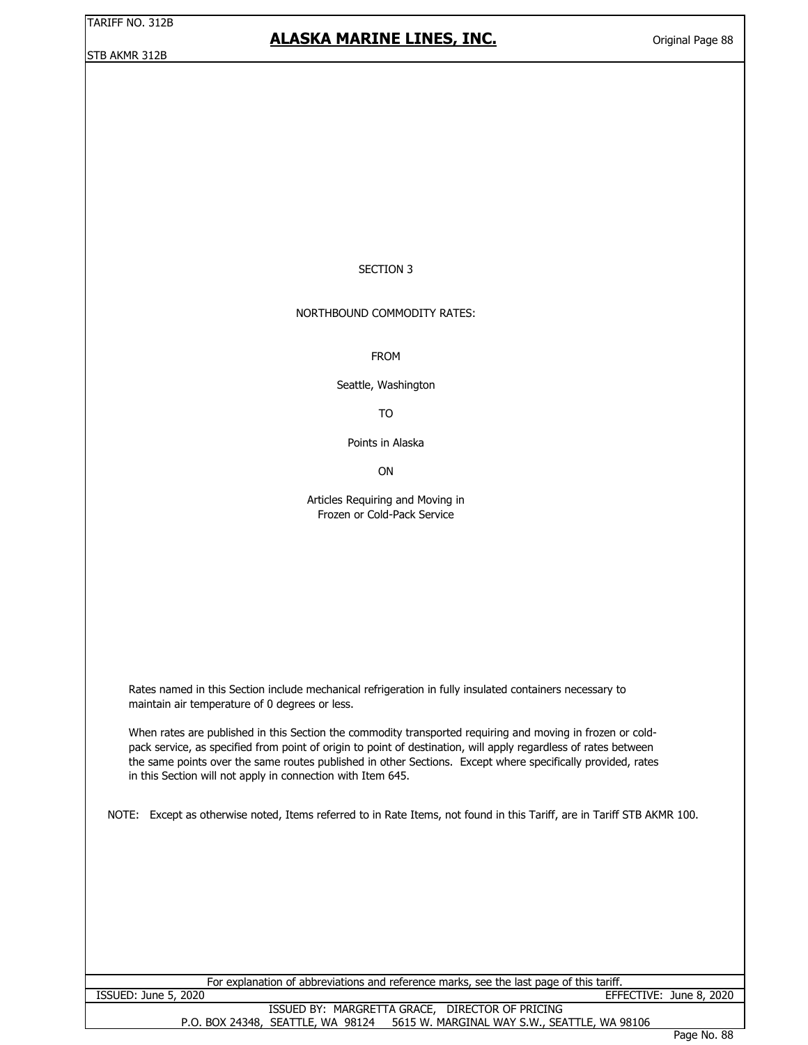# **ALASKA MARINE LINES, INC.**

#### SECTION 3

### NORTHBOUND COMMODITY RATES:

FROM

Seattle, Washington

TO

Points in Alaska

**ON** 

Articles Requiring and Moving in Frozen or Cold-Pack Service

Rates named in this Section include mechanical refrigeration in fully insulated containers necessary to maintain air temperature of 0 degrees or less.

When rates are published in this Section the commodity transported requiring and moving in frozen or coldpack service, as specified from point of origin to point of destination, will apply regardless of rates between the same points over the same routes published in other Sections. Except where specifically provided, rates in this Section will not apply in connection with Item 645.

NOTE: Except as otherwise noted, Items referred to in Rate Items, not found in this Tariff, are in Tariff STB AKMR 100.

| For explanation of abbreviations and reference marks, see the last page of this tariff. |  |                         |  |  |
|-----------------------------------------------------------------------------------------|--|-------------------------|--|--|
| ISSUED: June 5, 2020                                                                    |  | EFFECTIVE: June 8, 2020 |  |  |
| ISSUED BY: MARGRETTA GRACE, DIRECTOR OF PRICING                                         |  |                         |  |  |
| P.O. BOX 24348, SEATTLE, WA 98124 5615 W. MARGINAL WAY S.W., SEATTLE, WA 98106          |  |                         |  |  |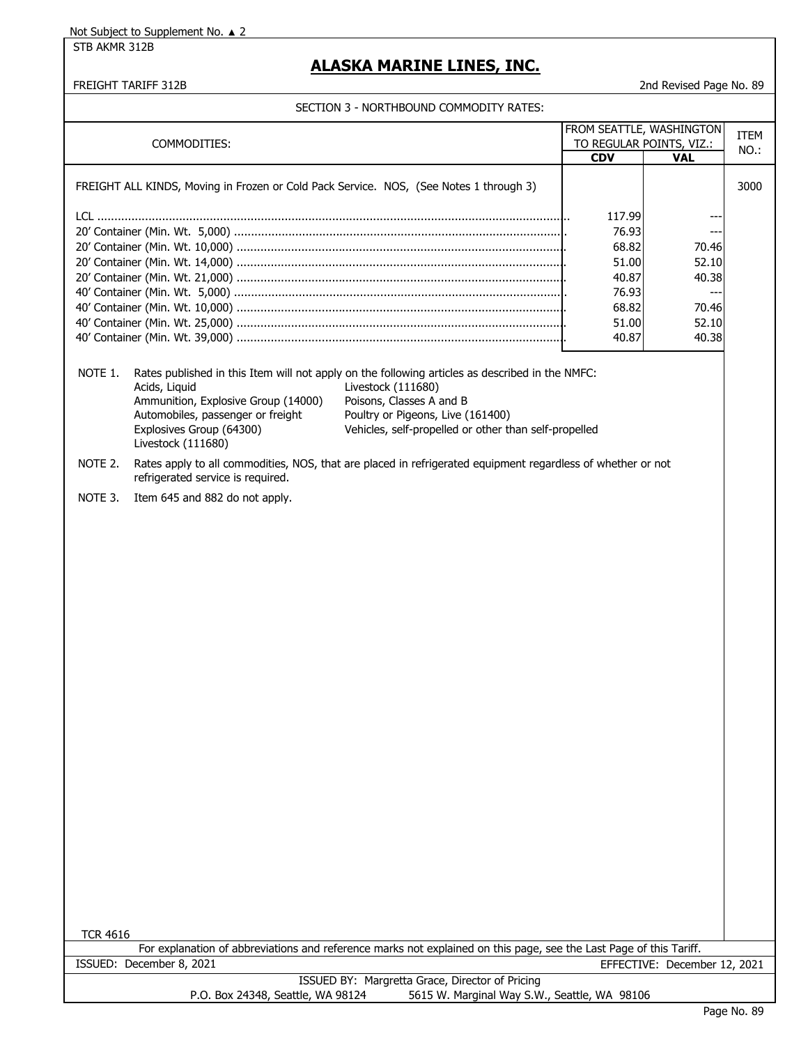STB AKMR 312B

## **ALASKA MARINE LINES, INC.**

FREIGHT TARIFF 312B 2nd Revised Page No. 89

| FROM SEATTLE, WASHINGTON |                                                                                                                                             |                                                                                                                                                                                                                                                 |                                        | <b>ITEM</b>                  |      |
|--------------------------|---------------------------------------------------------------------------------------------------------------------------------------------|-------------------------------------------------------------------------------------------------------------------------------------------------------------------------------------------------------------------------------------------------|----------------------------------------|------------------------------|------|
| COMMODITIES:             |                                                                                                                                             | <b>CDV</b>                                                                                                                                                                                                                                      | TO REGULAR POINTS, VIZ.:<br><b>VAL</b> | NO.:                         |      |
|                          |                                                                                                                                             |                                                                                                                                                                                                                                                 |                                        |                              |      |
|                          | FREIGHT ALL KINDS, Moving in Frozen or Cold Pack Service. NOS, (See Notes 1 through 3)                                                      |                                                                                                                                                                                                                                                 |                                        |                              | 3000 |
|                          |                                                                                                                                             |                                                                                                                                                                                                                                                 | 117.99                                 |                              |      |
|                          |                                                                                                                                             |                                                                                                                                                                                                                                                 | 76.93                                  | ---                          |      |
|                          |                                                                                                                                             |                                                                                                                                                                                                                                                 | 68.82                                  | 70.46                        |      |
|                          |                                                                                                                                             |                                                                                                                                                                                                                                                 | 51.00                                  | 52.10                        |      |
|                          |                                                                                                                                             |                                                                                                                                                                                                                                                 | 40.87                                  | 40.38                        |      |
|                          |                                                                                                                                             |                                                                                                                                                                                                                                                 | 76.93                                  | ---                          |      |
|                          |                                                                                                                                             |                                                                                                                                                                                                                                                 | 68.82                                  | 70.46                        |      |
|                          |                                                                                                                                             |                                                                                                                                                                                                                                                 | 51.00                                  | 52.10                        |      |
|                          |                                                                                                                                             |                                                                                                                                                                                                                                                 | 40.87                                  | 40.38                        |      |
| NOTE 1.                  | Acids, Liquid<br>Ammunition, Explosive Group (14000)<br>Automobiles, passenger or freight<br>Explosives Group (64300)<br>Livestock (111680) | Rates published in this Item will not apply on the following articles as described in the NMFC:<br>Livestock (111680)<br>Poisons, Classes A and B<br>Poultry or Pigeons, Live (161400)<br>Vehicles, self-propelled or other than self-propelled |                                        |                              |      |
| NOTE 2.                  | refrigerated service is required.                                                                                                           | Rates apply to all commodities, NOS, that are placed in refrigerated equipment regardless of whether or not                                                                                                                                     |                                        |                              |      |
| NOTE 3.                  | Item 645 and 882 do not apply.                                                                                                              |                                                                                                                                                                                                                                                 |                                        |                              |      |
|                          |                                                                                                                                             |                                                                                                                                                                                                                                                 |                                        |                              |      |
| <b>TCR 4616</b>          |                                                                                                                                             | For explanation of abbreviations and reference marks not explained on this page, see the Last Page of this Tariff.                                                                                                                              |                                        |                              |      |
|                          | ISSUED: December 8, 2021                                                                                                                    |                                                                                                                                                                                                                                                 |                                        | EFFECTIVE: December 12, 2021 |      |
|                          |                                                                                                                                             | ISSUED BY: Margretta Grace, Director of Pricing                                                                                                                                                                                                 |                                        |                              |      |
|                          | P.O. Box 24348, Seattle, WA 98124                                                                                                           | 5615 W. Marginal Way S.W., Seattle, WA 98106                                                                                                                                                                                                    |                                        |                              |      |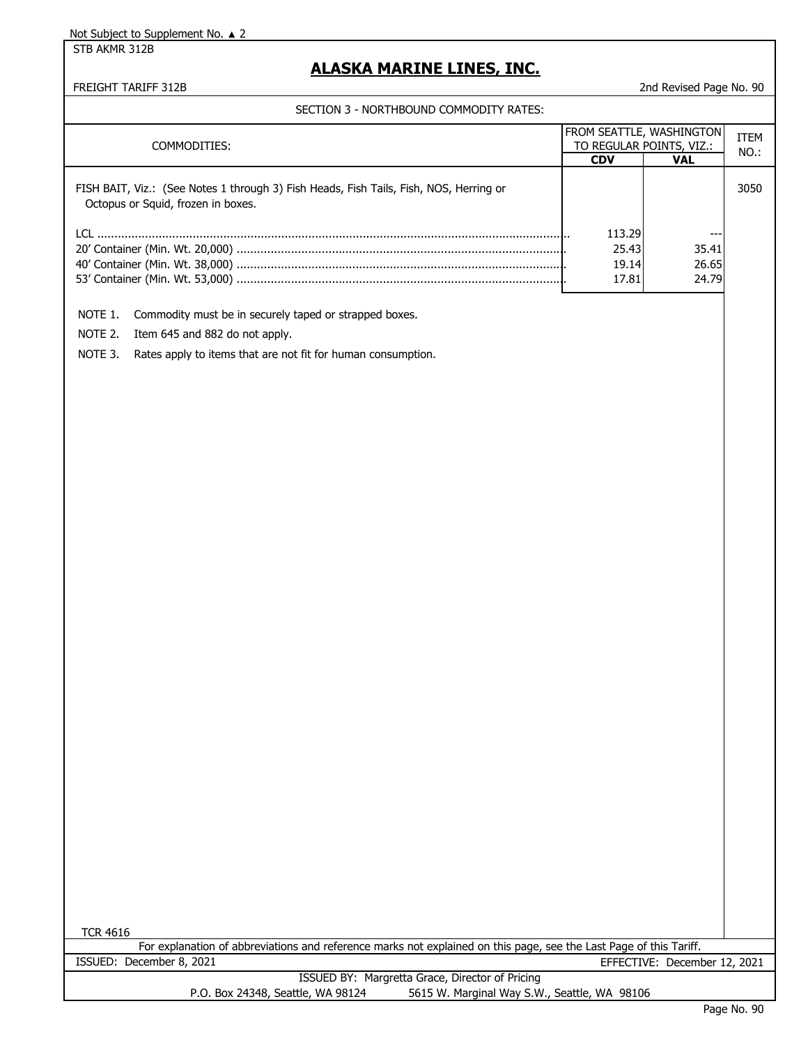STB AKMR 312B

# **ALASKA MARINE LINES, INC.**

### FREIGHT TARIFF 312B 2nd Revised Page No. 90

| COMMODITIES:                                                                                                                                   | FROM SEATTLE, WASHINGTON<br><b>CDV</b> | TO REGULAR POINTS, VIZ.:<br><b>VAL</b> | <b>ITEM</b><br>NO.: |
|------------------------------------------------------------------------------------------------------------------------------------------------|----------------------------------------|----------------------------------------|---------------------|
| FISH BAIT, Viz.: (See Notes 1 through 3) Fish Heads, Fish Tails, Fish, NOS, Herring or<br>Octopus or Squid, frozen in boxes.                   |                                        |                                        | 3050                |
|                                                                                                                                                | 113.29                                 |                                        |                     |
|                                                                                                                                                | 25.43                                  | 35.41                                  |                     |
|                                                                                                                                                | 19.14                                  | 26.65                                  |                     |
|                                                                                                                                                | 17.81                                  | 24.79                                  |                     |
| NOTE 1.<br>Commodity must be in securely taped or strapped boxes.                                                                              |                                        |                                        |                     |
| NOTE 2.<br>Item 645 and 882 do not apply.                                                                                                      |                                        |                                        |                     |
| NOTE 3.<br>Rates apply to items that are not fit for human consumption.                                                                        |                                        |                                        |                     |
|                                                                                                                                                |                                        |                                        |                     |
|                                                                                                                                                |                                        |                                        |                     |
|                                                                                                                                                |                                        |                                        |                     |
|                                                                                                                                                |                                        |                                        |                     |
|                                                                                                                                                |                                        |                                        |                     |
|                                                                                                                                                |                                        |                                        |                     |
|                                                                                                                                                |                                        |                                        |                     |
|                                                                                                                                                |                                        |                                        |                     |
|                                                                                                                                                |                                        |                                        |                     |
|                                                                                                                                                |                                        |                                        |                     |
|                                                                                                                                                |                                        |                                        |                     |
|                                                                                                                                                |                                        |                                        |                     |
|                                                                                                                                                |                                        |                                        |                     |
|                                                                                                                                                |                                        |                                        |                     |
|                                                                                                                                                |                                        |                                        |                     |
|                                                                                                                                                |                                        |                                        |                     |
|                                                                                                                                                |                                        |                                        |                     |
|                                                                                                                                                |                                        |                                        |                     |
|                                                                                                                                                |                                        |                                        |                     |
|                                                                                                                                                |                                        |                                        |                     |
|                                                                                                                                                |                                        |                                        |                     |
|                                                                                                                                                |                                        |                                        |                     |
|                                                                                                                                                |                                        |                                        |                     |
|                                                                                                                                                |                                        |                                        |                     |
|                                                                                                                                                |                                        |                                        |                     |
|                                                                                                                                                |                                        |                                        |                     |
|                                                                                                                                                |                                        |                                        |                     |
|                                                                                                                                                |                                        |                                        |                     |
|                                                                                                                                                |                                        |                                        |                     |
|                                                                                                                                                |                                        |                                        |                     |
|                                                                                                                                                |                                        |                                        |                     |
|                                                                                                                                                |                                        |                                        |                     |
| <b>TCR 4616</b>                                                                                                                                |                                        |                                        |                     |
| For explanation of abbreviations and reference marks not explained on this page, see the Last Page of this Tariff.<br>ISSUED: December 8, 2021 |                                        |                                        |                     |
| ISSUED BY: Margretta Grace, Director of Pricing                                                                                                |                                        | EFFECTIVE: December 12, 2021           |                     |
| P.O. Box 24348, Seattle, WA 98124<br>5615 W. Marginal Way S.W., Seattle, WA 98106                                                              |                                        |                                        |                     |
|                                                                                                                                                |                                        |                                        | Page No. 90         |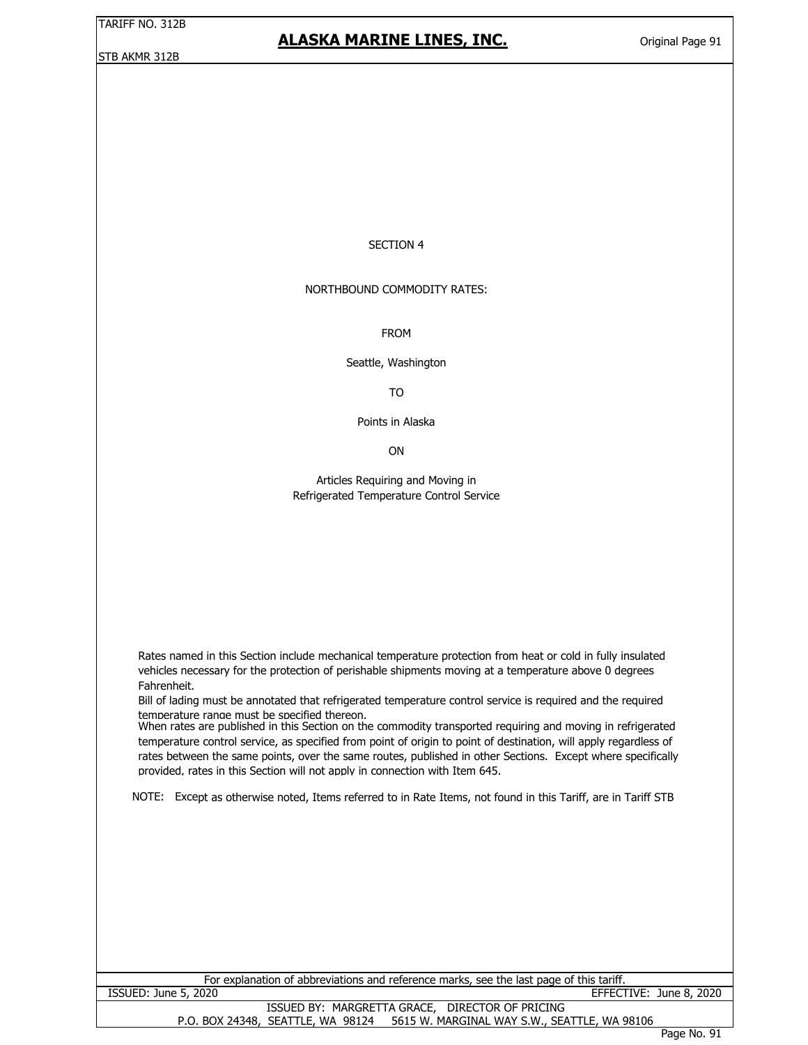### **ALASKA MARINE LINES, INC.**

#### SECTION 4

#### NORTHBOUND COMMODITY RATES:

FROM

Seattle, Washington

TO

Points in Alaska

ON

Articles Requiring and Moving in Refrigerated Temperature Control Service

Rates named in this Section include mechanical temperature protection from heat or cold in fully insulated vehicles necessary for the protection of perishable shipments moving at a temperature above 0 degrees Fahrenheit.

Bill of lading must be annotated that refrigerated temperature control service is required and the required temperature range must be specified thereon.

When rates are published in this Section on the commodity transported requiring and moving in refrigerated temperature control service, as specified from point of origin to point of destination, will apply regardless of rates between the same points, over the same routes, published in other Sections. Except where specifically provided, rates in this Section will not apply in connection with Item 645.

NOTE: Except as otherwise noted, Items referred to in Rate Items, not found in this Tariff, are in Tariff STB

| For explanation of abbreviations and reference marks, see the last page of this tariff. |  |  |  |  |  |  |
|-----------------------------------------------------------------------------------------|--|--|--|--|--|--|
| ISSUED: June 5, 2020<br>EFFECTIVE: June 8, 2020                                         |  |  |  |  |  |  |
| ISSUED BY: MARGRETTA GRACE, DIRECTOR OF PRICING                                         |  |  |  |  |  |  |
| 5615 W. MARGINAL WAY S.W., SEATTLE, WA 98106<br>P.O. BOX 24348, SEATTLE, WA 98124       |  |  |  |  |  |  |
|                                                                                         |  |  |  |  |  |  |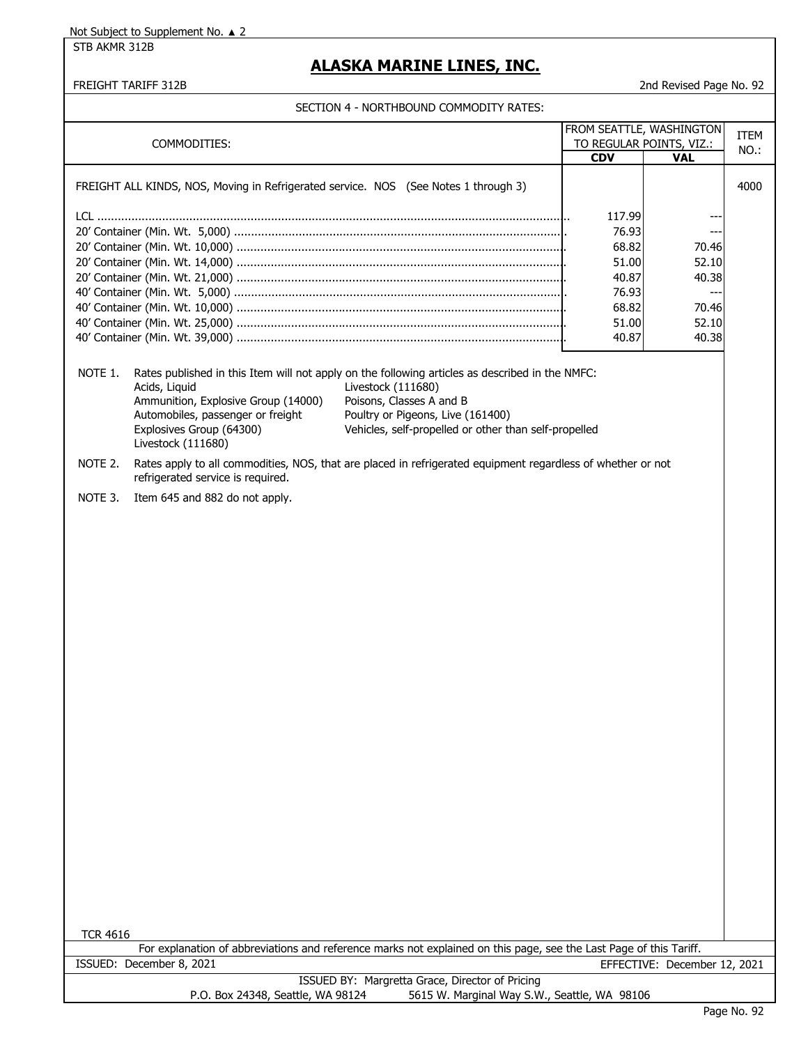STB AKMR 312B

## **ALASKA MARINE LINES, INC.**

|  | SECTION 4 - NORTHBOUND COMMODITY RATES: |  |
|--|-----------------------------------------|--|

| FROM SEATTLE, WASHINGTON |                                                                                                                                             |                                                                                                                                                                                                                                                 |            | <b>ITEM</b>                  |      |
|--------------------------|---------------------------------------------------------------------------------------------------------------------------------------------|-------------------------------------------------------------------------------------------------------------------------------------------------------------------------------------------------------------------------------------------------|------------|------------------------------|------|
| COMMODITIES:             |                                                                                                                                             | TO REGULAR POINTS, VIZ.:                                                                                                                                                                                                                        |            | NO.:                         |      |
|                          |                                                                                                                                             |                                                                                                                                                                                                                                                 | <b>CDV</b> | <b>VAL</b>                   |      |
|                          | FREIGHT ALL KINDS, NOS, Moving in Refrigerated service. NOS (See Notes 1 through 3)                                                         |                                                                                                                                                                                                                                                 |            |                              | 4000 |
|                          |                                                                                                                                             |                                                                                                                                                                                                                                                 | 117.99     |                              |      |
|                          |                                                                                                                                             |                                                                                                                                                                                                                                                 | 76.93      | ---                          |      |
|                          |                                                                                                                                             |                                                                                                                                                                                                                                                 | 68.82      | 70.46                        |      |
|                          |                                                                                                                                             |                                                                                                                                                                                                                                                 | 51.00      | 52.10                        |      |
|                          |                                                                                                                                             |                                                                                                                                                                                                                                                 | 40.87      | 40.38                        |      |
|                          |                                                                                                                                             |                                                                                                                                                                                                                                                 | 76.93      | $---$                        |      |
|                          |                                                                                                                                             |                                                                                                                                                                                                                                                 | 68.82      | 70.46                        |      |
|                          |                                                                                                                                             |                                                                                                                                                                                                                                                 | 51.00      | 52.10                        |      |
|                          |                                                                                                                                             |                                                                                                                                                                                                                                                 | 40.87      | 40.38                        |      |
| NOTE 1.                  | Acids, Liquid<br>Ammunition, Explosive Group (14000)<br>Automobiles, passenger or freight<br>Explosives Group (64300)<br>Livestock (111680) | Rates published in this Item will not apply on the following articles as described in the NMFC:<br>Livestock (111680)<br>Poisons, Classes A and B<br>Poultry or Pigeons, Live (161400)<br>Vehicles, self-propelled or other than self-propelled |            |                              |      |
| NOTE 2.                  | refrigerated service is required.                                                                                                           | Rates apply to all commodities, NOS, that are placed in refrigerated equipment regardless of whether or not                                                                                                                                     |            |                              |      |
| NOTE 3.                  | Item 645 and 882 do not apply.                                                                                                              |                                                                                                                                                                                                                                                 |            |                              |      |
|                          |                                                                                                                                             |                                                                                                                                                                                                                                                 |            |                              |      |
| <b>TCR 4616</b>          |                                                                                                                                             | For explanation of abbreviations and reference marks not explained on this page, see the Last Page of this Tariff.                                                                                                                              |            |                              |      |
|                          | ISSUED: December 8, 2021                                                                                                                    |                                                                                                                                                                                                                                                 |            | EFFECTIVE: December 12, 2021 |      |
|                          | P.O. Box 24348, Seattle, WA 98124                                                                                                           | ISSUED BY: Margretta Grace, Director of Pricing<br>5615 W. Marginal Way S.W., Seattle, WA 98106                                                                                                                                                 |            |                              |      |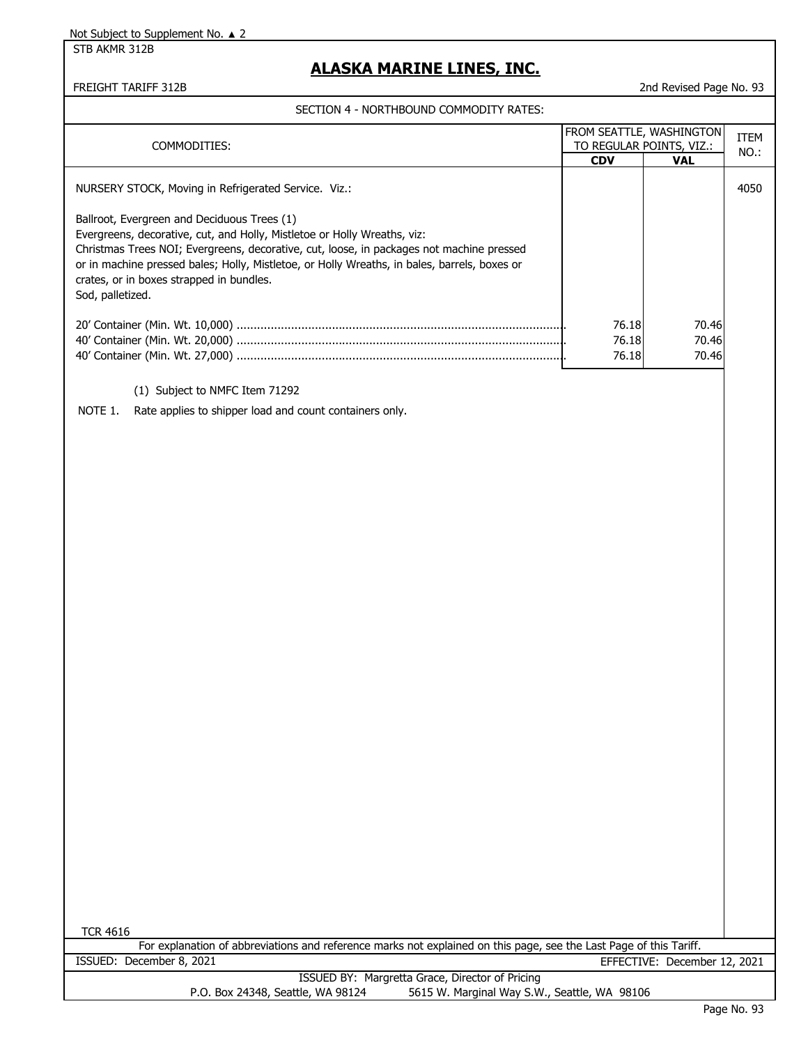STB AKMR 312B

# **ALASKA MARINE LINES, INC.**

FREIGHT TARIFF 312B 2nd Revised Page No. 93

SECTION 4 - NORTHBOUND COMMODITY RATES:

| SECTION 4 - NORTHBOUND COMPODITT RATES.                                                                                                                                                                                                                                                                                              |                         |                          |             |
|--------------------------------------------------------------------------------------------------------------------------------------------------------------------------------------------------------------------------------------------------------------------------------------------------------------------------------------|-------------------------|--------------------------|-------------|
|                                                                                                                                                                                                                                                                                                                                      |                         | FROM SEATTLE, WASHINGTON | <b>ITEM</b> |
| COMMODITIES:                                                                                                                                                                                                                                                                                                                         |                         | TO REGULAR POINTS, VIZ.: | NO.:        |
|                                                                                                                                                                                                                                                                                                                                      | <b>CDV</b>              | <b>VAL</b>               |             |
| NURSERY STOCK, Moving in Refrigerated Service. Viz.:<br>Ballroot, Evergreen and Deciduous Trees (1)                                                                                                                                                                                                                                  |                         |                          | 4050        |
| Evergreens, decorative, cut, and Holly, Mistletoe or Holly Wreaths, viz:<br>Christmas Trees NOI; Evergreens, decorative, cut, loose, in packages not machine pressed<br>or in machine pressed bales; Holly, Mistletoe, or Holly Wreaths, in bales, barrels, boxes or<br>crates, or in boxes strapped in bundles.<br>Sod, palletized. |                         |                          |             |
|                                                                                                                                                                                                                                                                                                                                      | 76.18<br>76.18<br>76.18 | 70.46<br>70.46<br>70.46  |             |
| (1) Subject to NMFC Item 71292                                                                                                                                                                                                                                                                                                       |                         |                          |             |
| NOTE 1.<br>Rate applies to shipper load and count containers only.                                                                                                                                                                                                                                                                   |                         |                          |             |
|                                                                                                                                                                                                                                                                                                                                      |                         |                          |             |
|                                                                                                                                                                                                                                                                                                                                      |                         |                          |             |
|                                                                                                                                                                                                                                                                                                                                      |                         |                          |             |
|                                                                                                                                                                                                                                                                                                                                      |                         |                          |             |
|                                                                                                                                                                                                                                                                                                                                      |                         |                          |             |
|                                                                                                                                                                                                                                                                                                                                      |                         |                          |             |
|                                                                                                                                                                                                                                                                                                                                      |                         |                          |             |
|                                                                                                                                                                                                                                                                                                                                      |                         |                          |             |
|                                                                                                                                                                                                                                                                                                                                      |                         |                          |             |
|                                                                                                                                                                                                                                                                                                                                      |                         |                          |             |
|                                                                                                                                                                                                                                                                                                                                      |                         |                          |             |
|                                                                                                                                                                                                                                                                                                                                      |                         |                          |             |
|                                                                                                                                                                                                                                                                                                                                      |                         |                          |             |
|                                                                                                                                                                                                                                                                                                                                      |                         |                          |             |
|                                                                                                                                                                                                                                                                                                                                      |                         |                          |             |
|                                                                                                                                                                                                                                                                                                                                      |                         |                          |             |
|                                                                                                                                                                                                                                                                                                                                      |                         |                          |             |
|                                                                                                                                                                                                                                                                                                                                      |                         |                          |             |
|                                                                                                                                                                                                                                                                                                                                      |                         |                          |             |
|                                                                                                                                                                                                                                                                                                                                      |                         |                          |             |
|                                                                                                                                                                                                                                                                                                                                      |                         |                          |             |
|                                                                                                                                                                                                                                                                                                                                      |                         |                          |             |
|                                                                                                                                                                                                                                                                                                                                      |                         |                          |             |
|                                                                                                                                                                                                                                                                                                                                      |                         |                          |             |

TCR 4616

| For explanation of abbreviations and reference marks not explained on this page, see the Last Page of this Tariff. |                                                 |  |  |  |  |
|--------------------------------------------------------------------------------------------------------------------|-------------------------------------------------|--|--|--|--|
| ISSUED: December 8, 2021                                                                                           | EFFECTIVE: December 12, 2021                    |  |  |  |  |
|                                                                                                                    | ISSUED BY: Margretta Grace, Director of Pricing |  |  |  |  |
| P.O. Box 24348, Seattle, WA 98124                                                                                  | 5615 W. Marginal Way S.W., Seattle, WA 98106    |  |  |  |  |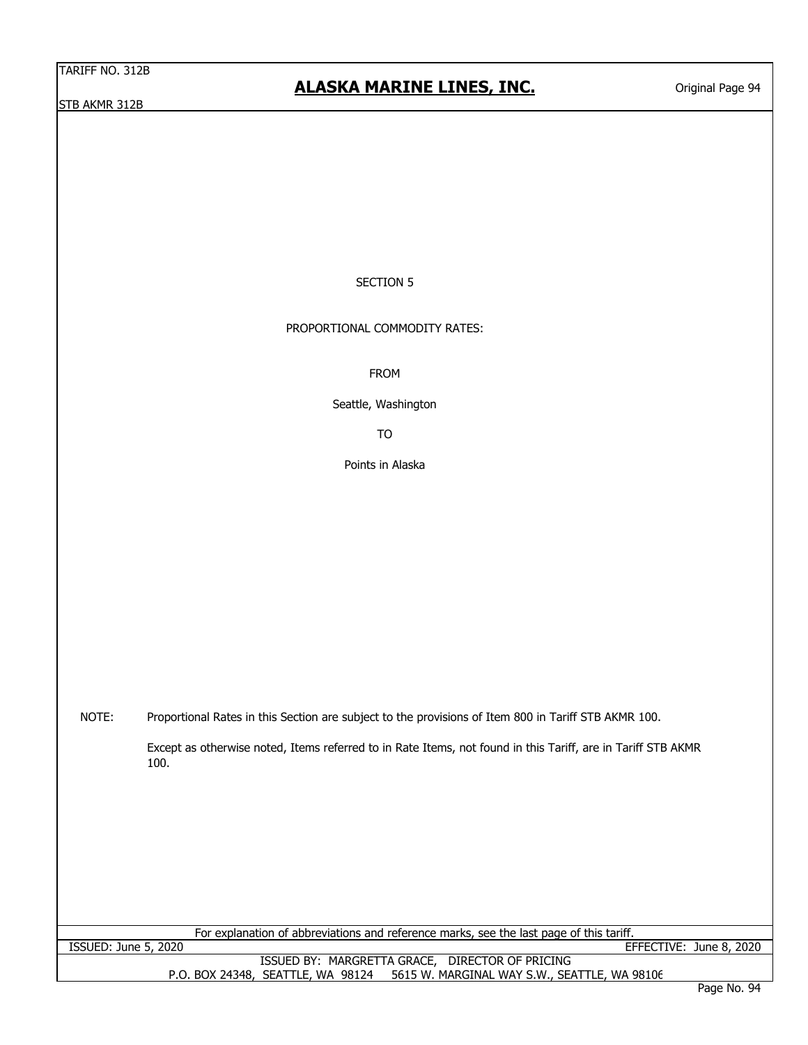# **ALASKA MARINE LINES, INC.**

### SECTION 5

PROPORTIONAL COMMODITY RATES:

FROM

Seattle, Washington

TO

Points in Alaska

NOTE: Proportional Rates in this Section are subject to the provisions of Item 800 in Tariff STB AKMR 100.

> Except as otherwise noted, Items referred to in Rate Items, not found in this Tariff, are in Tariff STB AKMR 100.

For explanation of abbreviations and reference marks, see the last page of this tariff.

ISSUED: June 5, 2020 EFFECTIVE: June 8, 2020

ISSUED BY: MARGRETTA GRACE, DIRECTOR OF PRICING P.O. BOX 24348, SEATTLE, WA 98124 5615 W. MARGINAL WAY S.W., SEATTLE, WA 98106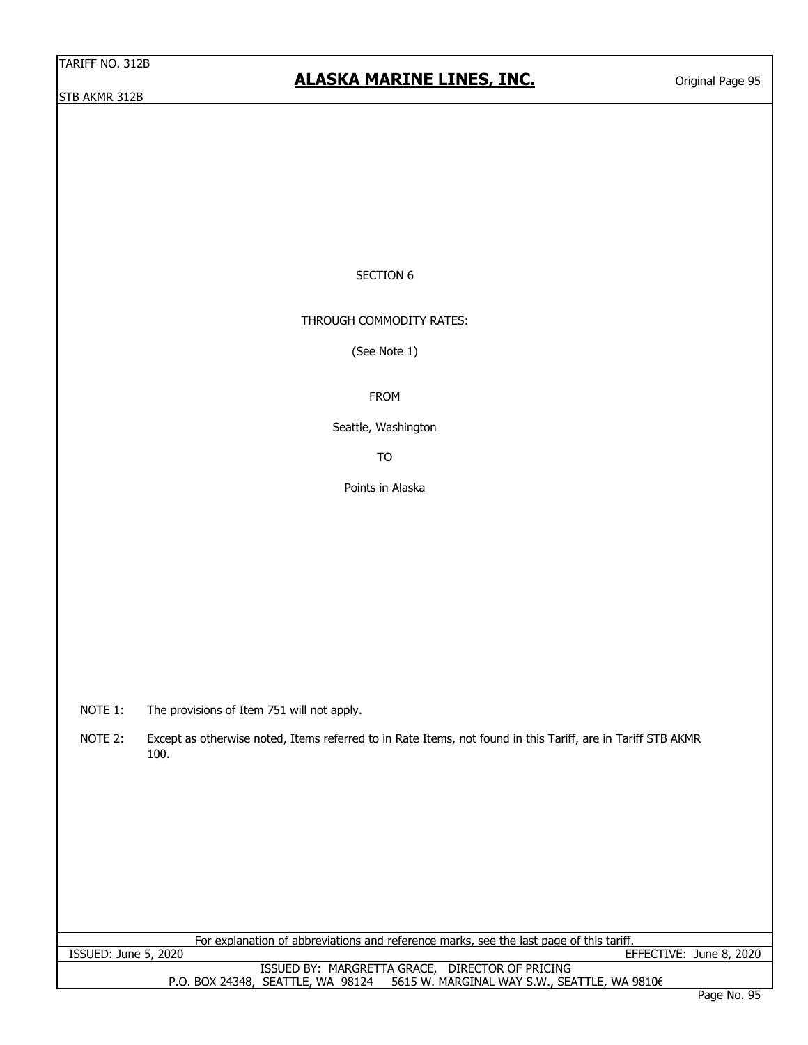### SECTION 6

THROUGH COMMODITY RATES:

(See Note 1)

FROM

Seattle, Washington

TO

Points in Alaska

NOTE 1: The provisions of Item 751 will not apply.

NOTE 2: Except as otherwise noted, Items referred to in Rate Items, not found in this Tariff, are in Tariff STB AKMR 100.

For explanation of abbreviations and reference marks, see the last page of this tariff. ISSUED: June 5, 2020 EFFECTIVE: June 8, 2020

> P.O. BOX 24348, SEATTLE, WA 98124 5615 W. MARGINAL WAY S.W., SEATTLE, WA 98106 ISSUED BY: MARGRETTA GRACE, DIRECTOR OF PRICING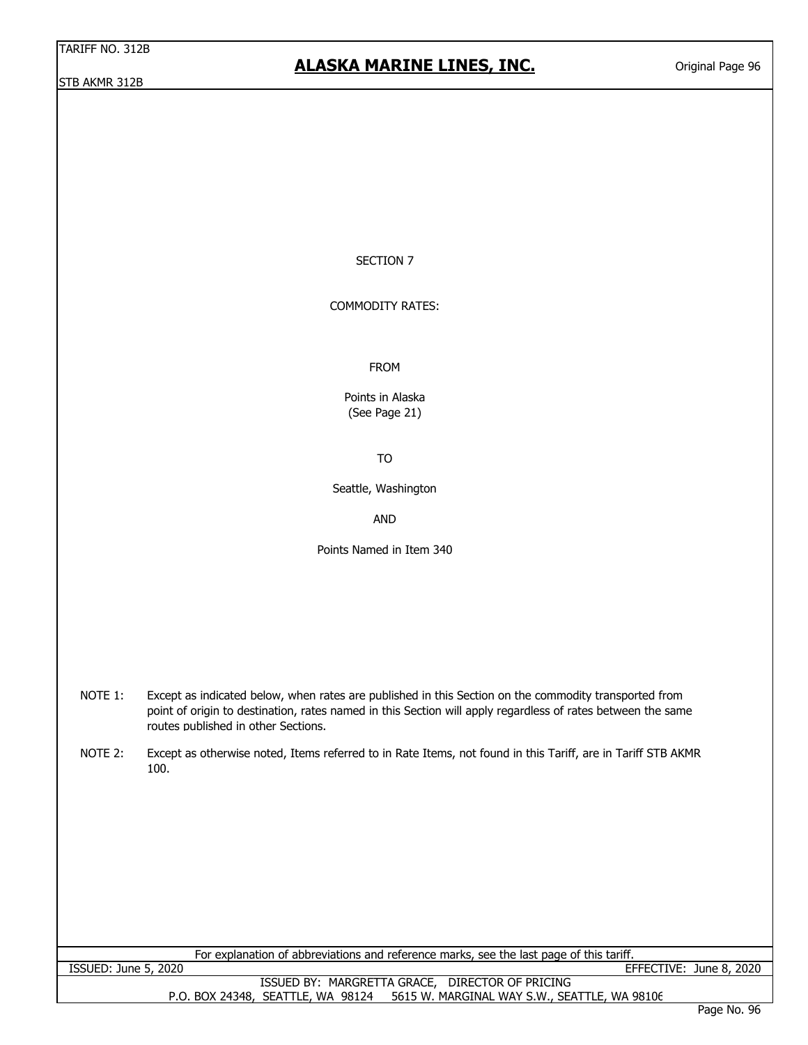## **ALASKA MARINE LINES, INC.**

Original Page 96

#### SECTION 7

COMMODITY RATES:

FROM

Points in Alaska (See Page 21)

TO

Seattle, Washington

AND

Points Named in Item 340

NOTE 1: Except as indicated below, when rates are published in this Section on the commodity transported from point of origin to destination, rates named in this Section will apply regardless of rates between the same routes published in other Sections.

NOTE 2: Except as otherwise noted, Items referred to in Rate Items, not found in this Tariff, are in Tariff STB AKMR 100.

P.O. BOX 24348, SEATTLE, WA 98124 5615 W. MARGINAL WAY S.W., SEATTLE, WA 98106 For explanation of abbreviations and reference marks, see the last page of this tariff. ISSUED: June 5, 2020 EFFECTIVE: June 8, 2020 ISSUED BY: MARGRETTA GRACE, DIRECTOR OF PRICING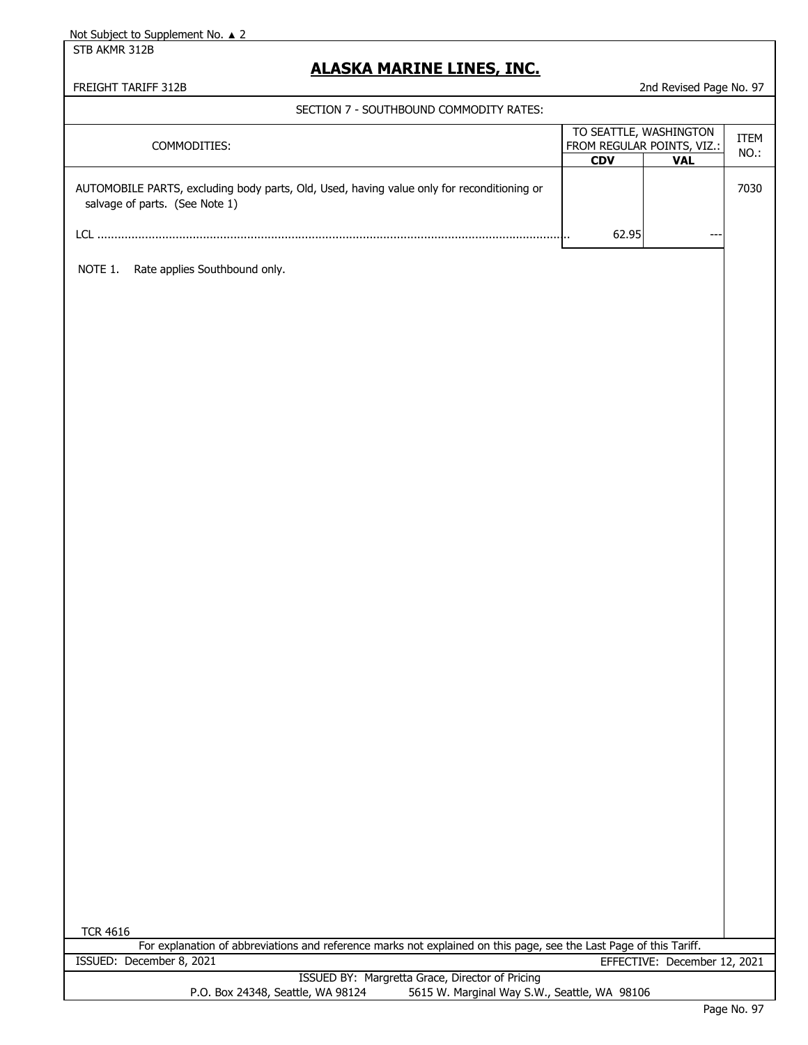STB AKMR 312B

# **ALASKA MARINE LINES, INC.**

| SECTION 7 - SOUTHBOUND COMMODITY RATES:                                                                                      |                        |                              |              |  |
|------------------------------------------------------------------------------------------------------------------------------|------------------------|------------------------------|--------------|--|
| COMMODITIES:                                                                                                                 | TO SEATTLE, WASHINGTON | FROM REGULAR POINTS, VIZ.:   | ITEM<br>NO.: |  |
| AUTOMOBILE PARTS, excluding body parts, Old, Used, having value only for reconditioning or<br>salvage of parts. (See Note 1) | <b>CDV</b>             | <b>VAL</b>                   | 7030         |  |
|                                                                                                                              | 62.95<br>٠.            |                              |              |  |
| NOTE 1.<br>Rate applies Southbound only.                                                                                     |                        |                              |              |  |
|                                                                                                                              |                        |                              |              |  |
|                                                                                                                              |                        |                              |              |  |
|                                                                                                                              |                        |                              |              |  |
|                                                                                                                              |                        |                              |              |  |
|                                                                                                                              |                        |                              |              |  |
|                                                                                                                              |                        |                              |              |  |
|                                                                                                                              |                        |                              |              |  |
|                                                                                                                              |                        |                              |              |  |
|                                                                                                                              |                        |                              |              |  |
|                                                                                                                              |                        |                              |              |  |
|                                                                                                                              |                        |                              |              |  |
|                                                                                                                              |                        |                              |              |  |
|                                                                                                                              |                        |                              |              |  |
|                                                                                                                              |                        |                              |              |  |
|                                                                                                                              |                        |                              |              |  |
|                                                                                                                              |                        |                              |              |  |
|                                                                                                                              |                        |                              |              |  |
|                                                                                                                              |                        |                              |              |  |
|                                                                                                                              |                        |                              |              |  |
| <b>TCR 4616</b>                                                                                                              |                        |                              |              |  |
| For explanation of abbreviations and reference marks not explained on this page, see the Last Page of this Tariff.           |                        |                              |              |  |
| ISSUED: December 8, 2021<br>ISSUED BY: Margretta Grace, Director of Pricing                                                  |                        | EFFECTIVE: December 12, 2021 |              |  |
| 5615 W. Marginal Way S.W., Seattle, WA 98106<br>P.O. Box 24348, Seattle, WA 98124                                            |                        |                              |              |  |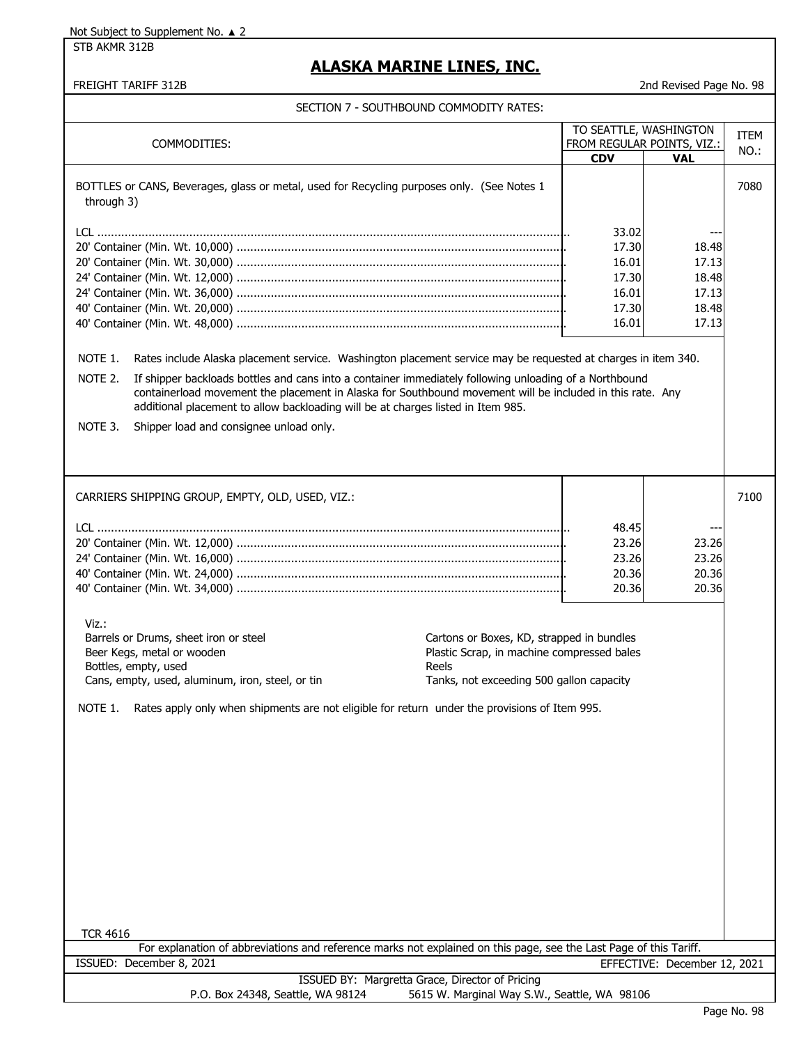STB AKMR 312B

## **ALASKA MARINE LINES, INC.**

|  | SECTION 7 - SOUTHBOUND COMMODITY RATES: |
|--|-----------------------------------------|
|  |                                         |

| TO SEATTLE, WASHINGTON                                                                                                                                                                                                                                                                                                                                                                                                                         |                |                              |             |
|------------------------------------------------------------------------------------------------------------------------------------------------------------------------------------------------------------------------------------------------------------------------------------------------------------------------------------------------------------------------------------------------------------------------------------------------|----------------|------------------------------|-------------|
| COMMODITIES:                                                                                                                                                                                                                                                                                                                                                                                                                                   |                | FROM REGULAR POINTS, VIZ.:   | <b>ITEM</b> |
|                                                                                                                                                                                                                                                                                                                                                                                                                                                | <b>CDV</b>     | <b>VAL</b>                   | NO.:        |
| BOTTLES or CANS, Beverages, glass or metal, used for Recycling purposes only. (See Notes 1<br>through 3)                                                                                                                                                                                                                                                                                                                                       |                |                              | 7080        |
|                                                                                                                                                                                                                                                                                                                                                                                                                                                |                |                              |             |
|                                                                                                                                                                                                                                                                                                                                                                                                                                                | 33.02<br>17.30 | ---                          |             |
|                                                                                                                                                                                                                                                                                                                                                                                                                                                | 16.01          | 18.48<br>17.13               |             |
|                                                                                                                                                                                                                                                                                                                                                                                                                                                | 17.30          | 18.48                        |             |
|                                                                                                                                                                                                                                                                                                                                                                                                                                                | 16.01          | 17.13                        |             |
|                                                                                                                                                                                                                                                                                                                                                                                                                                                | 17.30          | 18.48                        |             |
|                                                                                                                                                                                                                                                                                                                                                                                                                                                | 16.01          | 17.13                        |             |
| NOTE 1.<br>Rates include Alaska placement service. Washington placement service may be requested at charges in item 340.<br>If shipper backloads bottles and cans into a container immediately following unloading of a Northbound<br>NOTE 2.<br>containerload movement the placement in Alaska for Southbound movement will be included in this rate. Any<br>additional placement to allow backloading will be at charges listed in Item 985. |                |                              |             |
| NOTE 3.<br>Shipper load and consignee unload only.                                                                                                                                                                                                                                                                                                                                                                                             |                |                              |             |
|                                                                                                                                                                                                                                                                                                                                                                                                                                                |                |                              |             |
| CARRIERS SHIPPING GROUP, EMPTY, OLD, USED, VIZ.:                                                                                                                                                                                                                                                                                                                                                                                               |                |                              | 7100        |
|                                                                                                                                                                                                                                                                                                                                                                                                                                                |                |                              |             |
|                                                                                                                                                                                                                                                                                                                                                                                                                                                | 48.45          | ---                          |             |
|                                                                                                                                                                                                                                                                                                                                                                                                                                                | 23.26          | 23.26                        |             |
|                                                                                                                                                                                                                                                                                                                                                                                                                                                | 23.26<br>20.36 | 23.26<br>20.36               |             |
|                                                                                                                                                                                                                                                                                                                                                                                                                                                | 20.36          | 20.36                        |             |
|                                                                                                                                                                                                                                                                                                                                                                                                                                                |                |                              |             |
| Viz.:<br>Barrels or Drums, sheet iron or steel<br>Cartons or Boxes, KD, strapped in bundles<br>Beer Kegs, metal or wooden<br>Plastic Scrap, in machine compressed bales<br>Bottles, empty, used<br>Reels<br>Cans, empty, used, aluminum, iron, steel, or tin<br>Tanks, not exceeding 500 gallon capacity<br>NOTE 1. Rates apply only when shipments are not eligible for return under the provisions of Item 995.                              |                |                              |             |
| <b>TCR 4616</b>                                                                                                                                                                                                                                                                                                                                                                                                                                |                |                              |             |
| For explanation of abbreviations and reference marks not explained on this page, see the Last Page of this Tariff.                                                                                                                                                                                                                                                                                                                             |                |                              |             |
| ISSUED: December 8, 2021                                                                                                                                                                                                                                                                                                                                                                                                                       |                | EFFECTIVE: December 12, 2021 |             |
| ISSUED BY: Margretta Grace, Director of Pricing<br>P.O. Box 24348, Seattle, WA 98124<br>5615 W. Marginal Way S.W., Seattle, WA 98106                                                                                                                                                                                                                                                                                                           |                |                              |             |
|                                                                                                                                                                                                                                                                                                                                                                                                                                                |                |                              |             |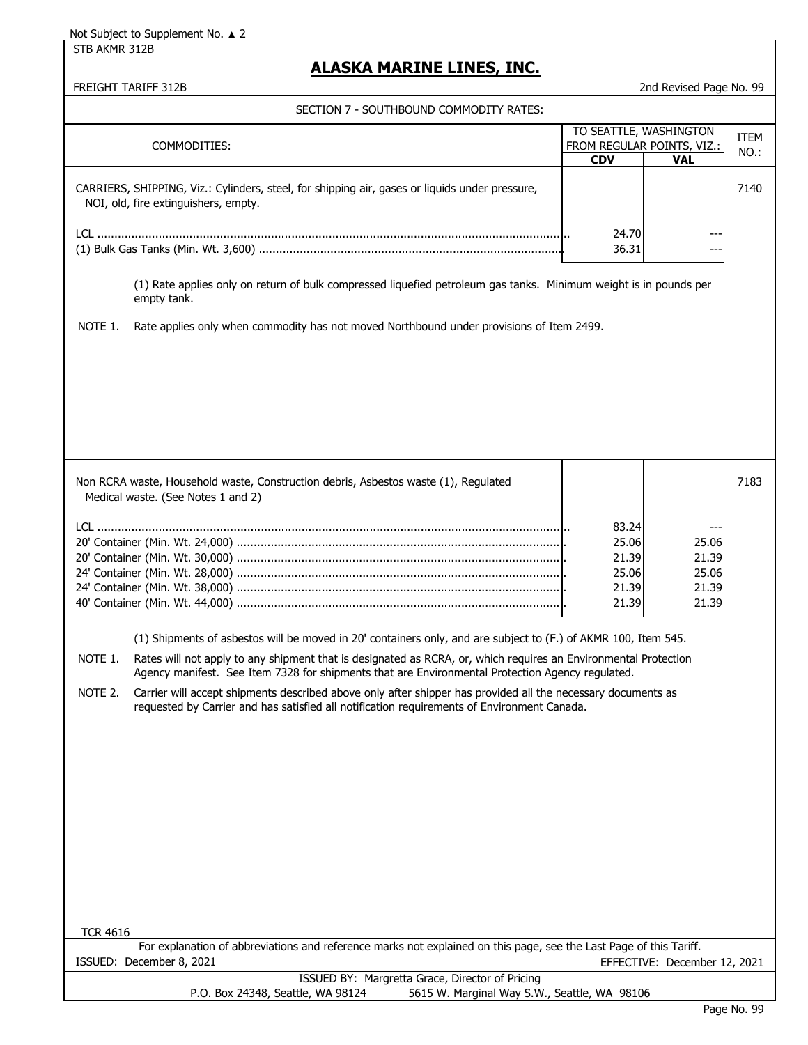STB AKMR 312B

# **ALASKA MARINE LINES, INC.**

|                 | FREIGHT TARIFF 312B                                                                                                                                                                                                 |                                                                    | 2nd Revised Page No. 99                   |                     |
|-----------------|---------------------------------------------------------------------------------------------------------------------------------------------------------------------------------------------------------------------|--------------------------------------------------------------------|-------------------------------------------|---------------------|
|                 | SECTION 7 - SOUTHBOUND COMMODITY RATES:                                                                                                                                                                             |                                                                    |                                           |                     |
|                 | COMMODITIES:                                                                                                                                                                                                        | TO SEATTLE, WASHINGTON<br>FROM REGULAR POINTS, VIZ.:<br><b>CDV</b> | <b>VAL</b>                                | <b>ITEM</b><br>NO.: |
|                 | CARRIERS, SHIPPING, Viz.: Cylinders, steel, for shipping air, gases or liquids under pressure,<br>NOI, old, fire extinguishers, empty.                                                                              |                                                                    |                                           | 7140                |
|                 |                                                                                                                                                                                                                     | 24.70<br>36.31                                                     |                                           |                     |
|                 | (1) Rate applies only on return of bulk compressed liquefied petroleum gas tanks. Minimum weight is in pounds per<br>empty tank.                                                                                    |                                                                    |                                           |                     |
| NOTE 1.         | Rate applies only when commodity has not moved Northbound under provisions of Item 2499.                                                                                                                            |                                                                    |                                           |                     |
|                 |                                                                                                                                                                                                                     |                                                                    |                                           |                     |
|                 |                                                                                                                                                                                                                     |                                                                    |                                           |                     |
|                 |                                                                                                                                                                                                                     |                                                                    |                                           |                     |
|                 | Non RCRA waste, Household waste, Construction debris, Asbestos waste (1), Regulated<br>Medical waste. (See Notes 1 and 2)                                                                                           |                                                                    |                                           | 7183                |
|                 |                                                                                                                                                                                                                     | 83.24<br>25.06<br>21.39<br>25.06<br>21.39<br>21.39                 | 25.06<br>21.39<br>25.06<br>21.39<br>21.39 |                     |
|                 | (1) Shipments of asbestos will be moved in 20' containers only, and are subject to (F.) of AKMR 100, Item 545.                                                                                                      |                                                                    |                                           |                     |
| NOTE 1.         | Rates will not apply to any shipment that is designated as RCRA, or, which requires an Environmental Protection<br>Agency manifest. See Item /328 for shipments that are Environmental Protection Agency regulated. |                                                                    |                                           |                     |
| NOTE 2.         | Carrier will accept shipments described above only after shipper has provided all the necessary documents as<br>requested by Carrier and has satisfied all notification requirements of Environment Canada.         |                                                                    |                                           |                     |
|                 |                                                                                                                                                                                                                     |                                                                    |                                           |                     |
|                 |                                                                                                                                                                                                                     |                                                                    |                                           |                     |
|                 |                                                                                                                                                                                                                     |                                                                    |                                           |                     |
|                 |                                                                                                                                                                                                                     |                                                                    |                                           |                     |
|                 |                                                                                                                                                                                                                     |                                                                    |                                           |                     |
| <b>TCR 4616</b> |                                                                                                                                                                                                                     |                                                                    |                                           |                     |
|                 | For explanation of abbreviations and reference marks not explained on this page, see the Last Page of this Tariff.<br>ISSUED: December 8, 2021                                                                      |                                                                    |                                           |                     |
|                 | ISSUED BY: Margretta Grace, Director of Pricing                                                                                                                                                                     |                                                                    | EFFECTIVE: December 12, 2021              |                     |
|                 | 5615 W. Marginal Way S.W., Seattle, WA 98106<br>P.O. Box 24348, Seattle, WA 98124                                                                                                                                   |                                                                    |                                           |                     |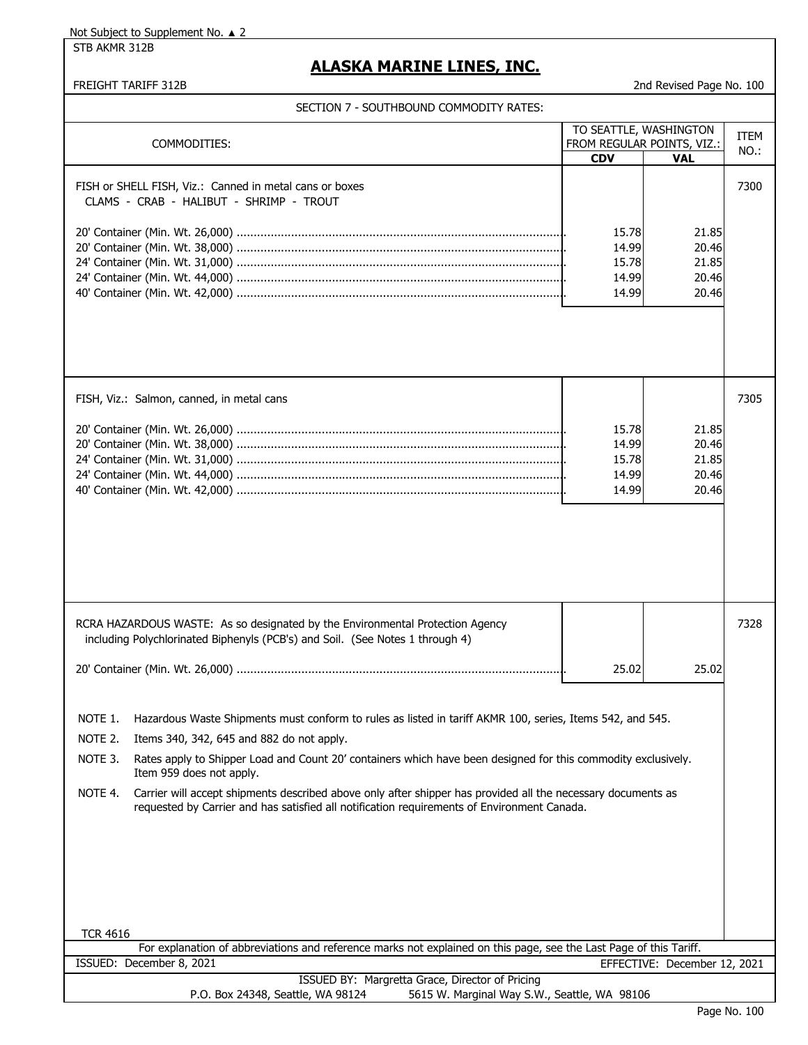STB AKMR 312B

## **ALASKA MARINE LINES, INC.**

FREIGHT TARIFF 312B 2nd Revised Page No. 100

| COMMODITIES:    |                                                                                                                                                                                                             | TO SEATTLE, WASHINGTON<br>FROM REGULAR POINTS, VIZ.: |                              | <b>ITEM</b><br>NO.: |  |
|-----------------|-------------------------------------------------------------------------------------------------------------------------------------------------------------------------------------------------------------|------------------------------------------------------|------------------------------|---------------------|--|
|                 |                                                                                                                                                                                                             | <b>CDV</b>                                           | <b>VAL</b>                   |                     |  |
|                 | FISH or SHELL FISH, Viz.: Canned in metal cans or boxes<br>CLAMS - CRAB - HALIBUT - SHRIMP - TROUT                                                                                                          |                                                      |                              | 7300                |  |
|                 |                                                                                                                                                                                                             |                                                      |                              |                     |  |
|                 |                                                                                                                                                                                                             | 15.78                                                | 21.85                        |                     |  |
|                 |                                                                                                                                                                                                             | 14.99                                                | 20.46                        |                     |  |
|                 |                                                                                                                                                                                                             | 15.78                                                | 21.85                        |                     |  |
|                 |                                                                                                                                                                                                             | 14.99                                                | 20.46                        |                     |  |
|                 |                                                                                                                                                                                                             | 14.99                                                | 20.46                        |                     |  |
|                 |                                                                                                                                                                                                             |                                                      |                              |                     |  |
|                 | FISH, Viz.: Salmon, canned, in metal cans                                                                                                                                                                   |                                                      |                              | 7305                |  |
|                 |                                                                                                                                                                                                             | 15.78                                                | 21.85                        |                     |  |
|                 |                                                                                                                                                                                                             | 14.99                                                | 20.46                        |                     |  |
|                 |                                                                                                                                                                                                             | 15.78                                                | 21.85                        |                     |  |
|                 |                                                                                                                                                                                                             | 14.99                                                | 20.46                        |                     |  |
|                 |                                                                                                                                                                                                             | 14.99                                                | 20.46                        |                     |  |
|                 |                                                                                                                                                                                                             |                                                      |                              |                     |  |
|                 |                                                                                                                                                                                                             |                                                      |                              |                     |  |
|                 | RCRA HAZARDOUS WASTE: As so designated by the Environmental Protection Agency<br>including Polychlorinated Biphenyls (PCB's) and Soil. (See Notes 1 through 4)                                              |                                                      |                              | 7328                |  |
|                 |                                                                                                                                                                                                             | 25.02                                                | 25.02                        |                     |  |
|                 |                                                                                                                                                                                                             |                                                      |                              |                     |  |
|                 | NOTE 1. Hazardous Waste Shipments must conform to rules as listed in tariff AKMR 100, series, Items 542, and 545.                                                                                           |                                                      |                              |                     |  |
| NOTE 2.         | Items 340, 342, 645 and 882 do not apply.                                                                                                                                                                   |                                                      |                              |                     |  |
| NOTE 3.         | Rates apply to Shipper Load and Count 20' containers which have been designed for this commodity exclusively.<br>Item 959 does not apply.                                                                   |                                                      |                              |                     |  |
| NOTE 4.         | Carrier will accept shipments described above only after shipper has provided all the necessary documents as<br>requested by Carrier and has satisfied all notification requirements of Environment Canada. |                                                      |                              |                     |  |
|                 |                                                                                                                                                                                                             |                                                      |                              |                     |  |
| <b>TCR 4616</b> |                                                                                                                                                                                                             |                                                      |                              |                     |  |
|                 | For explanation of abbreviations and reference marks not explained on this page, see the Last Page of this Tariff.                                                                                          |                                                      |                              |                     |  |
|                 | ISSUED: December 8, 2021                                                                                                                                                                                    |                                                      | EFFECTIVE: December 12, 2021 |                     |  |
|                 | ISSUED BY: Margretta Grace, Director of Pricing<br>P.O. Box 24348, Seattle, WA 98124<br>5615 W. Marginal Way S.W., Seattle, WA 98106                                                                        |                                                      |                              |                     |  |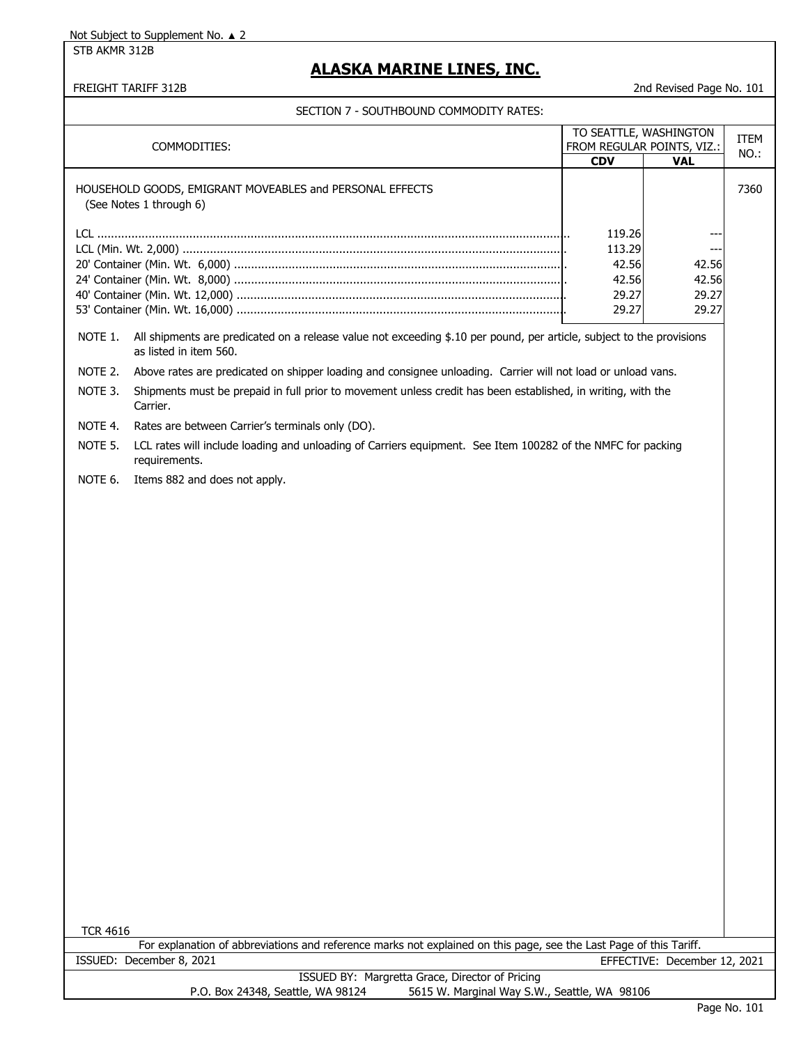STB AKMR 312B

## **ALASKA MARINE LINES, INC.**

#### FREIGHT TARIFF 312B 2nd Revised Page No. 101

| COMMODITIES:    |                                                                                                                                                 |            | TO SEATTLE, WASHINGTON       | <b>ITEM</b> |
|-----------------|-------------------------------------------------------------------------------------------------------------------------------------------------|------------|------------------------------|-------------|
|                 |                                                                                                                                                 |            | FROM REGULAR POINTS, VIZ.:   | NO.:        |
|                 |                                                                                                                                                 | <b>CDV</b> | <b>VAL</b>                   |             |
|                 | HOUSEHOLD GOODS, EMIGRANT MOVEABLES and PERSONAL EFFECTS<br>(See Notes 1 through 6)                                                             |            |                              | 7360        |
|                 |                                                                                                                                                 | 119.26     |                              |             |
|                 |                                                                                                                                                 | 113.29     |                              |             |
|                 |                                                                                                                                                 | 42.56      | ---<br>42.56                 |             |
|                 |                                                                                                                                                 | 42.56      | 42.56                        |             |
|                 |                                                                                                                                                 | 29.27      | 29.27                        |             |
|                 |                                                                                                                                                 | 29.27      | 29.27                        |             |
|                 |                                                                                                                                                 |            |                              |             |
| NOTE 1.         | All shipments are predicated on a release value not exceeding \$.10 per pound, per article, subject to the provisions<br>as listed in item 560. |            |                              |             |
| NOTE 2.         | Above rates are predicated on shipper loading and consignee unloading. Carrier will not load or unload vans.                                    |            |                              |             |
| NOTE 3.         | Shipments must be prepaid in full prior to movement unless credit has been established, in writing, with the<br>Carrier.                        |            |                              |             |
| NOTE 4.         | Rates are between Carrier's terminals only (DO).                                                                                                |            |                              |             |
| NOTE 5.         | LCL rates will include loading and unloading of Carriers equipment. See Item 100282 of the NMFC for packing<br>requirements.                    |            |                              |             |
| NOTE 6.         | Items 882 and does not apply.                                                                                                                   |            |                              |             |
|                 |                                                                                                                                                 |            |                              |             |
|                 |                                                                                                                                                 |            |                              |             |
|                 |                                                                                                                                                 |            |                              |             |
|                 |                                                                                                                                                 |            |                              |             |
|                 |                                                                                                                                                 |            |                              |             |
|                 |                                                                                                                                                 |            |                              |             |
|                 |                                                                                                                                                 |            |                              |             |
|                 |                                                                                                                                                 |            |                              |             |
|                 |                                                                                                                                                 |            |                              |             |
|                 |                                                                                                                                                 |            |                              |             |
|                 |                                                                                                                                                 |            |                              |             |
|                 |                                                                                                                                                 |            |                              |             |
|                 |                                                                                                                                                 |            |                              |             |
|                 |                                                                                                                                                 |            |                              |             |
|                 |                                                                                                                                                 |            |                              |             |
|                 |                                                                                                                                                 |            |                              |             |
|                 |                                                                                                                                                 |            |                              |             |
|                 |                                                                                                                                                 |            |                              |             |
|                 |                                                                                                                                                 |            |                              |             |
|                 |                                                                                                                                                 |            |                              |             |
|                 |                                                                                                                                                 |            |                              |             |
|                 |                                                                                                                                                 |            |                              |             |
|                 |                                                                                                                                                 |            |                              |             |
|                 |                                                                                                                                                 |            |                              |             |
|                 |                                                                                                                                                 |            |                              |             |
|                 |                                                                                                                                                 |            |                              |             |
|                 |                                                                                                                                                 |            |                              |             |
|                 |                                                                                                                                                 |            |                              |             |
|                 |                                                                                                                                                 |            |                              |             |
| <b>TCR 4616</b> |                                                                                                                                                 |            |                              |             |
|                 | For explanation of abbreviations and reference marks not explained on this page, see the Last Page of this Tariff.                              |            |                              |             |
|                 | ISSUED: December 8, 2021                                                                                                                        |            | EFFECTIVE: December 12, 2021 |             |
|                 | ISSUED BY: Margretta Grace, Director of Pricing                                                                                                 |            |                              |             |
|                 | 5615 W. Marginal Way S.W., Seattle, WA 98106<br>P.O. Box 24348, Seattle, WA 98124                                                               |            |                              |             |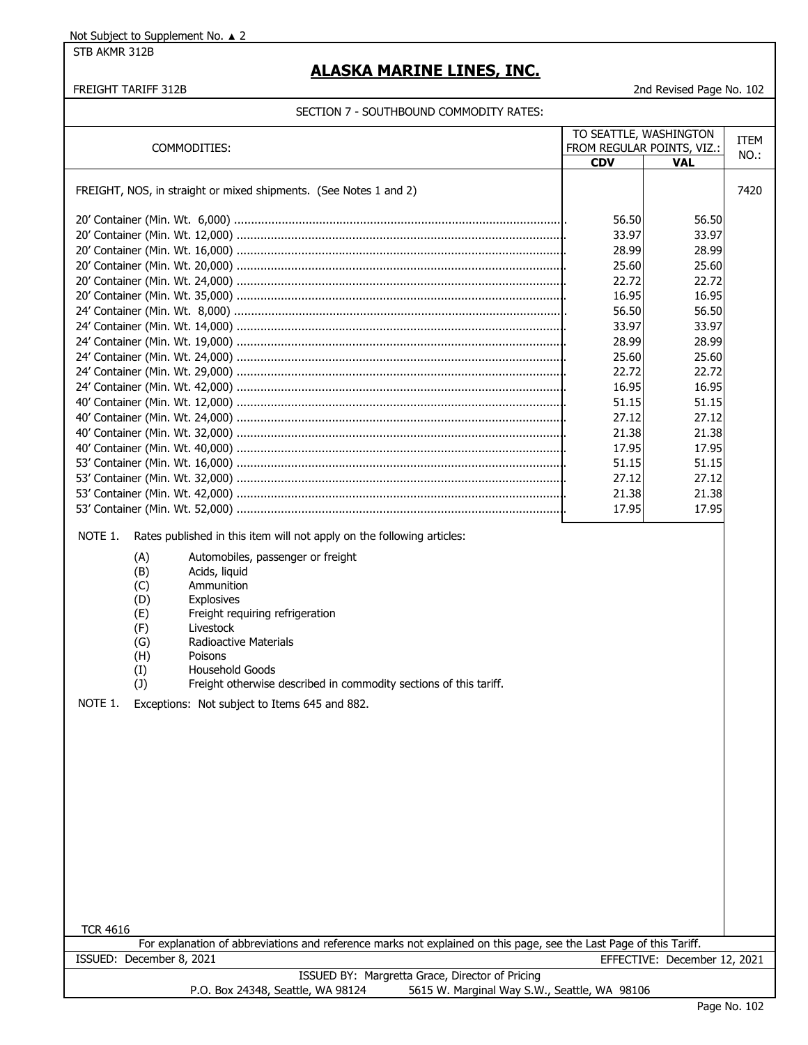STB AKMR 312B

## **ALASKA MARINE LINES, INC.**

### FREIGHT TARIFF 312B 2nd Revised Page No. 102

|                                                                                                                                       | TO SEATTLE, WASHINGTON |                            | <b>ITEM</b> |  |  |  |
|---------------------------------------------------------------------------------------------------------------------------------------|------------------------|----------------------------|-------------|--|--|--|
| COMMODITIES:                                                                                                                          |                        | FROM REGULAR POINTS, VIZ.: | NO.:        |  |  |  |
|                                                                                                                                       | <b>CDV</b>             | <b>VAL</b>                 |             |  |  |  |
| FREIGHT, NOS, in straight or mixed shipments. (See Notes 1 and 2)                                                                     |                        |                            | 7420        |  |  |  |
|                                                                                                                                       | 56.50                  | 56.50                      |             |  |  |  |
|                                                                                                                                       | 33.97                  | 33.97                      |             |  |  |  |
|                                                                                                                                       | 28.99                  | 28.99                      |             |  |  |  |
|                                                                                                                                       | 25.60                  | 25.60                      |             |  |  |  |
|                                                                                                                                       | 22.72                  | 22.72                      |             |  |  |  |
|                                                                                                                                       | 16.95                  | 16.95                      |             |  |  |  |
| 56.50<br>56.50                                                                                                                        |                        |                            |             |  |  |  |
|                                                                                                                                       | 33.97                  | 33.97                      |             |  |  |  |
|                                                                                                                                       | 28.99                  | 28.99                      |             |  |  |  |
|                                                                                                                                       | 25.60                  | 25.60                      |             |  |  |  |
|                                                                                                                                       | 22.72                  | 22.72                      |             |  |  |  |
|                                                                                                                                       | 16.95                  | 16.95                      |             |  |  |  |
|                                                                                                                                       | 51.15                  | 51.15                      |             |  |  |  |
|                                                                                                                                       | 27.12                  | 27.12                      |             |  |  |  |
|                                                                                                                                       | 21.38                  | 21.38                      |             |  |  |  |
|                                                                                                                                       | 17.95                  | 17.95                      |             |  |  |  |
|                                                                                                                                       | 51.15                  | 51.15                      |             |  |  |  |
|                                                                                                                                       | 27.12                  | 27.12                      |             |  |  |  |
|                                                                                                                                       | 21.38                  | 21.38                      |             |  |  |  |
|                                                                                                                                       | 17.95                  | 17.95                      |             |  |  |  |
| NOTE 1.<br>Rates published in this item will not apply on the following articles:                                                     |                        |                            |             |  |  |  |
| (A)<br>Automobiles, passenger or freight<br>(B)<br>Acids, liquid<br>Ammunition<br>(C)                                                 |                        |                            |             |  |  |  |
| (D)<br>Explosives<br>(E)<br>Freight requiring refrigeration                                                                           |                        |                            |             |  |  |  |
| (F)<br>Livestock                                                                                                                      |                        |                            |             |  |  |  |
| Radioactive Materials<br>(G)                                                                                                          |                        |                            |             |  |  |  |
| (H)<br>Poisons                                                                                                                        |                        |                            |             |  |  |  |
| Household Goods<br>(I)                                                                                                                |                        |                            |             |  |  |  |
| (1)<br>Freight otherwise described in commodity sections of this tariff.                                                              |                        |                            |             |  |  |  |
| NOTE 1.<br>Exceptions: Not subject to Items 645 and 882.                                                                              |                        |                            |             |  |  |  |
|                                                                                                                                       |                        |                            |             |  |  |  |
|                                                                                                                                       |                        |                            |             |  |  |  |
|                                                                                                                                       |                        |                            |             |  |  |  |
|                                                                                                                                       |                        |                            |             |  |  |  |
|                                                                                                                                       |                        |                            |             |  |  |  |
|                                                                                                                                       |                        |                            |             |  |  |  |
|                                                                                                                                       |                        |                            |             |  |  |  |
|                                                                                                                                       |                        |                            |             |  |  |  |
|                                                                                                                                       |                        |                            |             |  |  |  |
|                                                                                                                                       |                        |                            |             |  |  |  |
|                                                                                                                                       |                        |                            |             |  |  |  |
|                                                                                                                                       |                        |                            |             |  |  |  |
|                                                                                                                                       |                        |                            |             |  |  |  |
|                                                                                                                                       |                        |                            |             |  |  |  |
| <b>TCR 4616</b><br>For explanation of abbreviations and reference marks not explained on this page, see the Last Page of this Tariff. |                        |                            |             |  |  |  |
| ISSUED: December 8, 2021                                                                                                              |                        |                            |             |  |  |  |
| EFFECTIVE: December 12, 2021<br>ISSUED BY: Margretta Grace, Director of Pricing                                                       |                        |                            |             |  |  |  |
| P.O. Box 24348, Seattle, WA 98124<br>5615 W. Marginal Way S.W., Seattle, WA 98106                                                     |                        |                            |             |  |  |  |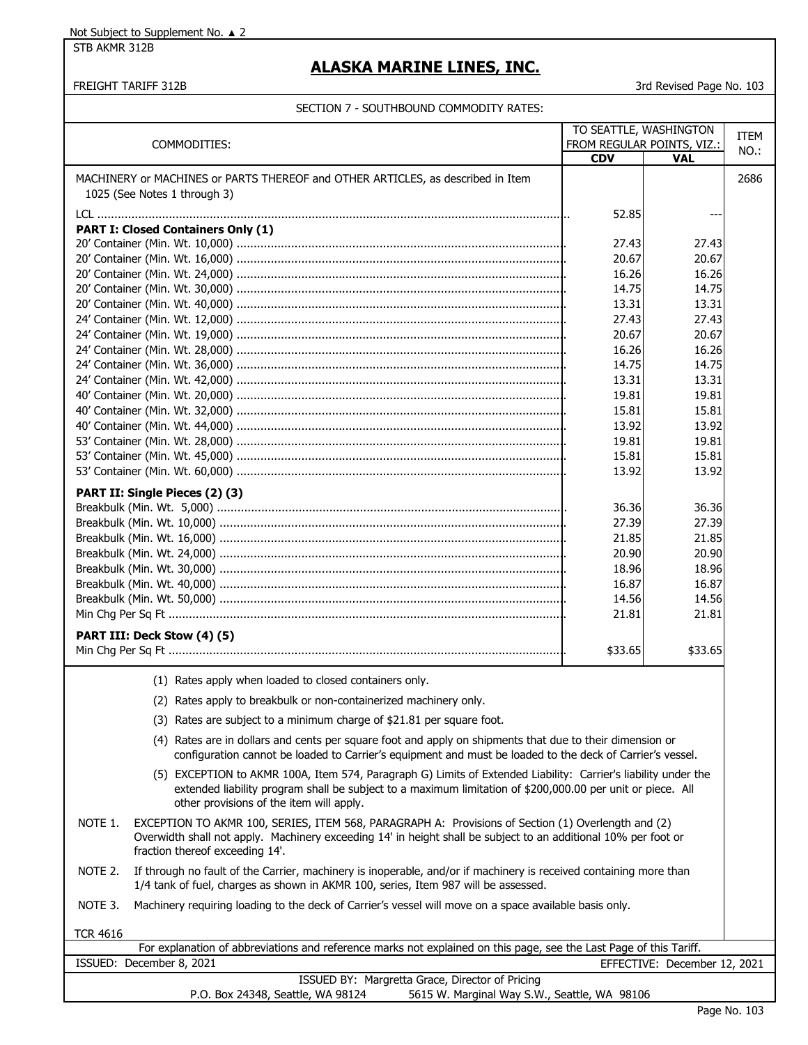STB AKMR 312B

### **ALASKA MARINE LINES, INC.**

#### FREIGHT TARIFF 312B 3rd Revised Page No. 103

TO SEATTLE, WASHINGTON TTEM

#### SECTION 7 - SOUTHBOUND COMMODITY RATES:

| COMMODITIES:                                                                                                    | FROM REGULAR POINTS, VIZ.: |            | NO.: |
|-----------------------------------------------------------------------------------------------------------------|----------------------------|------------|------|
|                                                                                                                 | <b>CDV</b>                 | <b>VAL</b> |      |
| MACHINERY or MACHINES or PARTS THEREOF and OTHER ARTICLES, as described in Item<br>1025 (See Notes 1 through 3) |                            |            | 2686 |
|                                                                                                                 | 52.85                      | $---$      |      |
| <b>PART I: Closed Containers Only (1)</b>                                                                       |                            |            |      |
|                                                                                                                 | 27.43                      | 27.43      |      |
|                                                                                                                 | 20.67                      | 20.67      |      |
|                                                                                                                 | 16.26                      | 16.26      |      |
|                                                                                                                 | 14.75                      | 14.75      |      |
|                                                                                                                 | 13.31                      | 13.31      |      |
|                                                                                                                 | 27.43                      | 27.43      |      |
|                                                                                                                 | 20.67                      | 20.67      |      |
|                                                                                                                 | 16.26                      | 16.26      |      |
|                                                                                                                 | 14.75                      | 14.75      |      |
|                                                                                                                 | 13.31                      | 13.31      |      |
|                                                                                                                 | 19.81                      | 19.81      |      |
|                                                                                                                 | 15.81                      | 15.81      |      |
|                                                                                                                 | 13.92                      | 13.92      |      |
|                                                                                                                 | 19.81                      | 19.81      |      |
|                                                                                                                 | 15.81                      | 15.81      |      |
|                                                                                                                 | 13.92                      | 13.92      |      |
| PART II: Single Pieces (2) (3)                                                                                  |                            |            |      |
|                                                                                                                 | 36.36                      | 36.36      |      |
|                                                                                                                 | 27.39                      | 27.39      |      |
|                                                                                                                 | 21.85                      | 21.85      |      |
|                                                                                                                 | 20.90                      | 20.90      |      |
|                                                                                                                 | 18.96                      | 18.96      |      |
|                                                                                                                 | 16.87                      | 16.87      |      |
|                                                                                                                 | 14.56                      | 14.56      |      |
|                                                                                                                 | 21.81                      | 21.81      |      |
| PART III: Deck Stow (4) (5)                                                                                     |                            |            |      |
|                                                                                                                 | \$33.65                    | \$33.65    |      |
| (1) Rates apply when loaded to closed containers only.                                                          |                            |            |      |
| (2) Rates apply to breakbulk or non-containerized machinery only.                                               |                            |            |      |
| (3) Rates are subject to a minimum charge of \$21.81 per square foot.                                           |                            |            |      |
|                                                                                                                 |                            |            |      |

(4) Rates are in dollars and cents per square foot and apply on shipments that due to their dimension or configuration cannot be loaded to Carrier's equipment and must be loaded to the deck of Carrier's vessel.

- (5) EXCEPTION to AKMR 100A, Item 574, Paragraph G) Limits of Extended Liability: Carrier's liability under the extended liability program shall be subject to a maximum limitation of \$200,000.00 per unit or piece. All other provisions of the item will apply.
- NOTE 1. EXCEPTION TO AKMR 100, SERIES, ITEM 568, PARAGRAPH A: Provisions of Section (1) Overlength and (2) Overwidth shall not apply. Machinery exceeding 14' in height shall be subject to an additional 10% per foot or fraction thereof exceeding 14'.
- NOTE 2. If through no fault of the Carrier, machinery is inoperable, and/or if machinery is received containing more than 1/4 tank of fuel, charges as shown in AKMR 100, series, Item 987 will be assessed.
- NOTE 3. Machinery requiring loading to the deck of Carrier's vessel will move on a space available basis only.

TCR 4616

| For explanation of abbreviations and reference marks not explained on this page, see the Last Page of this Tariff. |                                   |                                              |  |  |
|--------------------------------------------------------------------------------------------------------------------|-----------------------------------|----------------------------------------------|--|--|
|                                                                                                                    | ISSUED: December 8, 2021          | EFFECTIVE: December 12, 2021                 |  |  |
| ISSUED BY: Margretta Grace, Director of Pricing                                                                    |                                   |                                              |  |  |
|                                                                                                                    | P.O. Box 24348, Seattle, WA 98124 | 5615 W. Marginal Way S.W., Seattle, WA 98106 |  |  |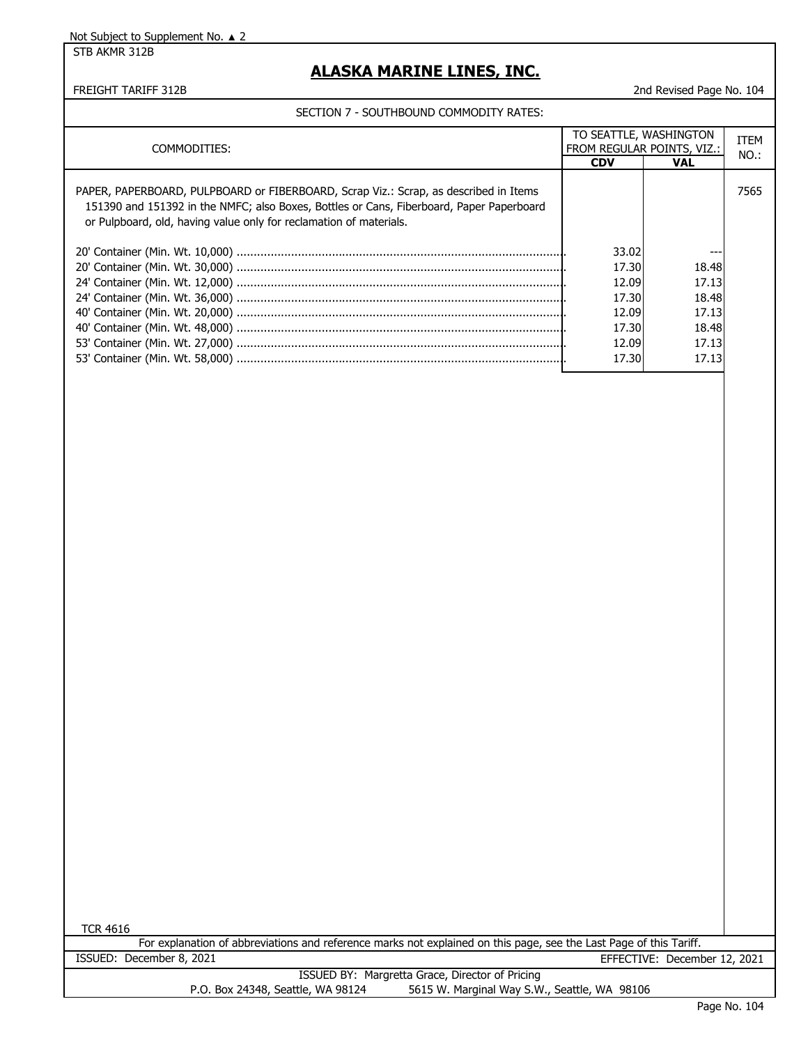STB AKMR 312B

### **ALASKA MARINE LINES, INC.**

FREIGHT TARIFF 312B 2nd Revised Page No. 104

#### SECTION 7 - SOUTHBOUND COMMODITY RATES:

| COMMODITIES:                                                                                                                                                                                                                                           |            | TO SEATTLE, WASHINGTON<br>FROM REGULAR POINTS, VIZ.: |      |
|--------------------------------------------------------------------------------------------------------------------------------------------------------------------------------------------------------------------------------------------------------|------------|------------------------------------------------------|------|
|                                                                                                                                                                                                                                                        | <b>CDV</b> | <b>VAL</b>                                           | NO.: |
| PAPER, PAPERBOARD, PULPBOARD or FIBERBOARD, Scrap Viz.: Scrap, as described in Items<br>151390 and 151392 in the NMFC; also Boxes, Bottles or Cans, Fiberboard, Paper Paperboard<br>or Pulpboard, old, having value only for reclamation of materials. |            |                                                      | 7565 |
|                                                                                                                                                                                                                                                        | 33.02      |                                                      |      |
|                                                                                                                                                                                                                                                        | 17.30      | 18.48                                                |      |
|                                                                                                                                                                                                                                                        | 12.09      | 17.13                                                |      |
|                                                                                                                                                                                                                                                        | 17.30      | 18.48                                                |      |
|                                                                                                                                                                                                                                                        | 12.09      | 17.13                                                |      |
|                                                                                                                                                                                                                                                        | 17.30      | 18.48                                                |      |
|                                                                                                                                                                                                                                                        | 12.09      | 17.13                                                |      |
|                                                                                                                                                                                                                                                        | 17.30      | 17.13                                                |      |

TCR 4616

For explanation of abbreviations and reference marks not explained on this page, see the Last Page of this Tariff. ISSUED: December 8, 2021 EFFECTIVE: December 12, 2021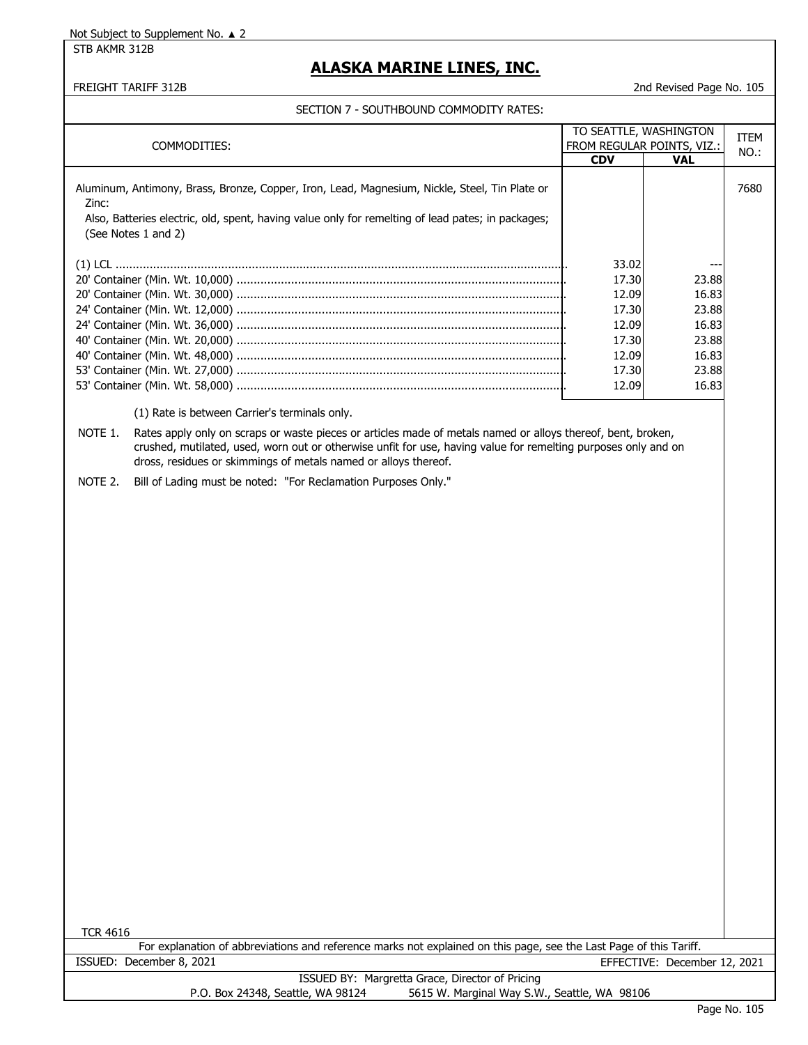STB AKMR 312B

# **ALASKA MARINE LINES, INC.**

### FREIGHT TARIFF 312B 2nd Revised Page No. 105

#### SECTION 7 - SOUTHBOUND COMMODITY RATES:

| SECTION 7 - SOUTHBOUND COMMODITY RATES:                                                                                  |            |                                                      |      |
|--------------------------------------------------------------------------------------------------------------------------|------------|------------------------------------------------------|------|
| COMMODITIES:                                                                                                             |            | TO SEATTLE, WASHINGTON<br>FROM REGULAR POINTS, VIZ.: |      |
|                                                                                                                          | <b>CDV</b> | <b>VAL</b>                                           | NO.: |
| Aluminum, Antimony, Brass, Bronze, Copper, Iron, Lead, Magnesium, Nickle, Steel, Tin Plate or<br>Zinc:                   |            |                                                      | 7680 |
| Also, Batteries electric, old, spent, having value only for remelting of lead pates; in packages;<br>(See Notes 1 and 2) |            |                                                      |      |
|                                                                                                                          | 33.02      |                                                      |      |
|                                                                                                                          | 17.30      | 23.88                                                |      |
|                                                                                                                          | 12.09      | 16.83                                                |      |
|                                                                                                                          | 17.30      | 23.88                                                |      |
|                                                                                                                          | 12.09      | 16.83                                                |      |
|                                                                                                                          | 17.30      | 23.88                                                |      |
|                                                                                                                          | 12.09      | 16.83                                                |      |
|                                                                                                                          | 17.30      | 23.88                                                |      |
|                                                                                                                          | 12.09      | 16.83                                                |      |
|                                                                                                                          |            |                                                      |      |

(1) Rate is between Carrier's terminals only.

NOTE 1. Rates apply only on scraps or waste pieces or articles made of metals named or alloys thereof, bent, broken, crushed, mutilated, used, worn out or otherwise unfit for use, having value for remelting purposes only and on dross, residues or skimmings of metals named or alloys thereof.

NOTE 2. Bill of Lading must be noted: "For Reclamation Purposes Only."

TCR 4616

| For explanation of abbreviations and reference marks not explained on this page, see the Last Page of this Tariff. |                          |                                                 |                              |  |
|--------------------------------------------------------------------------------------------------------------------|--------------------------|-------------------------------------------------|------------------------------|--|
|                                                                                                                    | ISSUED: December 8, 2021 |                                                 | EFFECTIVE: December 12, 2021 |  |
|                                                                                                                    |                          | ISSUED BY: Margretta Grace, Director of Pricing |                              |  |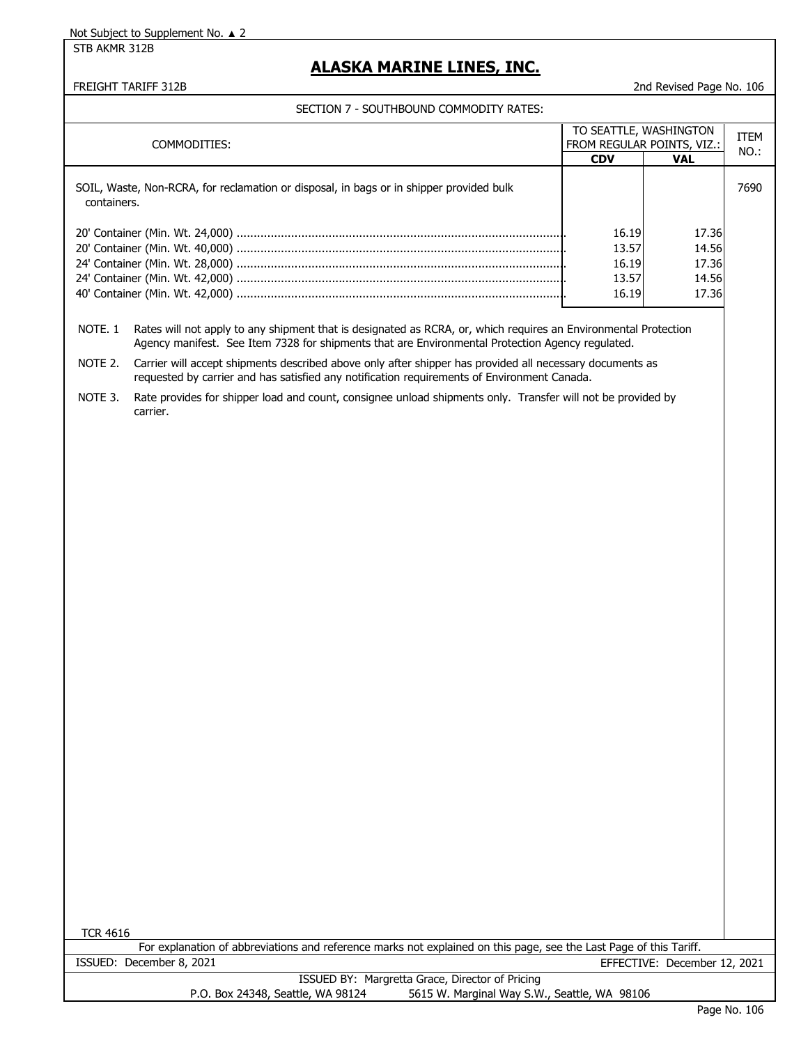STB AKMR 312B

## **ALASKA MARINE LINES, INC.**

#### FREIGHT TARIFF 312B 2nd Revised Page No. 106

## SECTION 7 - SOUTHBOUND COMMODITY RATES:

|                                                                                                        |                                           |                                                      | ITEM |
|--------------------------------------------------------------------------------------------------------|-------------------------------------------|------------------------------------------------------|------|
| COMMODITIES:                                                                                           |                                           | TO SEATTLE, WASHINGTON<br>FROM REGULAR POINTS, VIZ.: |      |
|                                                                                                        | <b>CDV</b>                                | <b>VAL</b>                                           | NO.: |
| SOIL, Waste, Non-RCRA, for reclamation or disposal, in bags or in shipper provided bulk<br>containers. |                                           |                                                      | 7690 |
|                                                                                                        | 16.19<br>13.57<br>16.19<br>13.57<br>16.19 | 17.36<br>14.56<br>17.36<br>14.56<br>17.36            |      |

NOTE. 1 Rates will not apply to any shipment that is designated as RCRA, or, which requires an Environmental Protection Agency manifest. See Item 7328 for shipments that are Environmental Protection Agency regulated.

NOTE 2. Carrier will accept shipments described above only after shipper has provided all necessary documents as requested by carrier and has satisfied any notification requirements of Environment Canada.

NOTE 3. Rate provides for shipper load and count, consignee unload shipments only. Transfer will not be provided by carrier.

TCR 4616

For explanation of abbreviations and reference marks not explained on this page, see the Last Page of this Tariff. ISSUED: December 8, 2021 EFFECTIVE: December 12, 2021 ISSUED BY: Margretta Grace, Director of Pricing P.O. Box 24348, Seattle, WA 98124 5615 W. Marginal Way S.W., Seattle, WA 98106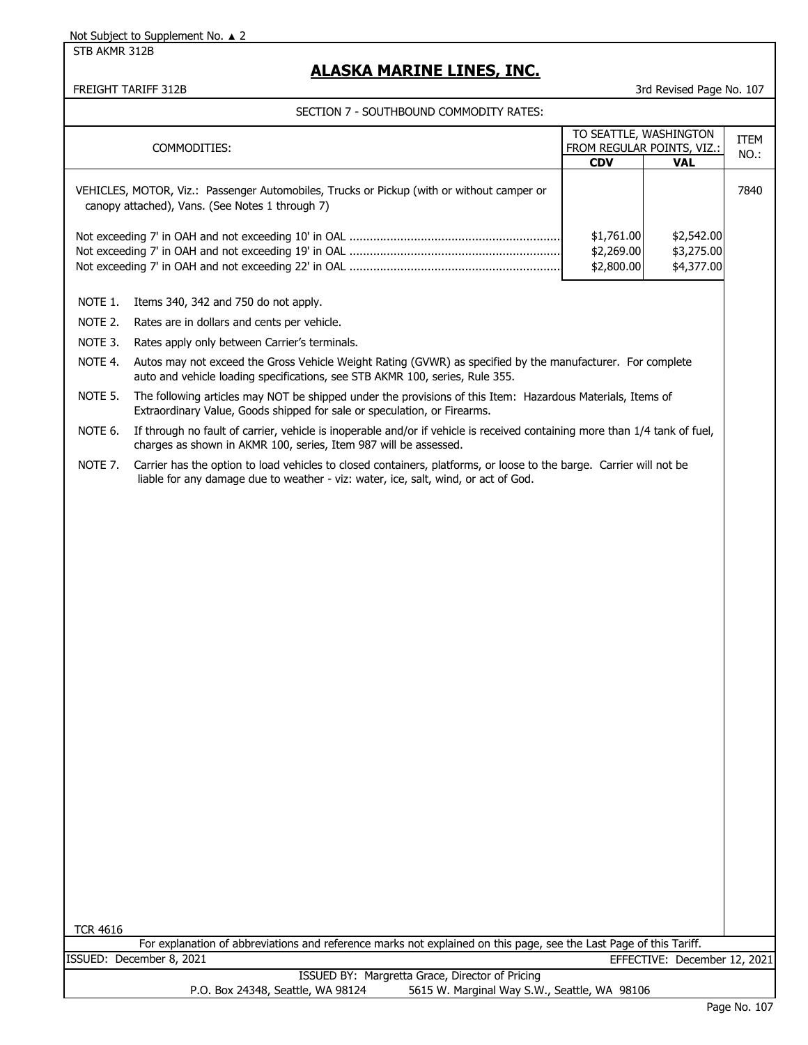STB AKMR 312B

# **ALASKA MARINE LINES, INC.**

### FREIGHT TARIFF 312B 3rd Revised Page No. 107

|                 | COMMODITIES:                                                                                                                                                                                              | TO SEATTLE, WASHINGTON<br>FROM REGULAR POINTS, VIZ.: |                                        | <b>ITEM</b> |
|-----------------|-----------------------------------------------------------------------------------------------------------------------------------------------------------------------------------------------------------|------------------------------------------------------|----------------------------------------|-------------|
|                 |                                                                                                                                                                                                           | <b>CDV</b>                                           | <b>VAL</b>                             | NO.:        |
|                 | VEHICLES, MOTOR, Viz.: Passenger Automobiles, Trucks or Pickup (with or without camper or<br>canopy attached), Vans. (See Notes 1 through 7)                                                              |                                                      |                                        | 7840        |
|                 |                                                                                                                                                                                                           | \$1,761.00<br>\$2,269.00<br>\$2,800.00               | \$2,542.00<br>\$3,275.00<br>\$4,377.00 |             |
| NOTE 1.         | Items 340, 342 and 750 do not apply.                                                                                                                                                                      |                                                      |                                        |             |
| NOTE 2.         | Rates are in dollars and cents per vehicle.                                                                                                                                                               |                                                      |                                        |             |
| NOTE 3.         | Rates apply only between Carrier's terminals.                                                                                                                                                             |                                                      |                                        |             |
| NOTE 4.         | Autos may not exceed the Gross Vehicle Weight Rating (GVWR) as specified by the manufacturer. For complete<br>auto and vehicle loading specifications, see STB AKMR 100, series, Rule 355.                |                                                      |                                        |             |
| NOTE 5.         | The following articles may NOT be shipped under the provisions of this Item: Hazardous Materials, Items of<br>Extraordinary Value, Goods shipped for sale or speculation, or Firearms.                    |                                                      |                                        |             |
| NOTE 6.         | If through no fault of carrier, vehicle is inoperable and/or if vehicle is received containing more than 1/4 tank of fuel,<br>charges as shown in AKMR 100, series, Item 987 will be assessed.            |                                                      |                                        |             |
| NOTE 7.         | Carrier has the option to load vehicles to closed containers, platforms, or loose to the barge. Carrier will not be<br>liable for any damage due to weather - viz: water, ice, salt, wind, or act of God. |                                                      |                                        |             |
|                 |                                                                                                                                                                                                           |                                                      |                                        |             |
|                 |                                                                                                                                                                                                           |                                                      |                                        |             |
|                 |                                                                                                                                                                                                           |                                                      |                                        |             |
|                 |                                                                                                                                                                                                           |                                                      |                                        |             |
|                 |                                                                                                                                                                                                           |                                                      |                                        |             |
|                 |                                                                                                                                                                                                           |                                                      |                                        |             |
|                 |                                                                                                                                                                                                           |                                                      |                                        |             |
|                 |                                                                                                                                                                                                           |                                                      |                                        |             |
|                 |                                                                                                                                                                                                           |                                                      |                                        |             |
|                 |                                                                                                                                                                                                           |                                                      |                                        |             |
|                 |                                                                                                                                                                                                           |                                                      |                                        |             |
|                 |                                                                                                                                                                                                           |                                                      |                                        |             |
|                 |                                                                                                                                                                                                           |                                                      |                                        |             |
|                 |                                                                                                                                                                                                           |                                                      |                                        |             |
|                 |                                                                                                                                                                                                           |                                                      |                                        |             |
|                 |                                                                                                                                                                                                           |                                                      |                                        |             |
|                 |                                                                                                                                                                                                           |                                                      |                                        |             |
|                 |                                                                                                                                                                                                           |                                                      |                                        |             |
|                 |                                                                                                                                                                                                           |                                                      |                                        |             |
|                 |                                                                                                                                                                                                           |                                                      |                                        |             |
| <b>TCR 4616</b> |                                                                                                                                                                                                           |                                                      |                                        |             |
|                 | For explanation of abbreviations and reference marks not explained on this page, see the Last Page of this Tariff.                                                                                        |                                                      |                                        |             |
|                 | ISSUED: December 8, 2021                                                                                                                                                                                  |                                                      | EFFECTIVE: December 12, 2021           |             |
|                 | ISSUED BY: Margretta Grace, Director of Pricing<br>5615 W. Marginal Way S.W., Seattle, WA 98106<br>P.O. Box 24348, Seattle, WA 98124                                                                      |                                                      |                                        |             |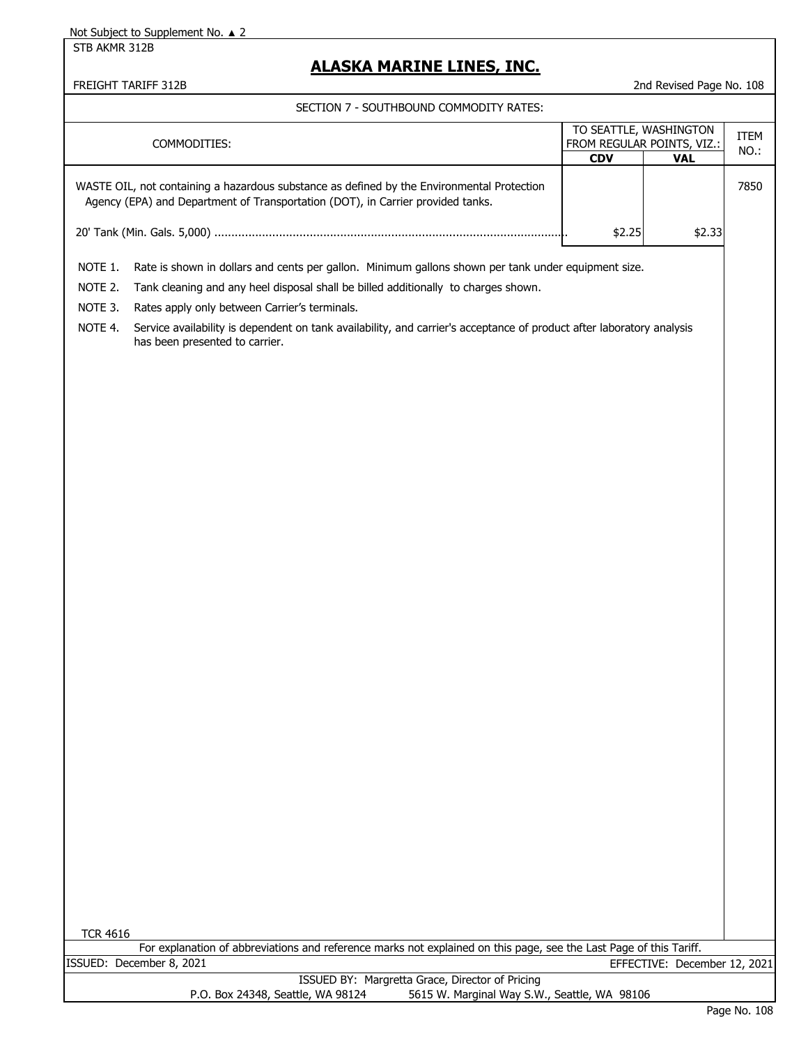STB AKMR 312B

# **ALASKA MARINE LINES, INC.**

FREIGHT TARIFF 312B 2nd Revised Page No. 108

|                 | SECTION 7 - SOUTHDOUND COMMODITT NATES.                                                                                                                                       |                        |                              |      |
|-----------------|-------------------------------------------------------------------------------------------------------------------------------------------------------------------------------|------------------------|------------------------------|------|
|                 |                                                                                                                                                                               | TO SEATTLE, WASHINGTON |                              | ITEM |
|                 | COMMODITIES:                                                                                                                                                                  |                        | FROM REGULAR POINTS, VIZ.:   | NO.: |
|                 |                                                                                                                                                                               | <b>CDV</b>             | <b>VAL</b>                   |      |
|                 | WASTE OIL, not containing a hazardous substance as defined by the Environmental Protection<br>Agency (EPA) and Department of Transportation (DOT), in Carrier provided tanks. |                        |                              | 7850 |
|                 |                                                                                                                                                                               | \$2.25                 | \$2.33                       |      |
|                 |                                                                                                                                                                               |                        |                              |      |
| NOTE 1.         | Rate is shown in dollars and cents per gallon. Minimum gallons shown per tank under equipment size.                                                                           |                        |                              |      |
| NOTE 2.         | Tank cleaning and any heel disposal shall be billed additionally to charges shown.                                                                                            |                        |                              |      |
| NOTE 3.         | Rates apply only between Carrier's terminals.                                                                                                                                 |                        |                              |      |
| NOTE 4.         | Service availability is dependent on tank availability, and carrier's acceptance of product after laboratory analysis<br>has been presented to carrier.                       |                        |                              |      |
|                 |                                                                                                                                                                               |                        |                              |      |
|                 |                                                                                                                                                                               |                        |                              |      |
|                 |                                                                                                                                                                               |                        |                              |      |
|                 |                                                                                                                                                                               |                        |                              |      |
|                 |                                                                                                                                                                               |                        |                              |      |
|                 |                                                                                                                                                                               |                        |                              |      |
|                 |                                                                                                                                                                               |                        |                              |      |
|                 |                                                                                                                                                                               |                        |                              |      |
|                 |                                                                                                                                                                               |                        |                              |      |
|                 |                                                                                                                                                                               |                        |                              |      |
|                 |                                                                                                                                                                               |                        |                              |      |
|                 |                                                                                                                                                                               |                        |                              |      |
|                 |                                                                                                                                                                               |                        |                              |      |
|                 |                                                                                                                                                                               |                        |                              |      |
|                 |                                                                                                                                                                               |                        |                              |      |
|                 |                                                                                                                                                                               |                        |                              |      |
|                 |                                                                                                                                                                               |                        |                              |      |
|                 |                                                                                                                                                                               |                        |                              |      |
|                 |                                                                                                                                                                               |                        |                              |      |
|                 |                                                                                                                                                                               |                        |                              |      |
|                 |                                                                                                                                                                               |                        |                              |      |
| <b>TCR 4616</b> |                                                                                                                                                                               |                        |                              |      |
|                 | For explanation of abbreviations and reference marks not explained on this page, see the Last Page of this Tariff.                                                            |                        |                              |      |
|                 | ISSUED: December 8, 2021                                                                                                                                                      |                        | EFFECTIVE: December 12, 2021 |      |
|                 | ISSUED BY: Margretta Grace, Director of Pricing<br>P.O. Box 24348, Seattle, WA 98124<br>5615 W. Marginal Way S.W., Seattle, WA 98106                                          |                        |                              |      |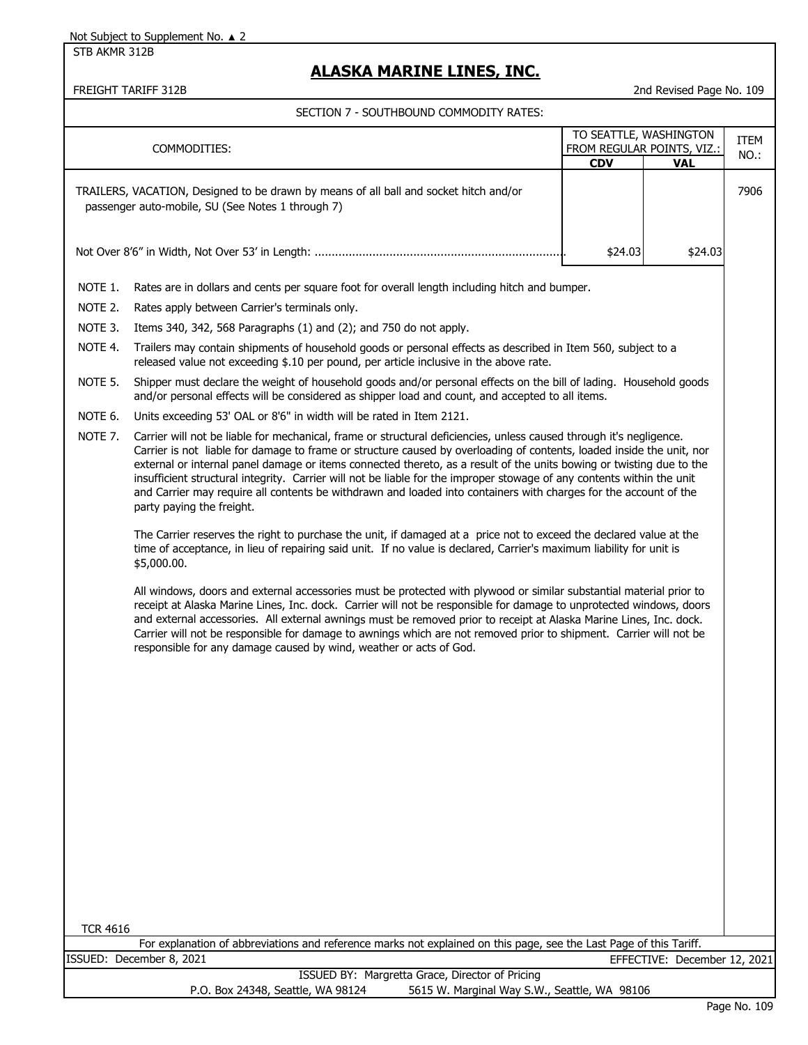STB AKMR 312B

# **ALASKA MARINE LINES, INC.**

FREIGHT TARIFF 312B 2nd Revised Page No. 109

|                 | TO SEATTLE, WASHINGTON<br>FROM REGULAR POINTS, VIZ.:<br>COMMODITIES:<br><b>CDV</b><br><b>VAL</b>                                                                                                                                                                                                                                                                                                                                                                                                                                                                                                                                                |         |                              | <b>ITEM</b><br>NO.: |
|-----------------|-------------------------------------------------------------------------------------------------------------------------------------------------------------------------------------------------------------------------------------------------------------------------------------------------------------------------------------------------------------------------------------------------------------------------------------------------------------------------------------------------------------------------------------------------------------------------------------------------------------------------------------------------|---------|------------------------------|---------------------|
|                 | TRAILERS, VACATION, Designed to be drawn by means of all ball and socket hitch and/or<br>passenger auto-mobile, SU (See Notes 1 through 7)                                                                                                                                                                                                                                                                                                                                                                                                                                                                                                      |         |                              | 7906                |
|                 |                                                                                                                                                                                                                                                                                                                                                                                                                                                                                                                                                                                                                                                 | \$24.03 | \$24.03                      |                     |
| NOTE 1.         | Rates are in dollars and cents per square foot for overall length including hitch and bumper.                                                                                                                                                                                                                                                                                                                                                                                                                                                                                                                                                   |         |                              |                     |
| NOTE 2.         | Rates apply between Carrier's terminals only.                                                                                                                                                                                                                                                                                                                                                                                                                                                                                                                                                                                                   |         |                              |                     |
| NOTE 3.         | Items 340, 342, 568 Paragraphs (1) and (2); and 750 do not apply.                                                                                                                                                                                                                                                                                                                                                                                                                                                                                                                                                                               |         |                              |                     |
| NOTE 4.         | Trailers may contain shipments of household goods or personal effects as described in Item 560, subject to a<br>released value not exceeding \$.10 per pound, per article inclusive in the above rate.                                                                                                                                                                                                                                                                                                                                                                                                                                          |         |                              |                     |
| NOTE 5.         | Shipper must declare the weight of household goods and/or personal effects on the bill of lading. Household goods<br>and/or personal effects will be considered as shipper load and count, and accepted to all items.                                                                                                                                                                                                                                                                                                                                                                                                                           |         |                              |                     |
| NOTE 6.         | Units exceeding 53' OAL or 8'6" in width will be rated in Item 2121.                                                                                                                                                                                                                                                                                                                                                                                                                                                                                                                                                                            |         |                              |                     |
| NOTE 7.         | Carrier will not be liable for mechanical, frame or structural deficiencies, unless caused through it's negligence.<br>Carrier is not liable for damage to frame or structure caused by overloading of contents, loaded inside the unit, nor<br>external or internal panel damage or items connected thereto, as a result of the units bowing or twisting due to the<br>insufficient structural integrity. Carrier will not be liable for the improper stowage of any contents within the unit<br>and Carrier may require all contents be withdrawn and loaded into containers with charges for the account of the<br>party paying the freight. |         |                              |                     |
|                 | The Carrier reserves the right to purchase the unit, if damaged at a price not to exceed the declared value at the<br>time of acceptance, in lieu of repairing said unit. If no value is declared, Carrier's maximum liability for unit is<br>\$5,000.00.                                                                                                                                                                                                                                                                                                                                                                                       |         |                              |                     |
|                 | All windows, doors and external accessories must be protected with plywood or similar substantial material prior to<br>receipt at Alaska Marine Lines, Inc. dock. Carrier will not be responsible for damage to unprotected windows, doors<br>and external accessories. All external awnings must be removed prior to receipt at Alaska Marine Lines, Inc. dock.<br>Carrier will not be responsible for damage to awnings which are not removed prior to shipment. Carrier will not be<br>responsible for any damage caused by wind, weather or acts of God.                                                                                    |         |                              |                     |
|                 |                                                                                                                                                                                                                                                                                                                                                                                                                                                                                                                                                                                                                                                 |         |                              |                     |
|                 |                                                                                                                                                                                                                                                                                                                                                                                                                                                                                                                                                                                                                                                 |         |                              |                     |
|                 |                                                                                                                                                                                                                                                                                                                                                                                                                                                                                                                                                                                                                                                 |         |                              |                     |
|                 |                                                                                                                                                                                                                                                                                                                                                                                                                                                                                                                                                                                                                                                 |         |                              |                     |
| <b>TCR 4616</b> | For explanation of abbreviations and reference marks not explained on this page, see the Last Page of this Tariff.                                                                                                                                                                                                                                                                                                                                                                                                                                                                                                                              |         |                              |                     |
|                 | ISSUED: December 8, 2021                                                                                                                                                                                                                                                                                                                                                                                                                                                                                                                                                                                                                        |         | EFFECTIVE: December 12, 2021 |                     |
|                 | ISSUED BY: Margretta Grace, Director of Pricing<br>P.O. Box 24348, Seattle, WA 98124<br>5615 W. Marginal Way S.W., Seattle, WA 98106                                                                                                                                                                                                                                                                                                                                                                                                                                                                                                            |         |                              |                     |
|                 |                                                                                                                                                                                                                                                                                                                                                                                                                                                                                                                                                                                                                                                 |         |                              | Page No. 109        |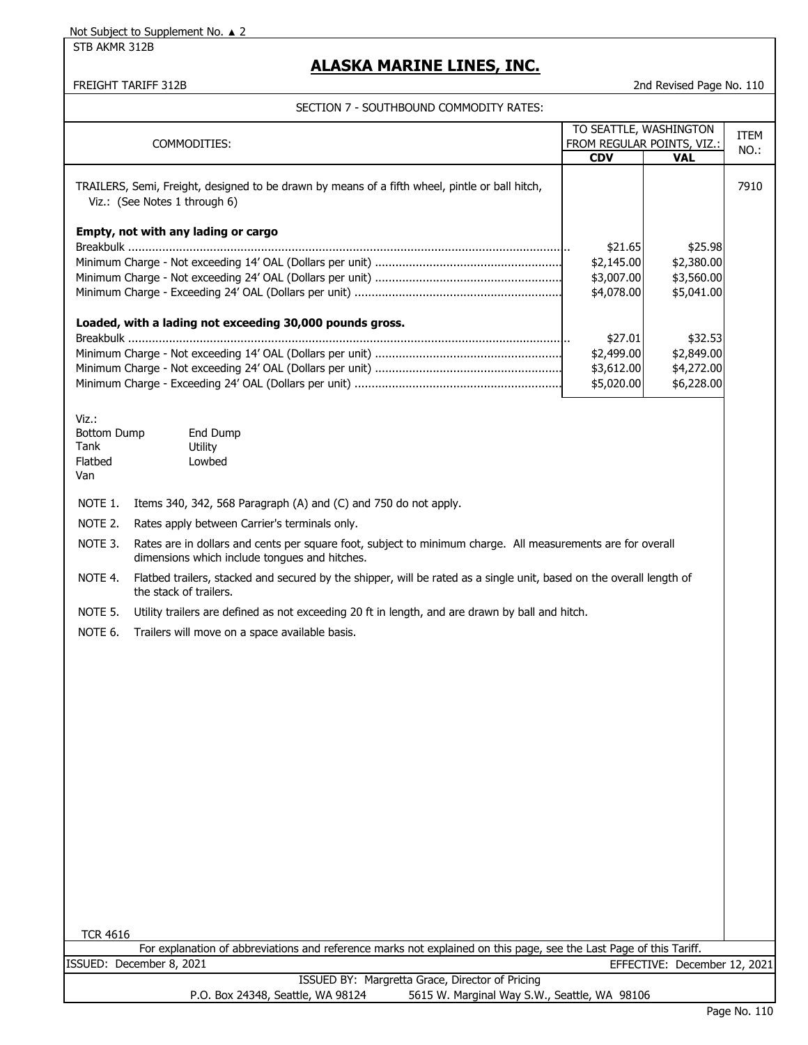STB AKMR 312B

## **ALASKA MARINE LINES, INC.**

FREIGHT TARIFF 312B 2nd Revised Page No. 110

|                                                       | COMMODITIES:                                                                                                                                                 | TO SEATTLE, WASHINGTON<br><b>CDV</b> | FROM REGULAR POINTS, VIZ.:<br><b>VAL</b> | <b>ITEM</b><br>NO.: |
|-------------------------------------------------------|--------------------------------------------------------------------------------------------------------------------------------------------------------------|--------------------------------------|------------------------------------------|---------------------|
|                                                       | TRAILERS, Semi, Freight, designed to be drawn by means of a fifth wheel, pintle or ball hitch,<br>Viz.: (See Notes 1 through 6)                              |                                      |                                          | 7910                |
|                                                       | Empty, not with any lading or cargo                                                                                                                          |                                      |                                          |                     |
|                                                       |                                                                                                                                                              | \$21.65<br>\$2,145.00                | \$25.98<br>\$2,380.00                    |                     |
|                                                       |                                                                                                                                                              | \$3,007.00                           | \$3,560.00                               |                     |
|                                                       |                                                                                                                                                              | \$4,078.00                           | \$5,041.00                               |                     |
|                                                       | Loaded, with a lading not exceeding 30,000 pounds gross.                                                                                                     | \$27.01                              | \$32.53                                  |                     |
|                                                       |                                                                                                                                                              | \$2,499.00                           | \$2,849.00                               |                     |
|                                                       |                                                                                                                                                              | \$3,612.00                           | \$4,272.00                               |                     |
|                                                       |                                                                                                                                                              | \$5,020.00                           | \$6,228.00                               |                     |
| Viz.:<br><b>Bottom Dump</b><br>Tank<br>Flatbed<br>Van | End Dump<br>Utility<br>Lowbed                                                                                                                                |                                      |                                          |                     |
| NOTE 1.                                               | Items 340, 342, 568 Paragraph (A) and (C) and 750 do not apply.                                                                                              |                                      |                                          |                     |
| NOTE 2.                                               | Rates apply between Carrier's terminals only.                                                                                                                |                                      |                                          |                     |
| NOTE 3.                                               | Rates are in dollars and cents per square foot, subject to minimum charge. All measurements are for overall<br>dimensions which include tongues and hitches. |                                      |                                          |                     |
| NOTE 4.                                               | Flatbed trailers, stacked and secured by the shipper, will be rated as a single unit, based on the overall length of<br>the stack of trailers.               |                                      |                                          |                     |
| NOTE 5.                                               | Utility trailers are defined as not exceeding 20 ft in length, and are drawn by ball and hitch.                                                              |                                      |                                          |                     |
| NOTE 6.                                               | Trailers will move on a space available basis.                                                                                                               |                                      |                                          |                     |
|                                                       |                                                                                                                                                              |                                      |                                          |                     |
|                                                       |                                                                                                                                                              |                                      |                                          |                     |
|                                                       |                                                                                                                                                              |                                      |                                          |                     |
|                                                       |                                                                                                                                                              |                                      |                                          |                     |
|                                                       |                                                                                                                                                              |                                      |                                          |                     |
|                                                       |                                                                                                                                                              |                                      |                                          |                     |
|                                                       |                                                                                                                                                              |                                      |                                          |                     |
|                                                       |                                                                                                                                                              |                                      |                                          |                     |
|                                                       |                                                                                                                                                              |                                      |                                          |                     |
|                                                       |                                                                                                                                                              |                                      |                                          |                     |
|                                                       |                                                                                                                                                              |                                      |                                          |                     |
|                                                       |                                                                                                                                                              |                                      |                                          |                     |
|                                                       |                                                                                                                                                              |                                      |                                          |                     |
| <b>TCR 4616</b>                                       |                                                                                                                                                              |                                      |                                          |                     |
|                                                       | For explanation of abbreviations and reference marks not explained on this page, see the Last Page of this Tariff.                                           |                                      |                                          |                     |
|                                                       | ISSUED: December 8, 2021<br>ISSUED BY: Margretta Grace, Director of Pricing                                                                                  |                                      | EFFECTIVE: December 12, 2021             |                     |
|                                                       | 5615 W. Marginal Way S.W., Seattle, WA 98106<br>P.O. Box 24348, Seattle, WA 98124                                                                            |                                      |                                          |                     |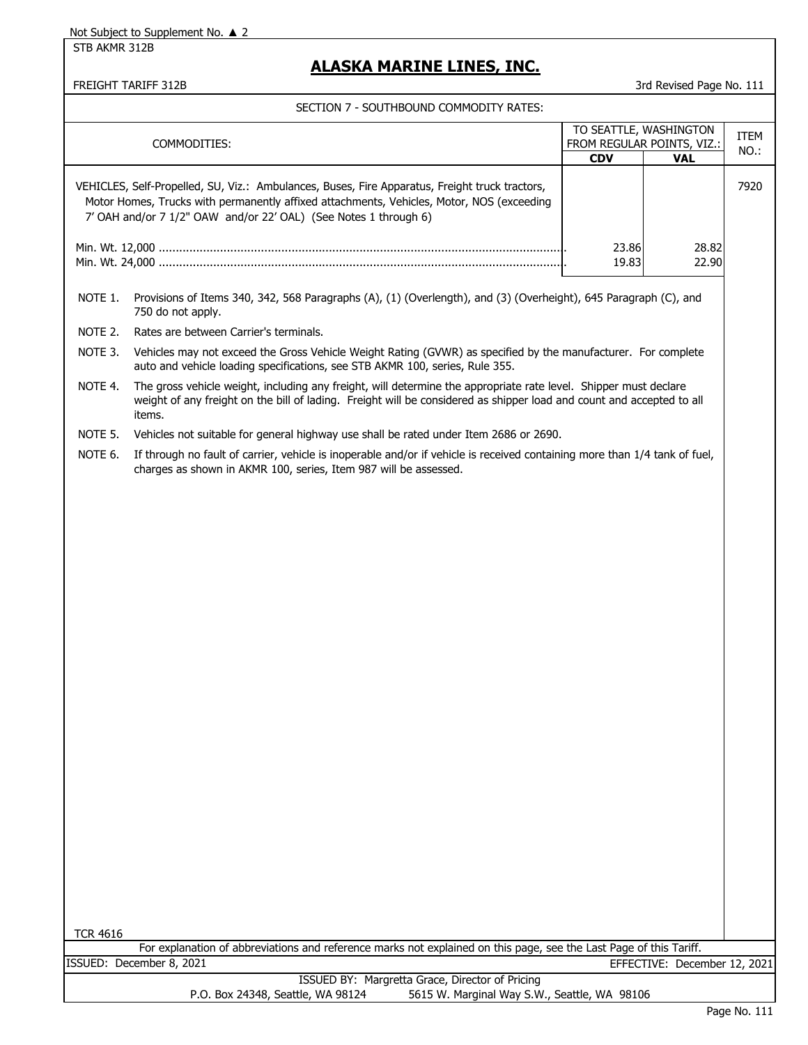STB AKMR 312B

## **ALASKA MARINE LINES, INC.**

FREIGHT TARIFF 312B 3rd Revised Page No. 111

|                                  |                                                                                                                                                                                                                                                                 | TO SEATTLE, WASHINGTON                   |                              | <b>ITEM</b> |
|----------------------------------|-----------------------------------------------------------------------------------------------------------------------------------------------------------------------------------------------------------------------------------------------------------------|------------------------------------------|------------------------------|-------------|
|                                  | COMMODITIES:                                                                                                                                                                                                                                                    | FROM REGULAR POINTS, VIZ.:<br><b>CDV</b> | <b>VAL</b>                   | NO.:        |
|                                  | VEHICLES, Self-Propelled, SU, Viz.: Ambulances, Buses, Fire Apparatus, Freight truck tractors,<br>Motor Homes, Trucks with permanently affixed attachments, Vehicles, Motor, NOS (exceeding<br>7' OAH and/or 7 1/2" OAW and/or 22' OAL) (See Notes 1 through 6) |                                          |                              | 7920        |
| 23.86<br>28.82<br>19.83<br>22.90 |                                                                                                                                                                                                                                                                 |                                          |                              |             |
| NOTE 1.                          | Provisions of Items 340, 342, 568 Paragraphs (A), (1) (Overlength), and (3) (Overheight), 645 Paragraph (C), and<br>750 do not apply.                                                                                                                           |                                          |                              |             |
| NOTE 2.                          | Rates are between Carrier's terminals.                                                                                                                                                                                                                          |                                          |                              |             |
| NOTE 3.                          | Vehicles may not exceed the Gross Vehicle Weight Rating (GVWR) as specified by the manufacturer. For complete<br>auto and vehicle loading specifications, see STB AKMR 100, series, Rule 355.                                                                   |                                          |                              |             |
| NOTE 4.                          | The gross vehicle weight, including any freight, will determine the appropriate rate level. Shipper must declare<br>weight of any freight on the bill of lading. Freight will be considered as shipper load and count and accepted to all<br>items.             |                                          |                              |             |
| NOTE 5.                          | Vehicles not suitable for general highway use shall be rated under Item 2686 or 2690.                                                                                                                                                                           |                                          |                              |             |
| NOTE 6.                          | If through no fault of carrier, vehicle is inoperable and/or if vehicle is received containing more than 1/4 tank of fuel,<br>charges as shown in AKMR 100, series, Item 987 will be assessed.                                                                  |                                          |                              |             |
|                                  |                                                                                                                                                                                                                                                                 |                                          |                              |             |
| <b>TCR 4616</b>                  | For explanation of abbreviations and reference marks not explained on this page, see the Last Page of this Tariff.                                                                                                                                              |                                          |                              |             |
|                                  | ISSUED: December 8, 2021                                                                                                                                                                                                                                        |                                          | EFFECTIVE: December 12, 2021 |             |
|                                  | ISSUED BY: Margretta Grace, Director of Pricing<br>P.O. Box 24348, Seattle, WA 98124<br>5615 W. Marginal Way S.W., Seattle, WA 98106                                                                                                                            |                                          |                              |             |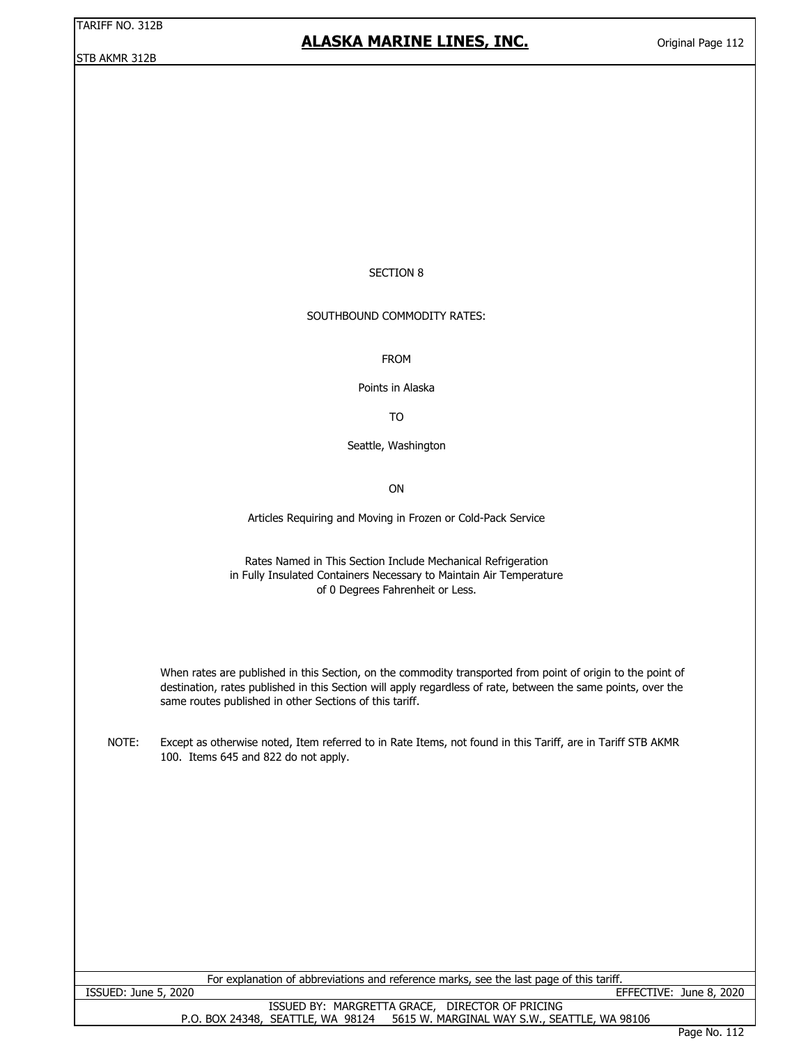STB AKMR 312B

## **ALASKA MARINE LINES, INC.**

### SECTION 8

#### SOUTHBOUND COMMODITY RATES:

FROM

Points in Alaska

TO

Seattle, Washington

ON

Articles Requiring and Moving in Frozen or Cold-Pack Service

Rates Named in This Section Include Mechanical Refrigeration in Fully Insulated Containers Necessary to Maintain Air Temperature of 0 Degrees Fahrenheit or Less.

When rates are published in this Section, on the commodity transported from point of origin to the point of destination, rates published in this Section will apply regardless of rate, between the same points, over the same routes published in other Sections of this tariff.

NOTE: Except as otherwise noted, Item referred to in Rate Items, not found in this Tariff, are in Tariff STB AKMR 100. Items 645 and 822 do not apply.

For explanation of abbreviations and reference marks, see the last page of this tariff.

ISSUED: June 5, 2020 EFFECTIVE: June 8, 2020

ISSUED BY: MARGRETTA GRACE, DIRECTOR OF PRICING P.O. BOX 24348, SEATTLE, WA 98124 5615 W. MARGINAL WAY S.W., SEATTLE, WA 98106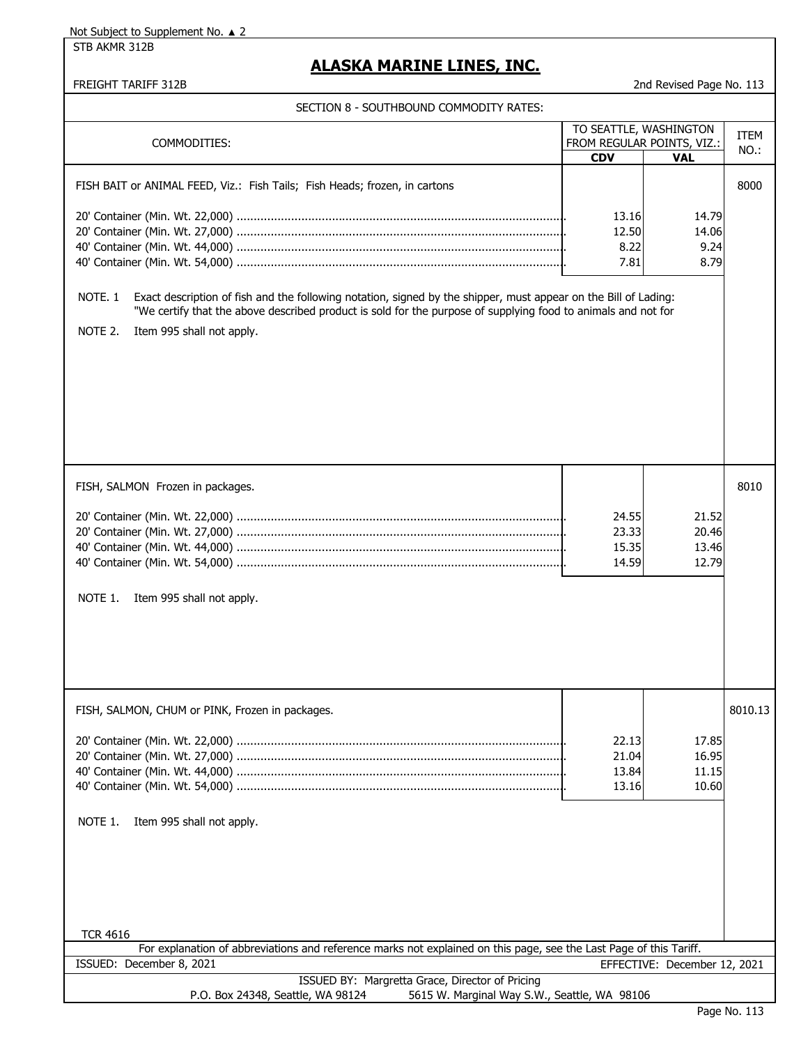STB AKMR 312B

## **ALASKA MARINE LINES, INC.**

FREIGHT TARIFF 312B 2nd Revised Page No. 113

| COMMODITIES:                                                                                                                                   | TO SEATTLE, WASHINGTON<br>FROM REGULAR POINTS, VIZ.: |                              | <b>ITEM</b> |
|------------------------------------------------------------------------------------------------------------------------------------------------|------------------------------------------------------|------------------------------|-------------|
|                                                                                                                                                | <b>CDV</b>                                           | <b>VAL</b>                   | NO.:        |
|                                                                                                                                                |                                                      |                              |             |
| FISH BAIT or ANIMAL FEED, Viz.: Fish Tails; Fish Heads; frozen, in cartons                                                                     |                                                      |                              | 8000        |
|                                                                                                                                                | 13.16                                                | 14.79                        |             |
|                                                                                                                                                | 12.50                                                | 14.06                        |             |
|                                                                                                                                                | 8.22                                                 | 9.24                         |             |
|                                                                                                                                                | 7.81                                                 | 8.79                         |             |
|                                                                                                                                                |                                                      |                              |             |
| NOTE <sub>.1</sub><br>Exact description of fish and the following notation, signed by the shipper, must appear on the Bill of Lading:          |                                                      |                              |             |
| "We certify that the above described product is sold for the purpose of supplying food to animals and not for                                  |                                                      |                              |             |
| NOTE 2.<br>Item 995 shall not apply.                                                                                                           |                                                      |                              |             |
|                                                                                                                                                |                                                      |                              |             |
|                                                                                                                                                |                                                      |                              |             |
|                                                                                                                                                |                                                      |                              |             |
|                                                                                                                                                |                                                      |                              |             |
|                                                                                                                                                |                                                      |                              |             |
|                                                                                                                                                |                                                      |                              |             |
|                                                                                                                                                |                                                      |                              |             |
|                                                                                                                                                |                                                      |                              |             |
| FISH, SALMON Frozen in packages.                                                                                                               |                                                      |                              | 8010        |
|                                                                                                                                                |                                                      |                              |             |
|                                                                                                                                                | 24.55                                                | 21.52                        |             |
|                                                                                                                                                | 23.33                                                | 20.46                        |             |
|                                                                                                                                                | 15.35                                                | 13.46                        |             |
|                                                                                                                                                | 14.59                                                | 12.79                        |             |
|                                                                                                                                                |                                                      |                              |             |
| NOTE 1.<br>Item 995 shall not apply.                                                                                                           |                                                      |                              |             |
|                                                                                                                                                |                                                      |                              |             |
|                                                                                                                                                |                                                      |                              |             |
|                                                                                                                                                |                                                      |                              |             |
|                                                                                                                                                |                                                      |                              |             |
|                                                                                                                                                |                                                      |                              |             |
| FISH, SALMON, CHUM or PINK, Frozen in packages.                                                                                                |                                                      |                              | 8010.13     |
|                                                                                                                                                |                                                      |                              |             |
|                                                                                                                                                | 22.13                                                | 17.85                        |             |
|                                                                                                                                                | 21.04                                                | 16.95                        |             |
|                                                                                                                                                | 13.84                                                | 11.15                        |             |
|                                                                                                                                                | 13.16                                                | 10.60                        |             |
|                                                                                                                                                |                                                      |                              |             |
|                                                                                                                                                |                                                      |                              |             |
| NOTE 1.<br>Item 995 shall not apply.                                                                                                           |                                                      |                              |             |
|                                                                                                                                                |                                                      |                              |             |
|                                                                                                                                                |                                                      |                              |             |
|                                                                                                                                                |                                                      |                              |             |
|                                                                                                                                                |                                                      |                              |             |
|                                                                                                                                                |                                                      |                              |             |
|                                                                                                                                                |                                                      |                              |             |
| <b>TCR 4616</b>                                                                                                                                |                                                      |                              |             |
| For explanation of abbreviations and reference marks not explained on this page, see the Last Page of this Tariff.<br>ISSUED: December 8, 2021 |                                                      | EFFECTIVE: December 12, 2021 |             |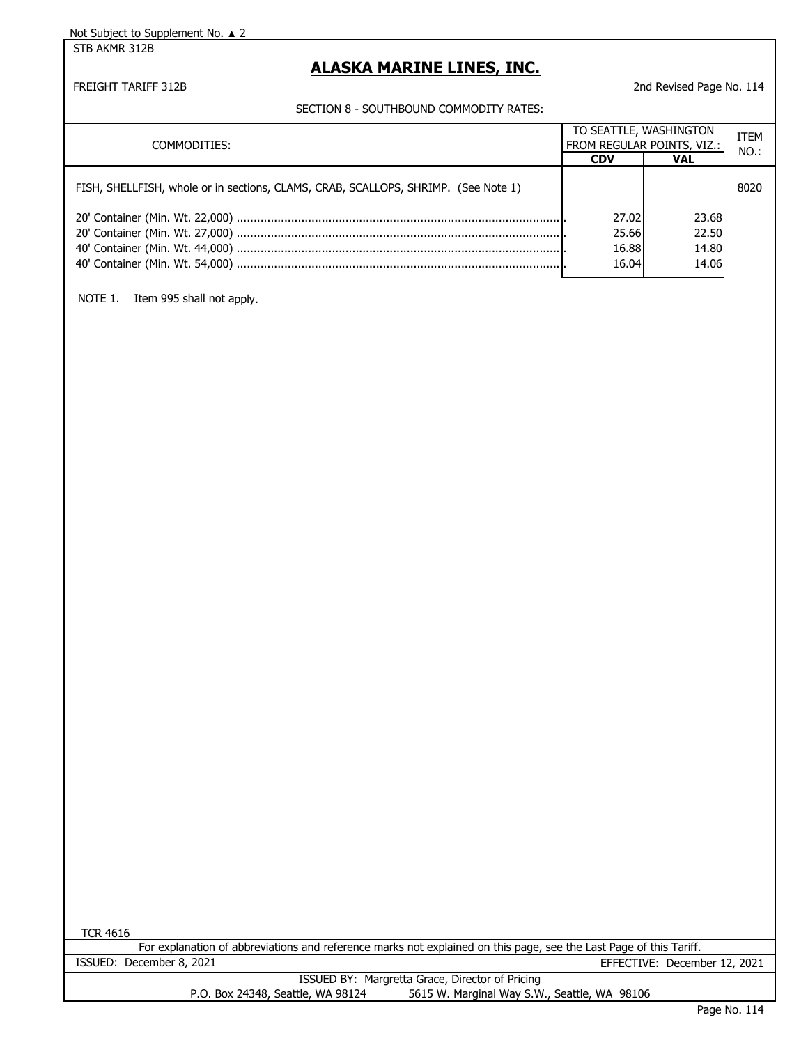STB AKMR 312B

# **ALASKA MARINE LINES, INC.**

### FREIGHT TARIFF 312B 2nd Revised Page No. 114

SECTION 8 - SOUTHBOUND COMMODITY RATES:

| COMMODITIES:                                                                       |            | TO SEATTLE, WASHINGTON<br>FROM REGULAR POINTS, VIZ.: |      |
|------------------------------------------------------------------------------------|------------|------------------------------------------------------|------|
|                                                                                    | <b>CDV</b> | VAL                                                  | NO.: |
| FISH, SHELLFISH, whole or in sections, CLAMS, CRAB, SCALLOPS, SHRIMP. (See Note 1) |            |                                                      | 8020 |
|                                                                                    | 27.02      | 23.68                                                |      |
|                                                                                    | 25.66      | 22.50                                                |      |
|                                                                                    | 16.88      | 14.80                                                |      |
|                                                                                    | 16.04      | 14.06                                                |      |

NOTE 1. Item 995 shall not apply.

| TCR 4616                          |                                                                                                                    |  |
|-----------------------------------|--------------------------------------------------------------------------------------------------------------------|--|
|                                   | For explanation of abbreviations and reference marks not explained on this page, see the Last Page of this Tariff. |  |
| ISSUED: December 8, 2021          | EFFECTIVE: December 12, 2021                                                                                       |  |
|                                   | ISSUED BY: Margretta Grace, Director of Pricing                                                                    |  |
| P.O. Box 24348, Seattle, WA 98124 | 5615 W. Marginal Way S.W., Seattle, WA 98106                                                                       |  |
|                                   |                                                                                                                    |  |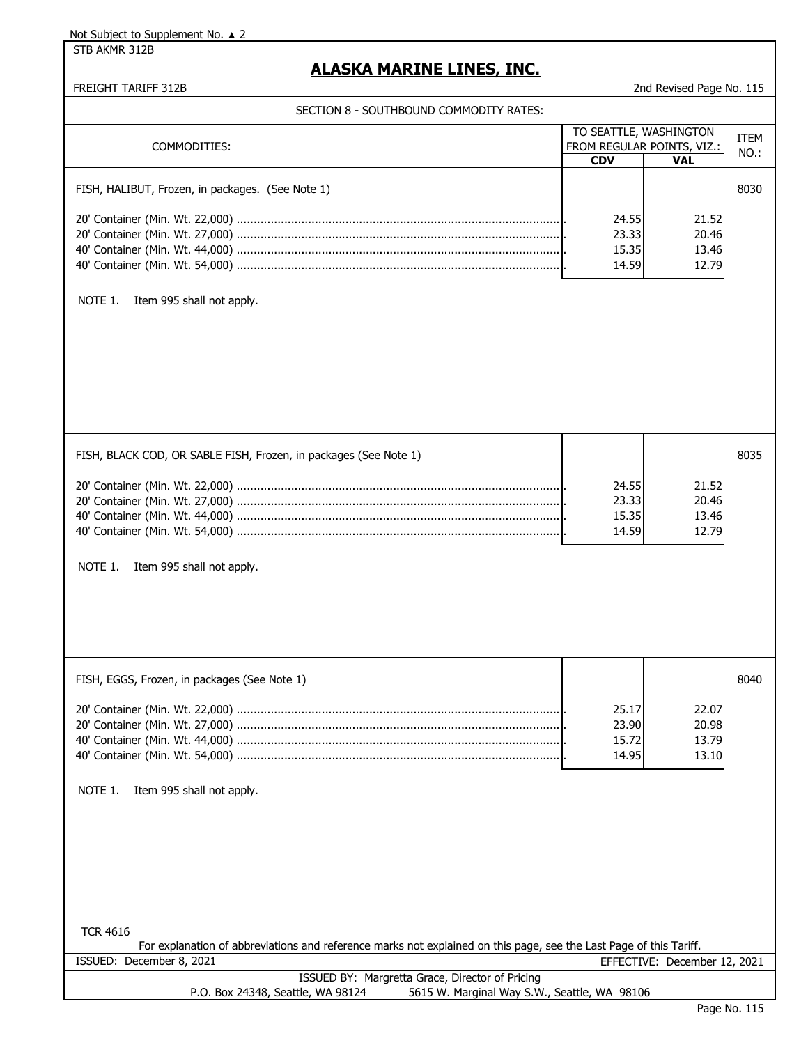STB AKMR 312B

# **ALASKA MARINE LINES, INC.**

FREIGHT TARIFF 312B 2nd Revised Page No. 115

|                                                                                                                    |            | TO SEATTLE, WASHINGTON       | <b>ITEM</b> |
|--------------------------------------------------------------------------------------------------------------------|------------|------------------------------|-------------|
| COMMODITIES:                                                                                                       |            | FROM REGULAR POINTS, VIZ.:   |             |
|                                                                                                                    | <b>CDV</b> | <b>VAL</b>                   | NO.:        |
|                                                                                                                    |            |                              |             |
| FISH, HALIBUT, Frozen, in packages. (See Note 1)                                                                   |            |                              | 8030        |
|                                                                                                                    |            |                              |             |
|                                                                                                                    |            |                              |             |
|                                                                                                                    | 24.55      | 21.52                        |             |
|                                                                                                                    | 23.33      | 20.46                        |             |
|                                                                                                                    | 15.35      | 13.46                        |             |
|                                                                                                                    |            |                              |             |
|                                                                                                                    | 14.59      | 12.79                        |             |
|                                                                                                                    |            |                              |             |
|                                                                                                                    |            |                              |             |
| NOTE 1.<br>Item 995 shall not apply.                                                                               |            |                              |             |
|                                                                                                                    |            |                              |             |
|                                                                                                                    |            |                              |             |
|                                                                                                                    |            |                              |             |
|                                                                                                                    |            |                              |             |
|                                                                                                                    |            |                              |             |
|                                                                                                                    |            |                              |             |
|                                                                                                                    |            |                              |             |
|                                                                                                                    |            |                              |             |
|                                                                                                                    |            |                              |             |
|                                                                                                                    |            |                              |             |
|                                                                                                                    |            |                              |             |
| FISH, BLACK COD, OR SABLE FISH, Frozen, in packages (See Note 1)                                                   |            |                              | 8035        |
|                                                                                                                    |            |                              |             |
|                                                                                                                    |            |                              |             |
|                                                                                                                    | 24.55      | 21.52                        |             |
|                                                                                                                    | 23.33      | 20.46                        |             |
|                                                                                                                    | 15.35      | 13.46                        |             |
|                                                                                                                    |            |                              |             |
|                                                                                                                    | 14.59      | 12.79                        |             |
|                                                                                                                    |            |                              |             |
|                                                                                                                    |            |                              |             |
| NOTE 1.<br>Item 995 shall not apply.                                                                               |            |                              |             |
|                                                                                                                    |            |                              |             |
|                                                                                                                    |            |                              |             |
|                                                                                                                    |            |                              |             |
|                                                                                                                    |            |                              |             |
|                                                                                                                    |            |                              |             |
|                                                                                                                    |            |                              |             |
|                                                                                                                    |            |                              |             |
|                                                                                                                    |            |                              |             |
| FISH, EGGS, Frozen, in packages (See Note 1)                                                                       |            |                              | 8040        |
|                                                                                                                    |            |                              |             |
|                                                                                                                    | 25.17      | 22.07                        |             |
|                                                                                                                    |            |                              |             |
|                                                                                                                    | 23.90      | 20.98                        |             |
|                                                                                                                    | 15.72      | 13.79                        |             |
|                                                                                                                    | 14.95      | 13.10                        |             |
|                                                                                                                    |            |                              |             |
|                                                                                                                    |            |                              |             |
| NOTE 1.<br>Item 995 shall not apply.                                                                               |            |                              |             |
|                                                                                                                    |            |                              |             |
|                                                                                                                    |            |                              |             |
|                                                                                                                    |            |                              |             |
|                                                                                                                    |            |                              |             |
|                                                                                                                    |            |                              |             |
|                                                                                                                    |            |                              |             |
|                                                                                                                    |            |                              |             |
|                                                                                                                    |            |                              |             |
|                                                                                                                    |            |                              |             |
|                                                                                                                    |            |                              |             |
|                                                                                                                    |            |                              |             |
| <b>TCR 4616</b>                                                                                                    |            |                              |             |
| For explanation of abbreviations and reference marks not explained on this page, see the Last Page of this Tariff. |            |                              |             |
| ISSUED: December 8, 2021                                                                                           |            | EFFECTIVE: December 12, 2021 |             |
| ISSUED BY: Margretta Grace, Director of Pricing                                                                    |            |                              |             |
|                                                                                                                    |            |                              |             |
| 5615 W. Marginal Way S.W., Seattle, WA 98106<br>P.O. Box 24348, Seattle, WA 98124                                  |            |                              |             |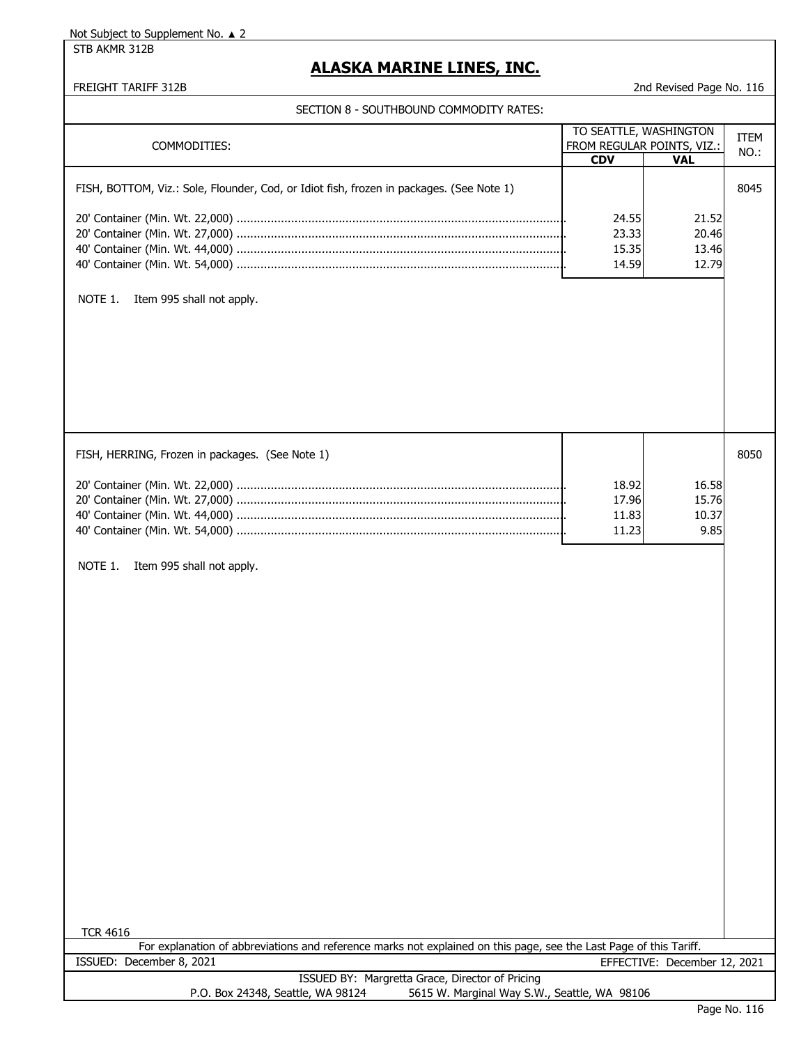STB AKMR 312B

# **ALASKA MARINE LINES, INC.**

FREIGHT TARIFF 312B 2nd Revised Page No. 116

|  | SECTION 8 - SOUTHBOUND COMMODITY RATES: |                   |
|--|-----------------------------------------|-------------------|
|  |                                         | TO SE             |
|  |                                         | $F_{\mathcal{D}}$ |

|                                                                                                                                      |                | TO SEATTLE, WASHINGTON<br>FROM REGULAR POINTS, VIZ.: |      |  |
|--------------------------------------------------------------------------------------------------------------------------------------|----------------|------------------------------------------------------|------|--|
| COMMODITIES:                                                                                                                         | <b>CDV</b>     | <b>VAL</b>                                           | NO.: |  |
| FISH, BOTTOM, Viz.: Sole, Flounder, Cod, or Idiot fish, frozen in packages. (See Note 1)                                             | 24.55          | 21.52                                                | 8045 |  |
|                                                                                                                                      | 23.33          | 20.46                                                |      |  |
|                                                                                                                                      | 15.35          | 13.46                                                |      |  |
|                                                                                                                                      | 14.59          | 12.79                                                |      |  |
| NOTE 1.<br>Item 995 shall not apply.                                                                                                 |                |                                                      |      |  |
| FISH, HERRING, Frozen in packages. (See Note 1)                                                                                      |                |                                                      | 8050 |  |
|                                                                                                                                      | 18.92          | 16.58                                                |      |  |
|                                                                                                                                      | 17.96          | 15.76                                                |      |  |
|                                                                                                                                      | 11.83<br>11.23 | 10.37<br>9.85                                        |      |  |
|                                                                                                                                      |                |                                                      |      |  |
| NOTE 1.<br>Item 995 shall not apply.                                                                                                 |                |                                                      |      |  |
|                                                                                                                                      |                |                                                      |      |  |
|                                                                                                                                      |                |                                                      |      |  |
|                                                                                                                                      |                |                                                      |      |  |
|                                                                                                                                      |                |                                                      |      |  |
|                                                                                                                                      |                |                                                      |      |  |
|                                                                                                                                      |                |                                                      |      |  |
|                                                                                                                                      |                |                                                      |      |  |
|                                                                                                                                      |                |                                                      |      |  |
|                                                                                                                                      |                |                                                      |      |  |
|                                                                                                                                      |                |                                                      |      |  |
|                                                                                                                                      |                |                                                      |      |  |
|                                                                                                                                      |                |                                                      |      |  |
|                                                                                                                                      |                |                                                      |      |  |
|                                                                                                                                      |                |                                                      |      |  |
|                                                                                                                                      |                |                                                      |      |  |
|                                                                                                                                      |                |                                                      |      |  |
|                                                                                                                                      |                |                                                      |      |  |
| <b>TCR 4616</b>                                                                                                                      |                |                                                      |      |  |
| For explanation of abbreviations and reference marks not explained on this page, see the Last Page of this Tariff.                   |                |                                                      |      |  |
| ISSUED: December 8, 2021                                                                                                             |                | EFFECTIVE: December 12, 2021                         |      |  |
| ISSUED BY: Margretta Grace, Director of Pricing<br>P.O. Box 24348, Seattle, WA 98124<br>5615 W. Marginal Way S.W., Seattle, WA 98106 |                |                                                      |      |  |